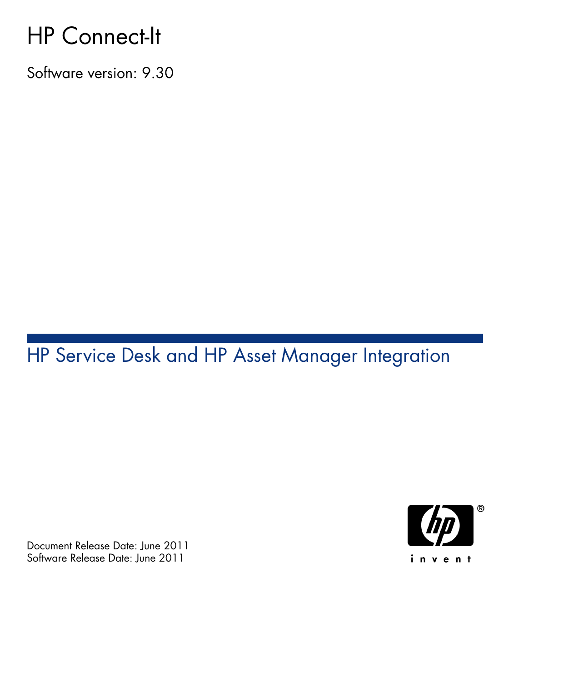# HP Connect-It

Software version: 9.30

# HP Service Desk and HP Asset Manager Integration

Document Release Date: June 2011 Software Release Date: June 2011

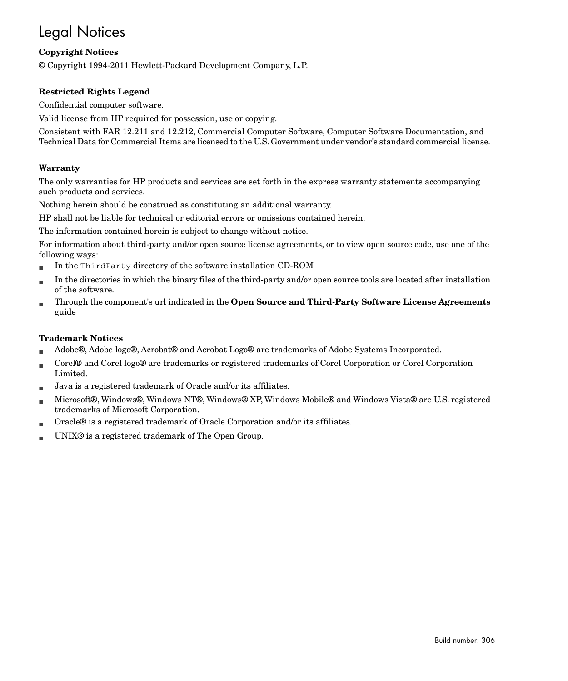# Legal Notices

#### **Copyright Notices**

© Copyright 1994-2011 Hewlett-Packard Development Company, L.P.

#### **Restricted Rights Legend**

Confidential computer software.

Valid license from HP required for possession, use or copying.

Consistent with FAR 12.211 and 12.212, Commercial Computer Software, Computer Software Documentation, and Technical Data for Commercial Items are licensed to the U.S. Government under vendor's standard commercial license.

#### **Warranty**

The only warranties for HP products and services are set forth in the express warranty statements accompanying such products and services.

Nothing herein should be construed as constituting an additional warranty.

HP shall not be liable for technical or editorial errors or omissions contained herein.

The information contained herein is subject to change without notice.

For information about third-party and/or open source license agreements, or to view open source code, use one of the following ways:

- <sup>n</sup> In the ThirdParty directory of the software installation CD-ROM
- n In the directories in which the binary files of the third-party and/or open source tools are located after installation of the software.
- n Through the component's url indicated in the **Open Source and Third-Party Software License Agreements** guide

#### **Trademark Notices**

- n Adobe®, Adobe logo®, Acrobat® and Acrobat Logo® are trademarks of Adobe Systems Incorporated.
- n Corel® and Corel logo® are trademarks or registered trademarks of Corel Corporation or Corel Corporation Limited.
- Java is a registered trademark of Oracle and/or its affiliates.
- n Microsoft®, Windows®, Windows NT®, Windows® XP, Windows Mobile® and Windows Vista® are U.S. registered trademarks of Microsoft Corporation.
- Oracle® is a registered trademark of Oracle Corporation and/or its affiliates.
- UNIX<sup>®</sup> is a registered trademark of The Open Group.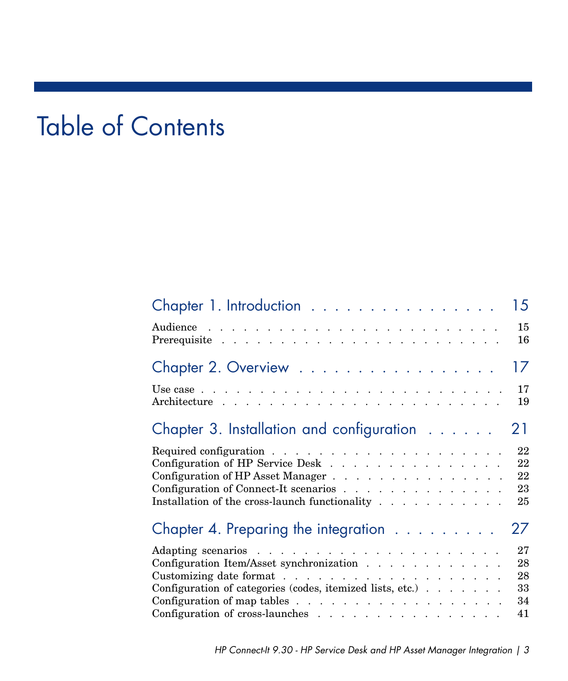# Table of Contents

| Chapter 1. Introduction                                   | 15 |
|-----------------------------------------------------------|----|
|                                                           | 15 |
|                                                           | 16 |
| Chapter 2. Overview                                       | 17 |
|                                                           | 17 |
|                                                           | 19 |
| Chapter 3. Installation and configuration                 | 21 |
|                                                           | 22 |
| Configuration of HP Service Desk                          | 22 |
| Configuration of HP Asset Manager                         | 22 |
| Configuration of Connect-It scenarios                     | 23 |
| Installation of the cross-launch functionality            | 25 |
| Chapter 4. Preparing the integration                      | 27 |
|                                                           | 27 |
| Configuration Item/Asset synchronization                  | 28 |
|                                                           | 28 |
| Configuration of categories (codes, itemized lists, etc.) | 33 |
|                                                           | 34 |
| Configuration of cross-launches                           | 41 |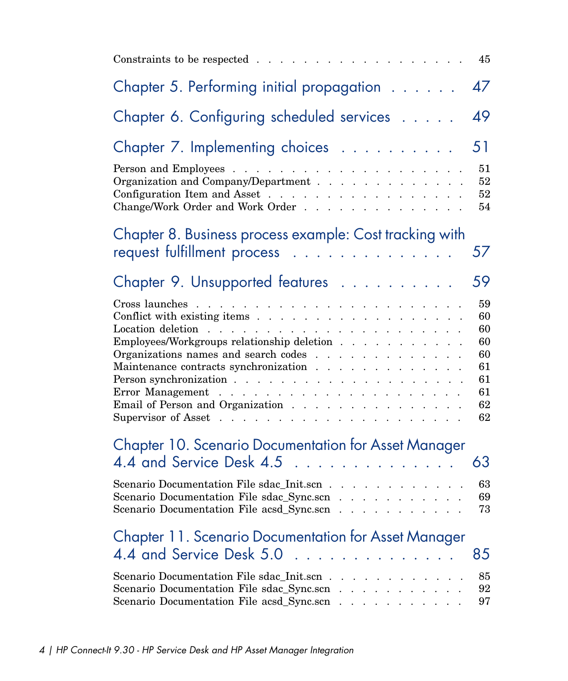|                                                                                                                                                                 | 45                                                       |
|-----------------------------------------------------------------------------------------------------------------------------------------------------------------|----------------------------------------------------------|
| Chapter 5. Performing initial propagation                                                                                                                       | 47                                                       |
| 49<br>Chapter 6. Configuring scheduled services                                                                                                                 |                                                          |
| 51<br>Chapter 7. Implementing choices                                                                                                                           |                                                          |
| Organization and Company/Department<br>Change/Work Order and Work Order                                                                                         | 51<br>52<br>52<br>54                                     |
| Chapter 8. Business process example: Cost tracking with<br>request fulfillment process                                                                          | 57                                                       |
| Chapter 9. Unsupported features                                                                                                                                 | 59                                                       |
| Employees/Workgroups relationship deletion<br>Organizations names and search codes<br>Maintenance contracts synchronization<br>Email of Person and Organization | 59<br>60<br>60<br>60<br>60<br>61<br>61<br>61<br>62<br>62 |
| Chapter 10. Scenario Documentation for Asset Manager<br>4.4 and Service Desk 4.5                                                                                | 63                                                       |
| Scenario Documentation File sdac_Init.scn<br>Scenario Documentation File sdac_Sync.scn<br>Scenario Documentation File acsd_Sync.scn                             | 63<br>69<br>73                                           |
| Chapter 11. Scenario Documentation for Asset Manager<br>4.4 and Service Desk 5.0                                                                                | 85                                                       |
| Scenario Documentation File sdac_Init.scn<br>Scenario Documentation File sdac_Sync.scn<br>Scenario Documentation File acsd_Sync.scn .                           | 85<br>92<br>97                                           |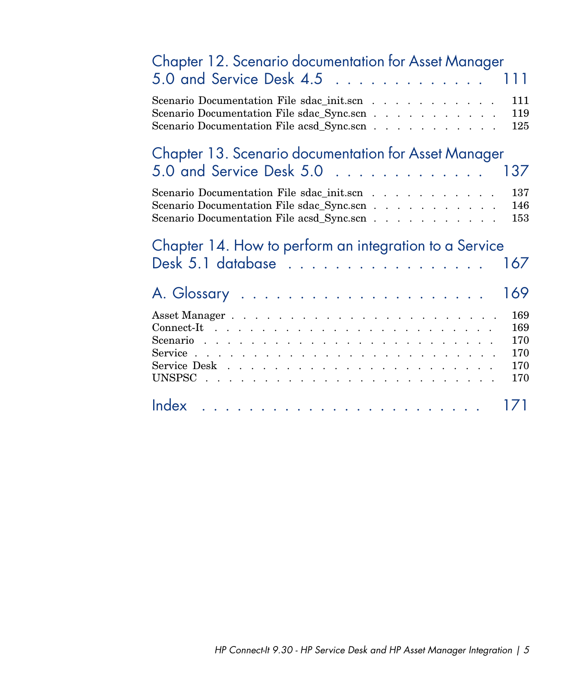| Chapter 12. Scenario documentation for Asset Manager<br>5.0 and Service Desk 4.5<br>111                                                                          |
|------------------------------------------------------------------------------------------------------------------------------------------------------------------|
| Scenario Documentation File sdac_init.scn<br>111<br>Scenario Documentation File sdac_Sync.scn<br>119<br>Scenario Documentation File acsd_Sync.scn<br>125         |
| Chapter 13. Scenario documentation for Asset Manager<br>5.0 and Service Desk 5.0<br>137                                                                          |
| 137<br>Scenario Documentation File sdac_init.scn<br>Scenario Documentation File sdac_Sync.scn<br>146<br>Scenario Documentation File acsd_Sync.scn<br>153         |
| Chapter 14. How to perform an integration to a Service<br>Desk 5.1 database<br>167                                                                               |
| 169                                                                                                                                                              |
|                                                                                                                                                                  |
| 169<br>169<br>170<br>170<br>والمتاوين والمتاوين والمتاوين والمتاوين والمتاوين والمتاوين والمتاوين والمتاوين<br>Service<br>$\overline{a}$<br>170<br>UNSPSC<br>170 |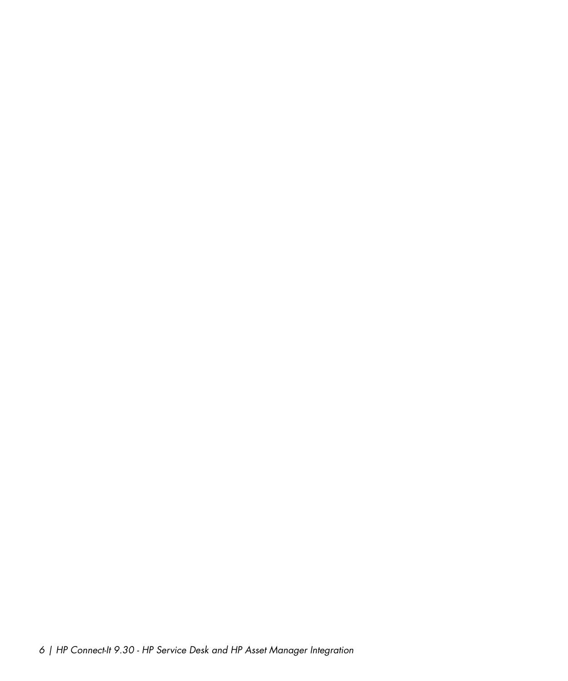*6 | HP Connect-It 9.30 - HP Service Desk and HP Asset Manager Integration*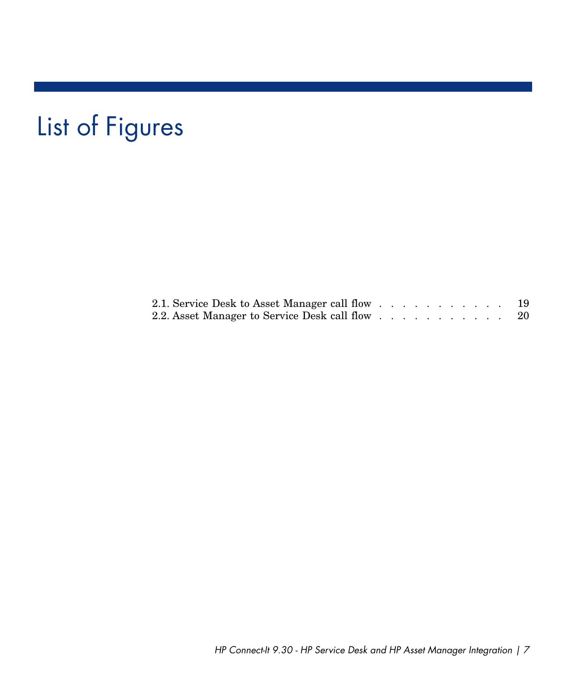# List of Figures

| 2.1. Service Desk to Asset Manager call flow |  |  |  |  |  | 19 |
|----------------------------------------------|--|--|--|--|--|----|
|                                              |  |  |  |  |  | 20 |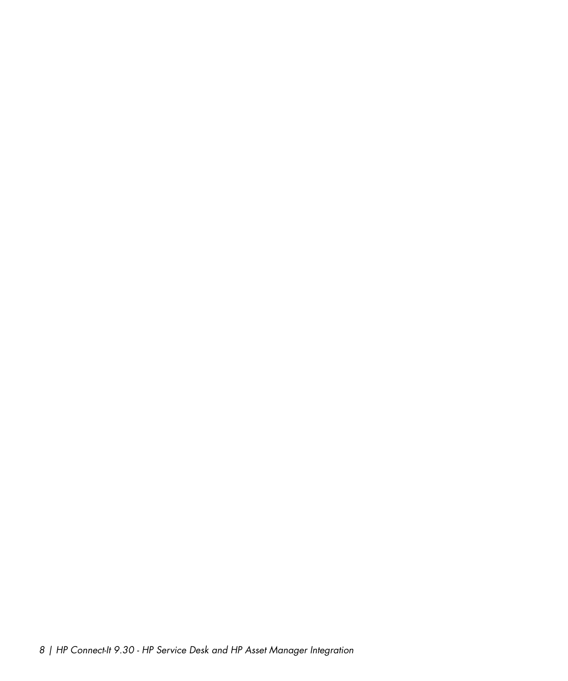*8 | HP Connect-It 9.30 - HP Service Desk and HP Asset Manager Integration*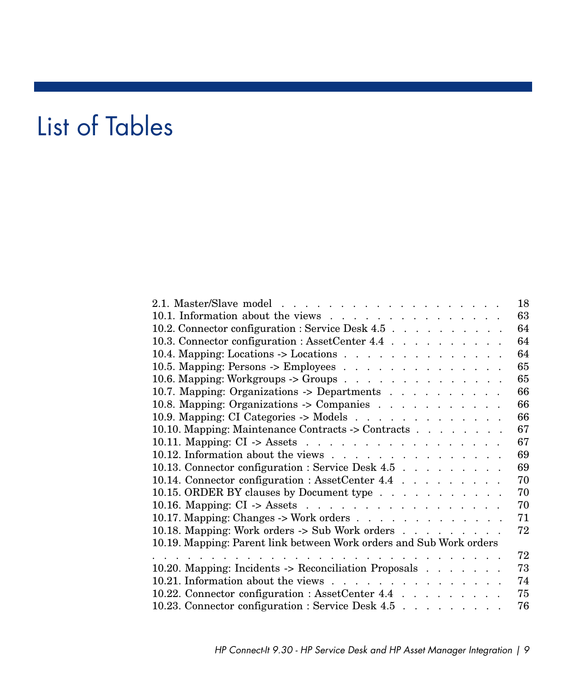# List of Tables

| 10.1. Information about the views                                   |
|---------------------------------------------------------------------|
| 10.2. Connector configuration : Service Desk 4.5                    |
| 10.3. Connector configuration : AssetCenter 4.4                     |
| 10.4. Mapping: Locations -> Locations                               |
| 10.5. Mapping: Persons -> Employees                                 |
| 10.6. Mapping: Workgroups -> Groups                                 |
| 10.7. Mapping: Organizations -> Departments                         |
| 10.8. Mapping: Organizations -> Companies                           |
| 10.9. Mapping: CI Categories -> Models                              |
| 10.10. Mapping: Maintenance Contracts -> Contracts                  |
|                                                                     |
| 10.12. Information about the views                                  |
| 10.13. Connector configuration : Service Desk 4.5                   |
| 10.14. Connector configuration : AssetCenter 4.4                    |
| 10.15. ORDER BY clauses by Document type                            |
| 10.16. Mapping: CI $\rightarrow$ Assets                             |
| 10.17. Mapping: Changes -> Work orders                              |
| 10.18. Mapping: Work orders -> Sub Work orders                      |
| 10.19. Mapping: Parent link between Work orders and Sub Work orders |
| $\mathbf{r}$ . The state of the state $\mathbf{r}$                  |
| 10.20. Mapping: Incidents -> Reconciliation Proposals               |
| 10.21. Information about the views                                  |
| 10.22. Connector configuration : AssetCenter 4.4                    |
| 10.23. Connector configuration : Service Desk 4.5                   |
|                                                                     |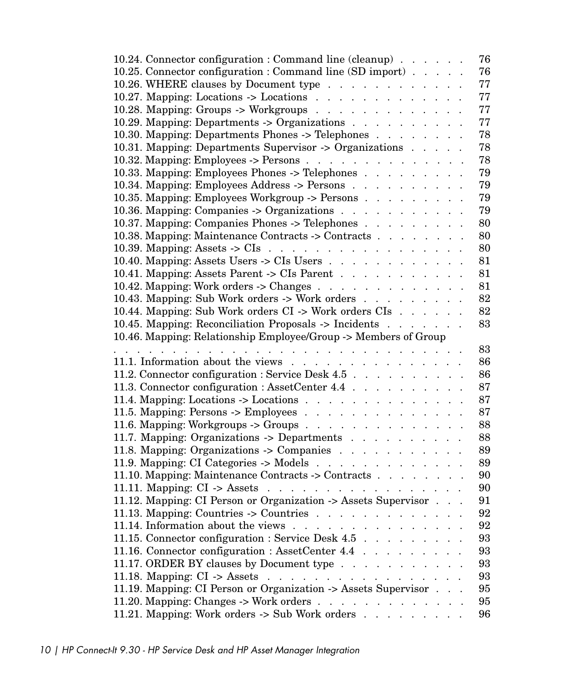| 10.24. Connector configuration : Command line (cleanup)<br>76                                         |
|-------------------------------------------------------------------------------------------------------|
| 10.25. Connector configuration : Command line (SD import)<br>76                                       |
| 77<br>10.26. WHERE clauses by Document type                                                           |
| 77<br>10.27. Mapping: Locations -> Locations                                                          |
| 77<br>10.28. Mapping: Groups -> Workgroups                                                            |
| 10.29. Mapping: Departments -> Organizations<br>77                                                    |
| 78<br>10.30. Mapping: Departments Phones -> Telephones                                                |
| 78<br>10.31. Mapping: Departments Supervisor -> Organizations                                         |
| 78<br>10.32. Mapping: Employees -> Persons                                                            |
| 10.33. Mapping: Employees Phones -> Telephones<br>79                                                  |
| 79<br>10.34. Mapping: Employees Address -> Persons                                                    |
| 79<br>10.35. Mapping: Employees Workgroup -> Persons                                                  |
| 79<br>10.36. Mapping: Companies -> Organizations                                                      |
| 80<br>10.37. Mapping: Companies Phones -> Telephones                                                  |
| 80<br>10.38. Mapping: Maintenance Contracts -> Contracts                                              |
| 10.39. Mapping: Assets $\rightarrow$ CIs<br>80                                                        |
| 81<br>10.40. Mapping: Assets Users -> CIs Users                                                       |
| 81<br>10.41. Mapping: Assets Parent -> CIs Parent                                                     |
| 10.42. Mapping: Work orders -> Changes<br>81                                                          |
| 10.43. Mapping: Sub Work orders -> Work orders<br>82                                                  |
| 10.44. Mapping: Sub Work orders CI -> Work orders CIs<br>82                                           |
| 10.45. Mapping: Reconciliation Proposals -> Incidents<br>83                                           |
| 10.46. Mapping: Relationship Employee/Group -> Members of Group                                       |
| 83<br>والمتعاون والمتعاون والمتعاون والمتعاونة والمتعاونة والمتعاونة والمتعاونة والمتعاونة والمتعاونة |
| 86<br>11.1. Information about the views $\ldots$ $\ldots$ $\ldots$ $\ldots$ $\ldots$ $\ldots$         |
| 86<br>11.2. Connector configuration : Service Desk 4.5                                                |
| 87<br>11.3. Connector configuration : AssetCenter 4.4                                                 |
| 11.4. Mapping: Locations -> Locations<br>87                                                           |
| 87<br>11.5. Mapping: Persons -> Employees                                                             |
| 88<br>11.6. Mapping: Workgroups -> Groups                                                             |
| 11.7. Mapping: Organizations -> Departments<br>88                                                     |
| 11.8. Mapping: Organizations -> Companies<br>89                                                       |
| 11.9. Mapping: CI Categories -> Models<br>89                                                          |
| 90<br>11.10. Mapping: Maintenance Contracts -> Contracts                                              |
| 90<br>11.11. Mapping: $CI \rightarrow Assets$                                                         |
| 11.12. Mapping: CI Person or Organization -> Assets Supervisor<br>91                                  |
| 11.13. Mapping: Countries -> Countries<br>92                                                          |
| 11.14. Information about the views<br>$\boldsymbol{92}$                                               |
| 11.15. Connector configuration : Service Desk 4.5<br>93                                               |
| 11.16. Connector configuration : AssetCenter 4.4<br>93                                                |
| 11.17. ORDER BY clauses by Document type<br>93                                                        |
| 93<br>11.18. Mapping: CI -> Assets $\ldots$ $\ldots$ $\ldots$ $\ldots$ $\ldots$ $\ldots$ $\ldots$     |
| 11.19. Mapping: CI Person or Organization -> Assets Supervisor<br>95                                  |
| 11.20. Mapping: Changes -> Work orders $\ldots$ $\ldots$ $\ldots$ $\ldots$ $\ldots$ $\ldots$<br>95    |
| 11.21. Mapping: Work orders -> Sub Work orders<br>96                                                  |
|                                                                                                       |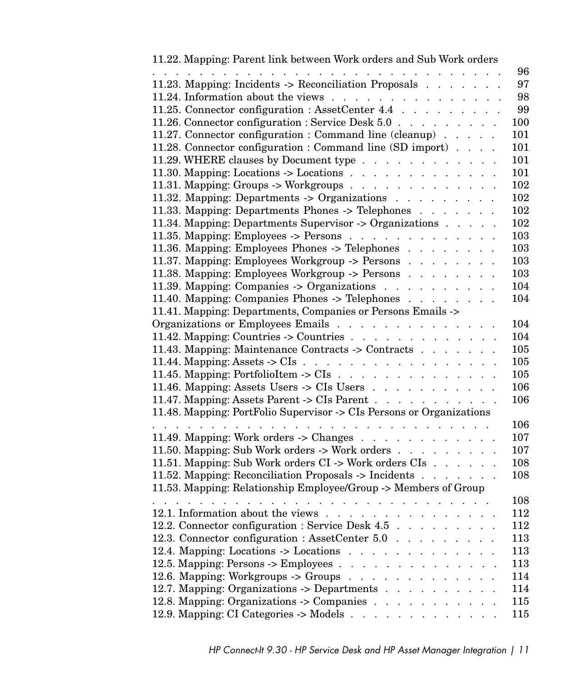| 11.22. Mapping: Parent link between Work orders and Sub Work orders                                                                                                                                                                                                   |
|-----------------------------------------------------------------------------------------------------------------------------------------------------------------------------------------------------------------------------------------------------------------------|
| $\mathcal{A}$ , which is a set of the set of the set of the set of the set of the $\mathcal{A}$<br>$\mathbf{1}$ . The set of $\mathbf{1}$<br>11.23. Mapping: Incidents -> Reconciliation Proposals                                                                    |
|                                                                                                                                                                                                                                                                       |
| 11.24. Information about the views $\ldots$ , $\ldots$ , $\ldots$ , $\ldots$ , $\ldots$ , $\ldots$ , $\ldots$ , 11.25. Connector configuration : AssetCenter 4.4 $\ldots$ ,                                                                                           |
| 11.26. Connector configuration : Service Desk 5.0                                                                                                                                                                                                                     |
| 11.27. Connector configuration : Command line (cleanup)                                                                                                                                                                                                               |
| 11.28. Connector configuration : Command line (SD import)                                                                                                                                                                                                             |
| 11.29. WHERE clauses by Document type                                                                                                                                                                                                                                 |
| 11.30. Mapping: Locations -> Locations                                                                                                                                                                                                                                |
| 11.31. Mapping: Groups -> Workgroups                                                                                                                                                                                                                                  |
| 11.32. Mapping: Departments -> Organizations                                                                                                                                                                                                                          |
| 11.33. Mapping: Departments Phones -> Telephones                                                                                                                                                                                                                      |
| 11.34. Mapping: Departments Supervisor -> Organizations                                                                                                                                                                                                               |
| 11.35. Mapping: Employees -> Persons                                                                                                                                                                                                                                  |
| 11.36. Mapping: Employees Phones -> Telephones                                                                                                                                                                                                                        |
| 11.37. Mapping: Employees Workgroup -> Persons                                                                                                                                                                                                                        |
| 11.38. Mapping: Employees Workgroup -> Persons                                                                                                                                                                                                                        |
| 11.39. Mapping: Companies -> Organizations                                                                                                                                                                                                                            |
| 11.40. Mapping: Companies Phones -> Telephones                                                                                                                                                                                                                        |
| 11.41. Mapping: Departments, Companies or Persons Emails ->                                                                                                                                                                                                           |
| Organizations or Employees Emails                                                                                                                                                                                                                                     |
| 11.42. Mapping: Countries -> Countries                                                                                                                                                                                                                                |
| 11.43. Mapping: Maintenance Contracts -> Contracts                                                                                                                                                                                                                    |
|                                                                                                                                                                                                                                                                       |
| 11.45. Mapping: PortfolioItem -> CIs                                                                                                                                                                                                                                  |
| 11.46. Mapping: Assets Users -> CIs Users                                                                                                                                                                                                                             |
| 11.47. Mapping: Assets Parent -> CIs Parent                                                                                                                                                                                                                           |
| 11.48. Mapping: PortFolio Supervisor -> CIs Persons or Organizations                                                                                                                                                                                                  |
| a construction of the construction of the construction of the construction of the construction of the construction of the construction of the construction of the construction of the construction of the construction of the                                         |
| 11.49. Mapping: Work orders -> Changes                                                                                                                                                                                                                                |
| 11.50. Mapping: Sub Work orders -> Work orders                                                                                                                                                                                                                        |
| 11.51. Mapping: Sub Work orders CI -> Work orders CIs                                                                                                                                                                                                                 |
| 11.52. Mapping: Reconciliation Proposals -> Incidents                                                                                                                                                                                                                 |
| 11.53. Mapping: Relationship Employee/Group -> Members of Group                                                                                                                                                                                                       |
| and a series and a series of the<br>$\mathbf{r}$ . The set of the set of the set of the set of the set of the set of the set of the set of the set of the set of the set of the set of the set of the set of the set of the set of the set of the set of the set of t |
| 12.1. Information about the views                                                                                                                                                                                                                                     |
| 12.2. Connector configuration : Service Desk 4.5                                                                                                                                                                                                                      |
| 12.3. Connector configuration : AssetCenter 5.0                                                                                                                                                                                                                       |
| 12.4. Mapping: Locations -> Locations                                                                                                                                                                                                                                 |
| 12.5. Mapping: Persons -> Employees                                                                                                                                                                                                                                   |
| 12.6. Mapping: Workgroups -> Groups                                                                                                                                                                                                                                   |
| 12.7. Mapping: Organizations -> Departments                                                                                                                                                                                                                           |
| 12.8. Mapping: Organizations -> Companies                                                                                                                                                                                                                             |
| 12.9. Mapping: CI Categories -> Models                                                                                                                                                                                                                                |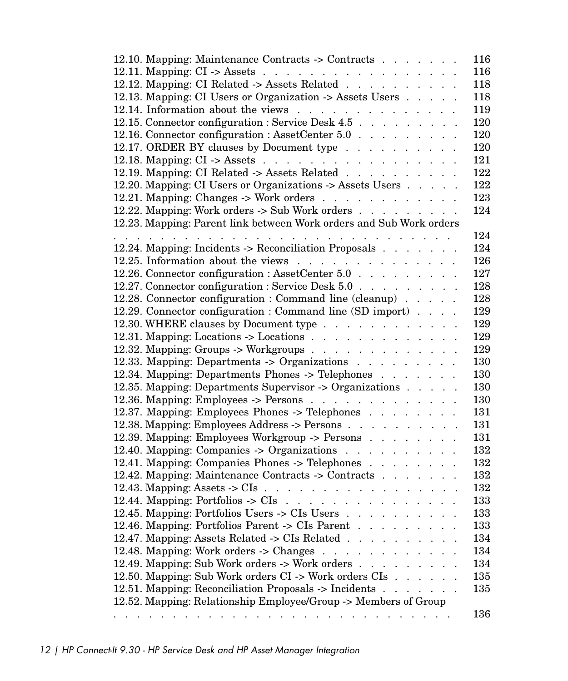| 12.10. Mapping: Maintenance Contracts -> Contracts                                                                                                                                               | 116 |
|--------------------------------------------------------------------------------------------------------------------------------------------------------------------------------------------------|-----|
|                                                                                                                                                                                                  | 116 |
| 12.11. Mapping: CI -> Assets $\ldots$ , $\ldots$ , $\ldots$ , $\ldots$ , $\ldots$ , $\ldots$ , $\ldots$ , 12.12. Mapping: CI Related -> Assets Related $\ldots$ , $\ldots$ , $\ldots$ , $\ldots$ | 118 |
| 12.13. Mapping: CI Users or Organization -> Assets Users                                                                                                                                         | 118 |
| 12.14. Information about the views                                                                                                                                                               | 119 |
| 12.15. Connector configuration : Service Desk 4.5                                                                                                                                                | 120 |
| 12.16. Connector configuration : AssetCenter 5.0                                                                                                                                                 | 120 |
| 12.17. ORDER BY clauses by Document type                                                                                                                                                         | 120 |
| 12.18. Mapping: CI -> Assets                                                                                                                                                                     | 121 |
| 12.19. Mapping: CI Related -> Assets Related                                                                                                                                                     | 122 |
| 12.20. Mapping: CI Users or Organizations -> Assets Users                                                                                                                                        | 122 |
| 12.21. Mapping: Changes -> Work orders                                                                                                                                                           | 123 |
| 12.22. Mapping: Work orders -> Sub Work orders                                                                                                                                                   | 124 |
| 12.23. Mapping: Parent link between Work orders and Sub Work orders                                                                                                                              |     |
| the contract of the contract of the contract of the contract of the contract of the contract of the contract of                                                                                  | 124 |
| 12.24. Mapping: Incidents -> Reconciliation Proposals                                                                                                                                            | 124 |
| 12.25. Information about the views                                                                                                                                                               | 126 |
| 12.26. Connector configuration : AssetCenter 5.0                                                                                                                                                 | 127 |
| 12.27. Connector configuration : Service Desk 5.0                                                                                                                                                | 128 |
| 12.28. Connector configuration : Command line (cleanup)                                                                                                                                          | 128 |
| 12.29. Connector configuration : Command line (SD import)                                                                                                                                        | 129 |
| 12.30. WHERE clauses by Document type                                                                                                                                                            | 129 |
| 12.31. Mapping: Locations -> Locations                                                                                                                                                           | 129 |
| 12.32. Mapping: Groups -> Workgroups                                                                                                                                                             | 129 |
| 12.33. Mapping: Departments -> Organizations                                                                                                                                                     | 130 |
| 12.34. Mapping: Departments Phones -> Telephones                                                                                                                                                 | 130 |
| 12.35. Mapping: Departments Supervisor -> Organizations                                                                                                                                          | 130 |
| 12.36. Mapping: Employees -> Persons                                                                                                                                                             | 130 |
| 12.37. Mapping: Employees Phones -> Telephones                                                                                                                                                   | 131 |
| 12.38. Mapping: Employees Address -> Persons                                                                                                                                                     | 131 |
| 12.39. Mapping: Employees Workgroup -> Persons                                                                                                                                                   | 131 |
| 12.40. Mapping: Companies -> Organizations                                                                                                                                                       | 132 |
| 12.41. Mapping: Companies Phones -> Telephones                                                                                                                                                   | 132 |
| 12.42. Mapping: Maintenance Contracts -> Contracts                                                                                                                                               | 132 |
|                                                                                                                                                                                                  | 132 |
|                                                                                                                                                                                                  | 133 |
| 12.45. Mapping: Portfolios Users -> CIs Users                                                                                                                                                    | 133 |
| 12.46. Mapping: Portfolios Parent -> CIs Parent                                                                                                                                                  | 133 |
| 12.47. Mapping: Assets Related -> CIs Related                                                                                                                                                    | 134 |
| 12.48. Mapping: Work orders -> Changes.<br>and the contract of the contract of                                                                                                                   | 134 |
| 12.49. Mapping: Sub Work orders -> Work orders                                                                                                                                                   | 134 |
| 12.50. Mapping: Sub Work orders CI -> Work orders CIs.<br>$\mathcal{A}$ , and $\mathcal{A}$ , and $\mathcal{A}$                                                                                  | 135 |
| 12.51. Mapping: Reconciliation Proposals -> Incidents.<br>$\mathbf{r}$ . $\mathbf{r}$ . $\mathbf{r}$                                                                                             | 135 |
| 12.52. Mapping: Relationship Employee/Group -> Members of Group                                                                                                                                  |     |
|                                                                                                                                                                                                  | 136 |
| المنافر والمنافر والمنافر والمنافر والمنافر والمنافر والمنافر والمنافر                                                                                                                           |     |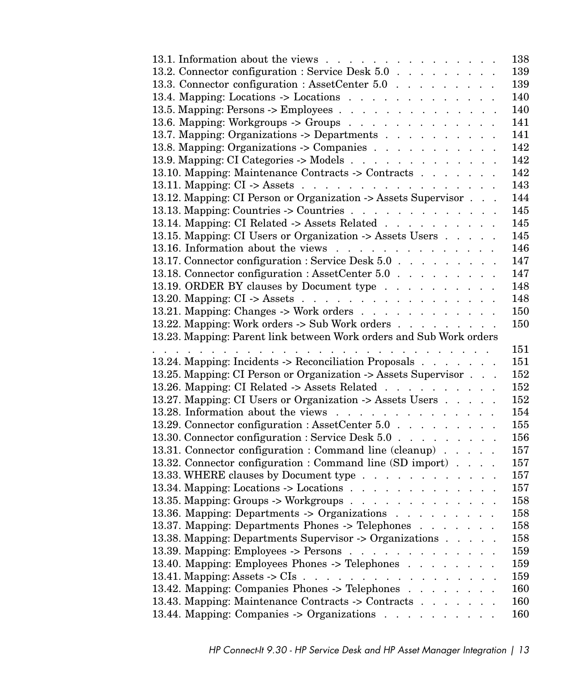| 13.1. Information about the views                                                                                  |
|--------------------------------------------------------------------------------------------------------------------|
| 13.2. Connector configuration : Service Desk 5.0<br>139                                                            |
| 13.3. Connector configuration : AssetCenter 5.0<br>139                                                             |
| 13.4. Mapping: Locations -> Locations<br>140                                                                       |
| 13.5. Mapping: Persons -> Employees<br>140                                                                         |
| 13.6. Mapping: Workgroups -> Groups<br>141                                                                         |
| 13.7. Mapping: Organizations -> Departments<br>141                                                                 |
| 13.8. Mapping: Organizations -> Companies<br>142                                                                   |
| 13.9. Mapping: CI Categories -> Models<br>142                                                                      |
| 13.10. Mapping: Maintenance Contracts -> Contracts<br>142                                                          |
| 13.11. Mapping: CI -> Assets<br>143                                                                                |
| 13.12. Mapping: CI Person or Organization -> Assets Supervisor<br>144                                              |
| 13.13. Mapping: Countries -> Countries<br>145                                                                      |
| 13.14. Mapping: CI Related -> Assets Related<br>145                                                                |
| 13.15. Mapping: CI Users or Organization -> Assets Users<br>145                                                    |
| 13.16. Information about the views $\ldots$<br>146                                                                 |
| 13.17. Connector configuration : Service Desk 5.0<br>147                                                           |
| 13.18. Connector configuration : AssetCenter 5.0<br>147                                                            |
| 13.19. ORDER BY clauses by Document type<br>148                                                                    |
| 148                                                                                                                |
| 13.21. Mapping: Changes -> Work orders<br>150                                                                      |
| 13.22. Mapping: Work orders -> Sub Work orders<br>150                                                              |
| 13.23. Mapping: Parent link between Work orders and Sub Work orders                                                |
| 151<br>المتحاول والمتحاول والمتحاول والمتحاول والمتحاول والمتحاول والمتحاول والمتحاول والمتحاول والمتحاول          |
|                                                                                                                    |
| 151<br>13.24. Mapping: Incidents -> Reconciliation Proposals                                                       |
| 13.25. Mapping: CI Person or Organization -> Assets Supervisor<br>152                                              |
| 13.26. Mapping: CI Related -> Assets Related<br>152                                                                |
| 13.27. Mapping: CI Users or Organization -> Assets Users<br>152                                                    |
| 154                                                                                                                |
| 13.28. Information about the views<br>13.29. Connector configuration : AssetCenter 5.0<br>155                      |
| 13.30. Connector configuration : Service Desk 5.0<br>156                                                           |
| 13.31. Connector configuration : Command line (cleanup)<br>157                                                     |
| 13.32. Connector configuration : Command line (SD import)<br>157                                                   |
| 13.33. WHERE clauses by Document type<br>157                                                                       |
| 13.34. Mapping: Locations -> Locations<br>157                                                                      |
| 158                                                                                                                |
| 13.35. Mapping: Groups -> Workgroups<br>13.36. Mapping: Departments -> Organizations<br>158                        |
| 158                                                                                                                |
| 13.37. Mapping: Departments Phones -> Telephones<br>13.38. Mapping: Departments Supervisor -> Organizations<br>158 |
| 13.39. Mapping: Employees -> Persons<br>159                                                                        |
| 13.40. Mapping: Employees Phones -> Telephones<br>159                                                              |
| 13.41. Mapping: Assets -> $CIs$ .<br>159                                                                           |
| 13.42. Mapping: Companies Phones -> Telephones<br>160                                                              |
| 13.43. Mapping: Maintenance Contracts -> Contracts<br>160                                                          |
| 13.44. Mapping: Companies -> Organizations<br>160                                                                  |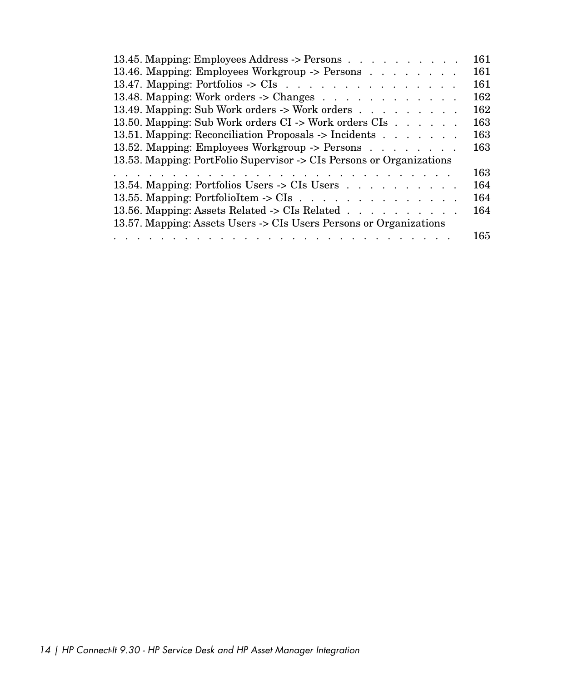| 13.45. Mapping: Employees Address -> Persons                                                                                                                                                                                         | 161 |
|--------------------------------------------------------------------------------------------------------------------------------------------------------------------------------------------------------------------------------------|-----|
| 13.46. Mapping: Employees Workgroup -> Persons                                                                                                                                                                                       | 161 |
| 13.47. Mapping: Portfolios -> CIs                                                                                                                                                                                                    | 161 |
| 13.48. Mapping: Work orders -> Changes                                                                                                                                                                                               | 162 |
| 13.49. Mapping: Sub Work orders -> Work orders                                                                                                                                                                                       | 162 |
| 13.50. Mapping: Sub Work orders CI -> Work orders CIs                                                                                                                                                                                | 163 |
| 13.51. Mapping: Reconciliation Proposals -> Incidents                                                                                                                                                                                | 163 |
| 13.52. Mapping: Employees Workgroup -> Persons                                                                                                                                                                                       | 163 |
| 13.53. Mapping: PortFolio Supervisor -> CIs Persons or Organizations                                                                                                                                                                 |     |
| <u>in the series of the series of the series of the series of the series of the series of the series of the series of the series of the series of the series of the series of the series of the series of the series of the seri</u> | 163 |
| 13.54. Mapping: Portfolios Users -> CIs Users                                                                                                                                                                                        | 164 |
|                                                                                                                                                                                                                                      | 164 |
| 13.56. Mapping: Assets Related -> CIs Related                                                                                                                                                                                        | 164 |
| 13.57. Mapping: Assets Users -> CIs Users Persons or Organizations                                                                                                                                                                   |     |
|                                                                                                                                                                                                                                      | 165 |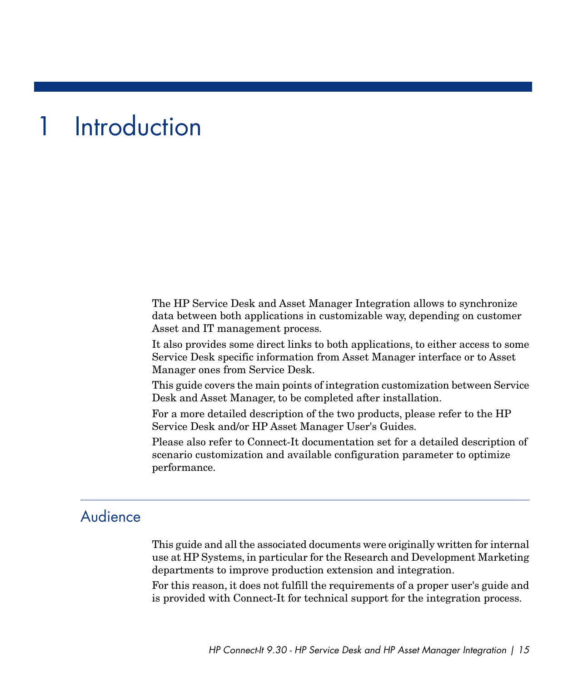# 1 Introduction

<span id="page-14-0"></span>The HP Service Desk and Asset Manager Integration allows to synchronize data between both applications in customizable way, depending on customer Asset and IT management process.

It also provides some direct links to both applications, to either access to some Service Desk specific information from Asset Manager interface or to Asset Manager ones from Service Desk.

This guide covers the main points of integration customization between Service Desk and Asset Manager, to be completed after installation.

For a more detailed description of the two products, please refer to the HP Service Desk and/or HP Asset Manager User's Guides.

<span id="page-14-1"></span>Please also refer to Connect-It documentation set for a detailed description of scenario customization and available configuration parameter to optimize performance.

# Audience

This guide and all the associated documents were originally written for internal use at HP Systems, in particular for the Research and Development Marketing departments to improve production extension and integration.

For this reason, it does not fulfill the requirements of a proper user's guide and is provided with Connect-It for technical support for the integration process.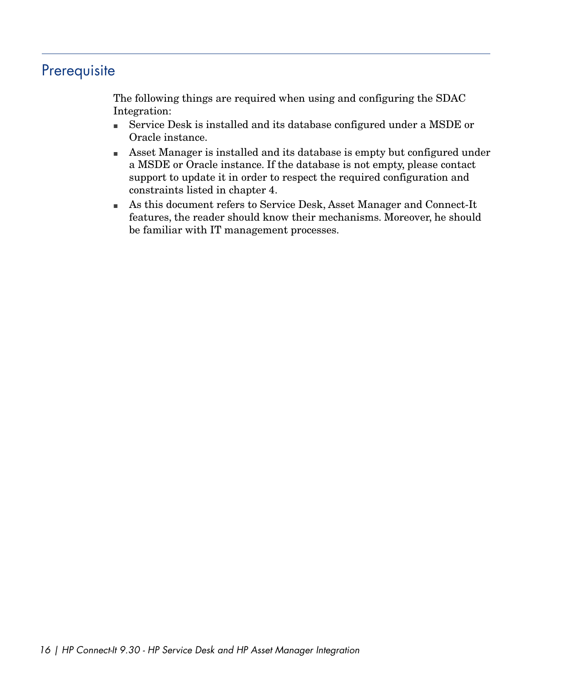## **Prerequisite**

<span id="page-15-0"></span>The following things are required when using and configuring the SDAC Integration:

- <sup>n</sup> Service Desk is installed and its database configured under a MSDE or Oracle instance.
- <sup>n</sup> Asset Manager is installed and its database is empty but configured under a MSDE or Oracle instance. If the database is not empty, please contact support to update it in order to respect the required configuration and constraints listed in chapter 4.
- <sup>n</sup> As this document refers to Service Desk, Asset Manager and Connect-It features, the reader should know their mechanisms. Moreover, he should be familiar with IT management processes.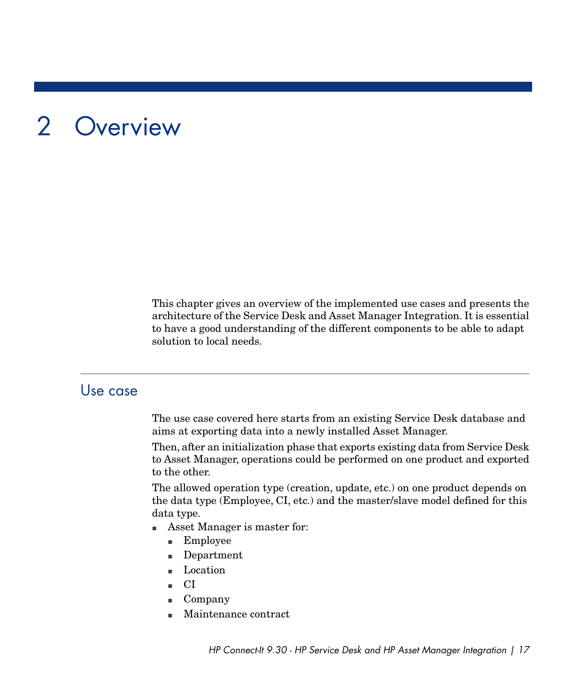# 2 Overview

<span id="page-16-1"></span><span id="page-16-0"></span>This chapter gives an overview of the implemented use cases and presents the architecture of the Service Desk and Asset Manager Integration. It is essential to have a good understanding of the different components to be able to adapt solution to local needs.

#### Use case

The use case covered here starts from an existing Service Desk database and aims at exporting data into a newly installed Asset Manager.

Then, after an initialization phase that exports existing data from Service Desk to Asset Manager, operations could be performed on one product and exported to the other.

The allowed operation type (creation, update, etc.) on one product depends on the data type (Employee, CI, etc.) and the master/slave model defined for this data type.

- Asset Manager is master for:
	- **Employee**
	- **n** Department
	- **Location**
	- $C1$
	- $\blacksquare$  Company
	- Maintenance contract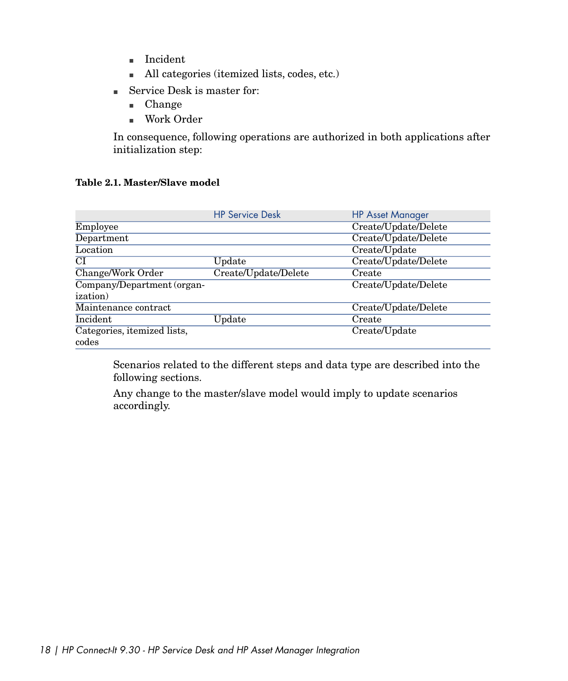- **n** Incident
- <sup>n</sup> All categories (itemized lists, codes, etc.)
- Service Desk is master for:
	- <sup>n</sup> Change
	- Work Order

<span id="page-17-0"></span>In consequence, following operations are authorized in both applications after initialization step:

#### **Table 2.1. Master/Slave model**

|                             | <b>HP Service Desk</b> | <b>HP Asset Manager</b> |
|-----------------------------|------------------------|-------------------------|
| Employee                    |                        | Create/Update/Delete    |
| Department                  |                        | Create/Update/Delete    |
| Location                    |                        | Create/Update           |
| CI                          | Update                 | Create/Update/Delete    |
| Change/Work Order           | Create/Update/Delete   | Create                  |
| Company/Department (organ-  |                        | Create/Update/Delete    |
| <i>ization</i> )            |                        |                         |
| Maintenance contract        |                        | Create/Update/Delete    |
| Incident                    | Update                 | Create                  |
| Categories, itemized lists, |                        | Create/Update           |
| codes                       |                        |                         |

Scenarios related to the different steps and data type are described into the following sections.

Any change to the master/slave model would imply to update scenarios accordingly.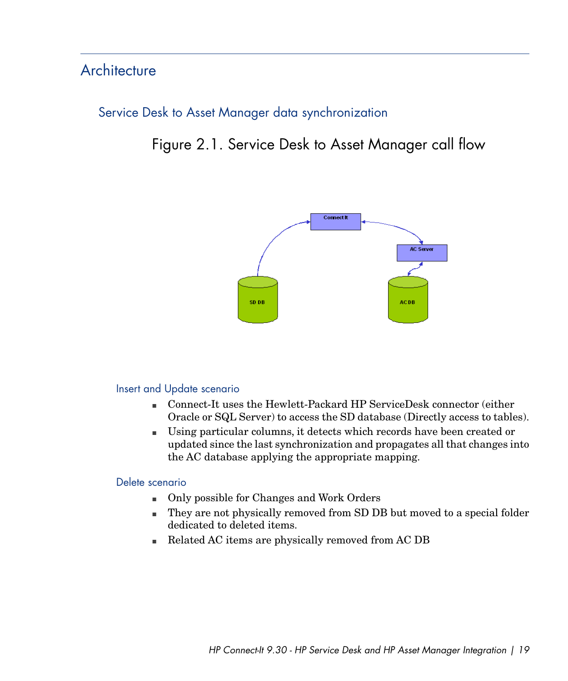## <span id="page-18-0"></span>**Architecture**

### Service Desk to Asset Manager data synchronization

<span id="page-18-1"></span>



#### Insert and Update scenario

- <sup>n</sup> Connect-It uses the Hewlett-Packard HP ServiceDesk connector (either Oracle or SQL Server) to access the SD database (Directly access to tables).
- <sup>n</sup> Using particular columns, it detects which records have been created or updated since the last synchronization and propagates all that changes into the AC database applying the appropriate mapping.

#### Delete scenario

- n Only possible for Changes and Work Orders
- n They are not physically removed from SD DB but moved to a special folder dedicated to deleted items.
- <sup>n</sup> Related AC items are physically removed from AC DB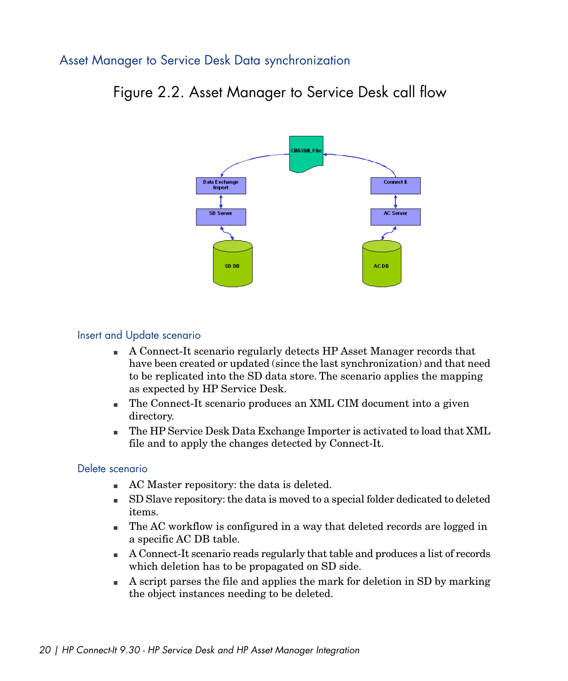#### Asset Manager to Service Desk Data synchronization



## <span id="page-19-0"></span>Figure 2.2. Asset Manager to Service Desk call flow

#### Insert and Update scenario

- <sup>n</sup> A Connect-It scenario regularly detects HP Asset Manager records that have been created or updated (since the last synchronization) and that need to be replicated into the SD data store. The scenario applies the mapping as expected by HP Service Desk.
- n The Connect-It scenario produces an XML CIM document into a given directory.
- n The HP Service Desk Data Exchange Importer is activated to load that XML file and to apply the changes detected by Connect-It.

#### Delete scenario

- $\blacksquare$  AC Master repository: the data is deleted.
- <sup>n</sup> SD Slave repository: the data is moved to a special folder dedicated to deleted items.
- n The AC workflow is configured in a way that deleted records are logged in a specific AC DB table.
- $\blacksquare$  A Connect-It scenario reads regularly that table and produces a list of records which deletion has to be propagated on SD side.
- $\blacksquare$  A script parses the file and applies the mark for deletion in SD by marking the object instances needing to be deleted.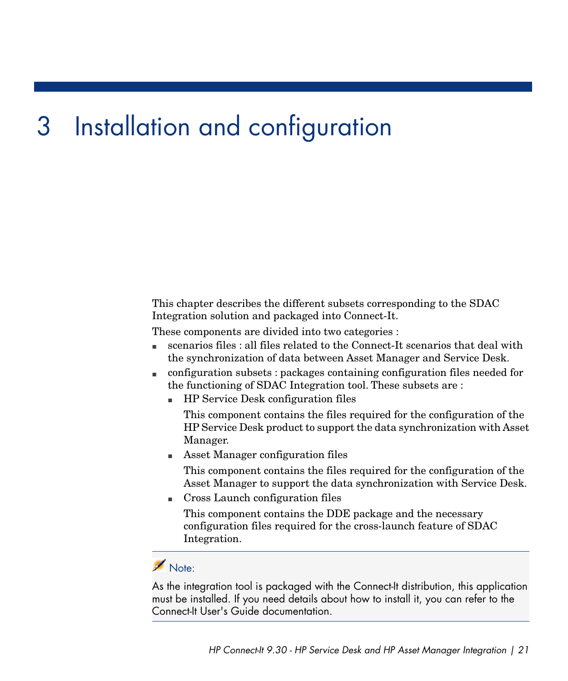# 3 Installation and configuration

<span id="page-20-0"></span>This chapter describes the different subsets corresponding to the SDAC Integration solution and packaged into Connect-It.

These components are divided into two categories :

- <sup>n</sup> scenarios files : all files related to the Connect-It scenarios that deal with the synchronization of data between Asset Manager and Service Desk.
- n configuration subsets : packages containing configuration files needed for the functioning of SDAC Integration tool. These subsets are :
	- <sup>n</sup> HP Service Desk configuration files

This component contains the files required for the configuration of the HP Service Desk product to support the data synchronization with Asset Manager.

<sup>n</sup> Asset Manager configuration files

This component contains the files required for the configuration of the Asset Manager to support the data synchronization with Service Desk.

 $\blacksquare$  Cross Launch configuration files

This component contains the DDE package and the necessary configuration files required for the cross-launch feature of SDAC Integration.

# Note:

As the integration tool is packaged with the Connect-It distribution, this application must be installed. If you need details about how to install it, you can refer to the Connect-It User's Guide documentation.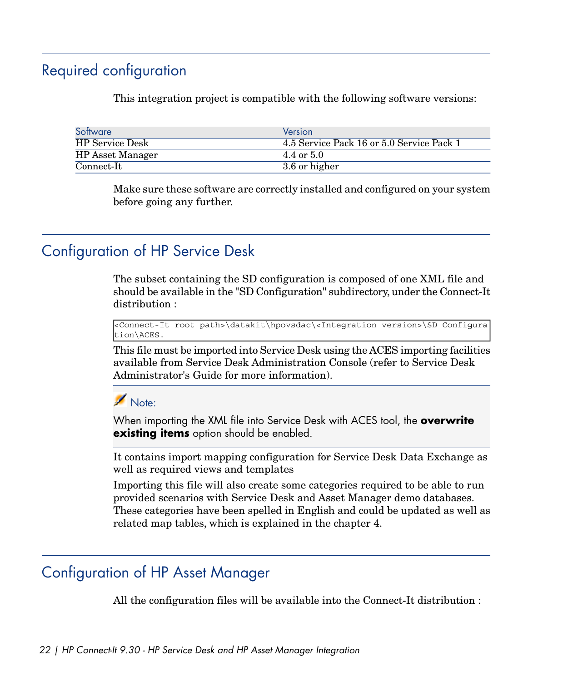# Required configuration

<span id="page-21-0"></span>This integration project is compatible with the following software versions:

| Software               | Version                                   |
|------------------------|-------------------------------------------|
| <b>HP</b> Service Desk | 4.5 Service Pack 16 or 5.0 Service Pack 1 |
| HP Asset Manager       | 4.4 or 5.0                                |
| Connect-It             | 3.6 or higher                             |

<span id="page-21-1"></span>Make sure these software are correctly installed and configured on your system before going any further.

# Configuration of HP Service Desk

The subset containing the SD configuration is composed of one XML file and should be available in the "SD Configuration" subdirectory, under the Connect-It distribution :

```
<Connect-It root path>\datakit\hpovsdac\<Integration version>\SD Configura
tion\ACES.
```
This file must be imported into Service Desk using the ACES importing facilities available from Service Desk Administration Console (refer to Service Desk Administrator's Guide for more information).

### Note:

When importing the XML file into Service Desk with ACES tool, the **overwrite existing items** option should be enabled.

It contains import mapping configuration for Service Desk Data Exchange as well as required views and templates

<span id="page-21-2"></span>Importing this file will also create some categories required to be able to run provided scenarios with Service Desk and Asset Manager demo databases. These categories have been spelled in English and could be updated as well as related map tables, which is explained in the chapter 4.

## Configuration of HP Asset Manager

All the configuration files will be available into the Connect-It distribution :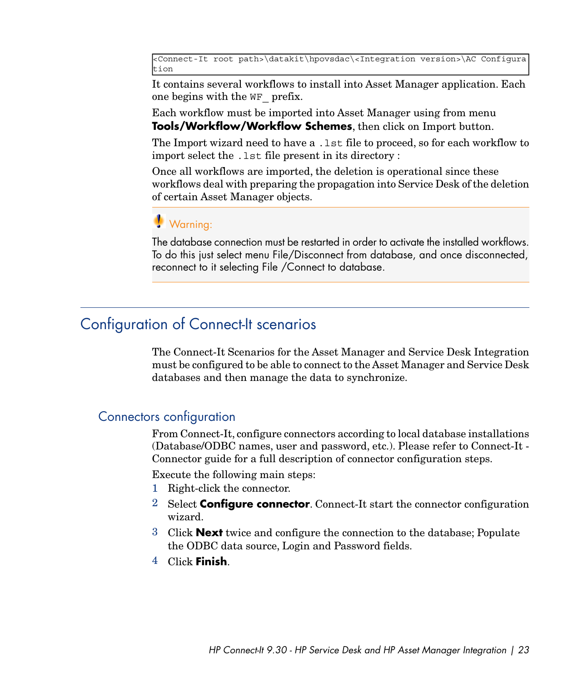```
<Connect-It root path>\datakit\hpovsdac\<Integration version>\AC Configura
tion
```
It contains several workflows to install into Asset Manager application. Each one begins with the WF\_ prefix.

Each workflow must be imported into Asset Manager using from menu **Tools/Workflow/Workflow Schemes**, then click on Import button.

The Import wizard need to have a .lst file to proceed, so for each workflow to import select the .lst file present in its directory :

Once all workflows are imported, the deletion is operational since these workflows deal with preparing the propagation into Service Desk of the deletion of certain Asset Manager objects.

### Warning:

<span id="page-22-0"></span>The database connection must be restarted in order to activate the installed workflows. To do this just select menu File/Disconnect from database, and once disconnected, reconnect to it selecting File /Connect to database.

# Configuration of Connect-It scenarios

The Connect-It Scenarios for the Asset Manager and Service Desk Integration must be configured to be able to connect to the Asset Manager and Service Desk databases and then manage the data to synchronize.

#### Connectors configuration

From Connect-It, configure connectors according to local database installations (Database/ODBC names, user and password, etc.). Please refer to Connect-It - Connector guide for a full description of connector configuration steps.

Execute the following main steps:

- 1 Right-click the connector.
- 2 Select **Configure connector**. Connect-It start the connector configuration wizard.
- 3 Click **Next** twice and configure the connection to the database; Populate the ODBC data source, Login and Password fields.
- 4 Click **Finish**.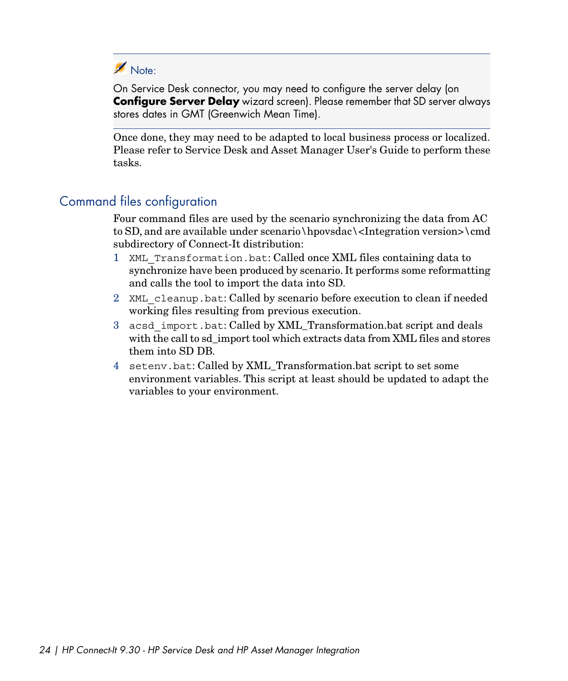# Note:

On Service Desk connector, you may need to configure the server delay (on **Configure Server Delay** wizard screen). Please remember that SD server always stores dates in GMT (Greenwich Mean Time).

Once done, they may need to be adapted to local business process or localized. Please refer to Service Desk and Asset Manager User's Guide to perform these tasks.

### Command files configuration

Four command files are used by the scenario synchronizing the data from AC to SD, and are available under scenario\hpovsdac\<Integration version>\cmd subdirectory of Connect-It distribution:

- 1 XML\_Transformation.bat: Called once XML files containing data to synchronize have been produced by scenario. It performs some reformatting and calls the tool to import the data into SD.
- 2 XML\_cleanup.bat: Called by scenario before execution to clean if needed working files resulting from previous execution.
- 3 acsd\_import.bat: Called by XML\_Transformation.bat script and deals with the call to sd import tool which extracts data from XML files and stores them into SD DB.
- 4 setenv.bat: Called by XML\_Transformation.bat script to set some environment variables. This script at least should be updated to adapt the variables to your environment.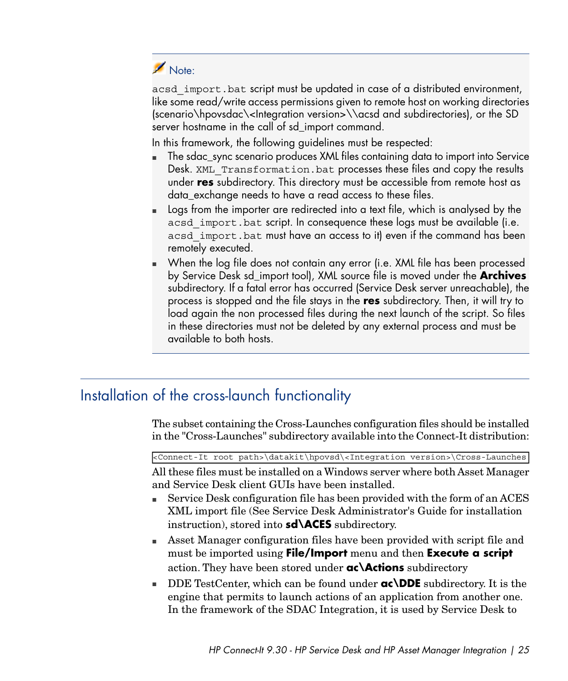# Note:

acsd import. bat script must be updated in case of a distributed environment, like some read/write access permissions given to remote host on working directories (scenario\hpovsdac\<Integration version>\\acsd and subdirectories), or the SD server hostname in the call of sd\_import command.

In this framework, the following guidelines must be respected:

- The sdac\_sync scenario produces XML files containing data to import into Service Desk. XML\_Transformation.bat processes these files and copy the results under **res** subdirectory. This directory must be accessible from remote host as data\_exchange needs to have a read access to these files.
- Logs from the importer are redirected into a text file, which is analysed by the acsd import.bat script. In consequence these logs must be available (i.e. acsd\_import.bat must have an access to it) even if the command has been remotely executed.
- <span id="page-24-0"></span><sup>n</sup> When the log file does not contain any error (i.e. XML file has been processed by Service Desk sd\_import tool), XML source file is moved under the **Archives** subdirectory. If a fatal error has occurred (Service Desk server unreachable), the process is stopped and the file stays in the **res** subdirectory. Then, it will try to load again the non processed files during the next launch of the script. So files in these directories must not be deleted by any external process and must be available to both hosts.

# Installation of the cross-launch functionality

The subset containing the Cross-Launches configuration files should be installed in the "Cross-Launches" subdirectory available into the Connect-It distribution:

<Connect-It root path>\datakit\hpovsd\<Integration version>\Cross-Launches

All these files must be installed on a Windows server where both Asset Manager and Service Desk client GUIs have been installed.

- <sup>n</sup> Service Desk configuration file has been provided with the form of an ACES XML import file (See Service Desk Administrator's Guide for installation instruction), stored into **sd\ACES** subdirectory.
- <sup>n</sup> Asset Manager configuration files have been provided with script file and must be imported using **File/Import** menu and then **Execute a script** action. They have been stored under **ac\Actions** subdirectory
- <sup>n</sup> DDE TestCenter, which can be found under **ac\DDE** subdirectory. It is the engine that permits to launch actions of an application from another one. In the framework of the SDAC Integration, it is used by Service Desk to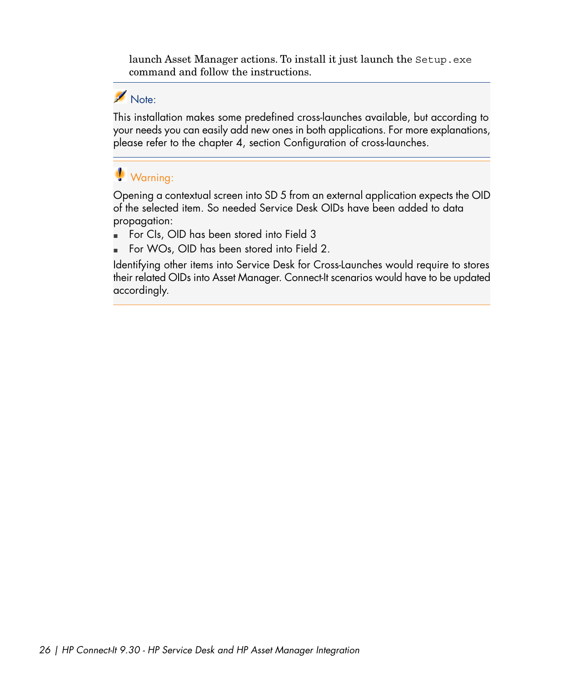launch Asset Manager actions. To install it just launch the Setup.exe command and follow the instructions.

## Note:

This installation makes some predefined cross-launches available, but according to your needs you can easily add new ones in both applications. For more explanations, please refer to the chapter 4, section Configuration of cross-launches.

# Warning:

Opening a contextual screen into SD 5 from an external application expects the OID of the selected item. So needed Service Desk OIDs have been added to data propagation:

- For CIs, OID has been stored into Field 3
- For WOs, OID has been stored into Field 2.

Identifying other items into Service Desk for Cross-Launches would require to stores their related OIDs into Asset Manager. Connect-It scenarios would have to be updated accordingly.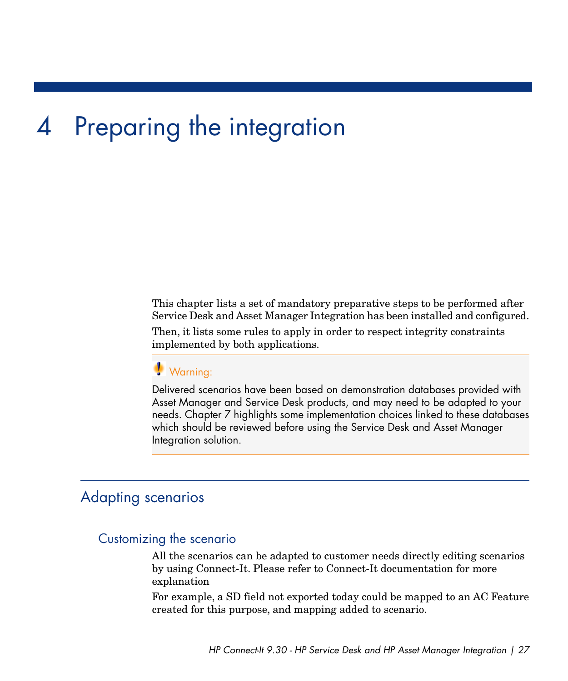# 4 Preparing the integration

<span id="page-26-0"></span>This chapter lists a set of mandatory preparative steps to be performed after Service Desk and Asset Manager Integration has been installed and configured. Then, it lists some rules to apply in order to respect integrity constraints implemented by both applications.

# Warning:

<span id="page-26-1"></span>Delivered scenarios have been based on demonstration databases provided with Asset Manager and Service Desk products, and may need to be adapted to your needs. Chapter 7 highlights some implementation choices linked to these databases which should be reviewed before using the Service Desk and Asset Manager Integration solution.

## Adapting scenarios

#### Customizing the scenario

All the scenarios can be adapted to customer needs directly editing scenarios by using Connect-It. Please refer to Connect-It documentation for more explanation

For example, a SD field not exported today could be mapped to an AC Feature created for this purpose, and mapping added to scenario.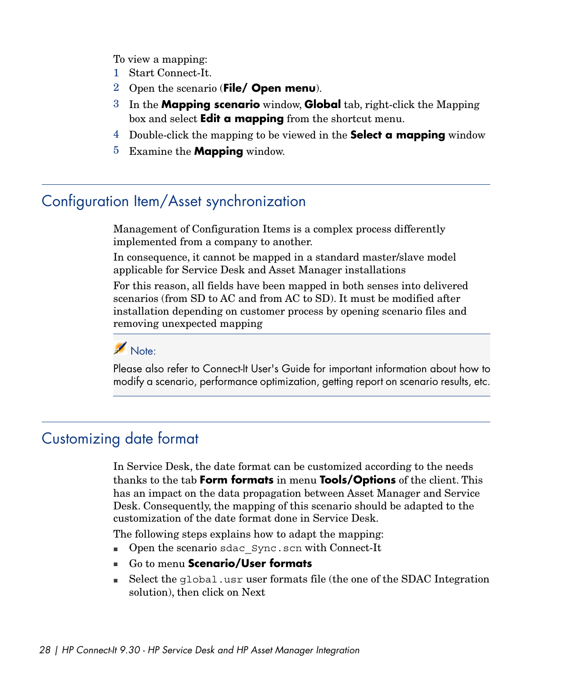To view a mapping:

- 1 Start Connect-It.
- 2 Open the scenario (**File/ Open menu**).
- 3 In the **Mapping scenario** window, **Global** tab, right-click the Mapping box and select **Edit a mapping** from the shortcut menu.
- 4 Double-click the mapping to be viewed in the **Select a mapping** window
- <span id="page-27-0"></span>5 Examine the **Mapping** window.

### Configuration Item/Asset synchronization

Management of Configuration Items is a complex process differently implemented from a company to another.

In consequence, it cannot be mapped in a standard master/slave model applicable for Service Desk and Asset Manager installations

For this reason, all fields have been mapped in both senses into delivered scenarios (from SD to AC and from AC to SD). It must be modified after installation depending on customer process by opening scenario files and removing unexpected mapping

### Note:

<span id="page-27-1"></span>Please also refer to Connect-It User's Guide for important information about how to modify a scenario, performance optimization, getting report on scenario results, etc.

## Customizing date format

In Service Desk, the date format can be customized according to the needs thanks to the tab **Form formats** in menu **Tools/Options** of the client. This has an impact on the data propagation between Asset Manager and Service Desk. Consequently, the mapping of this scenario should be adapted to the customization of the date format done in Service Desk.

The following steps explains how to adapt the mapping:

- $\Box$  Open the scenario sdac Sync.scn with Connect-It
- <sup>n</sup> Go to menu **Scenario/User formats**
- Select the global.usr user formats file (the one of the SDAC Integration solution), then click on Next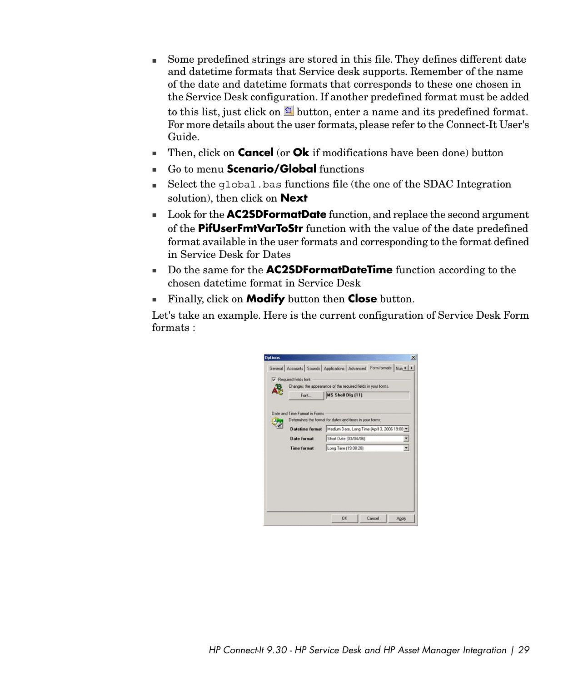- <sup>n</sup> Some predefined strings are stored in this file. They defines different date and datetime formats that Service desk supports. Remember of the name of the date and datetime formats that corresponds to these one chosen in the Service Desk configuration. If another predefined format must be added to this list, just click on  $\mathfrak{I}$  button, enter a name and its predefined format. For more details about the user formats, please refer to the Connect-It User's Guide.
- n Then, click on **Cancel** (or **Ok** if modifications have been done) button
- <sup>n</sup> Go to menu **Scenario/Global** functions
- Select the global.bas functions file (the one of the SDAC Integration solution), then click on **Next**
- **EXECUTE:** Look for the **AC2SDFormatDate** function, and replace the second argument of the **PifUserFmtVarToStr** function with the value of the date predefined format available in the user formats and corresponding to the format defined in Service Desk for Dates
- <sup>n</sup> Do the same for the **AC2SDFormatDateTime** function according to the chosen datetime format in Service Desk
- <sup>n</sup> Finally, click on **Modify** button then **Close** button.

Let's take an example. Here is the current configuration of Service Desk Form formats ·

|  | Font                                                    | Changes the appearance of the required fields in your forms.<br>MS Shell Dlg (11)                         |   |  |
|--|---------------------------------------------------------|-----------------------------------------------------------------------------------------------------------|---|--|
|  | Date and Time Format in Forms<br><b>Datetime format</b> | Determines the format for dates and times in your forms.<br>Medium Date, Long Time (April 3, 2006 19:08 ~ |   |  |
|  | <b>Date format</b><br><b>Time format</b>                | Short Date (03/04/06)                                                                                     |   |  |
|  |                                                         | Long Time (19:08:28)                                                                                      | × |  |
|  |                                                         |                                                                                                           |   |  |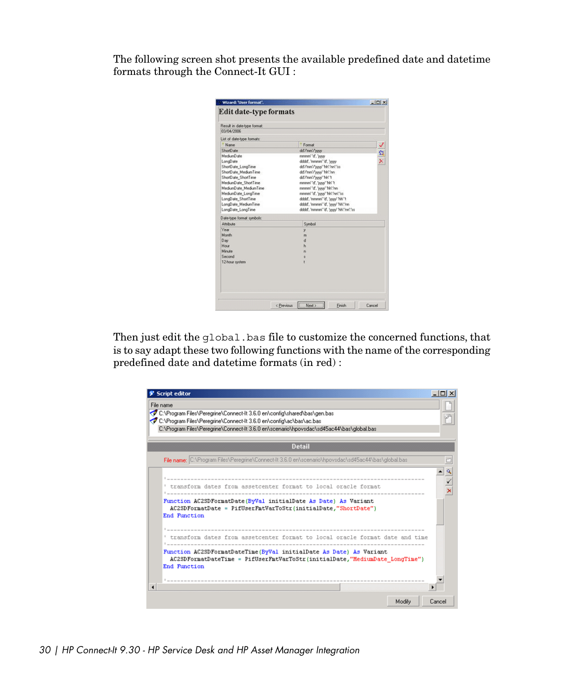The following screen shot presents the available predefined date and datetime formats through the Connect-It GUI :

| <b>Edit date-type formats</b><br>iş.<br>×<br>Name<br>Format<br>ShortDate<br>dd7mm'/ww<br>MediumDate<br>mmmm" d'. 'www<br>LongDate<br>dddd, 'mmmm' 'd', 'yyyy<br>ShortDate_LongTime<br>dd/mm//yyyy/ hhi/nni/ss<br>ShortDate MediumTime<br>dd/mm//ww/ hh:\nn<br>dd/mm//yyyy' hh' t<br>MediumDate ShortTime<br>mmmm"d', 'yyy/'hh' t<br>MediumDate MediumTime<br>mmmm"d', 'ww' 'hh'.'nn<br>MediumDate LongTime<br>mmmm"d', 'yyy/ 'hh'.'nn'.'ss<br>LongDate_ShortTime<br>dddd', 'mmmm' 'd', 'yyyy' 'hin' 't<br>LongDate MediumTime<br>dddd, 'mmmm' 'd', 'ww' 'hhi, 'nn<br>LongDate_LongTime<br>dddd', 'mmmm' 'd', 'wwy' 'hh' 'nn', 'ss<br>Symbol<br>Attribute<br>y<br>Month<br>m<br>Day<br>d | × 2 く |
|-----------------------------------------------------------------------------------------------------------------------------------------------------------------------------------------------------------------------------------------------------------------------------------------------------------------------------------------------------------------------------------------------------------------------------------------------------------------------------------------------------------------------------------------------------------------------------------------------------------------------------------------------------------------------------------------|-------|
| Result in date-type format:<br>03/04/2006<br>List of date-type formats:<br>ShortDate_ShortTime<br>Date-type format symbols:<br>Year                                                                                                                                                                                                                                                                                                                                                                                                                                                                                                                                                     |       |
|                                                                                                                                                                                                                                                                                                                                                                                                                                                                                                                                                                                                                                                                                         |       |
|                                                                                                                                                                                                                                                                                                                                                                                                                                                                                                                                                                                                                                                                                         |       |
|                                                                                                                                                                                                                                                                                                                                                                                                                                                                                                                                                                                                                                                                                         |       |
|                                                                                                                                                                                                                                                                                                                                                                                                                                                                                                                                                                                                                                                                                         |       |
|                                                                                                                                                                                                                                                                                                                                                                                                                                                                                                                                                                                                                                                                                         |       |
|                                                                                                                                                                                                                                                                                                                                                                                                                                                                                                                                                                                                                                                                                         |       |
|                                                                                                                                                                                                                                                                                                                                                                                                                                                                                                                                                                                                                                                                                         |       |
|                                                                                                                                                                                                                                                                                                                                                                                                                                                                                                                                                                                                                                                                                         |       |
|                                                                                                                                                                                                                                                                                                                                                                                                                                                                                                                                                                                                                                                                                         |       |
|                                                                                                                                                                                                                                                                                                                                                                                                                                                                                                                                                                                                                                                                                         |       |
|                                                                                                                                                                                                                                                                                                                                                                                                                                                                                                                                                                                                                                                                                         |       |
|                                                                                                                                                                                                                                                                                                                                                                                                                                                                                                                                                                                                                                                                                         |       |
|                                                                                                                                                                                                                                                                                                                                                                                                                                                                                                                                                                                                                                                                                         |       |
|                                                                                                                                                                                                                                                                                                                                                                                                                                                                                                                                                                                                                                                                                         |       |
|                                                                                                                                                                                                                                                                                                                                                                                                                                                                                                                                                                                                                                                                                         |       |
|                                                                                                                                                                                                                                                                                                                                                                                                                                                                                                                                                                                                                                                                                         |       |
|                                                                                                                                                                                                                                                                                                                                                                                                                                                                                                                                                                                                                                                                                         |       |
|                                                                                                                                                                                                                                                                                                                                                                                                                                                                                                                                                                                                                                                                                         |       |
|                                                                                                                                                                                                                                                                                                                                                                                                                                                                                                                                                                                                                                                                                         |       |
|                                                                                                                                                                                                                                                                                                                                                                                                                                                                                                                                                                                                                                                                                         |       |
|                                                                                                                                                                                                                                                                                                                                                                                                                                                                                                                                                                                                                                                                                         |       |
|                                                                                                                                                                                                                                                                                                                                                                                                                                                                                                                                                                                                                                                                                         |       |
| Hour<br>h                                                                                                                                                                                                                                                                                                                                                                                                                                                                                                                                                                                                                                                                               |       |
| Minute<br>'n                                                                                                                                                                                                                                                                                                                                                                                                                                                                                                                                                                                                                                                                            |       |
| Second                                                                                                                                                                                                                                                                                                                                                                                                                                                                                                                                                                                                                                                                                  |       |
| ۲                                                                                                                                                                                                                                                                                                                                                                                                                                                                                                                                                                                                                                                                                       |       |
| 12-hour system                                                                                                                                                                                                                                                                                                                                                                                                                                                                                                                                                                                                                                                                          |       |

Then just edit the global.bas file to customize the concerned functions, that is to say adapt these two following functions with the name of the corresponding predefined date and datetime formats (in red) :

|              | <b>Detail</b>                                                                                                                                                                                                                                                                       |
|--------------|-------------------------------------------------------------------------------------------------------------------------------------------------------------------------------------------------------------------------------------------------------------------------------------|
|              | File name: C:\Program Files\Peregrine\Connect-It 3.6.0 en\scenario\hpovsdac\sd45ac44\bas\global.bas                                                                                                                                                                                 |
| End Function | transform dates from assetcenter format to local oracle format<br>Function AC2SDFormatDate(ByVal initialDate As Date) As Variant<br>AC2SDFormatDate = PifUserFmtVarToStr(initialDate,"ShortDate")<br>' transform dates from assetcenter format to local oracle format date and time |
|              | Function AC2SDFormatDateTime(ByVal initialDate As Date) As Variant                                                                                                                                                                                                                  |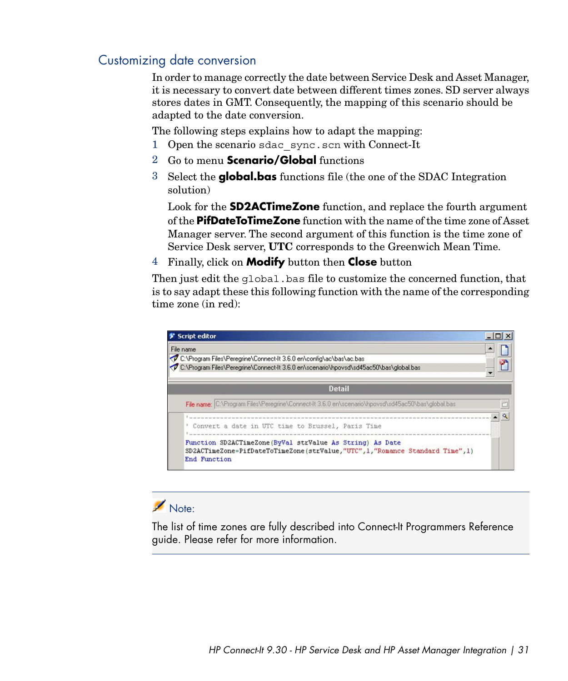#### Customizing date conversion

In order to manage correctly the date between Service Desk and Asset Manager, it is necessary to convert date between different times zones. SD server always stores dates in GMT. Consequently, the mapping of this scenario should be adapted to the date conversion.

The following steps explains how to adapt the mapping:

- 1 Open the scenario sdac\_sync.scn with Connect-It
- 2 Go to menu **Scenario/Global** functions
- 3 Select the **global.bas** functions file (the one of the SDAC Integration solution)

Look for the **SD2ACTimeZone** function, and replace the fourth argument of the **PifDateToTimeZone** function with the name of the time zone of Asset Manager server. The second argument of this function is the time zone of Service Desk server, **UTC** corresponds to the Greenwich Mean Time.

4 Finally, click on **Modify** button then **Close** button

Then just edit the global.bas file to customize the concerned function, that is to say adapt these this following function with the name of the corresponding time zone (in red):



# Note:

The list of time zones are fully described into Connect-It Programmers Reference guide. Please refer for more information.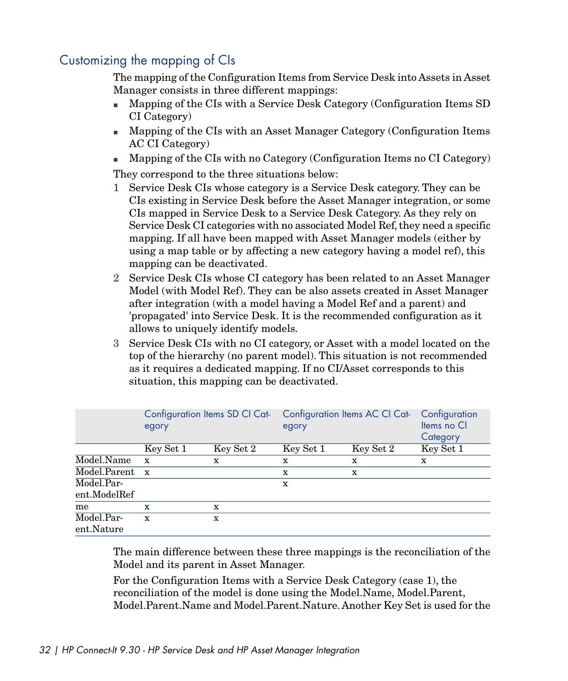### Customizing the mapping of CIs

The mapping of the Configuration Items from Service Desk into Assets in Asset Manager consists in three different mappings:

- <sup>n</sup> Mapping of the CIs with a Service Desk Category (Configuration Items SD CI Category)
- <sup>n</sup> Mapping of the CIs with an Asset Manager Category (Configuration Items AC CI Category)
- $\blacksquare$  Mapping of the CIs with no Category (Configuration Items no CI Category)

They correspond to the three situations below:

- 1 Service Desk CIs whose category is a Service Desk category. They can be CIs existing in Service Desk before the Asset Manager integration, or some CIs mapped in Service Desk to a Service Desk Category. As they rely on Service Desk CI categories with no associated Model Ref, they need a specific mapping. If all have been mapped with Asset Manager models (either by using a map table or by affecting a new category having a model ref), this mapping can be deactivated.
- 2 Service Desk CIs whose CI category has been related to an Asset Manager Model (with Model Ref). They can be also assets created in Asset Manager after integration (with a model having a Model Ref and a parent) and 'propagated' into Service Desk. It is the recommended configuration as it allows to uniquely identify models.
- 3 Service Desk CIs with no CI category, or Asset with a model located on the top of the hierarchy (no parent model). This situation is not recommended as it requires a dedicated mapping. If no CI/Asset corresponds to this situation, this mapping can be deactivated.

|                            | Configuration Items SD CI Cat-<br>egory |           | Configuration Items AC CI Cat-<br>egory |           | Configuration<br>Items no CI<br>Category |
|----------------------------|-----------------------------------------|-----------|-----------------------------------------|-----------|------------------------------------------|
|                            | Key Set 1                               | Key Set 2 | Key Set 1                               | Key Set 2 | Key Set 1                                |
| Model.Name                 | $\mathbf{x}$                            | X         | x                                       | x         | X                                        |
| Model.Parent x             |                                         |           | $\mathbf x$                             | x         |                                          |
| Model.Par-<br>ent.ModelRef |                                         |           | X                                       |           |                                          |
| me                         | $\mathbf x$                             | x         |                                         |           |                                          |
| Model.Par-<br>ent.Nature   | $\mathbf{x}$                            | X         |                                         |           |                                          |

The main difference between these three mappings is the reconciliation of the Model and its parent in Asset Manager.

For the Configuration Items with a Service Desk Category (case 1), the reconciliation of the model is done using the Model.Name, Model.Parent, Model.Parent.Name and Model.Parent.Nature. Another Key Set is used for the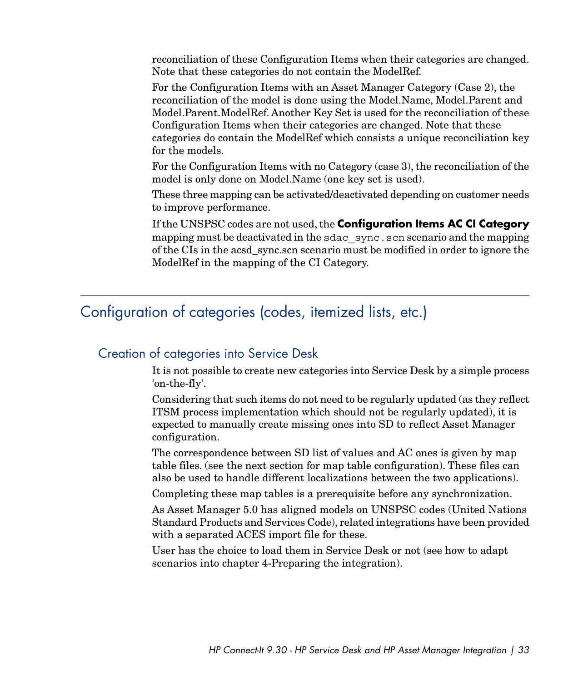reconciliation of these Configuration Items when their categories are changed. Note that these categories do not contain the ModelRef.

For the Configuration Items with an Asset Manager Category (Case 2), the reconciliation of the model is done using the Model.Name, Model.Parent and Model.Parent.ModelRef. Another Key Set is used for the reconciliation of these Configuration Items when their categories are changed. Note that these categories do contain the ModelRef which consists a unique reconciliation key for the models.

For the Configuration Items with no Category (case 3), the reconciliation of the model is only done on Model.Name (one key set is used).

These three mapping can be activated/deactivated depending on customer needs to improve performance.

<span id="page-32-0"></span>If the UNSPSC codes are not used, the **Configuration Items AC CI Category** mapping must be deactivated in the sdac  $\sigma$  sync. scn scenario and the mapping of the CIs in the acsd\_sync.scn scenario must be modified in order to ignore the ModelRef in the mapping of the CI Category.

## Configuration of categories (codes, itemized lists, etc.)

#### Creation of categories into Service Desk

It is not possible to create new categories into Service Desk by a simple process 'on-the-fly'.

Considering that such items do not need to be regularly updated (as they reflect ITSM process implementation which should not be regularly updated), it is expected to manually create missing ones into SD to reflect Asset Manager configuration.

The correspondence between SD list of values and AC ones is given by map table files. (see the next section for map table configuration). These files can also be used to handle different localizations between the two applications).

Completing these map tables is a prerequisite before any synchronization.

As Asset Manager 5.0 has aligned models on UNSPSC codes (United Nations Standard Products and Services Code), related integrations have been provided with a separated ACES import file for these.

User has the choice to load them in Service Desk or not (see how to adapt scenarios into chapter 4-Preparing the integration).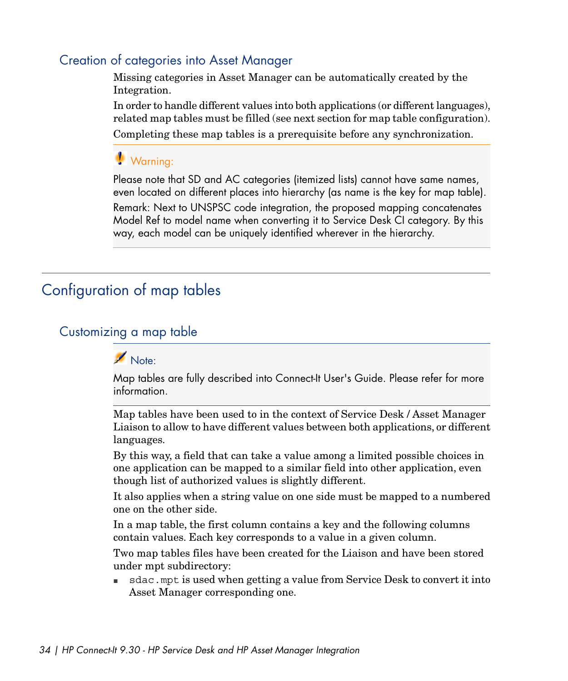#### Creation of categories into Asset Manager

Missing categories in Asset Manager can be automatically created by the Integration.

In order to handle different values into both applications (or different languages), related map tables must be filled (see next section for map table configuration).

Completing these map tables is a prerequisite before any synchronization.

## **Warning:**

Please note that SD and AC categories (itemized lists) cannot have same names, even located on different places into hierarchy (as name is the key for map table).

<span id="page-33-0"></span>Remark: Next to UNSPSC code integration, the proposed mapping concatenates Model Ref to model name when converting it to Service Desk CI category. By this way, each model can be uniquely identified wherever in the hierarchy.

# Configuration of map tables

#### Customizing a map table

### Note:

Map tables are fully described into Connect-It User's Guide. Please refer for more information.

Map tables have been used to in the context of Service Desk / Asset Manager Liaison to allow to have different values between both applications, or different languages.

By this way, a field that can take a value among a limited possible choices in one application can be mapped to a similar field into other application, even though list of authorized values is slightly different.

It also applies when a string value on one side must be mapped to a numbered one on the other side.

In a map table, the first column contains a key and the following columns contain values. Each key corresponds to a value in a given column.

Two map tables files have been created for the Liaison and have been stored under mpt subdirectory:

 $\Box$  sdac.mpt is used when getting a value from Service Desk to convert it into Asset Manager corresponding one.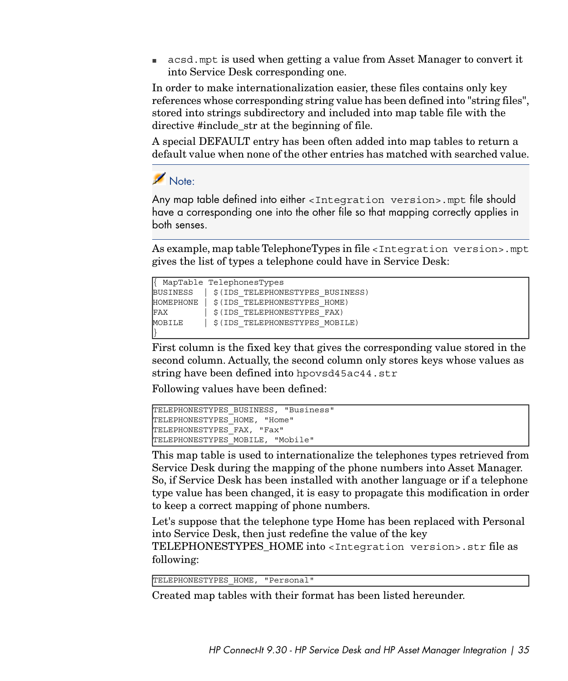<sup>n</sup> acsd.mpt is used when getting a value from Asset Manager to convert it into Service Desk corresponding one.

In order to make internationalization easier, these files contains only key references whose corresponding string value has been defined into "string files", stored into strings subdirectory and included into map table file with the directive #include\_str at the beginning of file.

A special DEFAULT entry has been often added into map tables to return a default value when none of the other entries has matched with searched value.

Note:

Any map table defined into either <Integration version>.mpt file should have a corresponding one into the other file so that mapping correctly applies in both senses.

As example, map table TelephoneTypes in file <Integration version>.mpt gives the list of types a telephone could have in Service Desk:

```
{ MapTable TelephonesTypes
BUSINESS | $(IDS_TELEPHONESTYPES_BUSINESS)
HOMEPHONE | $(IDS_TELEPHONESTYPES_HOME)
FAX | $(IDS_TELEPHONESTYPES_FAX)
MOBILE | $(IDS_TELEPHONESTYPES_MOBILE)
}
```
First column is the fixed key that gives the corresponding value stored in the second column. Actually, the second column only stores keys whose values as string have been defined into hpovsd45ac44.str

Following values have been defined:

```
TELEPHONESTYPES_BUSINESS, "Business"
TELEPHONESTYPES HOME, "Home"
TELEPHONESTYPES FAX, "Fax"
TELEPHONESTYPES MOBILE, "Mobile"
```
This map table is used to internationalize the telephones types retrieved from Service Desk during the mapping of the phone numbers into Asset Manager. So, if Service Desk has been installed with another language or if a telephone type value has been changed, it is easy to propagate this modification in order to keep a correct mapping of phone numbers.

Let's suppose that the telephone type Home has been replaced with Personal into Service Desk, then just redefine the value of the key

TELEPHONESTYPES\_HOME into <Integration version>.str file as following:

TELEPHONESTYPES\_HOME, "Personal"

Created map tables with their format has been listed hereunder.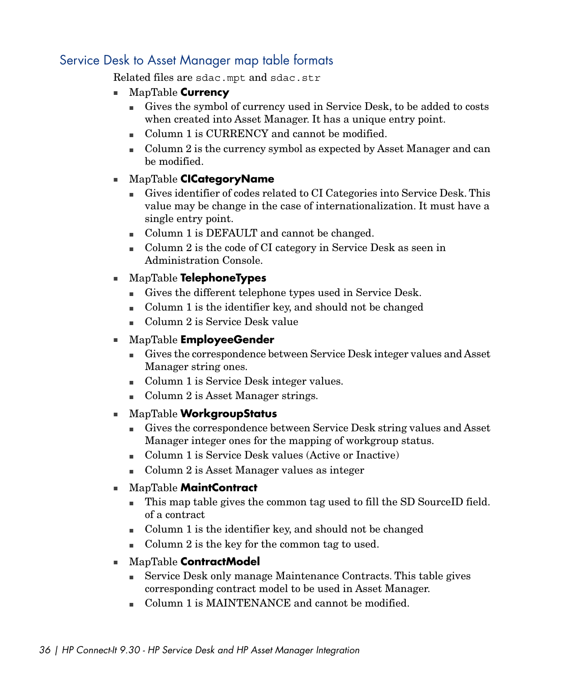### Service Desk to Asset Manager map table formats

Related files are sdac.mpt and sdac.str

- **n** MapTable **Currency** 
	- <sup>n</sup> Gives the symbol of currency used in Service Desk, to be added to costs when created into Asset Manager. It has a unique entry point.
	- <sup>n</sup> Column 1 is CURRENCY and cannot be modified.
	- <sup>n</sup> Column 2 is the currency symbol as expected by Asset Manager and can be modified.

#### <sup>n</sup> MapTable **CICategoryName**

- <sup>n</sup> Gives identifier of codes related to CI Categories into Service Desk. This value may be change in the case of internationalization. It must have a single entry point.
- Column 1 is DEFAULT and cannot be changed.
- <sup>n</sup> Column 2 is the code of CI category in Service Desk as seen in Administration Console.

#### <sup>n</sup> MapTable **TelephoneTypes**

- <sup>n</sup> Gives the different telephone types used in Service Desk.
- $\blacksquare$  Column 1 is the identifier key, and should not be changed
- Column 2 is Service Desk value

#### <sup>n</sup> MapTable **EmployeeGender**

- <sup>n</sup> Gives the correspondence between Service Desk integer values and Asset Manager string ones.
- Column 1 is Service Desk integer values.
- Column 2 is Asset Manager strings.
- <sup>n</sup> MapTable **WorkgroupStatus**
	- <sup>n</sup> Gives the correspondence between Service Desk string values and Asset Manager integer ones for the mapping of workgroup status.
	- <sup>n</sup> Column 1 is Service Desk values (Active or Inactive)
	- Column 2 is Asset Manager values as integer

#### <sup>n</sup> MapTable **MaintContract**

- n This map table gives the common tag used to fill the SD SourceID field. of a contract
- <sup>n</sup> Column 1 is the identifier key, and should not be changed
- Column 2 is the key for the common tag to used.
- **n** MapTable **ContractModel** 
	- <sup>n</sup> Service Desk only manage Maintenance Contracts. This table gives corresponding contract model to be used in Asset Manager.
	- Column 1 is MAINTENANCE and cannot be modified.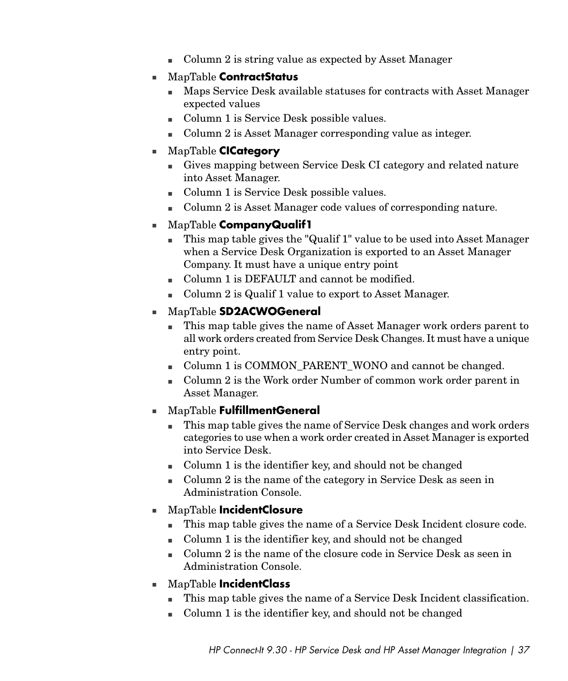- <sup>n</sup> Column 2 is string value as expected by Asset Manager
- <sup>n</sup> MapTable **ContractStatus**
	- <sup>n</sup> Maps Service Desk available statuses for contracts with Asset Manager expected values
	- Column 1 is Service Desk possible values.
	- Column 2 is Asset Manager corresponding value as integer.
- **n** MapTable **CICategory** 
	- <sup>n</sup> Gives mapping between Service Desk CI category and related nature into Asset Manager.
	- Column 1 is Service Desk possible values.
	- <sup>n</sup> Column 2 is Asset Manager code values of corresponding nature.
- <sup>n</sup> MapTable **CompanyQualif1**
	- $\blacksquare$  This map table gives the "Qualif 1" value to be used into Asset Manager when a Service Desk Organization is exported to an Asset Manager Company. It must have a unique entry point
	- <sup>n</sup> Column 1 is DEFAULT and cannot be modified.
	- <sup>n</sup> Column 2 is Qualif 1 value to export to Asset Manager.
- <sup>n</sup> MapTable **SD2ACWOGeneral**
	- n This map table gives the name of Asset Manager work orders parent to all work orders created from Service Desk Changes. It must have a unique entry point.
	- Column 1 is COMMON\_PARENT\_WONO and cannot be changed.
	- <sup>n</sup> Column 2 is the Work order Number of common work order parent in Asset Manager.
- <sup>n</sup> MapTable **FulfillmentGeneral**
	- n This map table gives the name of Service Desk changes and work orders categories to use when a work order created in Asset Manager is exported into Service Desk.
	- <sup>n</sup> Column 1 is the identifier key, and should not be changed
	- Column 2 is the name of the category in Service Desk as seen in Administration Console.
- <sup>n</sup> MapTable **IncidentClosure**
	- n This map table gives the name of a Service Desk Incident closure code.
	- Column 1 is the identifier key, and should not be changed
	- <sup>n</sup> Column 2 is the name of the closure code in Service Desk as seen in Administration Console.
- <sup>n</sup> MapTable **IncidentClass**
	- n This map table gives the name of a Service Desk Incident classification.
	- Column 1 is the identifier key, and should not be changed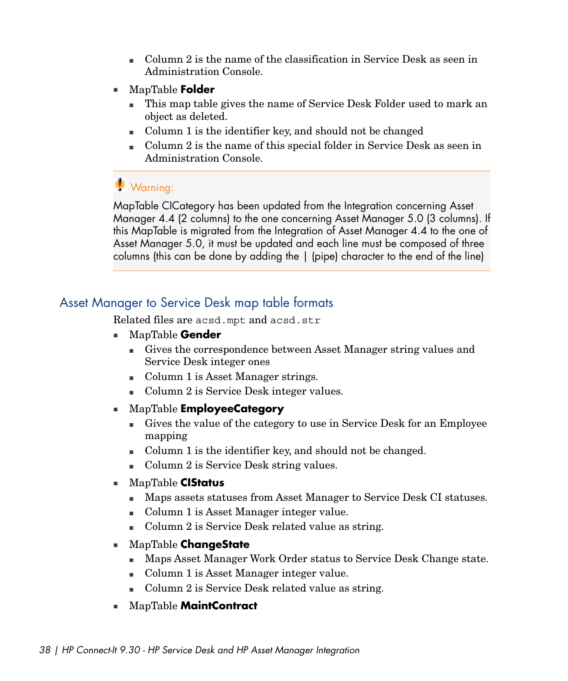- Column 2 is the name of the classification in Service Desk as seen in Administration Console.
- **NapTable Folder** 
	- n This map table gives the name of Service Desk Folder used to mark an object as deleted.
	- <sup>n</sup> Column 1 is the identifier key, and should not be changed
	- <sup>n</sup> Column 2 is the name of this special folder in Service Desk as seen in Administration Console.

## Warning:

MapTable CICategory has been updated from the Integration concerning Asset Manager 4.4 (2 columns) to the one concerning Asset Manager 5.0 (3 columns). If this MapTable is migrated from the Integration of Asset Manager 4.4 to the one of Asset Manager 5.0, it must be updated and each line must be composed of three columns (this can be done by adding the | (pipe) character to the end of the line)

## Asset Manager to Service Desk map table formats

Related files are acsd.mpt and acsd.str

- **n** MapTable **Gender** 
	- <sup>n</sup> Gives the correspondence between Asset Manager string values and Service Desk integer ones
	- Column 1 is Asset Manager strings.
	- Column 2 is Service Desk integer values.
- **n** MapTable **EmployeeCategory** 
	- <sup>n</sup> Gives the value of the category to use in Service Desk for an Employee mapping
	- Column 1 is the identifier key, and should not be changed.
	- Column 2 is Service Desk string values.

#### <sup>n</sup> MapTable **CIStatus**

- <sup>n</sup> Maps assets statuses from Asset Manager to Service Desk CI statuses.
- Column 1 is Asset Manager integer value.
- Column 2 is Service Desk related value as string.
- <sup>n</sup> MapTable **ChangeState**
	- <sup>n</sup> Maps Asset Manager Work Order status to Service Desk Change state.
	- <sup>n</sup> Column 1 is Asset Manager integer value.
	- Column 2 is Service Desk related value as string.
- <sup>n</sup> MapTable **MaintContract**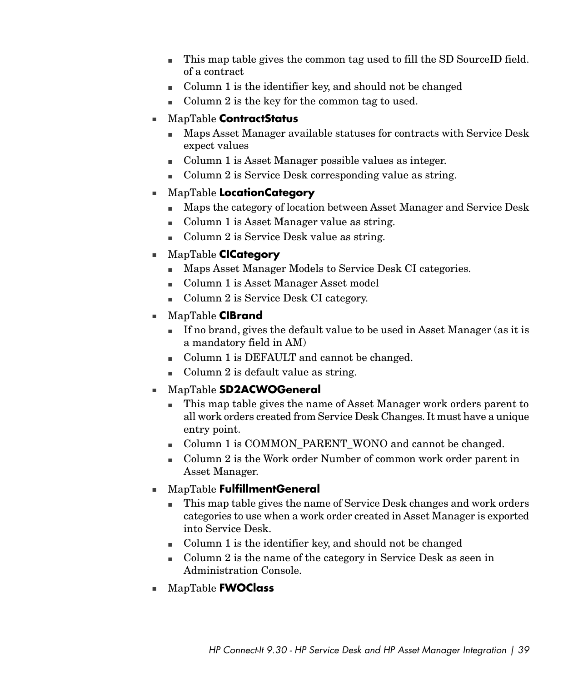- n This map table gives the common tag used to fill the SD SourceID field. of a contract
- Column 1 is the identifier key, and should not be changed
- Column 2 is the key for the common tag to used.
- <sup>n</sup> MapTable **ContractStatus**
	- <sup>n</sup> Maps Asset Manager available statuses for contracts with Service Desk expect values
	- <sup>n</sup> Column 1 is Asset Manager possible values as integer.
	- <sup>n</sup> Column 2 is Service Desk corresponding value as string.
- **n** MapTable **LocationCategory** 
	- <sup>n</sup> Maps the category of location between Asset Manager and Service Desk
	- Column 1 is Asset Manager value as string.
	- Column 2 is Service Desk value as string.
- **n** MapTable **CICategory** 
	- <sup>n</sup> Maps Asset Manager Models to Service Desk CI categories.
	- Column 1 is Asset Manager Asset model
	- Column 2 is Service Desk CI category.
- <sup>n</sup> MapTable **CIBrand**
	- If no brand, gives the default value to be used in Asset Manager (as it is a mandatory field in AM)
	- Column 1 is DEFAULT and cannot be changed.
	- Column 2 is default value as string.
- <sup>n</sup> MapTable **SD2ACWOGeneral**
	- n This map table gives the name of Asset Manager work orders parent to all work orders created from Service Desk Changes. It must have a unique entry point.
	- Column 1 is COMMON PARENT WONO and cannot be changed.
	- <sup>n</sup> Column 2 is the Work order Number of common work order parent in Asset Manager.
- <sup>n</sup> MapTable **FulfillmentGeneral**
	- n This map table gives the name of Service Desk changes and work orders categories to use when a work order created in Asset Manager is exported into Service Desk.
	- <sup>n</sup> Column 1 is the identifier key, and should not be changed
	- <sup>n</sup> Column 2 is the name of the category in Service Desk as seen in Administration Console.
- <sup>n</sup> MapTable **FWOClass**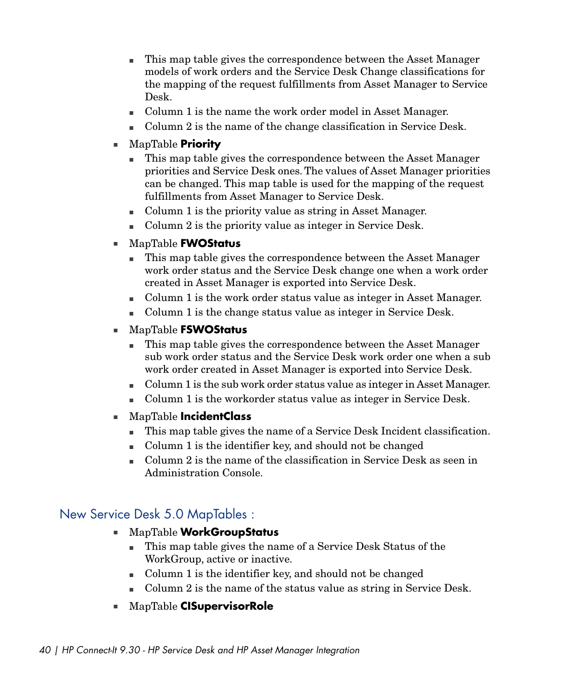- n This map table gives the correspondence between the Asset Manager models of work orders and the Service Desk Change classifications for the mapping of the request fulfillments from Asset Manager to Service Desk.
- <sup>n</sup> Column 1 is the name the work order model in Asset Manager.
- <sup>n</sup> Column 2 is the name of the change classification in Service Desk.
- **NapTable Priority** 
	- n This map table gives the correspondence between the Asset Manager priorities and Service Desk ones. The values of Asset Manager priorities can be changed. This map table is used for the mapping of the request fulfillments from Asset Manager to Service Desk.
	- Column 1 is the priority value as string in Asset Manager.
	- Column 2 is the priority value as integer in Service Desk.
- **n** MapTable **FWOStatus** 
	- n This map table gives the correspondence between the Asset Manager work order status and the Service Desk change one when a work order created in Asset Manager is exported into Service Desk.
	- Column 1 is the work order status value as integer in Asset Manager.
	- <sup>n</sup> Column 1 is the change status value as integer in Service Desk.
- <sup>n</sup> MapTable **FSWOStatus**
	- n This map table gives the correspondence between the Asset Manager sub work order status and the Service Desk work order one when a sub work order created in Asset Manager is exported into Service Desk.
	- Column 1 is the sub work order status value as integer in Asset Manager.
	- Column 1 is the workorder status value as integer in Service Desk.
- <sup>n</sup> MapTable **IncidentClass**
	- n This map table gives the name of a Service Desk Incident classification.
	- <sup>n</sup> Column 1 is the identifier key, and should not be changed
	- Oolumn 2 is the name of the classification in Service Desk as seen in Administration Console.

## New Service Desk 5.0 MapTables :

- <sup>n</sup> MapTable **WorkGroupStatus**
	- n This map table gives the name of a Service Desk Status of the WorkGroup, active or inactive.
	- Column 1 is the identifier key, and should not be changed
	- Column 2 is the name of the status value as string in Service Desk.
- <sup>n</sup> MapTable **CISupervisorRole**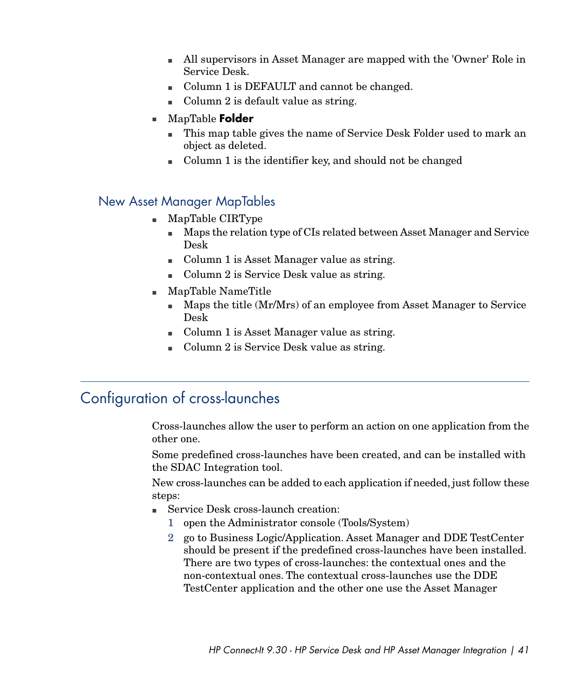- <sup>n</sup> All supervisors in Asset Manager are mapped with the 'Owner' Role in Service Desk.
- Column 1 is DEFAULT and cannot be changed.
- Column 2 is default value as string.
- **n** MapTable **Folder** 
	- n This map table gives the name of Service Desk Folder used to mark an object as deleted.
	- Column 1 is the identifier key, and should not be changed

## New Asset Manager MapTables

- **n** MapTable CIRType
	- <sup>n</sup> Maps the relation type of CIs related between Asset Manager and Service Desk
	- Column 1 is Asset Manager value as string.
	- Column 2 is Service Desk value as string.
- <sup>n</sup> MapTable NameTitle
	- <sup>n</sup> Maps the title (Mr/Mrs) of an employee from Asset Manager to Service Desk
	- Column 1 is Asset Manager value as string.
	- Column 2 is Service Desk value as string.

## Configuration of cross-launches

Cross-launches allow the user to perform an action on one application from the other one.

Some predefined cross-launches have been created, and can be installed with the SDAC Integration tool.

New cross-launches can be added to each application if needed, just follow these steps:

- Service Desk cross-launch creation:
	- 1 open the Administrator console (Tools/System)
	- 2 go to Business Logic/Application. Asset Manager and DDE TestCenter should be present if the predefined cross-launches have been installed. There are two types of cross-launches: the contextual ones and the non-contextual ones. The contextual cross-launches use the DDE TestCenter application and the other one use the Asset Manager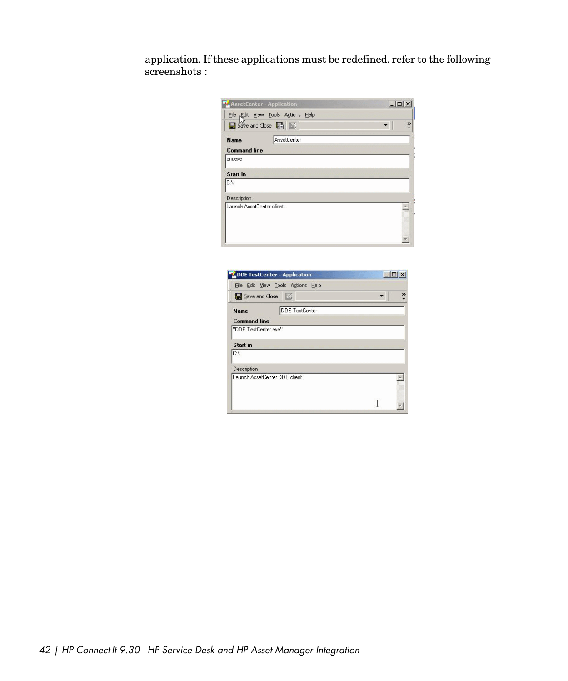application. If these applications must be redefined, refer to the following screenshots :

| AssetCenter - Application                    |             |  |               |
|----------------------------------------------|-------------|--|---------------|
| File Edit View Tools Actions Help            |             |  |               |
| $\blacksquare$ Save and Close $\blacksquare$ |             |  | $\rightarrow$ |
| <b>Name</b>                                  | AssetCenter |  |               |
| <b>Command line</b>                          |             |  |               |
| am.exe                                       |             |  |               |
| <b>Start in</b>                              |             |  |               |
| C:V                                          |             |  |               |
| Description                                  |             |  |               |
| Launch AssetCenter client                    |             |  |               |
|                                              |             |  |               |

|                               | <b>DDE TestCenter - Application</b> |   |
|-------------------------------|-------------------------------------|---|
|                               | File Edit View Tools Actions Help   |   |
| Save and Close M              |                                     | » |
| Name                          | <b>DDE TestCenter</b>               |   |
| <b>Command line</b>           |                                     |   |
| "DDE TestCenter.exe"          |                                     |   |
| Start in                      |                                     |   |
| lc۸                           |                                     |   |
| Description                   |                                     |   |
| Launch AssetCenter DDE client |                                     |   |
|                               |                                     |   |
|                               |                                     | T |
|                               |                                     |   |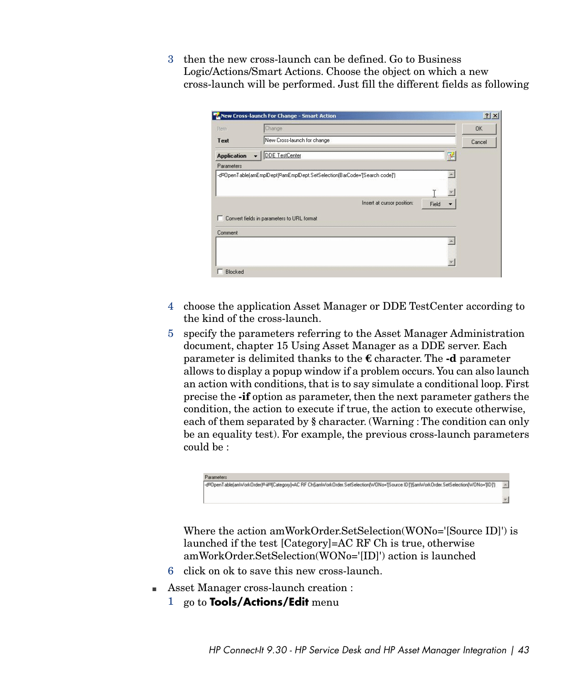3 then the new cross-launch can be defined. Go to Business Logic/Actions/Smart Actions. Choose the object on which a new cross-launch will be performed. Just fill the different fields as following

|                    | New Cross-launch For Change - Smart Action                                 |       |   | ?         |
|--------------------|----------------------------------------------------------------------------|-------|---|-----------|
| Item               | Change                                                                     |       |   | <b>OK</b> |
| Text               | New Cross-launch for change                                                |       |   | Cancel    |
| <b>Application</b> | <b>DDE TestCenter</b>                                                      |       | 神 |           |
| Parameters         |                                                                            |       |   |           |
|                    | -d¤OpenTable(amEmplDept)¤amEmplDept.SetSelection(BarCode='[Search code]'). |       |   |           |
|                    |                                                                            |       |   |           |
|                    | Insert at cursor position:                                                 | Field |   |           |
|                    | Convert fields in parameters to URL format                                 |       |   |           |
| <b>Comment</b>     |                                                                            |       |   |           |
|                    |                                                                            |       |   |           |
|                    |                                                                            |       |   |           |
| Blocked            |                                                                            |       |   |           |

- 4 choose the application Asset Manager or DDE TestCenter according to the kind of the cross-launch.
- 5 specify the parameters referring to the Asset Manager Administration document, chapter 15 Using Asset Manager as a DDE server. Each parameter is delimited thanks to the  $\epsilon$  character. The **-d** parameter allows to display a popup window if a problem occurs.You can also launch an action with conditions, that is to say simulate a conditional loop. First precise the **-if** option as parameter, then the next parameter gathers the condition, the action to execute if true, the action to execute otherwise, each of them separated by **§** character. (Warning : The condition can only be an equality test). For example, the previous cross-launch parameters could be :

| Parameters                                                                                                                         |    |
|------------------------------------------------------------------------------------------------------------------------------------|----|
| -d¤OpenTable(amWorkOrder)¤ar¤(Category)=AC RF Ch§amWorkOrder.SetSelection(WONo="Source ID)")§amWorkOrder.SetSelection(WONo="(ID)") | ×. |
|                                                                                                                                    |    |

Where the action amWorkOrder.SetSelection(WONo='[Source ID]') is launched if the test [Category]=AC RF Ch is true, otherwise amWorkOrder.SetSelection(WONo='[ID]') action is launched

- 6 click on ok to save this new cross-launch.
- <sup>n</sup> Asset Manager cross-launch creation :
	- 1 go to **Tools/Actions/Edit** menu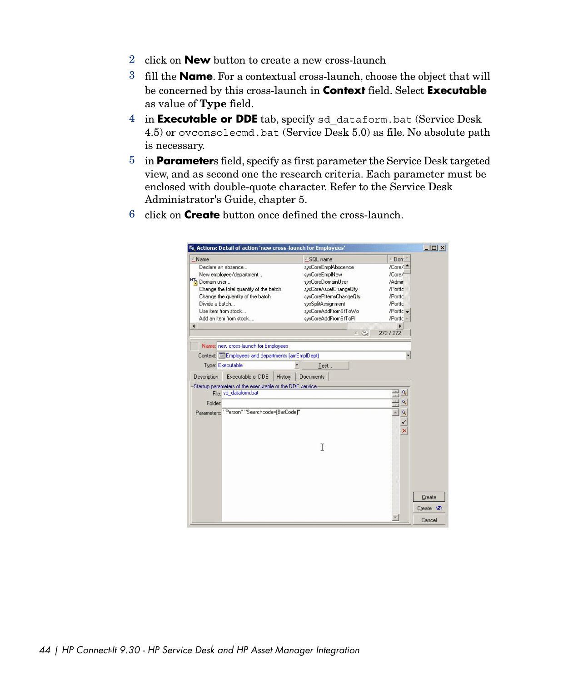- 2 click on **New** button to create a new cross-launch
- 3 fill the **Name**. For a contextual cross-launch, choose the object that will be concerned by this cross-launch in **Context** field. Select **Executable** as value of **Type** field.
- 4 in **Executable or DDE** tab, specify sd\_dataform.bat (Service Desk 4.5) or ovconsolecmd.bat (Service Desk 5.0) as file. No absolute path is necessary.
- 5 in **Parameter**s field, specify as first parameter the Service Desk targeted view, and as second one the research criteria. Each parameter must be enclosed with double-quote character. Refer to the Service Desk Administrator's Guide, chapter 5.
- 6 click on **Create** button once defined the cross-launch.

|                           | Fe Actions: Detail of action 'new cross-launch for Employees' |         |                                              |    |                             | $ \Box$ $\times$ |
|---------------------------|---------------------------------------------------------------|---------|----------------------------------------------|----|-----------------------------|------------------|
| / Name                    |                                                               |         | / SQL name                                   |    | / Dom <sup>+</sup>          |                  |
|                           | Declare an absence                                            |         | sysCoreEmplAbscence                          |    | /Core/                      |                  |
|                           | New employee/department                                       |         | sysCoreEmplNew                               |    | /Core/                      |                  |
| <sup>NT</sup> Domain user |                                                               |         | sysCoreDomainUser                            |    | /Admir                      |                  |
|                           | Change the total quantity of the batch                        |         | sysCoreAssetChangeQty                        |    | /Portfc                     |                  |
|                           | Change the quantity of the batch                              |         | sysCorePItemsChangeQty                       |    | /Portfc                     |                  |
| Divide a batch            | Use item from stock                                           |         | sysSplitAssignment                           |    | /Portfc                     |                  |
|                           | Add an item from stock                                        |         | sysCoreAddFromStToWo<br>sysCoreAddFromStToPi |    | /Portfc $\sim$<br>/Portfc + |                  |
| $\blacktriangleleft$      |                                                               |         |                                              |    | ٠                           |                  |
|                           |                                                               |         |                                              | 人役 | 272/272                     |                  |
|                           | Name: new cross-launch for Employees                          |         |                                              |    |                             |                  |
|                           | Context: ETEmployees and departments (amEmplDept)             |         |                                              |    |                             |                  |
|                           | Type: Executable                                              |         | Test                                         |    |                             |                  |
| Description               | Executable or DDE                                             | History | Documents                                    |    |                             |                  |
|                           | Startup parameters of the executable or the DDE service       |         |                                              |    |                             |                  |
|                           | File: sd_dataform.bat                                         |         |                                              |    | $\alpha$                    |                  |
| Folder:                   |                                                               |         |                                              |    | ÷<br>$\alpha$               |                  |
|                           | Parameters: "Person" "Searchcode=[BarCode]"                   |         |                                              |    | ۹                           |                  |
|                           |                                                               |         |                                              |    |                             |                  |
|                           |                                                               |         |                                              |    | $\overline{\mathbf{x}}$     |                  |
|                           |                                                               |         |                                              |    |                             |                  |
|                           |                                                               |         | T                                            |    |                             |                  |
|                           |                                                               |         |                                              |    |                             |                  |
|                           |                                                               |         |                                              |    |                             |                  |
|                           |                                                               |         |                                              |    |                             |                  |
|                           |                                                               |         |                                              |    |                             |                  |
|                           |                                                               |         |                                              |    |                             | Create           |
|                           |                                                               |         |                                              |    |                             | Create <>        |
|                           |                                                               |         |                                              |    |                             | Cancel           |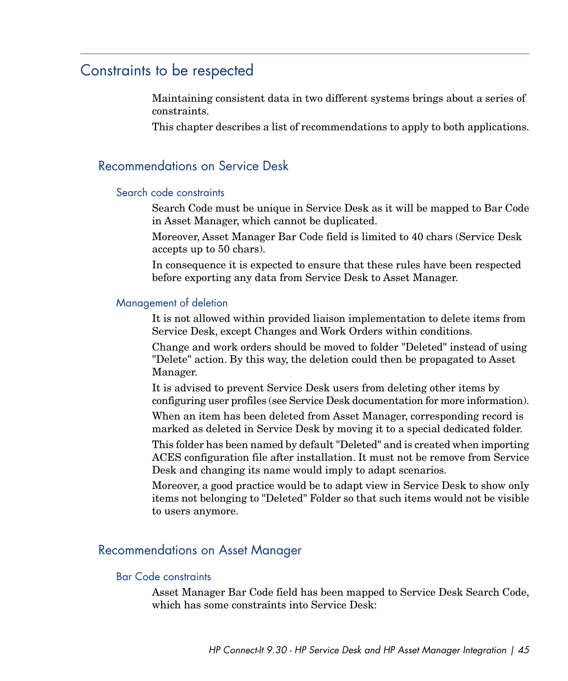## Constraints to be respected

Maintaining consistent data in two different systems brings about a series of constraints.

This chapter describes a list of recommendations to apply to both applications.

## Recommendations on Service Desk

#### Search code constraints

Search Code must be unique in Service Desk as it will be mapped to Bar Code in Asset Manager, which cannot be duplicated.

Moreover, Asset Manager Bar Code field is limited to 40 chars (Service Desk accepts up to 50 chars).

In consequence it is expected to ensure that these rules have been respected before exporting any data from Service Desk to Asset Manager.

#### Management of deletion

It is not allowed within provided liaison implementation to delete items from Service Desk, except Changes and Work Orders within conditions.

Change and work orders should be moved to folder "Deleted" instead of using "Delete" action. By this way, the deletion could then be propagated to Asset Manager.

It is advised to prevent Service Desk users from deleting other items by configuring user profiles (see Service Desk documentation for more information).

When an item has been deleted from Asset Manager, corresponding record is marked as deleted in Service Desk by moving it to a special dedicated folder.

This folder has been named by default "Deleted" and is created when importing ACES configuration file after installation. It must not be remove from Service Desk and changing its name would imply to adapt scenarios.

Moreover, a good practice would be to adapt view in Service Desk to show only items not belonging to "Deleted" Folder so that such items would not be visible to users anymore.

### Recommendations on Asset Manager

#### Bar Code constraints

Asset Manager Bar Code field has been mapped to Service Desk Search Code, which has some constraints into Service Desk: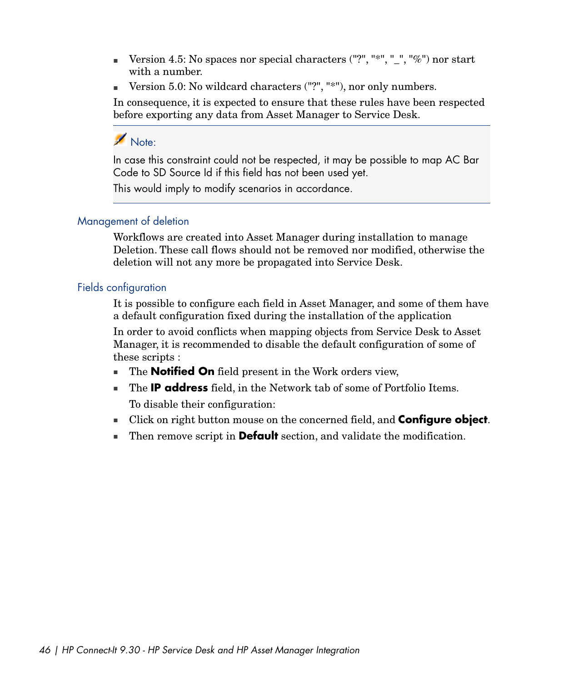- **No. 1.5:** No spaces nor special characters ("?", "\*", "\_", "%") nor start with a number.
- **version 5.0:** No wildcard characters  $("?", "'''],$  nor only numbers.

In consequence, it is expected to ensure that these rules have been respected before exporting any data from Asset Manager to Service Desk.

## Note:

In case this constraint could not be respected, it may be possible to map AC Bar Code to SD Source Id if this field has not been used yet.

This would imply to modify scenarios in accordance.

#### Management of deletion

Workflows are created into Asset Manager during installation to manage Deletion. These call flows should not be removed nor modified, otherwise the deletion will not any more be propagated into Service Desk.

#### Fields configuration

It is possible to configure each field in Asset Manager, and some of them have a default configuration fixed during the installation of the application

In order to avoid conflicts when mapping objects from Service Desk to Asset Manager, it is recommended to disable the default configuration of some of these scripts :

- **n** The **Notified On** field present in the Work orders view,
- **n** The **IP address** field, in the Network tab of some of Portfolio Items. To disable their configuration:
- <sup>n</sup> Click on right button mouse on the concerned field, and **Configure object**.
- **n** Then remove script in **Default** section, and validate the modification.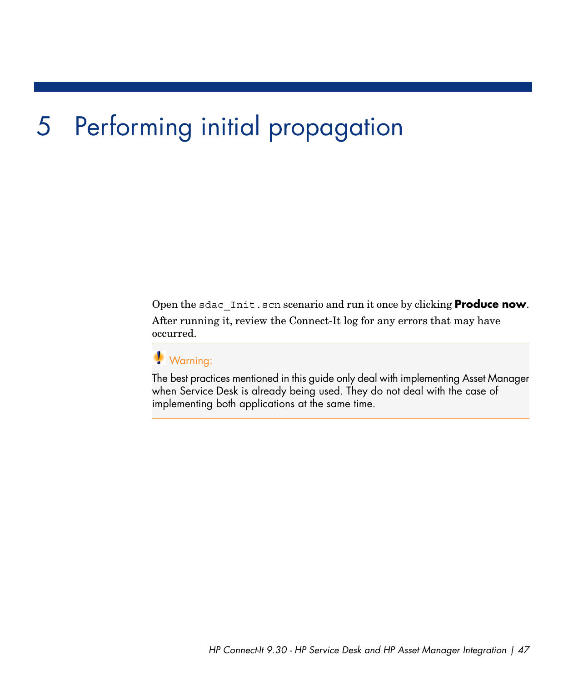# 5 Performing initial propagation

Open the sdac Init.scn scenario and run it once by clicking **Produce now**. After running it, review the Connect-It log for any errors that may have occurred.



The best practices mentioned in this guide only deal with implementing Asset Manager when Service Desk is already being used. They do not deal with the case of implementing both applications at the same time.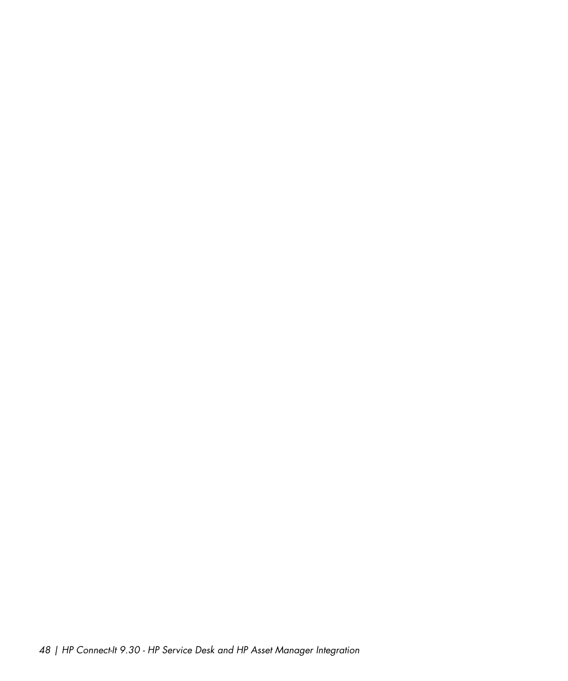*48 | HP Connect-It 9.30 - HP Service Desk and HP Asset Manager Integration*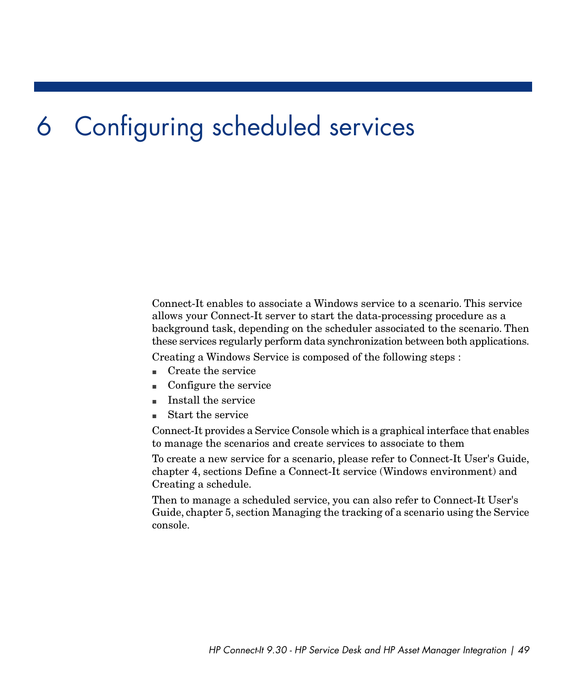# 6 Configuring scheduled services

Connect-It enables to associate a Windows service to a scenario. This service allows your Connect-It server to start the data-processing procedure as a background task, depending on the scheduler associated to the scenario. Then these services regularly perform data synchronization between both applications.

Creating a Windows Service is composed of the following steps :

- <sup>n</sup> Create the service
- <sup>n</sup> Configure the service
- Install the service
- Start the service

Connect-It provides a Service Console which is a graphical interface that enables to manage the scenarios and create services to associate to them

To create a new service for a scenario, please refer to Connect-It User's Guide, chapter 4, sections Define a Connect-It service (Windows environment) and Creating a schedule.

Then to manage a scheduled service, you can also refer to Connect-It User's Guide, chapter 5, section Managing the tracking of a scenario using the Service console.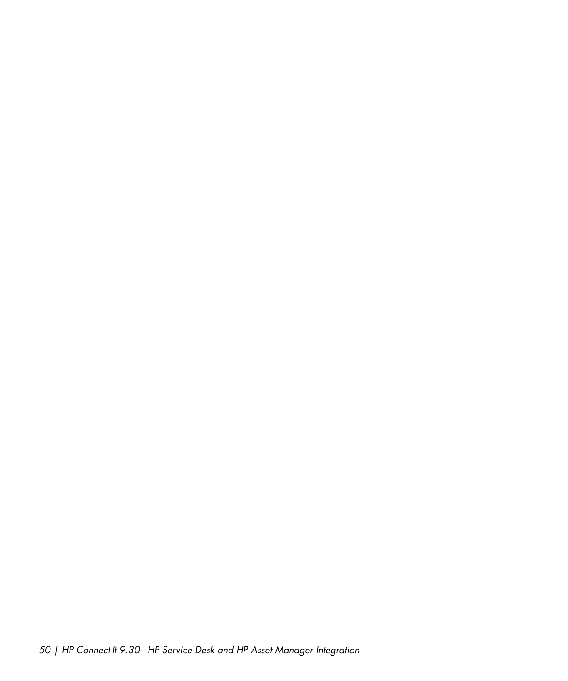*50 | HP Connect-It 9.30 - HP Service Desk and HP Asset Manager Integration*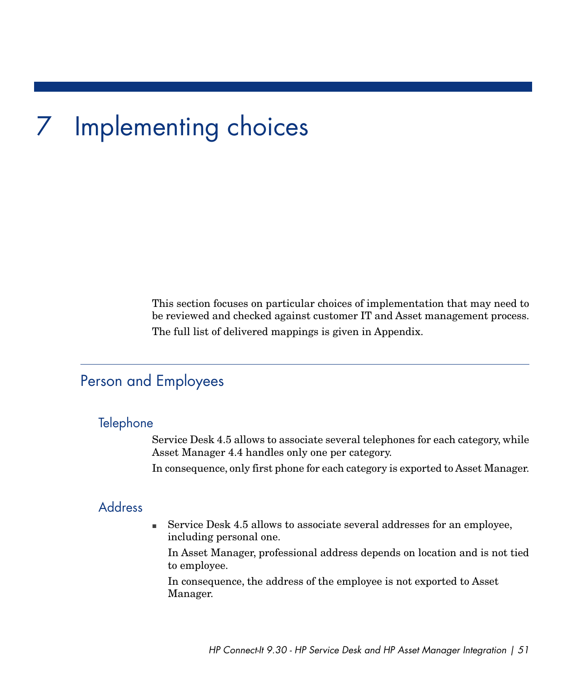# 7 Implementing choices

This section focuses on particular choices of implementation that may need to be reviewed and checked against customer IT and Asset management process. The full list of delivered mappings is given in Appendix.

## Person and Employees

## **Telephone**

Service Desk 4.5 allows to associate several telephones for each category, while Asset Manager 4.4 handles only one per category.

In consequence, only first phone for each category is exported to Asset Manager.

## Address

Exervice Desk  $4.5$  allows to associate several addresses for an employee, including personal one.

In Asset Manager, professional address depends on location and is not tied to employee.

In consequence, the address of the employee is not exported to Asset Manager.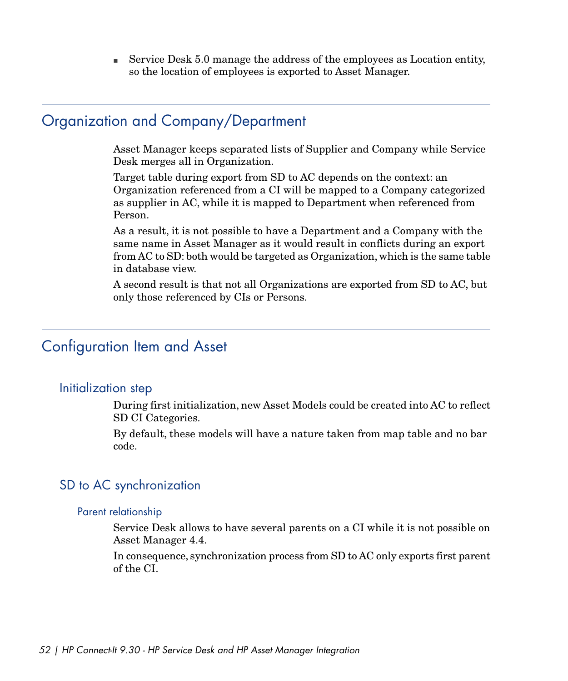<sup>n</sup> Service Desk 5.0 manage the address of the employees as Location entity, so the location of employees is exported to Asset Manager.

## Organization and Company/Department

Asset Manager keeps separated lists of Supplier and Company while Service Desk merges all in Organization.

Target table during export from SD to AC depends on the context: an Organization referenced from a CI will be mapped to a Company categorized as supplier in AC, while it is mapped to Department when referenced from Person.

As a result, it is not possible to have a Department and a Company with the same name in Asset Manager as it would result in conflicts during an export from AC to SD: both would be targeted as Organization, which is the same table in database view.

A second result is that not all Organizations are exported from SD to AC, but only those referenced by CIs or Persons.

## Configuration Item and Asset

### Initialization step

During first initialization, new Asset Models could be created into AC to reflect SD CI Categories.

By default, these models will have a nature taken from map table and no bar code.

### SD to AC synchronization

#### Parent relationship

Service Desk allows to have several parents on a CI while it is not possible on Asset Manager 4.4.

In consequence, synchronization process from SD to AC only exports first parent of the CI.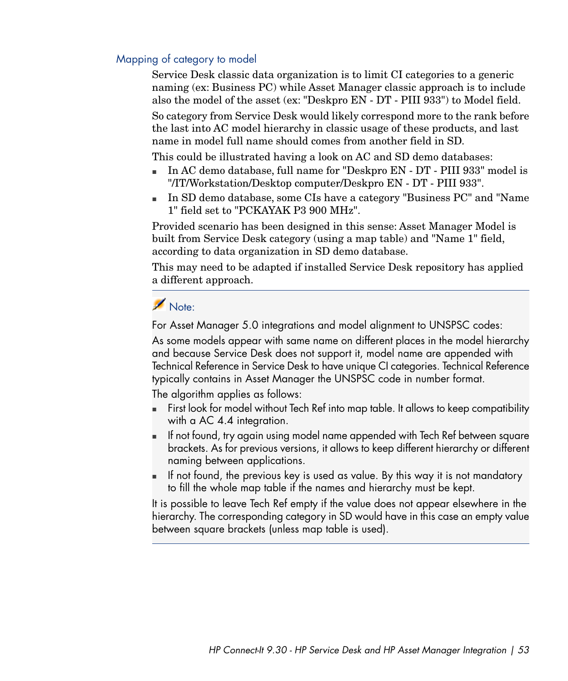#### Mapping of category to model

Service Desk classic data organization is to limit CI categories to a generic naming (ex: Business PC) while Asset Manager classic approach is to include also the model of the asset (ex: "Deskpro EN - DT - PIII 933") to Model field.

So category from Service Desk would likely correspond more to the rank before the last into AC model hierarchy in classic usage of these products, and last name in model full name should comes from another field in SD.

This could be illustrated having a look on AC and SD demo databases:

- <sup>n</sup> In AC demo database, full name for "Deskpro EN DT PIII 933" model is "/IT/Workstation/Desktop computer/Deskpro EN - DT - PIII 933".
- n In SD demo database, some CIs have a category "Business PC" and "Name" 1" field set to "PCKAYAK P3 900 MHz".

Provided scenario has been designed in this sense: Asset Manager Model is built from Service Desk category (using a map table) and "Name 1" field, according to data organization in SD demo database.

This may need to be adapted if installed Service Desk repository has applied a different approach.

## Note:

For Asset Manager 5.0 integrations and model alignment to UNSPSC codes:

As some models appear with same name on different places in the model hierarchy and because Service Desk does not support it, model name are appended with Technical Reference in Service Desk to have unique CI categories. Technical Reference typically contains in Asset Manager the UNSPSC code in number format.

The algorithm applies as follows:

- First look for model without Tech Ref into map table. It allows to keep compatibility with a AC 4.4 integration.
- $\blacksquare$  If not found, try again using model name appended with Tech Ref between square brackets. As for previous versions, it allows to keep different hierarchy or different naming between applications.
- $\blacksquare$  If not found, the previous key is used as value. By this way it is not mandatory to fill the whole map table if the names and hierarchy must be kept.

It is possible to leave Tech Ref empty if the value does not appear elsewhere in the hierarchy. The corresponding category in SD would have in this case an empty value between square brackets (unless map table is used).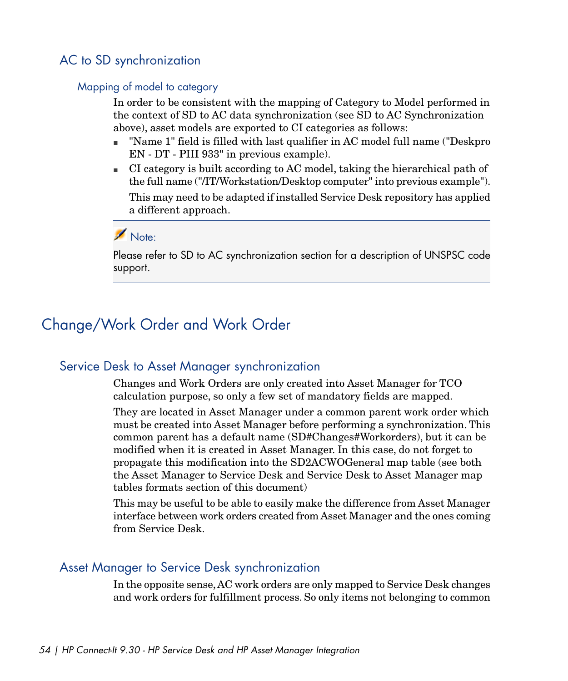## AC to SD synchronization

#### Mapping of model to category

In order to be consistent with the mapping of Category to Model performed in the context of SD to AC data synchronization (see SD to AC Synchronization above), asset models are exported to CI categories as follows:

- "Name 1" field is filled with last qualifier in AC model full name ("Deskpro") EN - DT - PIII 933" in previous example).
- <sup>n</sup> CI category is built according to AC model, taking the hierarchical path of the full name ("/IT/Workstation/Desktop computer" into previous example"). This may need to be adapted if installed Service Desk repository has applied a different approach.

## Note:

Please refer to SD to AC synchronization section for a description of UNSPSC code support.

## Change/Work Order and Work Order

## Service Desk to Asset Manager synchronization

Changes and Work Orders are only created into Asset Manager for TCO calculation purpose, so only a few set of mandatory fields are mapped.

They are located in Asset Manager under a common parent work order which must be created into Asset Manager before performing a synchronization. This common parent has a default name (SD#Changes#Workorders), but it can be modified when it is created in Asset Manager. In this case, do not forget to propagate this modification into the SD2ACWOGeneral map table (see both the Asset Manager to Service Desk and Service Desk to Asset Manager map tables formats section of this document)

This may be useful to be able to easily make the difference from Asset Manager interface between work orders created from Asset Manager and the ones coming from Service Desk.

## Asset Manager to Service Desk synchronization

In the opposite sense,AC work orders are only mapped to Service Desk changes and work orders for fulfillment process. So only items not belonging to common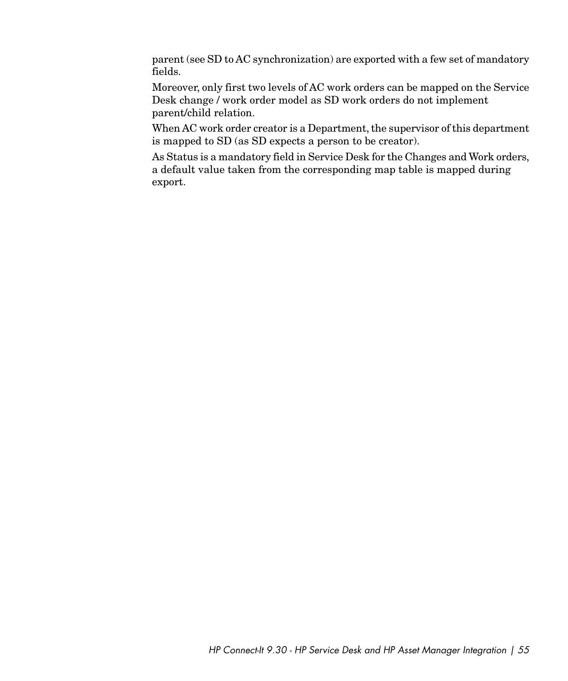parent (see SD to AC synchronization) are exported with a few set of mandatory fields.

Moreover, only first two levels of AC work orders can be mapped on the Service Desk change / work order model as SD work orders do not implement parent/child relation.

When AC work order creator is a Department, the supervisor of this department is mapped to SD (as SD expects a person to be creator).

As Status is a mandatory field in Service Desk for the Changes and Work orders, a default value taken from the corresponding map table is mapped during export.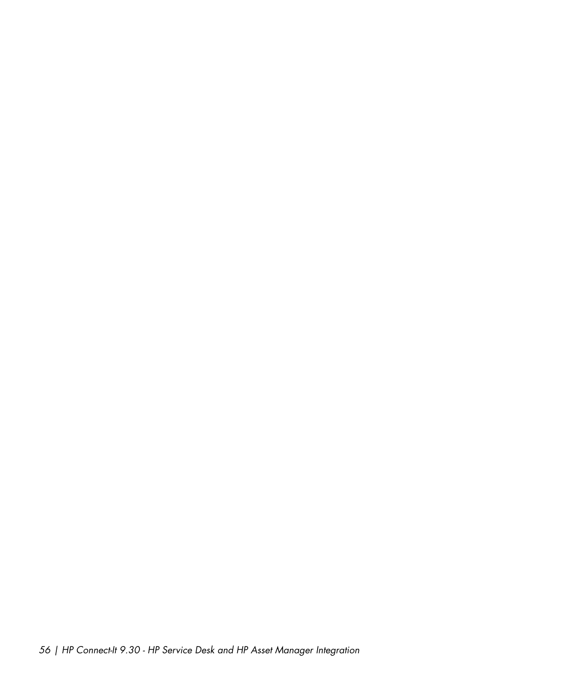*56 | HP Connect-It 9.30 - HP Service Desk and HP Asset Manager Integration*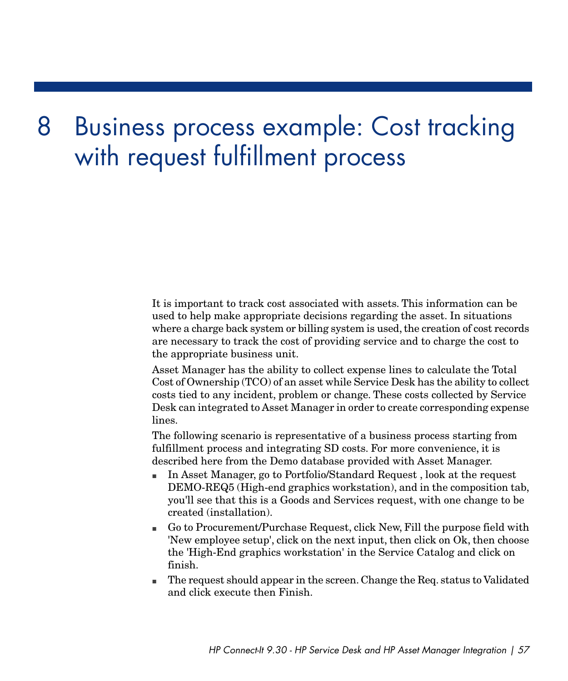# Business process example: Cost tracking with request fulfillment process 8

It is important to track cost associated with assets. This information can be used to help make appropriate decisions regarding the asset. In situations where a charge back system or billing system is used, the creation of cost records are necessary to track the cost of providing service and to charge the cost to the appropriate business unit.

Asset Manager has the ability to collect expense lines to calculate the Total Cost of Ownership (TCO) of an asset while Service Desk has the ability to collect costs tied to any incident, problem or change. These costs collected by Service Desk can integrated to Asset Manager in order to create corresponding expense lines.

The following scenario is representative of a business process starting from fulfillment process and integrating SD costs. For more convenience, it is described here from the Demo database provided with Asset Manager.

- <sup>n</sup> In Asset Manager, go to Portfolio/Standard Request , look at the request DEMO-REQ5 (High-end graphics workstation), and in the composition tab, you'll see that this is a Goods and Services request, with one change to be created (installation).
- <sup>n</sup> Go to Procurement/Purchase Request, click New, Fill the purpose field with 'New employee setup', click on the next input, then click on Ok, then choose the 'High-End graphics workstation' in the Service Catalog and click on finish.
- n The request should appear in the screen. Change the Req. status to Validated and click execute then Finish.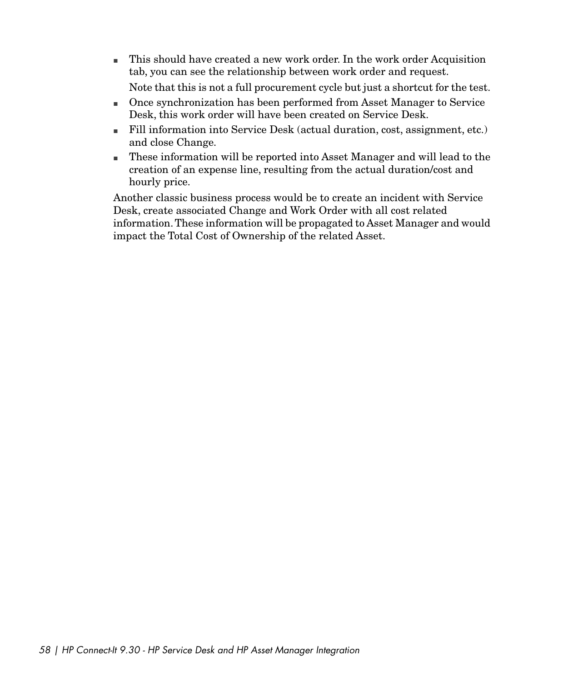- n This should have created a new work order. In the work order Acquisition tab, you can see the relationship between work order and request. Note that this is not a full procurement cycle but just a shortcut for the test.
- n Once synchronization has been performed from Asset Manager to Service Desk, this work order will have been created on Service Desk.
- <sup>n</sup> Fill information into Service Desk (actual duration, cost, assignment, etc.) and close Change.
- n These information will be reported into Asset Manager and will lead to the creation of an expense line, resulting from the actual duration/cost and hourly price.

Another classic business process would be to create an incident with Service Desk, create associated Change and Work Order with all cost related information.These information will be propagated to Asset Manager and would impact the Total Cost of Ownership of the related Asset.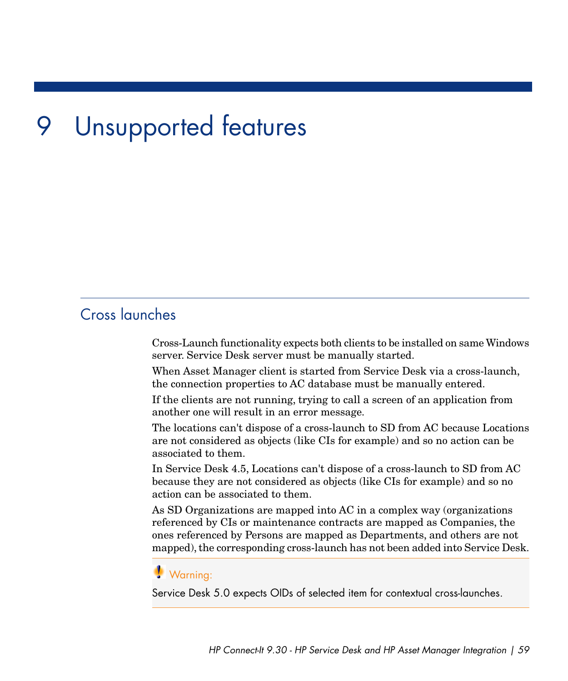# 9 Unsupported features

## Cross launches

Cross-Launch functionality expects both clients to be installed on same Windows server. Service Desk server must be manually started.

When Asset Manager client is started from Service Desk via a cross-launch, the connection properties to AC database must be manually entered.

If the clients are not running, trying to call a screen of an application from another one will result in an error message.

The locations can't dispose of a cross-launch to SD from AC because Locations are not considered as objects (like CIs for example) and so no action can be associated to them.

In Service Desk 4.5, Locations can't dispose of a cross-launch to SD from AC because they are not considered as objects (like CIs for example) and so no action can be associated to them.

As SD Organizations are mapped into AC in a complex way (organizations referenced by CIs or maintenance contracts are mapped as Companies, the ones referenced by Persons are mapped as Departments, and others are not mapped), the corresponding cross-launch has not been added into Service Desk.

## Warning:

Service Desk 5.0 expects OIDs of selected item for contextual cross-launches.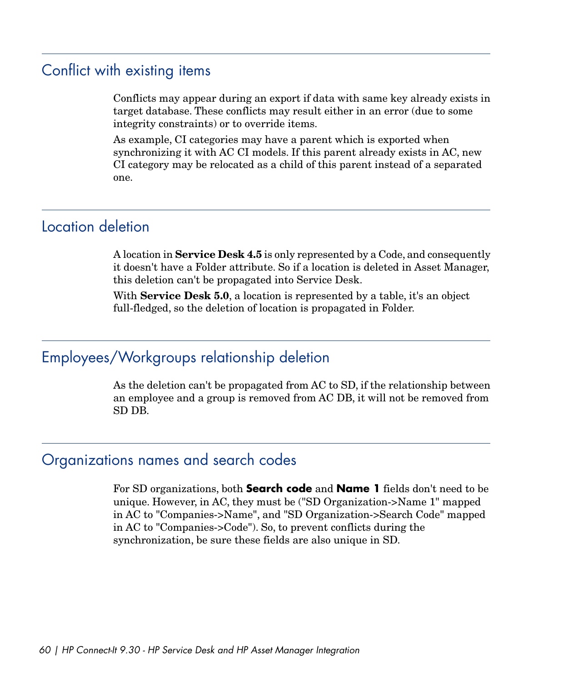## Conflict with existing items

Conflicts may appear during an export if data with same key already exists in target database. These conflicts may result either in an error (due to some integrity constraints) or to override items.

As example, CI categories may have a parent which is exported when synchronizing it with AC CI models. If this parent already exists in AC, new CI category may be relocated as a child of this parent instead of a separated one.

## Location deletion

A location in **Service Desk 4.5** is only represented by a Code, and consequently it doesn't have a Folder attribute. So if a location is deleted in Asset Manager, this deletion can't be propagated into Service Desk.

With **Service Desk 5.0**, a location is represented by a table, it's an object full-fledged, so the deletion of location is propagated in Folder.

## Employees/Workgroups relationship deletion

As the deletion can't be propagated from AC to SD, if the relationship between an employee and a group is removed from AC DB, it will not be removed from SD DB.

## Organizations names and search codes

For SD organizations, both **Search code** and **Name 1** fields don't need to be unique. However, in AC, they must be ("SD Organization->Name 1" mapped in AC to "Companies->Name", and "SD Organization->Search Code" mapped in AC to "Companies->Code"). So, to prevent conflicts during the synchronization, be sure these fields are also unique in SD.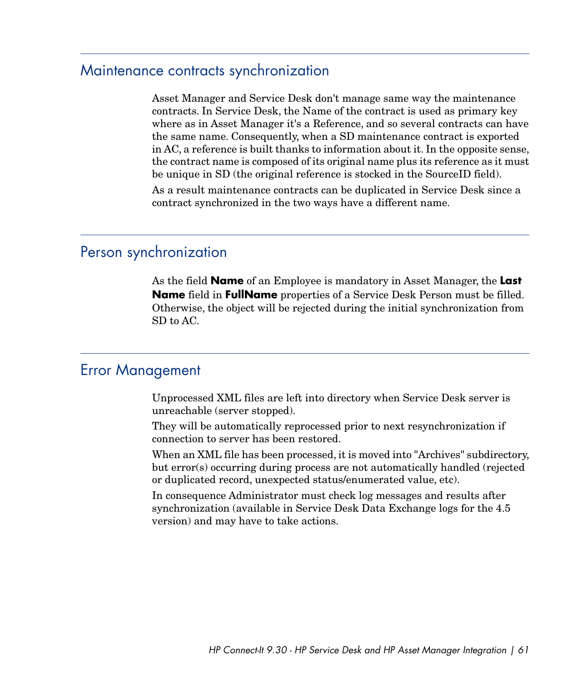## Maintenance contracts synchronization

Asset Manager and Service Desk don't manage same way the maintenance contracts. In Service Desk, the Name of the contract is used as primary key where as in Asset Manager it's a Reference, and so several contracts can have the same name. Consequently, when a SD maintenance contract is exported in AC, a reference is built thanks to information about it. In the opposite sense, the contract name is composed of its original name plus its reference as it must be unique in SD (the original reference is stocked in the SourceID field).

As a result maintenance contracts can be duplicated in Service Desk since a contract synchronized in the two ways have a different name.

## Person synchronization

As the field **Name** of an Employee is mandatory in Asset Manager, the **Last Name** field in **FullName** properties of a Service Desk Person must be filled. Otherwise, the object will be rejected during the initial synchronization from SD to AC.

## Error Management

Unprocessed XML files are left into directory when Service Desk server is unreachable (server stopped).

They will be automatically reprocessed prior to next resynchronization if connection to server has been restored.

When an XML file has been processed, it is moved into "Archives" subdirectory, but error(s) occurring during process are not automatically handled (rejected or duplicated record, unexpected status/enumerated value, etc).

In consequence Administrator must check log messages and results after synchronization (available in Service Desk Data Exchange logs for the 4.5 version) and may have to take actions.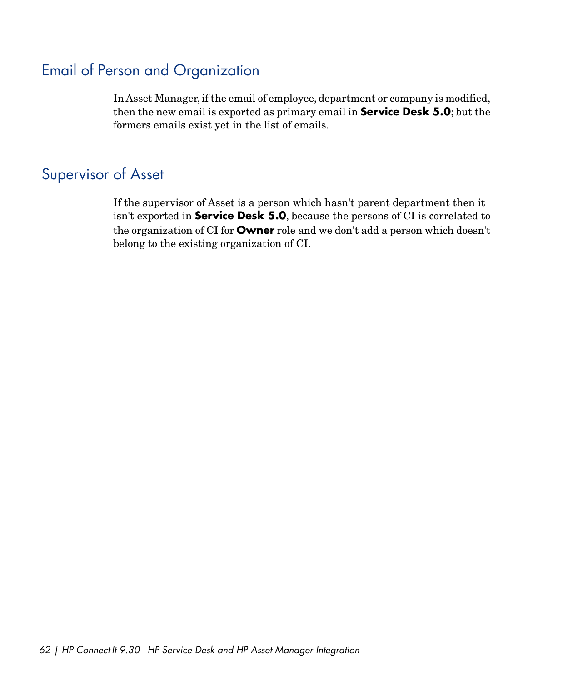## Email of Person and Organization

In Asset Manager, if the email of employee, department or company is modified, then the new email is exported as primary email in **Service Desk 5.0**; but the formers emails exist yet in the list of emails.

# Supervisor of Asset

If the supervisor of Asset is a person which hasn't parent department then it isn't exported in **Service Desk 5.0**, because the persons of CI is correlated to the organization of CI for **Owner** role and we don't add a person which doesn't belong to the existing organization of CI.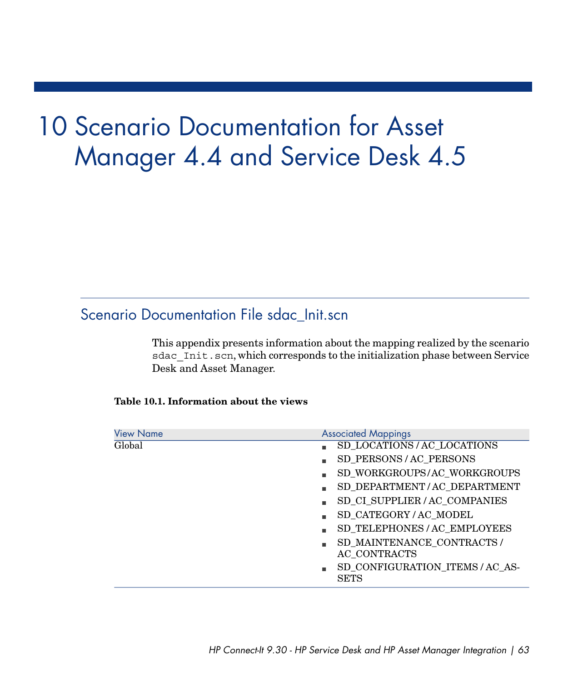# 10 Scenario Documentation for Asset Manager 4.4 and Service Desk 4.5

## Scenario Documentation File sdac Init.scn

This appendix presents information about the mapping realized by the scenario sdac Init.scn, which corresponds to the initialization phase between Service Desk and Asset Manager.

#### **Table 10.1. Information about the views**

| <b>View Name</b> | <b>Associated Mappings</b>                     |  |
|------------------|------------------------------------------------|--|
| Global           | SD LOCATIONS/AC LOCATIONS                      |  |
|                  | SD PERSONS/AC PERSONS                          |  |
|                  | SD WORKGROUPS/AC WORKGROUPS                    |  |
|                  | SD DEPARTMENT/AC DEPARTMENT                    |  |
|                  | SD_CI_SUPPLIER / AC_COMPANIES                  |  |
|                  | SD CATEGORY/AC MODEL                           |  |
|                  | SD TELEPHONES / AC EMPLOYEES                   |  |
|                  | SD MAINTENANCE CONTRACTS/<br>AC CONTRACTS      |  |
|                  | SD_CONFIGURATION_ITEMS / AC_AS-<br><b>SETS</b> |  |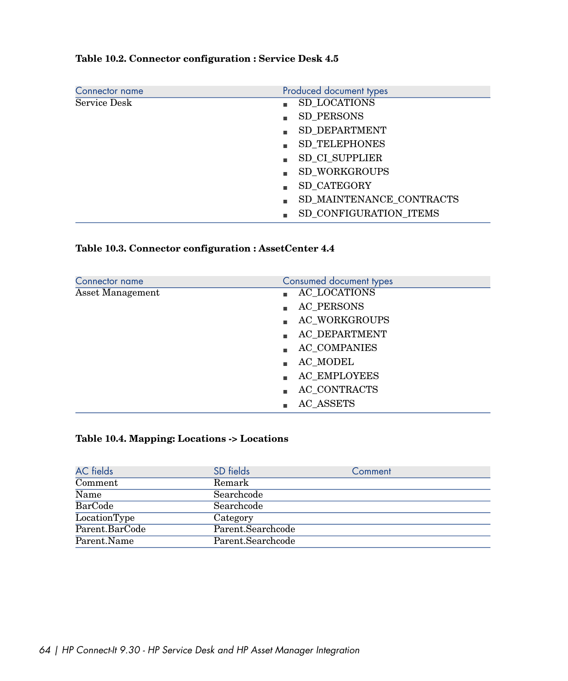### **Table 10.2. Connector configuration : Service Desk 4.5**

| Connector name | Produced document types  |
|----------------|--------------------------|
| Service Desk   | <b>SD_LOCATIONS</b>      |
|                | <b>SD_PERSONS</b>        |
|                | <b>SD DEPARTMENT</b>     |
|                | <b>SD TELEPHONES</b>     |
|                | SD CI SUPPLIER           |
|                | <b>SD WORKGROUPS</b>     |
|                | SD_CATEGORY              |
|                | SD MAINTENANCE CONTRACTS |
|                | SD_CONFIGURATION_ITEMS   |

#### **Table 10.3. Connector configuration : AssetCenter 4.4**

| Connector name   | Consumed document types |
|------------------|-------------------------|
| Asset Management | AC_LOCATIONS            |
|                  | <b>AC_PERSONS</b>       |
|                  | <b>AC_WORKGROUPS</b>    |
|                  | <b>AC_DEPARTMENT</b>    |
|                  | <b>AC_COMPANIES</b>     |
|                  | AC MODEL                |
|                  | AC EMPLOYEES            |
|                  | <b>AC_CONTRACTS</b>     |
|                  | AC ASSETS               |

#### **Table 10.4. Mapping: Locations -> Locations**

| AC fields      | SD fields         | Comment |
|----------------|-------------------|---------|
| Comment        | Remark            |         |
| Name           | Searchcode        |         |
| BarCode        | Searchcode        |         |
| LocationType   | Category          |         |
| Parent.BarCode | Parent.Searchcode |         |
| Parent.Name    | Parent.Searchcode |         |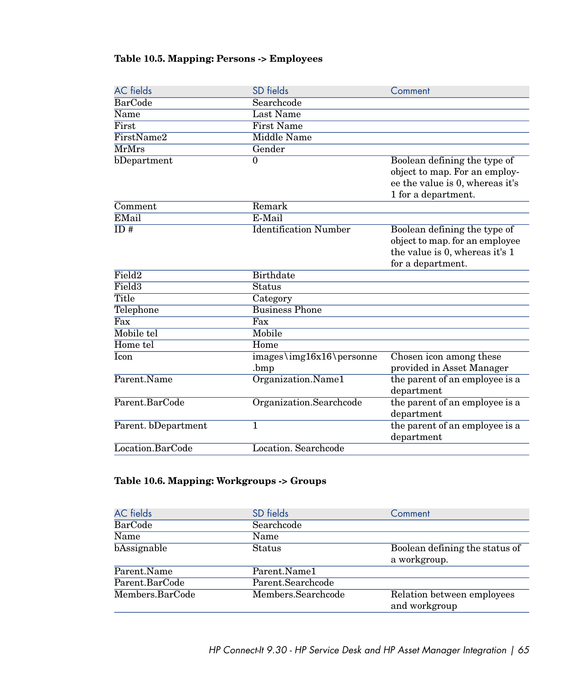#### **Table 10.5. Mapping: Persons -> Employees**

| <b>AC</b> fields           | SD fields                      | Comment                                                                                                                 |
|----------------------------|--------------------------------|-------------------------------------------------------------------------------------------------------------------------|
| <b>BarCode</b>             | Searchcode                     |                                                                                                                         |
| Name                       | Last Name                      |                                                                                                                         |
| First                      | <b>First Name</b>              |                                                                                                                         |
| FirstName2                 | <b>Middle Name</b>             |                                                                                                                         |
| MrMrs                      | Gender                         |                                                                                                                         |
| bDepartment                | $\Omega$                       | Boolean defining the type of<br>object to map. For an employ-<br>ee the value is 0, whereas it's<br>1 for a department. |
| Comment                    | Remark                         |                                                                                                                         |
| EMail                      | E-Mail                         |                                                                                                                         |
| ID#                        | <b>Identification Number</b>   | Boolean defining the type of<br>object to map. for an employee<br>the value is 0, whereas it's 1<br>for a department.   |
| Figi 12                    | <b>Birthdate</b>               |                                                                                                                         |
| $\overline{\text{Field3}}$ | <b>Status</b>                  |                                                                                                                         |
| Title                      | Category                       |                                                                                                                         |
| Telephone                  | <b>Business Phone</b>          |                                                                                                                         |
| Fax                        | Fax                            |                                                                                                                         |
| Mobile tel                 | Mobile                         |                                                                                                                         |
| Home tel                   | Home                           |                                                                                                                         |
| <b>Icon</b>                | $images\img16x16\perp$<br>.bmp | Chosen icon among these<br>provided in Asset Manager                                                                    |
| Parent.Name                | Organization.Name1             | the parent of an employee is a<br>department                                                                            |
| Parent.BarCode             | Organization.Searchcode        | the parent of an employee is a<br>department                                                                            |
| Parent. bDepartment        | $\overline{1}$                 | the parent of an employee is a<br>department                                                                            |
| Location.BarCode           | Location, Searchcode           |                                                                                                                         |

#### **Table 10.6. Mapping: Workgroups -> Groups**

| AC fields       | SD fields          | Comment                                        |
|-----------------|--------------------|------------------------------------------------|
| BarCode         | Searchcode         |                                                |
| Name            | Name               |                                                |
| bAssignable     | Status             | Boolean defining the status of<br>a workgroup. |
| Parent.Name     | Parent.Name1       |                                                |
| Parent.BarCode  | Parent.Searchcode  |                                                |
| Members.BarCode | Members.Searchcode | Relation between employees<br>and workgroup    |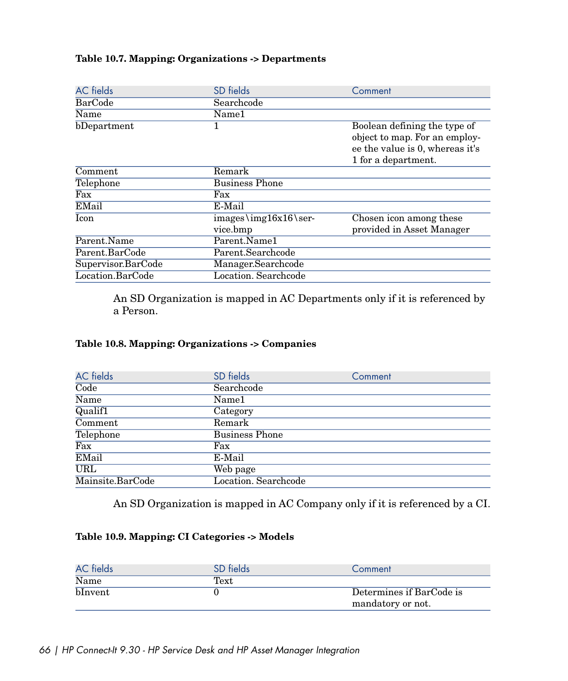### **Table 10.7. Mapping: Organizations -> Departments**

| <b>AC</b> fields   | SD fields                          | Comment                                                                                                                 |
|--------------------|------------------------------------|-------------------------------------------------------------------------------------------------------------------------|
| <b>BarCode</b>     | Searchcode                         |                                                                                                                         |
| Name               | Name1                              |                                                                                                                         |
| bDepartment        |                                    | Boolean defining the type of<br>object to map. For an employ-<br>ee the value is 0, whereas it's<br>1 for a department. |
| Comment            | Remark                             |                                                                                                                         |
| Telephone          | <b>Business Phone</b>              |                                                                                                                         |
| Fax                | Fax                                |                                                                                                                         |
| EMail              | E-Mail                             |                                                                                                                         |
| Icon               | $images\img16x16\ser-$<br>vice.bmp | Chosen icon among these<br>provided in Asset Manager                                                                    |
| Parent.Name        | Parent.Name1                       |                                                                                                                         |
| Parent.BarCode     | Parent.Searchcode                  |                                                                                                                         |
| Supervisor.BarCode | Manager.Searchcode                 |                                                                                                                         |
| Location.BarCode   | Location. Searchcode               |                                                                                                                         |

An SD Organization is mapped in AC Departments only if it is referenced by a Person.

#### **Table 10.8. Mapping: Organizations -> Companies**

| <b>AC</b> fields         | SD fields             | Comment |
|--------------------------|-----------------------|---------|
| $\overline{\text{Code}}$ | Searchcode            |         |
| Name                     | Name1                 |         |
| <b>Qualif1</b>           | Category              |         |
| Comment                  | Remark                |         |
| Telephone                | <b>Business Phone</b> |         |
| $\overline{\text{Fax}}$  | Fax                   |         |
| <b>EMail</b>             | E-Mail                |         |
| URL                      | Web page              |         |
| Mainsite.BarCode         | Location. Searchcode  |         |

An SD Organization is mapped in AC Company only if it is referenced by a CI.

#### **Table 10.9. Mapping: CI Categories -> Models**

| <b>AC</b> fields | SD fields | Comment                  |
|------------------|-----------|--------------------------|
| Name             | Text      |                          |
| bInvent          |           | Determines if BarCode is |
|                  |           | mandatory or not.        |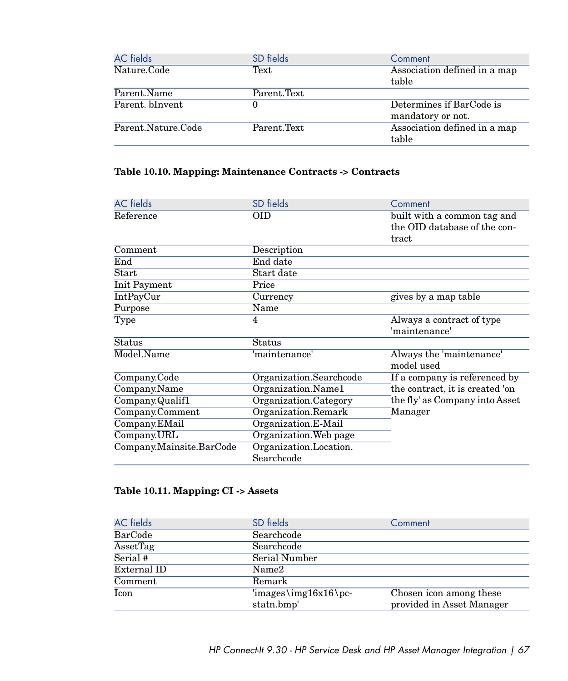| <b>AC</b> fields   | SD fields   | Comment                      |
|--------------------|-------------|------------------------------|
| Nature.Code        | Text        | Association defined in a map |
|                    |             | table                        |
| Parent.Name        | Parent.Text |                              |
| Parent, bInvent    |             | Determines if BarCode is     |
|                    |             | mandatory or not.            |
| Parent.Nature.Code | Parent.Text | Association defined in a map |
|                    |             | table                        |

#### **Table 10.10. Mapping: Maintenance Contracts -> Contracts**

| <b>AC</b> fields         | SD fields               | Comment                         |
|--------------------------|-------------------------|---------------------------------|
| Reference                | OID                     | built with a common tag and     |
|                          |                         | the OID database of the con-    |
|                          |                         | tract                           |
| Comment                  | Description             |                                 |
| End                      | End date                |                                 |
| Start                    | Start date              |                                 |
| Init Payment             | Price                   |                                 |
| <b>IntPayCur</b>         | Currency                | gives by a map table            |
| Purpose                  | Name                    |                                 |
| Type                     | 4                       | Always a contract of type       |
|                          |                         | 'maintenance'                   |
| <b>Status</b>            | Status                  |                                 |
| Model.Name               | 'maintenance'           | Always the 'maintenance'        |
|                          |                         | model used                      |
| Company.Code             | Organization.Searchcode | If a company is referenced by   |
| Company.Name             | Organization.Name1      | the contract, it is created 'on |
| Company.Qualif1          | Organization.Category   | the fly' as Company into Asset  |
| Company.Comment          | Organization.Remark     | Manager                         |
| Company.EMail            | Organization.E-Mail     |                                 |
| Company.URL              | Organization. Web page  |                                 |
| Company.Mainsite.BarCode | Organization.Location.  |                                 |
|                          | Searchcode              |                                 |

## **Table 10.11. Mapping: CI -> Assets**

| <b>AC</b> fields | SD fields            | Comment                   |
|------------------|----------------------|---------------------------|
| BarCode          | Searchcode           |                           |
| AssetTag         | Searchcode           |                           |
| Serial #         | Serial Number        |                           |
| External ID      | Name2                |                           |
| Comment          | Remark               |                           |
| Icon             | 'images\img16x16\pc- | Chosen icon among these   |
|                  | statn.bmp'           | provided in Asset Manager |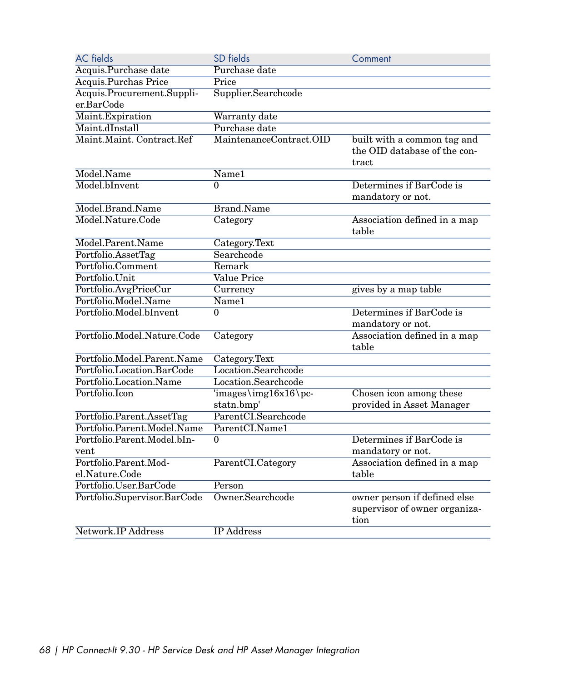| <b>AC</b> fields             | SD fields               | Comment                                                               |
|------------------------------|-------------------------|-----------------------------------------------------------------------|
| Acquis.Purchase date         | Purchase date           |                                                                       |
| Acquis.Purchas Price         | Price                   |                                                                       |
| Acquis.Procurement.Suppli-   | Supplier.Searchcode     |                                                                       |
| er.BarCode                   |                         |                                                                       |
| Maint.Expiration             | Warranty date           |                                                                       |
| Maint.dInstall               | Purchase date           |                                                                       |
| Maint, Maint, Contract, Ref  | MaintenanceContract.OID | built with a common tag and                                           |
|                              |                         | the OID database of the con-                                          |
|                              |                         | tract                                                                 |
| Model.Name                   | Name1                   |                                                                       |
| Model.bInvent                | $\theta$                | Determines if BarCode is<br>mandatory or not.                         |
| Model.Brand.Name             | <b>Brand.Name</b>       |                                                                       |
| Model.Nature.Code            | Category                | Association defined in a map<br>table                                 |
| Model.Parent.Name            | Category.Text           |                                                                       |
| Portfolio.AssetTag           | Searchcode              |                                                                       |
| Portfolio.Comment            | Remark                  |                                                                       |
| Portfolio.Unit               | <b>Value Price</b>      |                                                                       |
| Portfolio.AvgPriceCur        | Currency                | gives by a map table                                                  |
| Portfolio.Model.Name         | Name1                   |                                                                       |
| Portfolio.Model.bInvent      | $\Omega$                | Determines if BarCode is                                              |
|                              |                         | mandatory or not.                                                     |
| Portfolio.Model.Nature.Code  | Category                | Association defined in a map<br>table                                 |
| Portfolio.Model.Parent.Name  | Category.Text           |                                                                       |
| Portfolio.Location.BarCode   | Location.Searchcode     |                                                                       |
| Portfolio.Location.Name      | Location.Searchcode     |                                                                       |
| Portfolio.Icon               | 'images\img16x16\pc-    | Chosen icon among these                                               |
|                              | statn.bmp'              | provided in Asset Manager                                             |
| Portfolio.Parent.AssetTag    | ParentCI.Searchcode     |                                                                       |
| Portfolio.Parent.Model.Name  | ParentCI.Name1          |                                                                       |
| Portfolio.Parent.Model.bIn-  | 0                       | Determines if BarCode is                                              |
| vent                         |                         | mandatory or not.                                                     |
| Portfolio.Parent.Mod-        | ParentCI.Category       | Association defined in a map                                          |
| el.Nature.Code               |                         | table                                                                 |
| Portfolio.User.BarCode       | Person                  |                                                                       |
| Portfolio.Supervisor.BarCode | Owner.Searchcode        | owner person if defined else<br>supervisor of owner organiza-<br>tion |
| Network.IP Address           | <b>IP</b> Address       |                                                                       |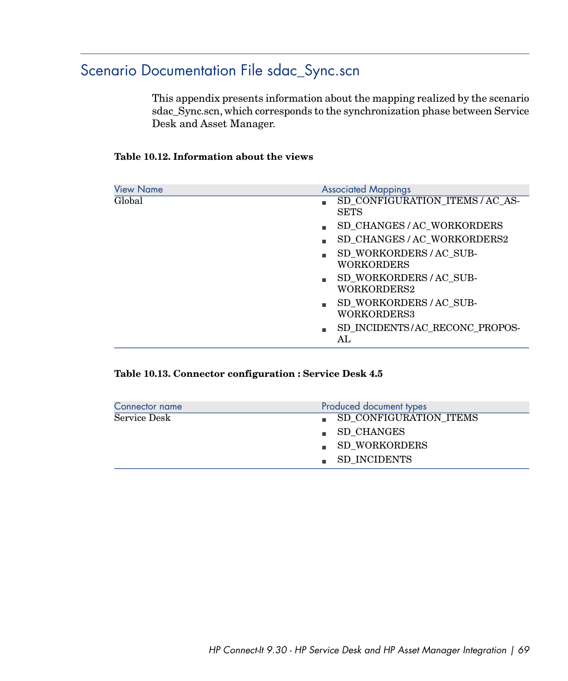# Scenario Documentation File sdac\_Sync.scn

This appendix presents information about the mapping realized by the scenario sdac\_Sync.scn, which corresponds to the synchronization phase between Service Desk and Asset Manager.

#### **Table 10.12. Information about the views**

| <b>View Name</b> | <b>Associated Mappings</b> |                                 |
|------------------|----------------------------|---------------------------------|
| Global           | <b>SETS</b>                | SD_CONFIGURATION_ITEMS / AC_AS- |
|                  |                            | SD CHANGES/AC WORKORDERS        |
|                  |                            | SD CHANGES/AC WORKORDERS2       |
|                  | <b>WORKORDERS</b>          | SD WORKORDERS/AC SUB-           |
|                  | WORKORDERS2                | SD WORKORDERS/AC SUB-           |
|                  | WORKORDERS3                | SD WORKORDERS/AC SUB-           |
|                  | AL                         | SD_INCIDENTS/AC_RECONC_PROPOS-  |

#### **Table 10.13. Connector configuration : Service Desk 4.5**

| Connector name | Produced document types       |  |
|----------------|-------------------------------|--|
| Service Desk   | <b>SD_CONFIGURATION_ITEMS</b> |  |
|                | SD CHANGES                    |  |
|                | <b>SD WORKORDERS</b>          |  |
|                | - SD INCIDENTS                |  |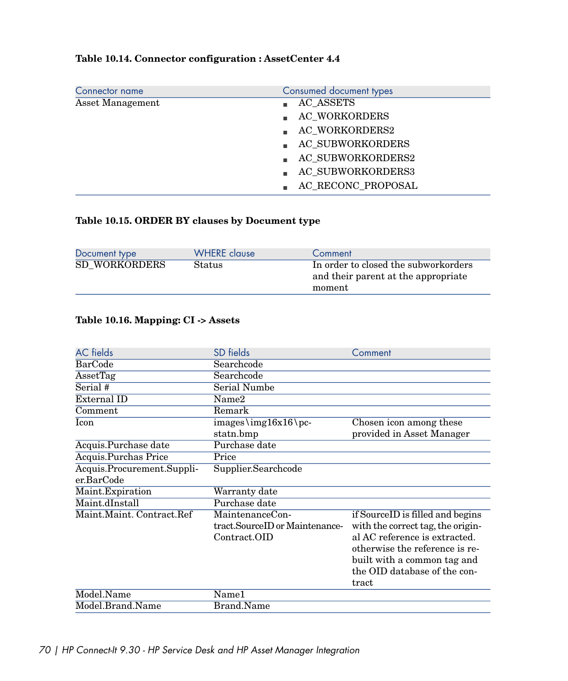### **Table 10.14. Connector configuration : AssetCenter 4.4**

| Connector name   | Consumed document types       |  |
|------------------|-------------------------------|--|
| Asset Management | <b>AC ASSETS</b>              |  |
|                  | AC_WORKORDERS                 |  |
|                  | $\blacksquare$ AC_WORKORDERS2 |  |
|                  | AC_SUBWORKORDERS              |  |
|                  | AC_SUBWORKORDERS2             |  |
|                  | AC_SUBWORKORDERS3             |  |
|                  | AC RECONC PROPOSAL            |  |

## **Table 10.15. ORDER BY clauses by Document type**

| SD WORKORDERS<br>Status<br>and their parent at the appropriate | Document type | <b>WHERE</b> clause | Comment                                        |
|----------------------------------------------------------------|---------------|---------------------|------------------------------------------------|
|                                                                |               |                     | In order to closed the subworkorders<br>moment |

### **Table 10.16. Mapping: CI -> Assets**

| <b>AC</b> fields           | SD fields                      | Comment                           |
|----------------------------|--------------------------------|-----------------------------------|
| BarCode                    | Searchcode                     |                                   |
| AssetTag                   | Searchcode                     |                                   |
| Serial #                   | Serial Numbe                   |                                   |
| External ID                | Name2                          |                                   |
| Comment                    | Remark                         |                                   |
| Icon                       | $images\img16x16\cdot pc$      | Chosen icon among these           |
|                            | statn.bmp                      | provided in Asset Manager         |
| Acquis.Purchase date       | Purchase date                  |                                   |
| Acquis.Purchas Price       | Price                          |                                   |
| Acquis.Procurement.Suppli- | Supplier.Searchcode            |                                   |
| er.BarCode                 |                                |                                   |
| Maint.Expiration           | Warranty date                  |                                   |
| Maint.dInstall             | Purchase date                  |                                   |
| Maint.Maint. Contract.Ref  | MaintenanceCon-                | if SourceID is filled and begins  |
|                            | tract.SourceID or Maintenance- | with the correct tag, the origin- |
|                            | Contract.OID                   | al AC reference is extracted.     |
|                            |                                | otherwise the reference is re-    |
|                            |                                | built with a common tag and       |
|                            |                                | the OID database of the con-      |
|                            |                                | tract                             |
| Model.Name                 | Name1                          |                                   |
| Model.Brand.Name           | Brand.Name                     |                                   |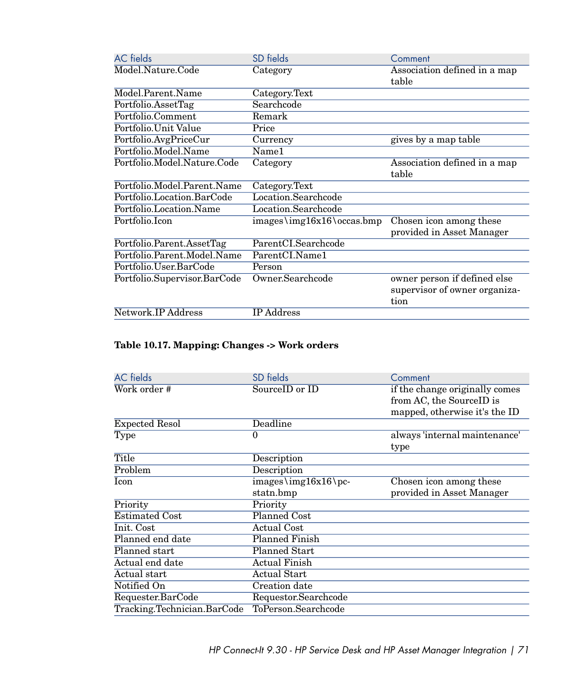| <b>AC</b> fields             | SD fields                 | Comment                       |
|------------------------------|---------------------------|-------------------------------|
| Model.Nature.Code            | Category                  | Association defined in a map  |
|                              |                           | table                         |
| Model.Parent.Name            | Category.Text             |                               |
| Portfolio.AssetTag           | Searchcode                |                               |
| Portfolio.Comment            | Remark                    |                               |
| Portfolio.Unit Value         | Price                     |                               |
| Portfolio.AvgPriceCur        | Currency                  | gives by a map table          |
| Portfolio.Model.Name         | Name1                     |                               |
| Portfolio.Model.Nature.Code  | Category                  | Association defined in a map  |
|                              |                           | table                         |
| Portfolio.Model.Parent.Name  | Category.Text             |                               |
| Portfolio.Location.BarCode   | Location.Searchcode       |                               |
| Portfolio.Location.Name      | Location.Searchcode       |                               |
| Portfolio.Icon               | images\img16x16\occas.bmp | Chosen icon among these       |
|                              |                           | provided in Asset Manager     |
| Portfolio.Parent.AssetTag    | ParentCI.Searchcode       |                               |
| Portfolio.Parent.Model.Name  | ParentCI.Name1            |                               |
| Portfolio.User.BarCode       | Person                    |                               |
| Portfolio.Supervisor.BarCode | Owner.Searchcode          | owner person if defined else  |
|                              |                           | supervisor of owner organiza- |
|                              |                           | tion                          |
| Network.IP Address           | <b>IP</b> Address         |                               |

## **Table 10.17. Mapping: Changes -> Work orders**

| <b>AC</b> fields            | SD fields                                                                 | Comment                                                                                     |
|-----------------------------|---------------------------------------------------------------------------|---------------------------------------------------------------------------------------------|
| Work order #                | SourceID or ID                                                            | if the change originally comes<br>from AC, the SourceID is<br>mapped, otherwise it's the ID |
| <b>Expected Resol</b>       | Deadline                                                                  |                                                                                             |
| Type                        | 0                                                                         | always 'internal maintenance'<br>type                                                       |
| Title                       | Description                                                               |                                                                                             |
| Problem                     | Description                                                               |                                                                                             |
| Icon                        | $\overline{\text{images}\langle \text{img16x16}\rangle}$ pc-<br>statn.bmp | Chosen icon among these<br>provided in Asset Manager                                        |
| Priority                    | Priority                                                                  |                                                                                             |
| <b>Estimated Cost</b>       | Planned Cost                                                              |                                                                                             |
| Init. Cost                  | Actual Cost                                                               |                                                                                             |
| Planned end date            | <b>Planned Finish</b>                                                     |                                                                                             |
| Planned start               | <b>Planned Start</b>                                                      |                                                                                             |
| Actual end date             | <b>Actual Finish</b>                                                      |                                                                                             |
| Actual start                | <b>Actual Start</b>                                                       |                                                                                             |
| Notified On                 | Creation date                                                             |                                                                                             |
| Requester.BarCode           | Requestor.Searchcode                                                      |                                                                                             |
| Tracking.Technician.BarCode | ToPerson.Searchcode                                                       |                                                                                             |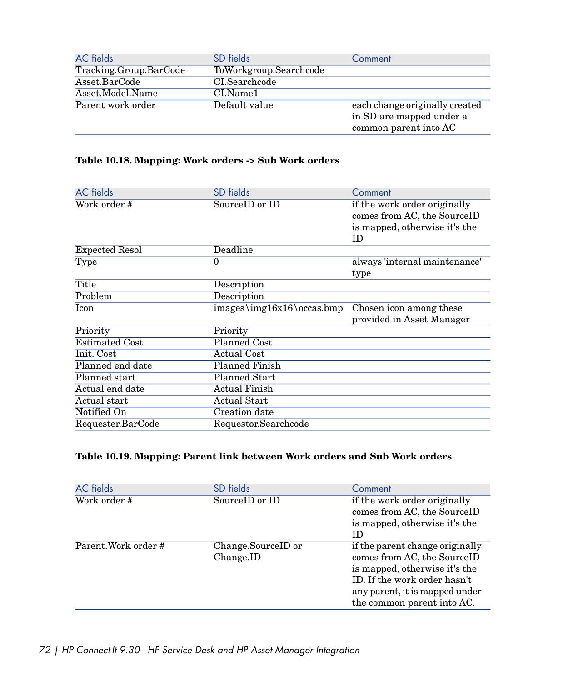| <b>AC</b> fields       | SD fields              | Comment                        |
|------------------------|------------------------|--------------------------------|
| Tracking.Group.BarCode | ToWorkgroup.Searchcode |                                |
| Asset.BarCode          | CI.Searchcode          |                                |
| Asset.Model.Name       | CLName1                |                                |
| Parent work order      | Default value          | each change originally created |
|                        |                        | in SD are mapped under a       |
|                        |                        | common parent into AC          |

#### **Table 10.18. Mapping: Work orders -> Sub Work orders**

| <b>AC</b> fields      | SD fields                   | Comment                                                                                            |
|-----------------------|-----------------------------|----------------------------------------------------------------------------------------------------|
| Work order #          | SourceID or ID              | if the work order originally<br>comes from AC, the SourceID<br>is mapped, otherwise it's the<br>ID |
| <b>Expected Resol</b> | Deadline                    |                                                                                                    |
| Type                  | $\theta$                    | always 'internal maintenance'<br>type                                                              |
| Title                 | Description                 |                                                                                                    |
| Problem               | Description                 |                                                                                                    |
| Icon                  | $images\img16x16\locas.bmp$ | Chosen icon among these<br>provided in Asset Manager                                               |
| Priority              | Priority                    |                                                                                                    |
| <b>Estimated Cost</b> | <b>Planned Cost</b>         |                                                                                                    |
| Init. Cost            | Actual Cost                 |                                                                                                    |
| Planned end date      | Planned Finish              |                                                                                                    |
| Planned start         | <b>Planned Start</b>        |                                                                                                    |
| Actual end date       | <b>Actual Finish</b>        |                                                                                                    |
| Actual start          | <b>Actual Start</b>         |                                                                                                    |
| Notified On           | Creation date               |                                                                                                    |
| Requester.BarCode     | Requestor.Searchcode        |                                                                                                    |

## **Table 10.19. Mapping: Parent link between Work orders and Sub Work orders**

| <b>AC</b> fields     | SD fields                       | Comment                                                        |
|----------------------|---------------------------------|----------------------------------------------------------------|
| Work order #         | SourceID or ID                  | if the work order originally<br>comes from AC, the SourceID    |
|                      |                                 | is mapped, otherwise it's the                                  |
|                      |                                 | ΙD                                                             |
| Parent. Work order # | Change.SourceID or<br>Change.ID | if the parent change originally<br>comes from AC, the SourceID |
|                      |                                 |                                                                |
|                      |                                 | is mapped, otherwise it's the                                  |
|                      |                                 | ID. If the work order hasn't                                   |
|                      |                                 | any parent, it is mapped under                                 |
|                      |                                 | the common parent into AC.                                     |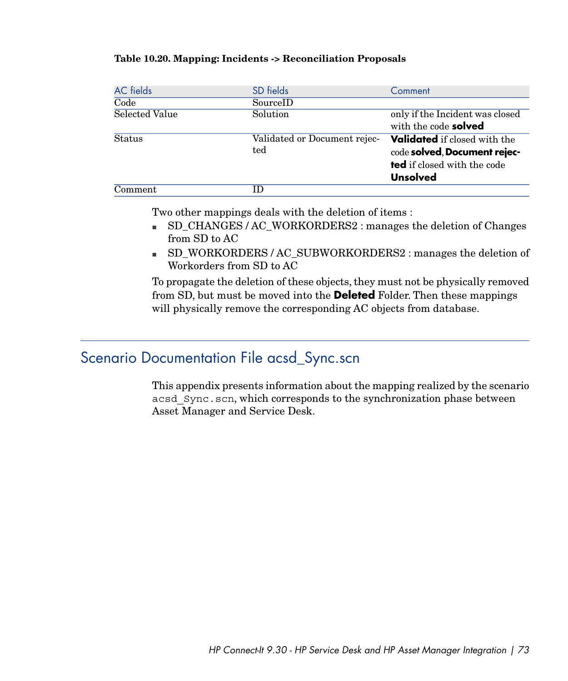|  |  |  |  | Table 10.20. Mapping: Incidents -> Reconciliation Proposals |  |  |  |
|--|--|--|--|-------------------------------------------------------------|--|--|--|
|--|--|--|--|-------------------------------------------------------------|--|--|--|

| <b>AC</b> fields            | SD fields                           | Comment                                                                                                                      |
|-----------------------------|-------------------------------------|------------------------------------------------------------------------------------------------------------------------------|
| Code                        | SourceID                            |                                                                                                                              |
| <b>Selected Value</b>       | Solution                            | only if the Incident was closed                                                                                              |
|                             |                                     | with the code solved                                                                                                         |
| <b>Status</b>               | Validated or Document rejec-<br>ted | <b>Validated</b> if closed with the<br>code solved, Document rejec-<br><b>ted</b> if closed with the code<br><b>Unsolved</b> |
| $\mathop{\mathsf{Comment}}$ |                                     |                                                                                                                              |

Two other mappings deals with the deletion of items :

- <sup>n</sup> SD\_CHANGES / AC\_WORKORDERS2 : manages the deletion of Changes from SD to AC
- <sup>n</sup> SD\_WORKORDERS / AC\_SUBWORKORDERS2 : manages the deletion of Workorders from SD to AC

To propagate the deletion of these objects, they must not be physically removed from SD, but must be moved into the **Deleted** Folder. Then these mappings will physically remove the corresponding AC objects from database.

# Scenario Documentation File acsd\_Sync.scn

This appendix presents information about the mapping realized by the scenario acsd\_Sync.scn, which corresponds to the synchronization phase between Asset Manager and Service Desk.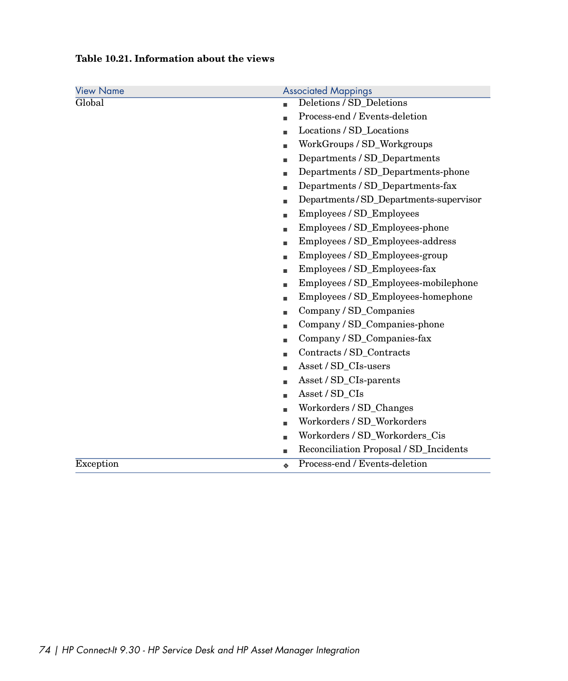| <b>View Name</b> | <b>Associated Mappings</b>                        |
|------------------|---------------------------------------------------|
| Global           | Deletions / SD_Deletions                          |
|                  | Process-end / Events-deletion                     |
|                  | Locations / SD_Locations                          |
|                  | WorkGroups / SD_Workgroups<br>٠                   |
|                  | Departments / SD_Departments<br>٠                 |
|                  | Departments / SD_Departments-phone<br>н           |
|                  | Departments / SD_Departments-fax<br>٠             |
|                  | Departments/SD_Departments-supervisor<br>٠        |
|                  | Employees / SD_Employees                          |
|                  | Employees / SD_Employees-phone                    |
|                  | Employees / SD_Employees-address                  |
|                  | Employees / SD_Employees-group<br>н               |
|                  | Employees / SD_Employees-fax<br>п                 |
|                  | Employees / SD_Employees-mobilephone              |
|                  | Employees / SD_Employees-homephone<br>н           |
|                  | Company / SD_Companies                            |
|                  | Company / SD_Companies-phone                      |
|                  | Company / SD_Companies-fax<br>н                   |
|                  | Contracts / SD_Contracts                          |
|                  | Asset / SD_CIs-users                              |
|                  | Asset / SD_CIs-parents                            |
|                  | Asset / SD_CIs<br>٠                               |
|                  | Workorders / SD_Changes                           |
|                  | Workorders / SD_Workorders<br>н                   |
|                  | Workorders / SD_Workorders_Cis                    |
|                  | Reconciliation Proposal / SD_Incidents<br>٠       |
| Exception        | Process-end / Events-deletion<br>$\ddot{\bullet}$ |

# **Table 10.21. Information about the views**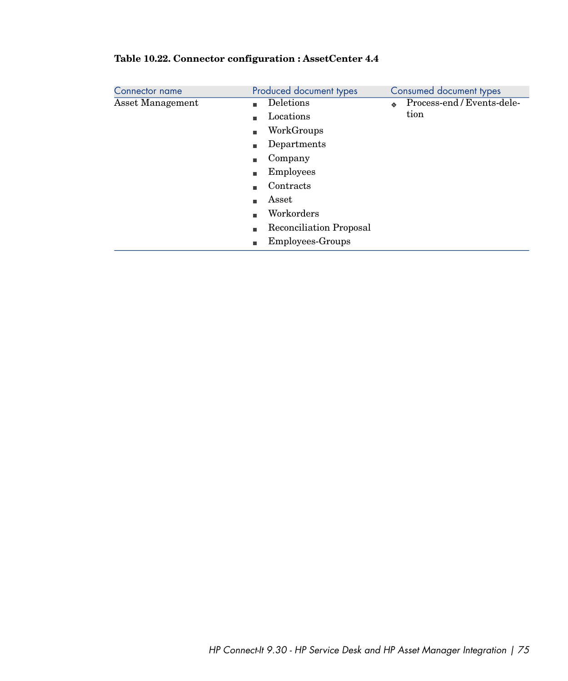| Connector name          | Produced document types      | Consumed document types         |
|-------------------------|------------------------------|---------------------------------|
| <b>Asset Management</b> | Deletions<br>٠               | Process-end / Events-dele-<br>۰ |
|                         | Locations<br>٠               | tion                            |
|                         | WorkGroups<br>٠              |                                 |
|                         | Departments<br>٠             |                                 |
|                         | Company<br>٠                 |                                 |
|                         | Employees<br>٠               |                                 |
|                         | Contracts<br>٠               |                                 |
|                         | Asset<br>٠                   |                                 |
|                         | Workorders<br>۰              |                                 |
|                         | Reconciliation Proposal<br>٠ |                                 |
|                         | Employees-Groups             |                                 |

# **Table 10.22. Connector configuration : AssetCenter 4.4**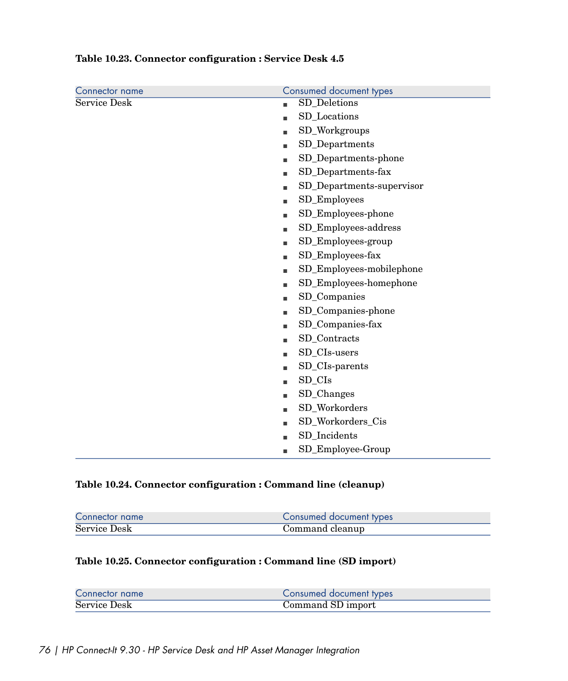| Connector name | Consumed document types        |
|----------------|--------------------------------|
| Service Desk   | <b>SD_Deletions</b><br>٠       |
|                | SD_Locations<br>٠              |
|                | SD_Workgroups<br>٠             |
|                | SD_Departments<br>٠            |
|                | SD_Departments-phone<br>٠      |
|                | SD_Departments-fax             |
|                | SD_Departments-supervisor      |
|                | SD_Employees<br>٠              |
|                | SD_Employees-phone<br>٠        |
|                | SD_Employees-address<br>٠      |
|                | SD_Employees-group             |
|                | SD_Employees-fax<br>٠          |
|                | SD_Employees-mobilephone<br>×. |
|                | SD_Employees-homephone<br>٠    |
|                | SD_Companies<br>٠              |
|                | SD_Companies-phone             |
|                | SD_Companies-fax<br>۰.         |
|                | SD_Contracts<br>٠              |
|                | SD_CIs-users<br>٠              |
|                | SD_CIs-parents                 |
|                | SD CIs<br>٠                    |
|                | SD_Changes<br>۰.               |
|                | SD_Workorders<br>٠             |
|                | SD_Workorders_Cis<br>٠         |
|                | SD_Incidents                   |
|                | SD_Employee-Group              |

# **Table 10.23. Connector configuration : Service Desk 4.5**

# **Table 10.24. Connector configuration : Command line (cleanup)**

| Connector name      | Consumed document types |
|---------------------|-------------------------|
| <b>Service Desk</b> | Command cleanup         |

# **Table 10.25. Connector configuration : Command line (SD import)**

| Connector name      | Consumed document types |
|---------------------|-------------------------|
| <b>Service Desk</b> | Command SD import       |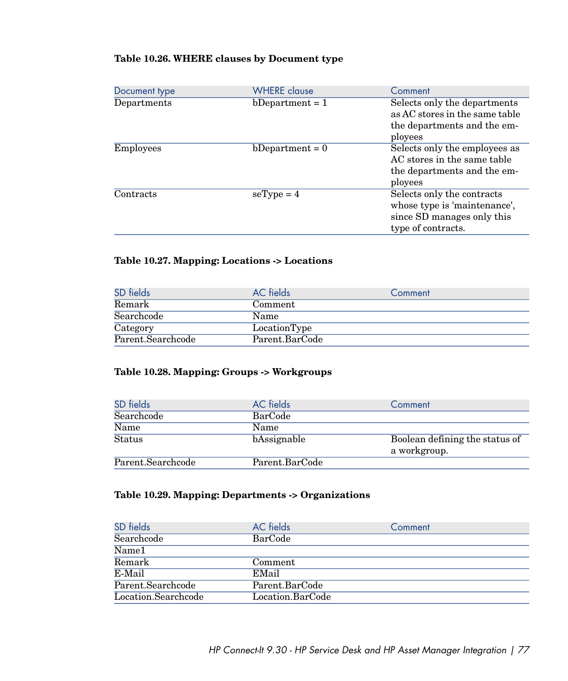# **Table 10.26. WHERE clauses by Document type**

| Document type    | <b>WHERE</b> clause | Comment                        |
|------------------|---------------------|--------------------------------|
| Departments      | $bDepartment = 1$   | Selects only the departments   |
|                  |                     | as AC stores in the same table |
|                  |                     | the departments and the em-    |
|                  |                     | ployees                        |
| <b>Employees</b> | $bDepartment = 0$   | Selects only the employees as  |
|                  |                     | AC stores in the same table    |
|                  |                     | the departments and the em-    |
|                  |                     | ployees                        |
| Contracts        | $seType = 4$        | Selects only the contracts     |
|                  |                     | whose type is 'maintenance',   |
|                  |                     | since SD manages only this     |
|                  |                     | type of contracts.             |

#### **Table 10.27. Mapping: Locations -> Locations**

| SD fields         | AC fields      | Comment |
|-------------------|----------------|---------|
| Remark            | Comment        |         |
| Searchcode        | Name           |         |
| Category          | LocationType   |         |
| Parent.Searchcode | Parent.BarCode |         |

#### **Table 10.28. Mapping: Groups -> Workgroups**

| SD fields         | AC fields      | Comment                                        |
|-------------------|----------------|------------------------------------------------|
| Searchcode        | BarCode        |                                                |
| Name              | Name           |                                                |
| Status            | bAssignable    | Boolean defining the status of<br>a workgroup. |
| Parent.Searchcode | Parent.BarCode |                                                |

# **Table 10.29. Mapping: Departments -> Organizations**

| SD fields           | AC fields        | Comment |
|---------------------|------------------|---------|
| Searchcode          | <b>BarCode</b>   |         |
| Name1               |                  |         |
| Remark              | Comment          |         |
| E-Mail              | EMail            |         |
| Parent.Searchcode   | Parent.BarCode   |         |
| Location.Searchcode | Location.BarCode |         |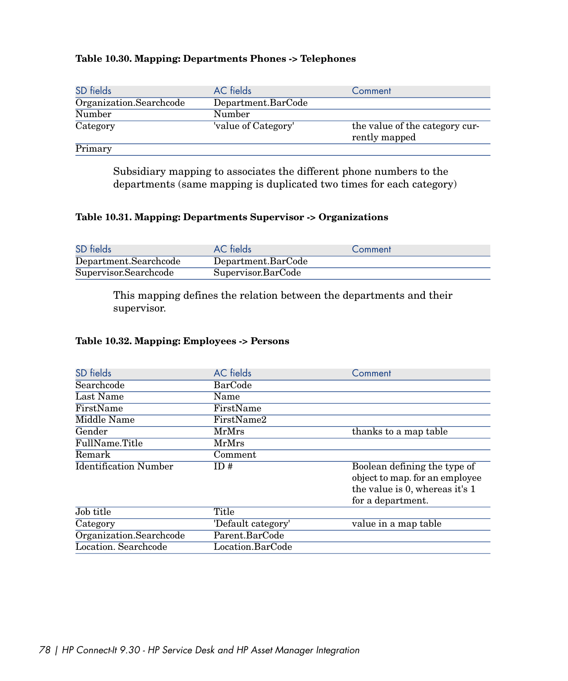#### **Table 10.30. Mapping: Departments Phones -> Telephones**

| SD fields               | AC fields           | Comment                                         |
|-------------------------|---------------------|-------------------------------------------------|
| Organization.Searchcode | Department.BarCode  |                                                 |
| Number                  | Number              |                                                 |
| Category                | 'value of Category' | the value of the category cur-<br>rently mapped |
| $\sim$ $\cdot$          |                     |                                                 |

Primary

Subsidiary mapping to associates the different phone numbers to the departments (same mapping is duplicated two times for each category)

#### **Table 10.31. Mapping: Departments Supervisor -> Organizations**

| SD fields             | AC fields          | Comment |
|-----------------------|--------------------|---------|
| Department.Searchcode | Department.BarCode |         |
| Supervisor.Searchcode | Supervisor.BarCode |         |

This mapping defines the relation between the departments and their supervisor.

#### **Table 10.32. Mapping: Employees -> Persons**

| SD fields                    | <b>AC</b> fields   | Comment                                                                                                               |
|------------------------------|--------------------|-----------------------------------------------------------------------------------------------------------------------|
| Searchcode                   | BarCode            |                                                                                                                       |
| Last Name                    | Name               |                                                                                                                       |
| FirstName                    | FirstName          |                                                                                                                       |
| Middle Name                  | FirstName2         |                                                                                                                       |
| Gender                       | MrMrs              | thanks to a map table                                                                                                 |
| FullName.Title               | MrMrs              |                                                                                                                       |
| Remark                       | Comment            |                                                                                                                       |
| <b>Identification Number</b> | ID#                | Boolean defining the type of<br>object to map. for an employee<br>the value is 0, whereas it's 1<br>for a department. |
| Job title                    | Title              |                                                                                                                       |
| Category                     | 'Default category' | value in a map table                                                                                                  |
| Organization.Searchcode      | Parent.BarCode     |                                                                                                                       |
| Location. Searchcode         | Location.BarCode   |                                                                                                                       |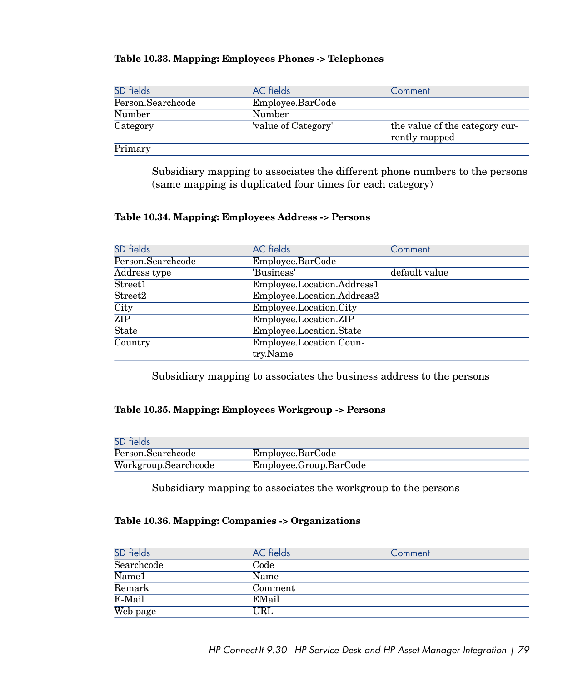#### **Table 10.33. Mapping: Employees Phones -> Telephones**

| SD fields                             | AC fields           | Comment                                         |
|---------------------------------------|---------------------|-------------------------------------------------|
| Person.Searchcode                     | Employee.BarCode    |                                                 |
| Number                                | Number              |                                                 |
| Category                              | 'value of Category' | the value of the category cur-<br>rently mapped |
| $\mathbf{n}$ . The state $\mathbf{n}$ |                     |                                                 |

Primary

Subsidiary mapping to associates the different phone numbers to the persons (same mapping is duplicated four times for each category)

#### **Table 10.34. Mapping: Employees Address -> Persons**

| SD fields                  | <b>AC</b> fields           | Comment       |
|----------------------------|----------------------------|---------------|
| Person.Searchcode          | Employee.BarCode           |               |
| Address type               | 'Business'                 | default value |
| Street1                    | Employee.Location.Address1 |               |
| Street <sub>2</sub>        | Employee.Location.Address2 |               |
| $\overline{\mathrm{City}}$ | Employee.Location.City     |               |
| <b>ZIP</b>                 | Employee.Location.ZIP      |               |
| <b>State</b>               | Employee.Location.State    |               |
| Country                    | Employee.Location.Coun-    |               |
|                            | try.Name                   |               |

Subsidiary mapping to associates the business address to the persons

#### **Table 10.35. Mapping: Employees Workgroup -> Persons**

| SD fields            |                        |
|----------------------|------------------------|
| Person.Searchcode    | Employee.BarCode       |
| Workgroup.Searchcode | Employee.Group.BarCode |

Subsidiary mapping to associates the workgroup to the persons

#### **Table 10.36. Mapping: Companies -> Organizations**

| SD fields  | AC fields | Comment |
|------------|-----------|---------|
| Searchcode | Code      |         |
| Name1      | Name      |         |
| Remark     | Comment   |         |
| E-Mail     | EMail     |         |
| Web page   | URL       |         |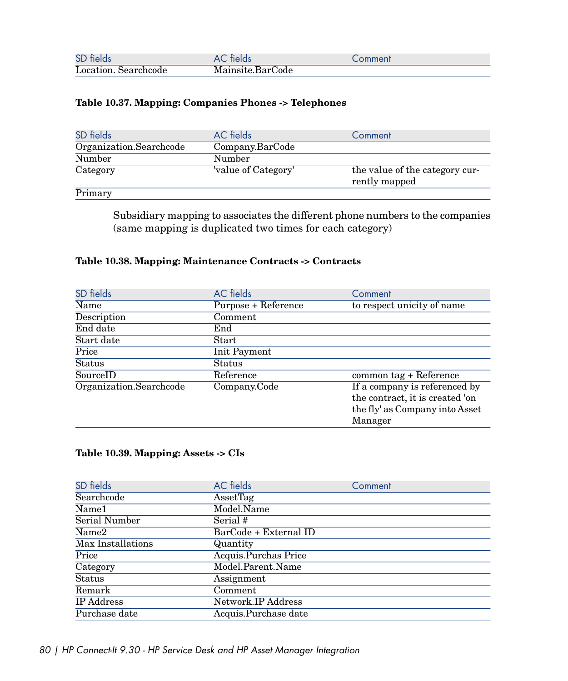| <b>SD</b> fields     | AC fields        | .omment |
|----------------------|------------------|---------|
| Location. Searchcode | Mainsite.BarCode |         |

# **Table 10.37. Mapping: Companies Phones -> Telephones**

| SD fields               | AC fields           | Comment                                         |
|-------------------------|---------------------|-------------------------------------------------|
| Organization.Searchcode | Company, BarCode    |                                                 |
| Number                  | Number              |                                                 |
| Category                | 'value of Category' | the value of the category cur-<br>rently mapped |
| Primary                 |                     |                                                 |

Subsidiary mapping to associates the different phone numbers to the companies (same mapping is duplicated two times for each category)

#### **Table 10.38. Mapping: Maintenance Contracts -> Contracts**

| SD fields               | <b>AC</b> fields     | Comment                         |
|-------------------------|----------------------|---------------------------------|
| Name                    | Purpose + Reference  | to respect unicity of name      |
| Description             | Comment              |                                 |
| End date                | $\operatorname{End}$ |                                 |
| Start date              | Start                |                                 |
| Price                   | Init Payment         |                                 |
| <b>Status</b>           | <b>Status</b>        |                                 |
| SourceID                | Reference            | common tag + Reference          |
| Organization.Searchcode | Company.Code         | If a company is referenced by   |
|                         |                      | the contract, it is created 'on |
|                         |                      | the fly' as Company into Asset  |
|                         |                      | Manager                         |

#### **Table 10.39. Mapping: Assets -> CIs**

| SD fields         | <b>AC</b> fields      | Comment |
|-------------------|-----------------------|---------|
| Searchcode        | AssetTag              |         |
| Name1             | Model.Name            |         |
| Serial Number     | Serial #              |         |
| Name2             | BarCode + External ID |         |
| Max Installations | Quantity              |         |
| Price             | Acquis.Purchas Price  |         |
| Category          | Model.Parent.Name     |         |
| <b>Status</b>     | Assignment            |         |
| Remark            | Comment               |         |
| <b>IP</b> Address | Network.IP Address    |         |
| Purchase date     | Acquis.Purchase date  |         |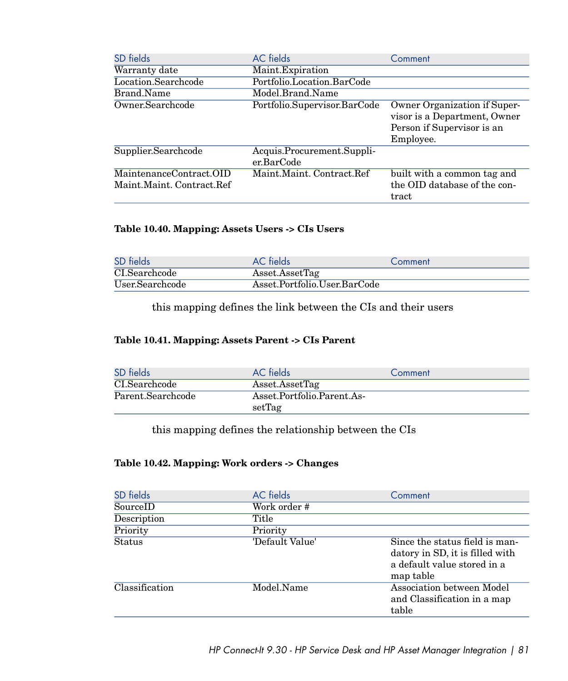| SD fields                                            | <b>AC</b> fields                         | Comment                                                                                                 |
|------------------------------------------------------|------------------------------------------|---------------------------------------------------------------------------------------------------------|
| Warranty date                                        | Maint.Expiration                         |                                                                                                         |
| Location.Searchcode                                  | Portfolio.Location.BarCode               |                                                                                                         |
| Brand.Name                                           | Model.Brand.Name                         |                                                                                                         |
| Owner.Searchcode                                     | Portfolio.Supervisor.BarCode             | Owner Organization if Super-<br>visor is a Department, Owner<br>Person if Supervisor is an<br>Employee. |
| Supplier.Searchcode                                  | Acquis.Procurement.Suppli-<br>er.BarCode |                                                                                                         |
| MaintenanceContract.OID<br>Maint.Maint. Contract.Ref | Maint.Maint.Contract.Ref                 | built with a common tag and<br>the OID database of the con-<br>tract                                    |

# **Table 10.40. Mapping: Assets Users -> CIs Users**

| <b>SD</b> fields | <b>AC</b> fields             | Comment |
|------------------|------------------------------|---------|
| CI.Searchcode    | Asset.AssetTag               |         |
| User.Searchcode  | Asset.Portfolio.User.BarCode |         |

this mapping defines the link between the CIs and their users

# **Table 10.41. Mapping: Assets Parent -> CIs Parent**

| SD fields         | AC fields                  | Comment |
|-------------------|----------------------------|---------|
| CI.Searchcode     | Asset.AssetTag             |         |
| Parent.Searchcode | Asset.Portfolio.Parent.As- |         |
|                   | setTag                     |         |

this mapping defines the relationship between the CIs

#### **Table 10.42. Mapping: Work orders -> Changes**

| SD fields      | <b>AC</b> fields | Comment                                                                                                       |
|----------------|------------------|---------------------------------------------------------------------------------------------------------------|
| SourceID       | Work order #     |                                                                                                               |
| Description    | Title            |                                                                                                               |
| Priority       | Priority         |                                                                                                               |
| <b>Status</b>  | 'Default Value'  | Since the status field is man-<br>datory in SD, it is filled with<br>a default value stored in a<br>map table |
| Classification | Model.Name       | Association between Model<br>and Classification in a map<br>table                                             |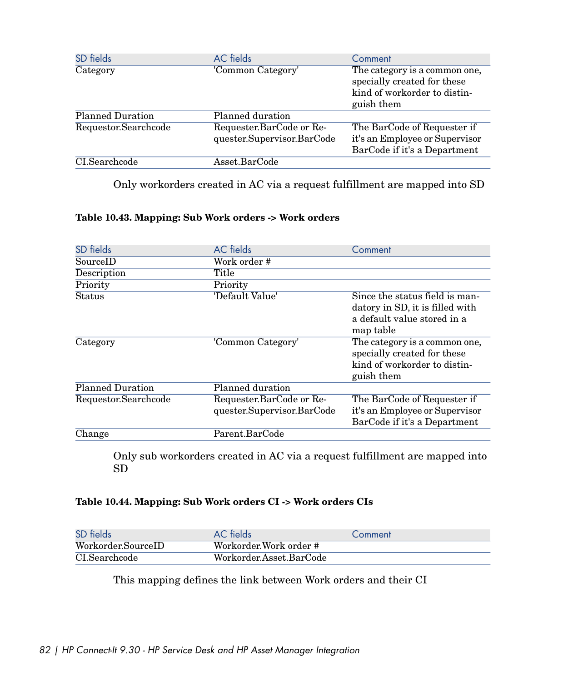| SD fields               | AC fields                                              | Comment                                                                                                    |
|-------------------------|--------------------------------------------------------|------------------------------------------------------------------------------------------------------------|
| Category                | 'Common Category'                                      | The category is a common one,<br>specially created for these<br>kind of workorder to distin-<br>guish them |
| <b>Planned Duration</b> | Planned duration                                       |                                                                                                            |
| Requestor.Searchcode    | Requester.BarCode or Re-<br>quester.Supervisor.BarCode | The BarCode of Requester if<br>it's an Employee or Supervisor<br>BarCode if it's a Department              |
| CI.Searchcode           | Asset.BarCode                                          |                                                                                                            |

Only workorders created in AC via a request fulfillment are mapped into SD

# **Table 10.43. Mapping: Sub Work orders -> Work orders**

| SD fields               | <b>AC</b> fields                                       | Comment                                                                                                       |
|-------------------------|--------------------------------------------------------|---------------------------------------------------------------------------------------------------------------|
| SourceID                | Work order #                                           |                                                                                                               |
| Description             | Title                                                  |                                                                                                               |
| Priority                | Priority                                               |                                                                                                               |
| <b>Status</b>           | 'Default Value'                                        | Since the status field is man-<br>datory in SD, it is filled with<br>a default value stored in a<br>map table |
| Category                | 'Common Category'                                      | The category is a common one,<br>specially created for these<br>kind of workorder to distin-<br>guish them    |
| <b>Planned Duration</b> | Planned duration                                       |                                                                                                               |
| Requestor.Searchcode    | Requester.BarCode or Re-<br>quester.Supervisor.BarCode | The BarCode of Requester if<br>it's an Employee or Supervisor<br>BarCode if it's a Department                 |
| Change                  | Parent.BarCode                                         |                                                                                                               |

Only sub workorders created in AC via a request fulfillment are mapped into SD

#### **Table 10.44. Mapping: Sub Work orders CI -> Work orders CIs**

| SD fields          | AC tields               | Comment |
|--------------------|-------------------------|---------|
| Workorder.SourceID | Workorder.Work order #  |         |
| CI.Searchcode      | Workorder.Asset.BarCode |         |

This mapping defines the link between Work orders and their CI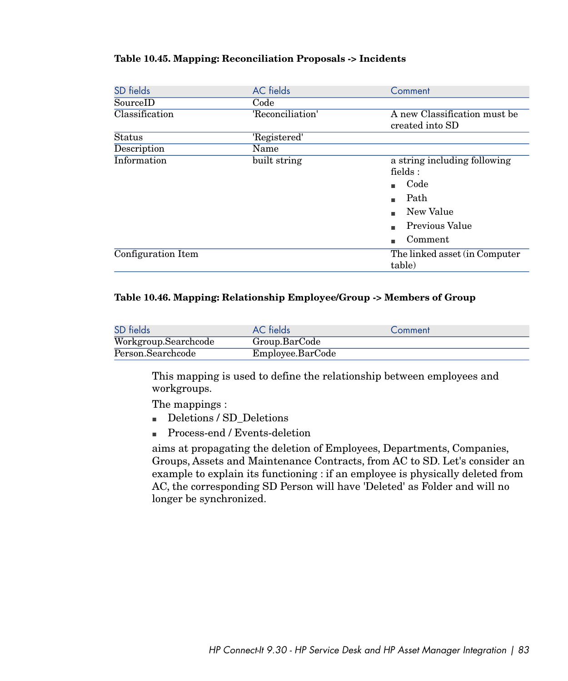#### **Table 10.45. Mapping: Reconciliation Proposals -> Incidents**

| SD fields          | <b>AC</b> fields | Comment                                                                                           |
|--------------------|------------------|---------------------------------------------------------------------------------------------------|
| SourceID           | Code             |                                                                                                   |
| Classification     | 'Reconciliation' | A new Classification must be<br>created into SD                                                   |
| <b>Status</b>      | 'Registered'     |                                                                                                   |
| Description        | Name             |                                                                                                   |
| Information        | built string     | a string including following<br>fields:<br>Code<br>Path<br>New Value<br>Previous Value<br>Comment |
| Configuration Item |                  | The linked asset (in Computer<br>table)                                                           |

#### **Table 10.46. Mapping: Relationship Employee/Group -> Members of Group**

| SD fields            | AC fields        | Comment |
|----------------------|------------------|---------|
| Workgroup.Searchcode | Group.BarCode    |         |
| Person.Searchcode    | Employee.BarCode |         |

This mapping is used to define the relationship between employees and workgroups.

The mappings :

- n Deletions / SD\_Deletions
- Process-end / Events-deletion

aims at propagating the deletion of Employees, Departments, Companies, Groups, Assets and Maintenance Contracts, from AC to SD. Let's consider an example to explain its functioning : if an employee is physically deleted from AC, the corresponding SD Person will have 'Deleted' as Folder and will no longer be synchronized.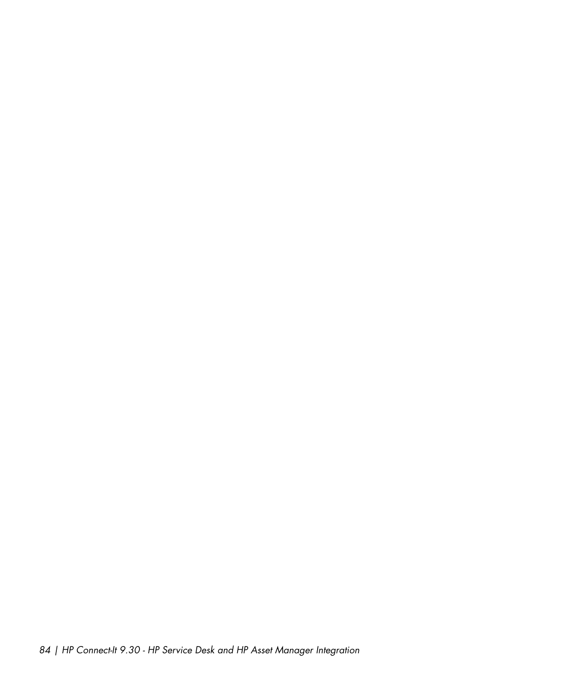*84 | HP Connect-It 9.30 - HP Service Desk and HP Asset Manager Integration*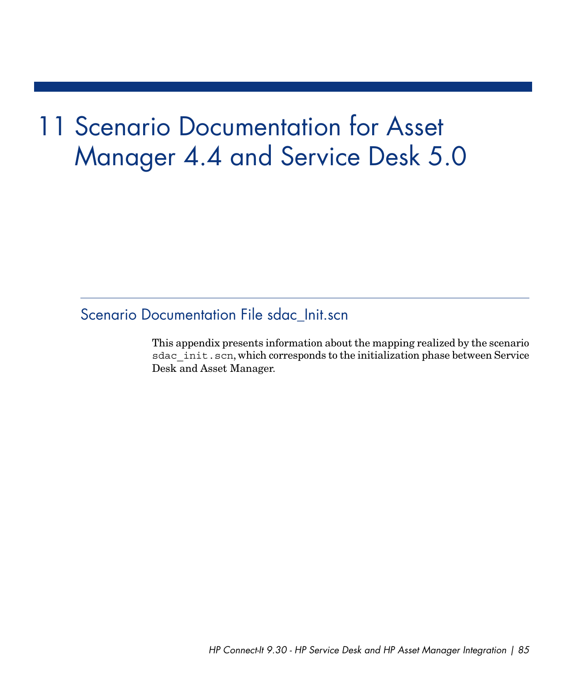# 11 Scenario Documentation for Asset Manager 4.4 and Service Desk 5.0

# Scenario Documentation File sdac\_Init.scn

This appendix presents information about the mapping realized by the scenario sdac init.scn, which corresponds to the initialization phase between Service Desk and Asset Manager.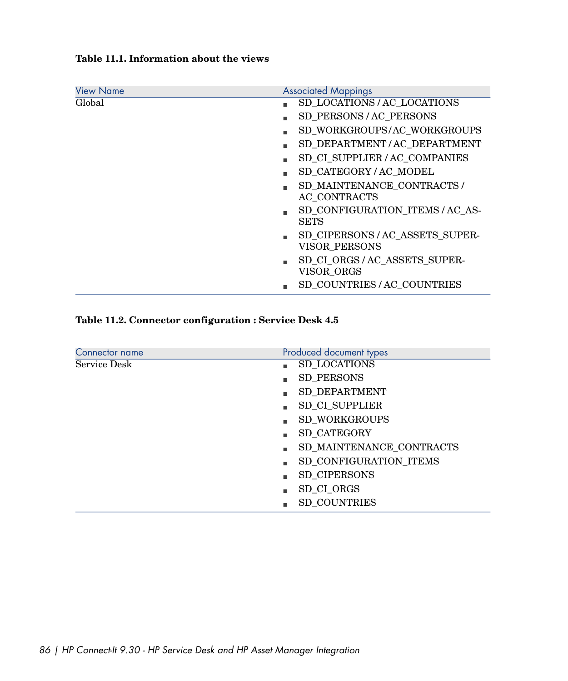| <b>View Name</b> | <b>Associated Mappings</b>                     |
|------------------|------------------------------------------------|
| Global           | SD LOCATIONS / AC LOCATIONS                    |
|                  | SD PERSONS/AC PERSONS                          |
|                  | SD WORKGROUPS/AC WORKGROUPS                    |
|                  | SD DEPARTMENT/AC DEPARTMENT                    |
|                  | SD CI SUPPLIER/AC COMPANIES                    |
|                  | SD CATEGORY/AC MODEL                           |
|                  | SD MAINTENANCE CONTRACTS/<br>AC CONTRACTS      |
|                  | SD CONFIGURATION ITEMS/AC AS-<br><b>SETS</b>   |
|                  | SD CIPERSONS/AC ASSETS SUPER-<br>VISOR PERSONS |
|                  | SD CI ORGS/AC ASSETS SUPER-<br>VISOR ORGS      |
|                  | SD COUNTRIES/AC COUNTRIES                      |

# **Table 11.1. Information about the views**

# **Table 11.2. Connector configuration : Service Desk 4.5**

| Connector name | Produced document types  |
|----------------|--------------------------|
| Service Desk   | SD LOCATIONS             |
|                | <b>SD_PERSONS</b>        |
|                | <b>SD DEPARTMENT</b>     |
|                | <b>SD CI SUPPLIER</b>    |
|                | <b>SD_WORKGROUPS</b>     |
|                | SD_CATEGORY              |
|                | SD MAINTENANCE CONTRACTS |
|                | SD CONFIGURATION ITEMS   |
|                | SD_CIPERSONS             |
|                | SD CI ORGS               |
|                | <b>SD COUNTRIES</b>      |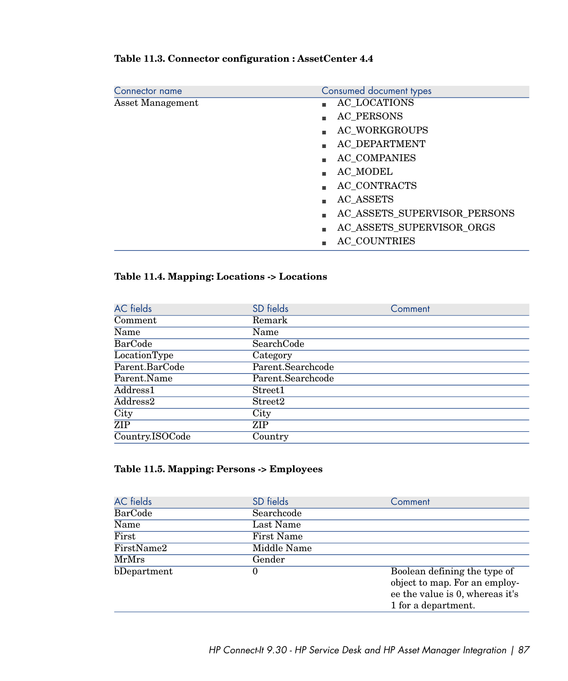| Connector name          | Consumed document types      |
|-------------------------|------------------------------|
| <b>Asset Management</b> | <b>AC LOCATIONS</b>          |
|                         | <b>AC_PERSONS</b>            |
|                         | AC WORKGROUPS                |
|                         | AC DEPARTMENT                |
|                         | <b>AC COMPANIES</b>          |
|                         | AC MODEL                     |
|                         | AC CONTRACTS                 |
|                         | <b>AC ASSETS</b>             |
|                         | AC ASSETS SUPERVISOR PERSONS |
|                         | AC ASSETS SUPERVISOR ORGS    |
|                         | AC COUNTRIES                 |

# **Table 11.3. Connector configuration : AssetCenter 4.4**

# **Table 11.4. Mapping: Locations -> Locations**

| <b>AC</b> fields | SD fields           | Comment |
|------------------|---------------------|---------|
| Comment          | Remark              |         |
| Name             | Name                |         |
| <b>BarCode</b>   | SearchCode          |         |
| LocationType     | Category            |         |
| Parent.BarCode   | Parent.Searchcode   |         |
| Parent.Name      | Parent.Searchcode   |         |
| Address1         | Street1             |         |
| Address2         | Street <sub>2</sub> |         |
| City             | City                |         |
| <b>ZIP</b>       | ZIP                 |         |
| Country.ISOCode  | Country             |         |

# **Table 11.5. Mapping: Persons -> Employees**

| <b>AC</b> fields | SD fields         | Comment                                                                                                                 |
|------------------|-------------------|-------------------------------------------------------------------------------------------------------------------------|
| <b>BarCode</b>   | Searchcode        |                                                                                                                         |
| Name             | Last Name         |                                                                                                                         |
| First            | <b>First Name</b> |                                                                                                                         |
| FirstName2       | Middle Name       |                                                                                                                         |
| MrMrs            | Gender            |                                                                                                                         |
| bDepartment      | 0                 | Boolean defining the type of<br>object to map. For an employ-<br>ee the value is 0, whereas it's<br>1 for a department. |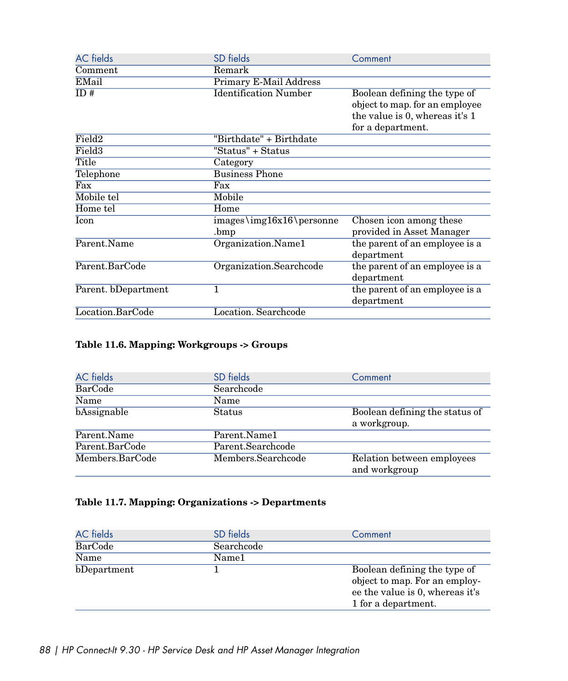| <b>AC</b> fields    | SD fields                    | Comment                        |
|---------------------|------------------------------|--------------------------------|
| Comment             | Remark                       |                                |
| EMail               | Primary E-Mail Address       |                                |
| ID#                 | <b>Identification Number</b> | Boolean defining the type of   |
|                     |                              | object to map. for an employee |
|                     |                              | the value is 0, whereas it's 1 |
|                     |                              | for a department.              |
| Field <sub>2</sub>  | "Birthdate" + Birthdate      |                                |
| Field <sub>3</sub>  | "Status" + Status            |                                |
| Title               | Category                     |                                |
| Telephone           | Business Phone               |                                |
| Fax                 | Fax                          |                                |
| Mobile tel          | Mobile                       |                                |
| Home tel            | Home                         |                                |
| Icon                | $images\img16x16\perp$       | Chosen icon among these        |
|                     | .bmp                         | provided in Asset Manager      |
| Parent.Name         | Organization.Name1           | the parent of an employee is a |
|                     |                              | department                     |
| Parent.BarCode      | Organization.Searchcode      | the parent of an employee is a |
|                     |                              | department                     |
| Parent. bDepartment | $\mathbf{1}$                 | the parent of an employee is a |
|                     |                              | department                     |
| Location.BarCode    | Location. Searchcode         |                                |

# **Table 11.6. Mapping: Workgroups -> Groups**

| <b>AC</b> fields | SD fields          | Comment                                        |
|------------------|--------------------|------------------------------------------------|
| BarCode          | Searchcode         |                                                |
| Name             | Name               |                                                |
| bAssignable      | Status             | Boolean defining the status of<br>a workgroup. |
| Parent.Name      | Parent.Name1       |                                                |
| Parent.BarCode   | Parent.Searchcode  |                                                |
| Members.BarCode  | Members.Searchcode | Relation between employees<br>and workgroup    |

# **Table 11.7. Mapping: Organizations -> Departments**

| AC fields   | SD fields  | Comment                                                                                                                 |
|-------------|------------|-------------------------------------------------------------------------------------------------------------------------|
| BarCode     | Searchcode |                                                                                                                         |
| Name        | Name1      |                                                                                                                         |
| bDepartment |            | Boolean defining the type of<br>object to map. For an employ-<br>ee the value is 0, whereas it's<br>1 for a department. |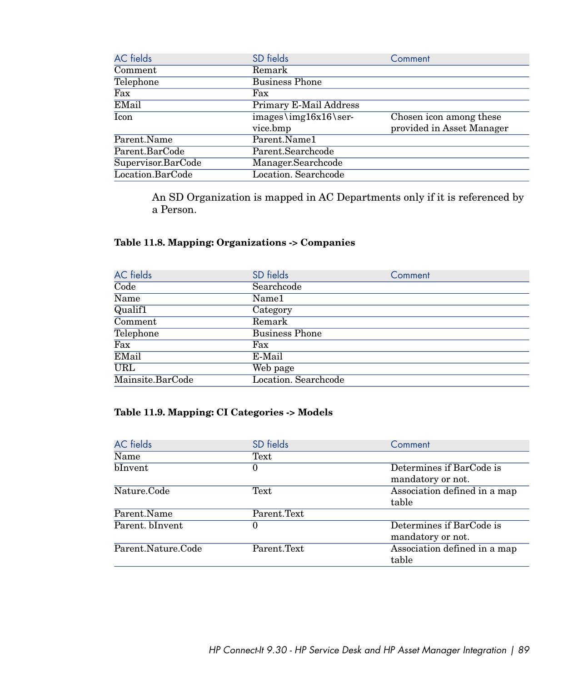| <b>AC</b> fields   | SD fields              | Comment                   |
|--------------------|------------------------|---------------------------|
| Comment            | Remark                 |                           |
| Telephone          | <b>Business Phone</b>  |                           |
| Fax                | Fax                    |                           |
| EMail              | Primary E-Mail Address |                           |
| Icon               | $images\img16x16\ser-$ | Chosen icon among these   |
|                    | vice.bmp               | provided in Asset Manager |
| Parent.Name        | Parent.Name1           |                           |
| Parent.BarCode     | Parent.Searchcode      |                           |
| Supervisor.BarCode | Manager.Searchcode     |                           |
| Location.BarCode   | Location. Searchcode   |                           |

An SD Organization is mapped in AC Departments only if it is referenced by a Person.

# **Table 11.8. Mapping: Organizations -> Companies**

| <b>AC</b> fields | SD fields             | Comment |
|------------------|-----------------------|---------|
| Code             | Searchcode            |         |
| Name             | Name1                 |         |
| <b>Qualif1</b>   | Category              |         |
| Comment          | Remark                |         |
| Telephone        | <b>Business Phone</b> |         |
| Fax              | Fax                   |         |
| EMail            | E-Mail                |         |
| URL              | Web page              |         |
| Mainsite.BarCode | Location. Searchcode  |         |

#### **Table 11.9. Mapping: CI Categories -> Models**

| <b>AC</b> fields   | SD fields   | Comment                      |
|--------------------|-------------|------------------------------|
| Name               | Text        |                              |
| bInvent            | 0           | Determines if BarCode is     |
|                    |             | mandatory or not.            |
| Nature.Code        | Text        | Association defined in a map |
|                    |             | table                        |
| Parent.Name        | Parent.Text |                              |
| Parent, bInvent    | 0           | Determines if BarCode is     |
|                    |             | mandatory or not.            |
| Parent.Nature.Code | Parent.Text | Association defined in a map |
|                    |             | table                        |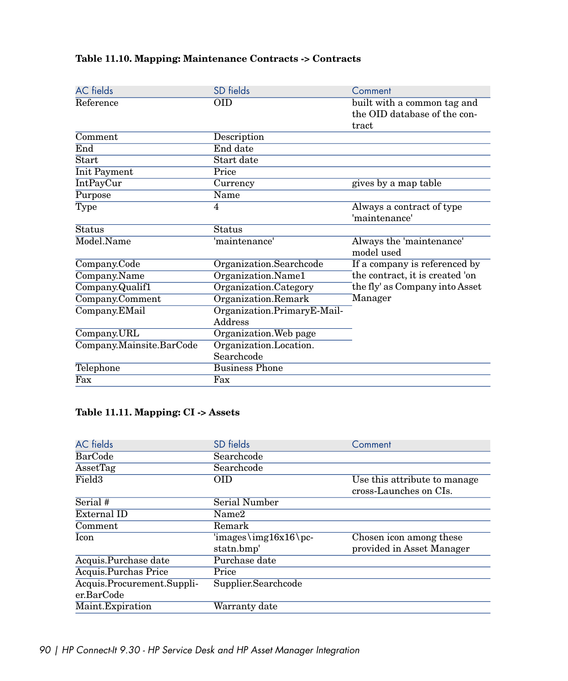| <b>AC</b> fields         | SD fields                              | Comment                                                              |
|--------------------------|----------------------------------------|----------------------------------------------------------------------|
| Reference                | OID                                    | built with a common tag and<br>the OID database of the con-<br>tract |
| Comment                  | Description                            |                                                                      |
| End                      | End date                               |                                                                      |
| Start                    | Start date                             |                                                                      |
| Init Payment             | Price                                  |                                                                      |
| <b>IntPayCur</b>         | Currency                               | gives by a map table                                                 |
| Purpose                  | Name                                   |                                                                      |
| Type                     | $\overline{4}$                         | Always a contract of type<br>'maintenance'                           |
| <b>Status</b>            | <b>Status</b>                          |                                                                      |
| Model.Name               | 'maintenance'                          | Always the 'maintenance'<br>model used                               |
| Company.Code             | Organization.Searchcode                | If a company is referenced by                                        |
| Company.Name             | Organization.Name1                     | the contract, it is created 'on                                      |
| Company.Qualif1          | Organization.Category                  | the fly' as Company into Asset                                       |
| Company.Comment          | Organization.Remark                    | Manager                                                              |
| Company.EMail            | Organization.PrimaryE-Mail-<br>Address |                                                                      |
| Company.URL              | Organization. Web page                 |                                                                      |
| Company.Mainsite.BarCode | Organization.Location.<br>Searchcode   |                                                                      |
| Telephone                | <b>Business Phone</b>                  |                                                                      |
| Fax                      | Fax                                    |                                                                      |

# **Table 11.10. Mapping: Maintenance Contracts -> Contracts**

# **Table 11.11. Mapping: CI -> Assets**

| <b>AC</b> fields             | SD fields                                                       | Comment                                                 |
|------------------------------|-----------------------------------------------------------------|---------------------------------------------------------|
| BarCode                      | Searchcode                                                      |                                                         |
| AssetTag                     | Searchcode                                                      |                                                         |
| Field <sub>3</sub>           | OID                                                             | Use this attribute to manage.<br>cross-Launches on CIs. |
| $\overline{\text{Serial}\#}$ | Serial Number                                                   |                                                         |
| External ID                  | Name2                                                           |                                                         |
| Comment                      | Remark                                                          |                                                         |
| <b>Icon</b>                  | $\overline{\text{images}\rightarrow\text{16x16}}$<br>statn.bmp' | Chosen icon among these<br>provided in Asset Manager    |
| Acquis.Purchase date         | Purchase date                                                   |                                                         |
| Acquis.Purchas Price         | Price                                                           |                                                         |
| Acquis.Procurement.Suppli-   | Supplier.Searchcode                                             |                                                         |
| er.BarCode                   |                                                                 |                                                         |
| Maint.Expiration             | Warranty date                                                   |                                                         |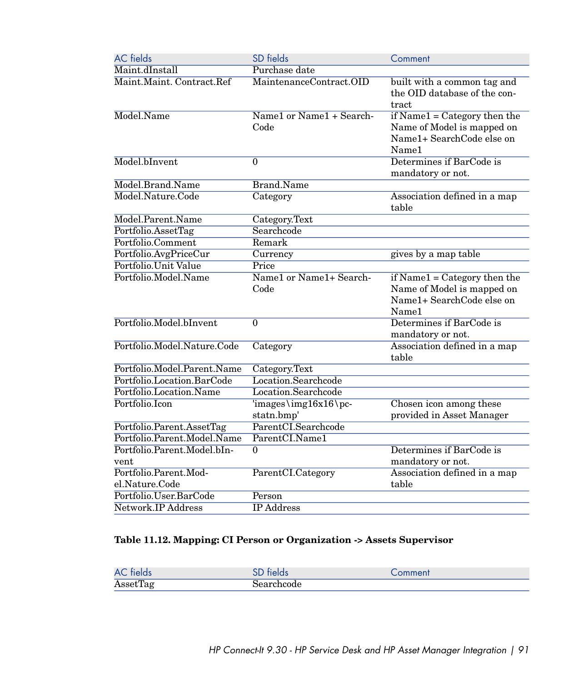| <b>AC</b> fields            | SD fields                          | Comment                                                                                                   |
|-----------------------------|------------------------------------|-----------------------------------------------------------------------------------------------------------|
| Maint.dInstall              | Purchase date                      |                                                                                                           |
| Maint.Maint. Contract.Ref   | MaintenanceContract.OID            | built with a common tag and<br>the OID database of the con-<br>tract.                                     |
| Model.Name                  | Name1 or Name1 + Search-<br>Code   | $if Name1 = \text{Category}$ then the<br>Name of Model is mapped on<br>Name1+ SearchCode else on<br>Name1 |
| Model.bInvent               | $\Omega$                           | Determines if BarCode is<br>mandatory or not.                                                             |
| Model.Brand.Name            | <b>Brand.Name</b>                  |                                                                                                           |
| Model.Nature.Code           | Category                           | Association defined in a map<br>table                                                                     |
| Model.Parent.Name           | Category.Text                      |                                                                                                           |
| Portfolio.AssetTag          | Searchcode                         |                                                                                                           |
| Portfolio.Comment           | Remark                             |                                                                                                           |
| Portfolio.AvgPriceCur       | Currency                           | gives by a map table                                                                                      |
| Portfolio.Unit Value        | Price                              |                                                                                                           |
| Portfolio.Model.Name        | Name1 or Name1+ Search-<br>Code    | $if Name1 = \text{Category}$ then the<br>Name of Model is mapped on<br>Name1+ SearchCode else on<br>Name1 |
| Portfolio.Model.bInvent     | $\theta$                           | Determines if BarCode is<br>mandatory or not.                                                             |
| Portfolio.Model.Nature.Code | Category                           | Association defined in a map<br>table                                                                     |
| Portfolio.Model.Parent.Name | Category.Text                      |                                                                                                           |
| Portfolio.Location.BarCode  | Location.Searchcode                |                                                                                                           |
| Portfolio.Location.Name     | Location.Searchcode                |                                                                                                           |
| Portfolio.Icon              | 'images\img16x16\pc-<br>statn.bmp' | Chosen icon among these<br>provided in Asset Manager                                                      |
| Portfolio.Parent.AssetTag   | ParentCI.Searchcode                |                                                                                                           |
| Portfolio.Parent.Model.Name | ParentCI.Name1                     |                                                                                                           |
| Portfolio.Parent.Model.bIn- | 0                                  | Determines if BarCode is                                                                                  |
| vent                        |                                    | mandatory or not.                                                                                         |
| Portfolio.Parent.Mod-       | ParentCI.Category                  | Association defined in a map                                                                              |
| el.Nature.Code              |                                    | table                                                                                                     |
| Portfolio.User.BarCode      | Person                             |                                                                                                           |
| Network.IP Address          | <b>IP</b> Address                  |                                                                                                           |

# **Table 11.12. Mapping: CI Person or Organization -> Assets Supervisor**

| <b>AC</b> fields | SD fields  | comment |
|------------------|------------|---------|
| AssetTag         | Searchcode |         |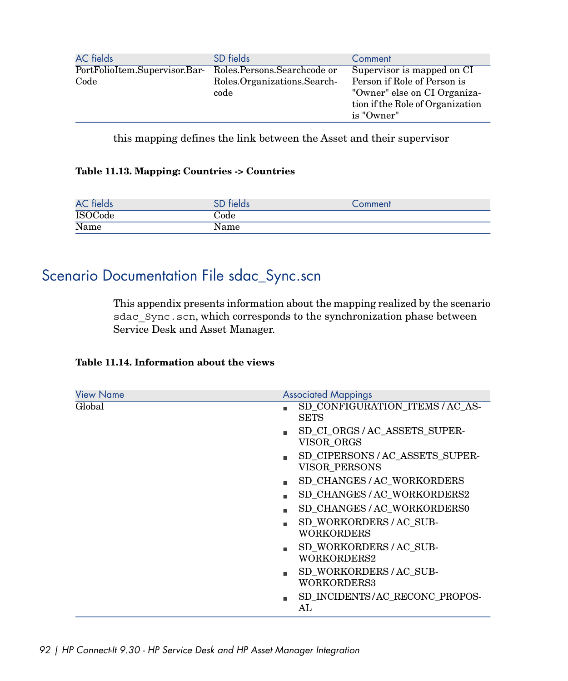| AC fields                     | SD fields                   | Comment                          |
|-------------------------------|-----------------------------|----------------------------------|
| PortFolioItem.Supervisor.Bar- | Roles.Persons.Searchcode or | Supervisor is mapped on CI       |
| Code                          | Roles.Organizations.Search- | Person if Role of Person is      |
|                               | code                        | "Owner" else on CI Organiza-     |
|                               |                             | tion if the Role of Organization |
|                               |                             | is "Owner"                       |

this mapping defines the link between the Asset and their supervisor

#### **Table 11.13. Mapping: Countries -> Countries**

| <b>AC</b> fields | SD fields     | Comment |  |
|------------------|---------------|---------|--|
| <b>ISOCode</b>   | $_{\rm Code}$ |         |  |
| Name             | Name          |         |  |

# Scenario Documentation File sdac\_Sync.scn

This appendix presents information about the mapping realized by the scenario sdac Sync.scn, which corresponds to the synchronization phase between Service Desk and Asset Manager.

#### **Table 11.14. Information about the views**

| View Name |                                                       |
|-----------|-------------------------------------------------------|
|           | <b>Associated Mappings</b>                            |
| Global    | SD CONFIGURATION ITEMS/AC AS-<br><b>SETS</b>          |
|           | SD CI ORGS/AC ASSETS SUPER-<br>VISOR ORGS             |
|           | SD CIPERSONS/AC ASSETS SUPER-<br><b>VISOR PERSONS</b> |
|           | SD CHANGES/AC WORKORDERS                              |
|           | SD CHANGES/AC WORKORDERS2                             |
|           | SD_CHANGES / AC_WORKORDERS0                           |
|           | SD WORKORDERS/AC SUB-<br><b>WORKORDERS</b>            |
|           | SD WORKORDERS/AC SUB-<br>WORKORDERS2                  |
|           | SD WORKORDERS/AC SUB-<br>WORKORDERS3                  |
|           | SD INCIDENTS/AC RECONC PROPOS-<br>AL                  |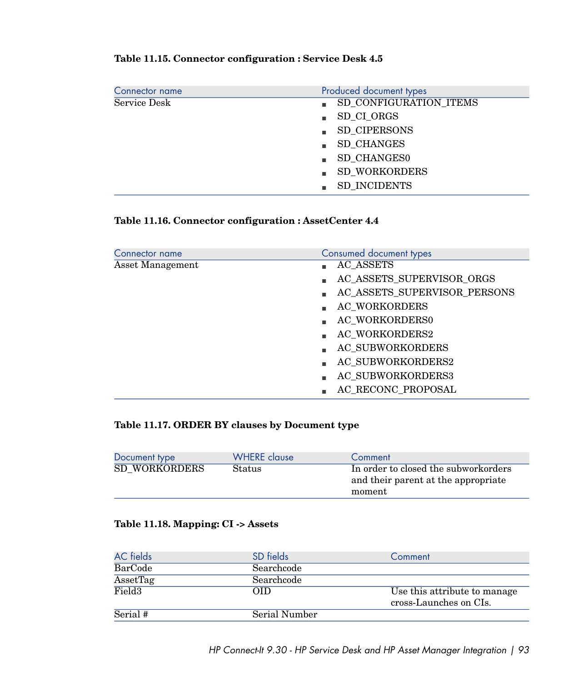|  |  | Table 11.15. Connector configuration : Service Desk 4.5 |  |  |
|--|--|---------------------------------------------------------|--|--|
|--|--|---------------------------------------------------------|--|--|

| Connector name | Produced document types       |  |
|----------------|-------------------------------|--|
| Service Desk   | <b>SD_CONFIGURATION_ITEMS</b> |  |
|                | SD_CI_ORGS                    |  |
|                | <b>SD_CIPERSONS</b>           |  |
|                | <b>SD_CHANGES</b>             |  |
|                | SD_CHANGES0                   |  |
|                | SD_WORKORDERS                 |  |
|                | <b>SD_INCIDENTS</b>           |  |
|                |                               |  |

# **Table 11.16. Connector configuration : AssetCenter 4.4**

| Connector name          | Consumed document types      |  |
|-------------------------|------------------------------|--|
| <b>Asset Management</b> | AC ASSETS                    |  |
|                         | AC ASSETS SUPERVISOR ORGS    |  |
|                         | AC_ASSETS_SUPERVISOR_PERSONS |  |
|                         | AC WORKORDERS                |  |
|                         | AC WORKORDERS0               |  |
|                         | AC WORKORDERS2               |  |
|                         | AC SUBWORKORDERS             |  |
|                         | AC SUBWORKORDERS2            |  |
|                         | AC SUBWORKORDERS3            |  |
|                         | AC RECONC PROPOSAL           |  |

# **Table 11.17. ORDER BY clauses by Document type**

| Document type | <b>WHERE</b> clause | Comment                                                                               |
|---------------|---------------------|---------------------------------------------------------------------------------------|
| SD WORKORDERS | Status              | In order to closed the subworkorders<br>and their parent at the appropriate<br>moment |

# **Table 11.18. Mapping: CI -> Assets**

| AC fields          | SD fields     | Comment                                                 |
|--------------------|---------------|---------------------------------------------------------|
| BarCode            | Searchcode    |                                                         |
| AssetTag           | Searchcode    |                                                         |
| Field <sub>3</sub> | 0ID.          | Use this attribute to manage.<br>cross-Launches on CIs. |
| Serial #           | Serial Number |                                                         |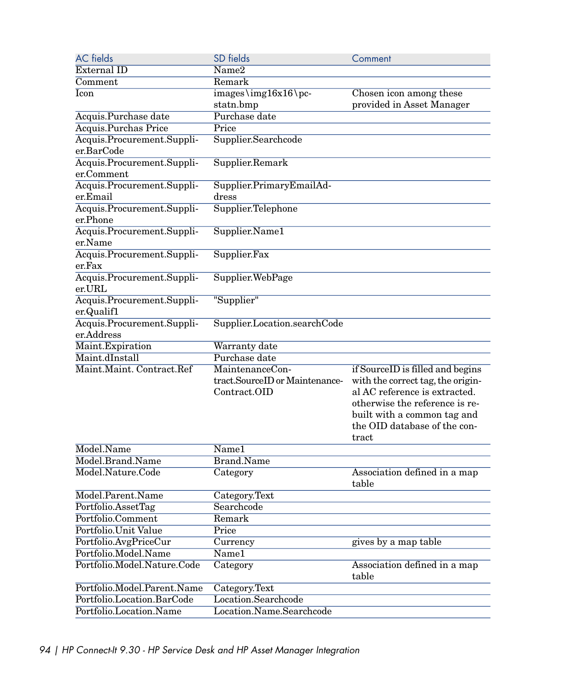| <b>AC</b> fields                         | SD fields                      | Comment                               |
|------------------------------------------|--------------------------------|---------------------------------------|
| External ID                              | Name2                          |                                       |
| Comment                                  | Remark                         |                                       |
| Icon                                     | images\img16x16\pc-            | Chosen icon among these               |
|                                          | statn.bmp                      | provided in Asset Manager             |
| Acquis.Purchase date                     | Purchase date                  |                                       |
| Acquis.Purchas Price                     | Price                          |                                       |
| Acquis.Procurement.Suppli-               | Supplier.Searchcode            |                                       |
| er.BarCode                               |                                |                                       |
| Acquis.Procurement.Suppli-               | Supplier.Remark                |                                       |
| er.Comment                               |                                |                                       |
| Acquis.Procurement.Suppli-               | Supplier.PrimaryEmailAd-       |                                       |
| er.Email                                 | $\mathrm{dress}$               |                                       |
| Acquis.Procurement.Suppli-<br>er.Phone   | Supplier.Telephone             |                                       |
| Acquis.Procurement.Suppli-               | Supplier.Name1                 |                                       |
| er.Name                                  |                                |                                       |
| Acquis.Procurement.Suppli-               | Supplier.Fax                   |                                       |
| er.Fax                                   |                                |                                       |
| Acquis.Procurement.Suppli-<br>er.URL     | Supplier. WebPage              |                                       |
| Acquis.Procurement.Suppli-               | "Supplier"                     |                                       |
| er.Qualif1                               |                                |                                       |
| Acquis.Procurement.Suppli-<br>er.Address | Supplier.Location.searchCode   |                                       |
| Maint.Expiration                         | Warranty date                  |                                       |
| Maint.dInstall                           | Purchase date                  |                                       |
| Maint.Maint.Contract.Ref                 | MaintenanceCon-                | if SourceID is filled and begins      |
|                                          | tract.SourceID or Maintenance- | with the correct tag, the origin-     |
|                                          | $\rm Contract. OID$            | al AC reference is extracted.         |
|                                          |                                | otherwise the reference is re-        |
|                                          |                                | built with a common tag and           |
|                                          |                                | the OID database of the con-          |
|                                          |                                | tract                                 |
| Model.Name                               | Name1                          |                                       |
| Model.Brand.Name                         | Brand.Name                     |                                       |
| Model.Nature.Code                        | Category                       | Association defined in a map<br>table |
| Model.Parent.Name                        | Category.Text                  |                                       |
| Portfolio.AssetTag                       | Searchcode                     |                                       |
| Portfolio.Comment                        | Remark                         |                                       |
| Portfolio.Unit Value                     | Price                          |                                       |
| Portfolio.AvgPriceCur                    | Currency                       | gives by a map table                  |
| Portfolio.Model.Name                     | Name1                          |                                       |
| Portfolio.Model.Nature.Code              | Category                       | Association defined in a map<br>table |
| Portfolio.Model.Parent.Name              | Category.Text                  |                                       |
| Portfolio.Location.BarCode               | Location.Searchcode            |                                       |
| Portfolio.Location.Name                  | Location.Name.Searchcode       |                                       |
|                                          |                                |                                       |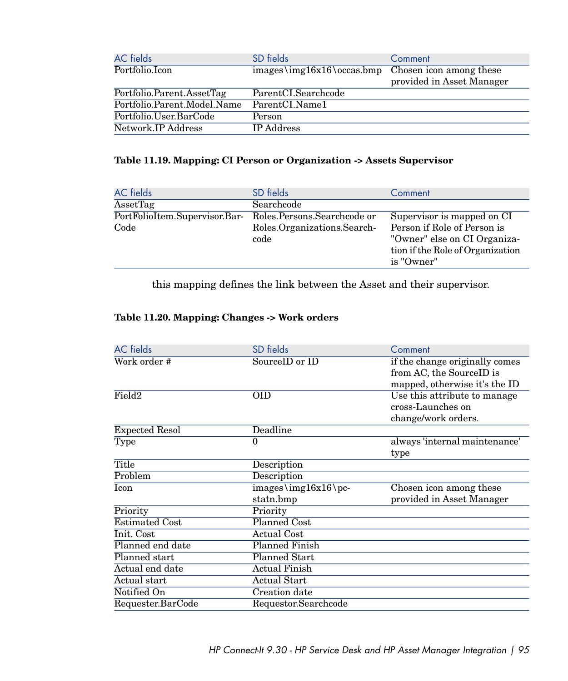| AC fields                   | SD fields                   | Comment                                              |
|-----------------------------|-----------------------------|------------------------------------------------------|
| Portfolio.Icon              | $images\img16x16\occas.bmp$ | Chosen icon among these<br>provided in Asset Manager |
| Portfolio.Parent.AssetTag   | ParentCI.Searchcode         |                                                      |
| Portfolio.Parent.Model.Name | ParentCLName1               |                                                      |
| Portfolio.User.BarCode      | Person                      |                                                      |
| Network.IP Address          | <b>IP</b> Address           |                                                      |

# **Table 11.19. Mapping: CI Person or Organization -> Assets Supervisor**

| AC fields                             | SD fields                                                          | Comment                                                                                                                       |
|---------------------------------------|--------------------------------------------------------------------|-------------------------------------------------------------------------------------------------------------------------------|
| AssetTag                              | Searchcode                                                         |                                                                                                                               |
| PortFolioItem.Supervisor.Bar-<br>Code | Roles.Persons.Searchcode or<br>Roles.Organizations.Search-<br>code | Supervisor is mapped on CI<br>Person if Role of Person is<br>"Owner" else on CI Organiza-<br>tion if the Role of Organization |
|                                       |                                                                    | is "Owner"                                                                                                                    |

this mapping defines the link between the Asset and their supervisor.

# **Table 11.20. Mapping: Changes -> Work orders**

| <b>AC</b> fields      | SD fields                              | Comment                                                                                     |
|-----------------------|----------------------------------------|---------------------------------------------------------------------------------------------|
| Work order #          | SourceID or ID                         | if the change originally comes<br>from AC, the SourceID is<br>mapped, otherwise it's the ID |
| Field <sub>2</sub>    | <b>OID</b>                             | Use this attribute to manage<br>cross-Launches on<br>change/work orders.                    |
| Expected Resol        | Deadline                               |                                                                                             |
| Type                  | $\theta$                               | always 'internal maintenance'<br>type                                                       |
| <b>Title</b>          | Description                            |                                                                                             |
| Problem               | Description                            |                                                                                             |
| Icon                  | $images\img16x16\cdot pc$<br>statn.bmp | Chosen icon among these<br>provided in Asset Manager                                        |
| Priority              | Priority                               |                                                                                             |
| <b>Estimated Cost</b> | <b>Planned Cost</b>                    |                                                                                             |
| Init. Cost            | <b>Actual Cost</b>                     |                                                                                             |
| Planned end date      | <b>Planned Finish</b>                  |                                                                                             |
| Planned start         | <b>Planned Start</b>                   |                                                                                             |
| Actual end date       | <b>Actual Finish</b>                   |                                                                                             |
| Actual start          | <b>Actual Start</b>                    |                                                                                             |
| Notified On           | Creation date                          |                                                                                             |
| Requester.BarCode     | Requestor.Searchcode                   |                                                                                             |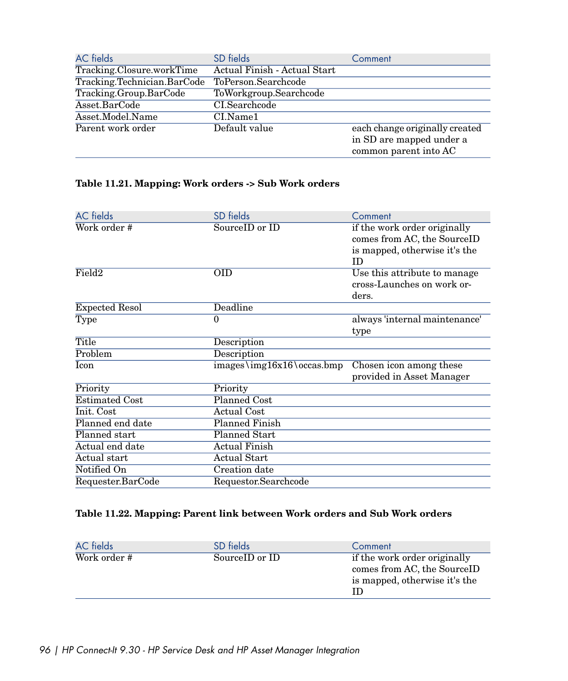| <b>AC</b> fields            | SD fields                    | Comment                        |
|-----------------------------|------------------------------|--------------------------------|
| Tracking.Closure.workTime   | Actual Finish - Actual Start |                                |
| Tracking.Technician.BarCode | ToPerson.Searchcode          |                                |
| Tracking.Group.BarCode      | ToWorkgroup.Searchcode       |                                |
| Asset.BarCode               | CI.Searchcode                |                                |
| Asset.Model.Name            | CI.Name1                     |                                |
| Parent work order           | Default value                | each change originally created |
|                             |                              | in SD are mapped under a       |
|                             |                              | common parent into AC          |

# **Table 11.21. Mapping: Work orders -> Sub Work orders**

| <b>AC</b> fields      | SD fields                   | Comment                                                                                                   |
|-----------------------|-----------------------------|-----------------------------------------------------------------------------------------------------------|
| Work order #          | SourceID or ID              | if the work order originally<br>comes from AC, the SourceID<br>is mapped, otherwise it's the<br><b>ID</b> |
| Field <sub>2</sub>    | <b>OID</b>                  | Use this attribute to manage<br>cross-Launches on work or-<br>ders.                                       |
| <b>Expected Resol</b> | Deadline                    |                                                                                                           |
| Type                  | $\theta$                    | always 'internal maintenance'<br>type                                                                     |
| <b>Title</b>          | Description                 |                                                                                                           |
| Problem               | Description                 |                                                                                                           |
| Icon                  | $images\img16x16\locas.bmp$ | Chosen icon among these<br>provided in Asset Manager                                                      |
| Priority              | Priority                    |                                                                                                           |
| Estimated Cost        | <b>Planned Cost</b>         |                                                                                                           |
| Init. Cost            | <b>Actual Cost</b>          |                                                                                                           |
| Planned end date      | <b>Planned Finish</b>       |                                                                                                           |
| Planned start         | <b>Planned Start</b>        |                                                                                                           |
| Actual end date       | <b>Actual Finish</b>        |                                                                                                           |
| Actual start          | <b>Actual Start</b>         |                                                                                                           |
| Notified On           | Creation date               |                                                                                                           |
| Requester.BarCode     | Requestor.Searchcode        |                                                                                                           |

# **Table 11.22. Mapping: Parent link between Work orders and Sub Work orders**

| AC fields    | SD fields      | Comment                                                                                      |
|--------------|----------------|----------------------------------------------------------------------------------------------|
| Work order # | SourceID or ID | if the work order originally<br>comes from AC, the SourceID<br>is mapped, otherwise it's the |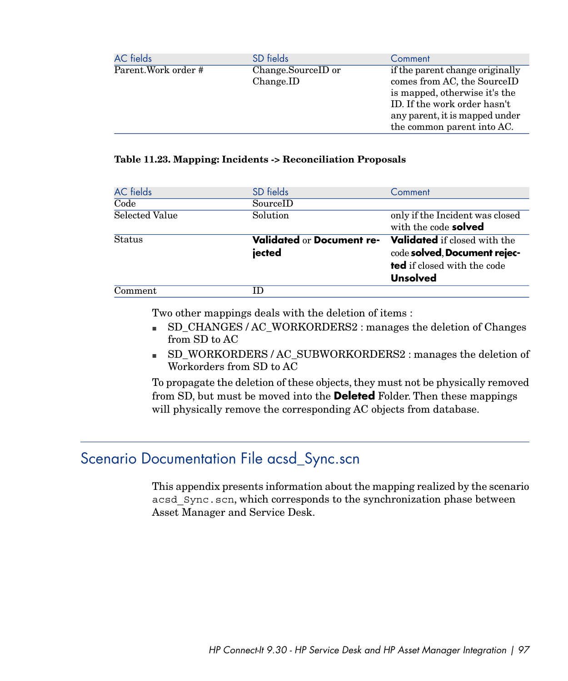| AC fields            | SD fields                       | Comment                                                                                                                                                                                         |
|----------------------|---------------------------------|-------------------------------------------------------------------------------------------------------------------------------------------------------------------------------------------------|
| Parent. Work order # | Change.SourceID or<br>Change.ID | if the parent change originally<br>comes from AC, the SourceID<br>is mapped, otherwise it's the<br>ID. If the work order hasn't<br>any parent, it is mapped under<br>the common parent into AC. |
|                      |                                 |                                                                                                                                                                                                 |

#### **Table 11.23. Mapping: Incidents -> Reconciliation Proposals**

| <b>AC</b> fields      | SD fields                        | Comment                             |
|-----------------------|----------------------------------|-------------------------------------|
| Code                  | SourceID                         |                                     |
| <b>Selected Value</b> | Solution                         | only if the Incident was closed     |
|                       |                                  | with the code solved                |
| Status                | <b>Validated or Document re-</b> | <b>Validated</b> if closed with the |
|                       | jected                           | code solved, Document rejec-        |
|                       |                                  | <b>ted</b> if closed with the code  |
|                       |                                  | <b>Unsolved</b>                     |
| Comment               | ΙD                               |                                     |

Two other mappings deals with the deletion of items :

- n SD\_CHANGES / AC\_WORKORDERS2 : manages the deletion of Changes from SD to AC
- <sup>n</sup> SD\_WORKORDERS / AC\_SUBWORKORDERS2 : manages the deletion of Workorders from SD to AC

To propagate the deletion of these objects, they must not be physically removed from SD, but must be moved into the **Deleted** Folder. Then these mappings will physically remove the corresponding AC objects from database.

# Scenario Documentation File acsd\_Sync.scn

This appendix presents information about the mapping realized by the scenario acsd\_Sync.scn, which corresponds to the synchronization phase between Asset Manager and Service Desk.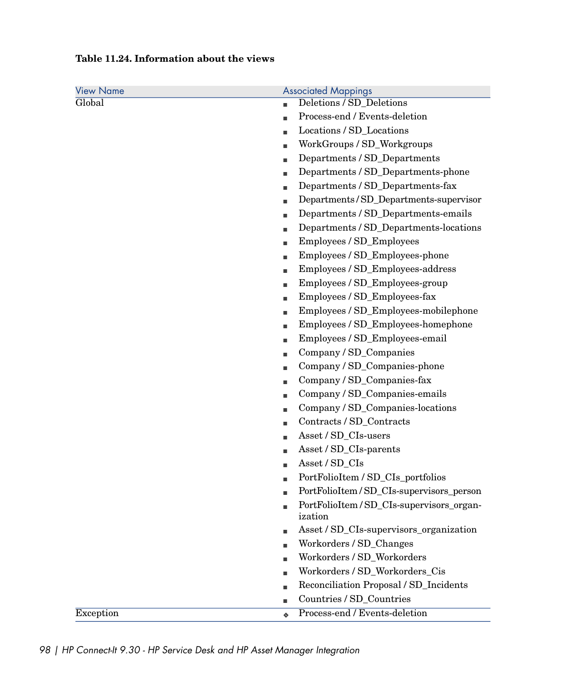| <b>View Name</b> | <b>Associated Mappings</b>                        |  |
|------------------|---------------------------------------------------|--|
| Global           | Deletions / SD_Deletions                          |  |
|                  | Process-end / Events-deletion<br>٠                |  |
|                  | Locations / SD_Locations<br>٠                     |  |
|                  | WorkGroups / SD_Workgroups<br>٠                   |  |
|                  | Departments / SD_Departments<br>٠                 |  |
|                  | Departments / SD_Departments-phone<br>٠           |  |
|                  | Departments / SD_Departments-fax<br>٠             |  |
|                  | Departments/SD_Departments-supervisor<br>٠        |  |
|                  | Departments / SD_Departments-emails               |  |
|                  | Departments / SD_Departments-locations<br>٠       |  |
|                  | Employees / SD_Employees<br>٠                     |  |
|                  | Employees / SD_Employees-phone                    |  |
|                  | Employees / SD_Employees-address                  |  |
|                  | Employees / SD_Employees-group                    |  |
|                  | Employees / SD_Employees-fax<br>٠                 |  |
|                  | Employees / SD_Employees-mobilephone<br>٠         |  |
|                  | Employees / SD_Employees-homephone<br>n.          |  |
|                  | Employees / SD_Employees-email<br>Ű.              |  |
|                  | Company / SD_Companies<br>٠                       |  |
|                  | Company / SD_Companies-phone<br>٠                 |  |
|                  | Company / SD_Companies-fax<br>٠                   |  |
|                  | Company / SD_Companies-emails<br>٠                |  |
|                  | Company / SD_Companies-locations<br>٠             |  |
|                  | Contracts / SD Contracts<br>٠                     |  |
|                  | Asset / SD_CIs-users<br>٠                         |  |
|                  | Asset / SD_CIs-parents                            |  |
|                  | Asset / SD_CIs                                    |  |
|                  | PortFolioItem / SD_CIs_portfolios                 |  |
|                  | PortFolioItem/SD_CIs-supervisors_person           |  |
|                  | PortFolioItem/SD_CIs-supervisors_organ-           |  |
|                  | ization                                           |  |
|                  | Asset / SD_CIs-supervisors_organization           |  |
|                  | Workorders / SD_Changes<br>٠                      |  |
|                  | Workorders / SD_Workorders<br>٠                   |  |
|                  | Workorders / SD_Workorders_Cis<br>٠               |  |
|                  | Reconciliation Proposal / SD_Incidents            |  |
|                  | Countries / SD_Countries<br>ш                     |  |
| <b>Exception</b> | Process-end / Events-deletion<br>$\ddot{\bullet}$ |  |

# **Table 11.24. Information about the views**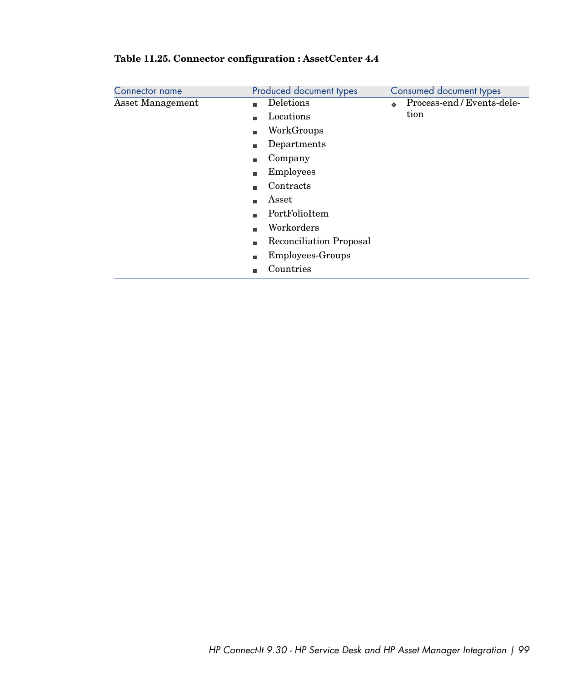| Connector name   | Produced document types      |   | Consumed document types    |
|------------------|------------------------------|---|----------------------------|
| Asset Management | Deletions<br>٠               | ó | Process-end / Events-dele- |
|                  | Locations<br>٠               |   | tion                       |
|                  | WorkGroups<br>٠              |   |                            |
|                  | Departments<br>٠             |   |                            |
|                  | Company<br>٠                 |   |                            |
|                  | Employees<br>٠               |   |                            |
|                  | Contracts<br>٠               |   |                            |
|                  | Asset<br>٠                   |   |                            |
|                  | PortFolioItem<br>۰           |   |                            |
|                  | Workorders<br>٠              |   |                            |
|                  | Reconciliation Proposal<br>٠ |   |                            |
|                  | Employees-Groups<br>٠        |   |                            |
|                  | Countries<br>٠               |   |                            |

# **Table 11.25. Connector configuration : AssetCenter 4.4**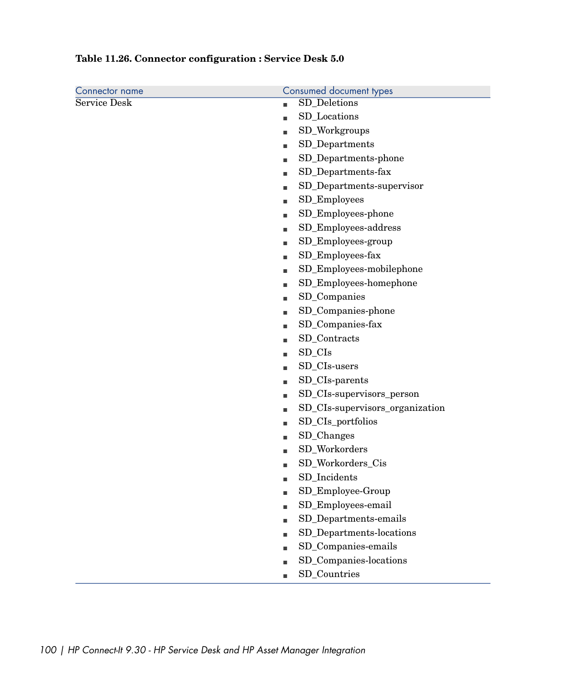| Connector name | Consumed document types              |
|----------------|--------------------------------------|
| Service Desk   | SD_Deletions                         |
|                | SD_Locations<br>٠                    |
|                | SD_Workgroups<br>٠                   |
|                | SD_Departments<br>٠                  |
|                | SD_Departments-phone<br>٠            |
|                | SD_Departments-fax<br>٠              |
|                | SD_Departments-supervisor<br>ш       |
|                | SD_Employees<br>٠                    |
|                | SD_Employees-phone<br>٠              |
|                | SD_Employees-address<br>٠            |
|                | SD_Employees-group<br>٠              |
|                | SD_Employees-fax<br>×.               |
|                | SD_Employees-mobilephone<br>٠        |
|                | SD_Employees-homephone<br>n.         |
|                | SD_Companies<br>٠                    |
|                | SD_Companies-phone<br>٠              |
|                | SD_Companies-fax<br>٠                |
|                | SD_Contracts<br>٠                    |
|                | SD_CIs<br>٠                          |
|                | SD_CIs-users<br>٠                    |
|                | SD_CIs-parents<br>٠                  |
|                | SD_CIs-supervisors_person<br>٠       |
|                | SD_CIs-supervisors_organization<br>٠ |
|                | SD_CIs_portfolios<br>٠               |
|                | SD_Changes<br>٠                      |
|                | SD_Workorders<br>٠                   |
|                | SD_Workorders_Cis<br>٠               |
|                | SD_Incidents<br>٠                    |
|                | SD_Employee-Group<br>٠               |
|                | SD_Employees-email<br>Ű.             |
|                | SD_Departments-emails<br>Ű.          |
|                | SD_Departments-locations<br>٠        |
|                | SD_Companies-emails<br>٠             |
|                | SD_Companies-locations               |
|                | SD_Countries<br>٠                    |
|                |                                      |

# **Table 11.26. Connector configuration : Service Desk 5.0**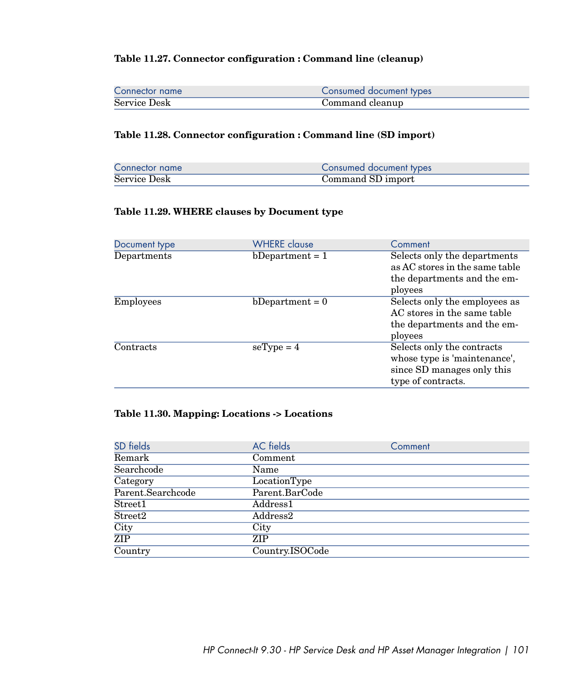#### **Table 11.27. Connector configuration : Command line (cleanup)**

| Connector name      | Consumed document types |
|---------------------|-------------------------|
| <b>Service Desk</b> | Command cleanup         |

#### **Table 11.28. Connector configuration : Command line (SD import)**

| Connector name | Consumed document types |
|----------------|-------------------------|
| Service Desk   | Command SD import       |

#### **Table 11.29. WHERE clauses by Document type**

| <b>WHERE</b> clause | Comment                        |
|---------------------|--------------------------------|
| $b$ Department = 1  | Selects only the departments   |
|                     | as AC stores in the same table |
|                     | the departments and the em-    |
|                     | ployees                        |
| $b$ Department = 0  | Selects only the employees as  |
|                     | AC stores in the same table    |
|                     | the departments and the em-    |
|                     | ployees                        |
| $seType = 4$        | Selects only the contracts     |
|                     | whose type is 'maintenance',   |
|                     | since SD manages only this     |
|                     | type of contracts.             |
|                     |                                |

# **Table 11.30. Mapping: Locations -> Locations**

| SD fields                   | <b>AC</b> fields | Comment |
|-----------------------------|------------------|---------|
| Remark                      | Comment          |         |
| Searchcode                  | Name             |         |
| Category                    | LocationType     |         |
| Parent.Searchcode           | Parent.BarCode   |         |
| Street1                     | Address1         |         |
| $\overline{\text{Street2}}$ | Address2         |         |
| $\overline{\mathrm{City}}$  | City             |         |
| <b>ZIP</b>                  | <b>ZIP</b>       |         |
| Country                     | Country.ISOCode  |         |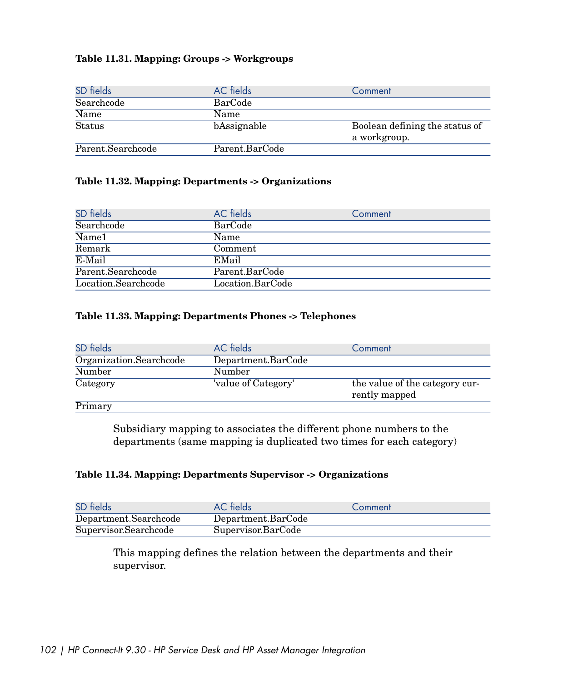# **Table 11.31. Mapping: Groups -> Workgroups**

| SD fields         | AC fields      | Comment                                        |
|-------------------|----------------|------------------------------------------------|
| Searchcode        | BarCode        |                                                |
| Name              | Name           |                                                |
| <b>Status</b>     | bAssignable    | Boolean defining the status of<br>a workgroup. |
| Parent.Searchcode | Parent.BarCode |                                                |

#### **Table 11.32. Mapping: Departments -> Organizations**

| SD fields           | AC fields        | Comment |
|---------------------|------------------|---------|
| Searchcode          | <b>BarCode</b>   |         |
| Name1               | Name             |         |
| Remark              | Comment          |         |
| $E$ -Mail           | EMail            |         |
| Parent.Searchcode   | Parent.BarCode   |         |
| Location.Searchcode | Location.BarCode |         |

#### **Table 11.33. Mapping: Departments Phones -> Telephones**

| SD fields               | AC fields           | Comment                                         |
|-------------------------|---------------------|-------------------------------------------------|
| Organization.Searchcode | Department.BarCode  |                                                 |
| Number                  | Number              |                                                 |
| Category                | 'value of Category' | the value of the category cur-<br>rently mapped |
| Primary                 |                     |                                                 |

Subsidiary mapping to associates the different phone numbers to the departments (same mapping is duplicated two times for each category)

#### **Table 11.34. Mapping: Departments Supervisor -> Organizations**

| SD fields             | AC fields          | Comment |
|-----------------------|--------------------|---------|
| Department.Searchcode | Department.BarCode |         |
| Supervisor.Searchcode | Supervisor.BarCode |         |

This mapping defines the relation between the departments and their supervisor.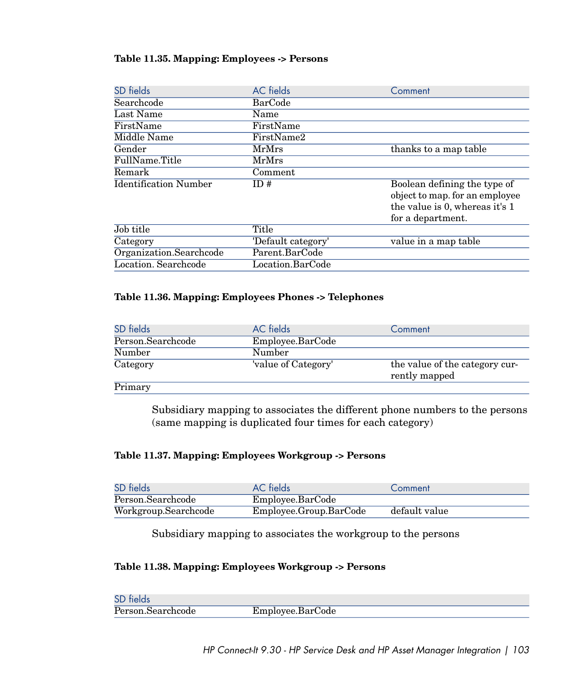#### **Table 11.35. Mapping: Employees -> Persons**

| <b>AC</b> fields   | Comment                                                                                                               |
|--------------------|-----------------------------------------------------------------------------------------------------------------------|
| BarCode            |                                                                                                                       |
| Name               |                                                                                                                       |
| FirstName          |                                                                                                                       |
| FirstName2         |                                                                                                                       |
| MrMrs              | thanks to a map table                                                                                                 |
| MrMrs              |                                                                                                                       |
| Comment            |                                                                                                                       |
| ID#                | Boolean defining the type of<br>object to map. for an employee<br>the value is 0, whereas it's 1<br>for a department. |
| Title              |                                                                                                                       |
| 'Default category' | $\overline{\text{value in a}}$ map table                                                                              |
| Parent.BarCode     |                                                                                                                       |
| Location.BarCode   |                                                                                                                       |
|                    |                                                                                                                       |

#### **Table 11.36. Mapping: Employees Phones -> Telephones**

| SD fields         | AC fields           | Comment                                         |
|-------------------|---------------------|-------------------------------------------------|
| Person.Searchcode | Employee.BarCode    |                                                 |
| Number            | Number              |                                                 |
| Category          | 'value of Category' | the value of the category cur-<br>rently mapped |
| Primary           |                     |                                                 |

Subsidiary mapping to associates the different phone numbers to the persons (same mapping is duplicated four times for each category)

#### **Table 11.37. Mapping: Employees Workgroup -> Persons**

| SD fields            | AC fields              | Comment       |
|----------------------|------------------------|---------------|
| Person.Searchcode    | Employee.BarCode       |               |
| Workgroup.Searchcode | Employee.Group.BarCode | default value |

Subsidiary mapping to associates the workgroup to the persons

#### **Table 11.38. Mapping: Employees Workgroup -> Persons**

| <b>SD</b> fields  |                  |
|-------------------|------------------|
| Person.Searchcode | Employee.BarCode |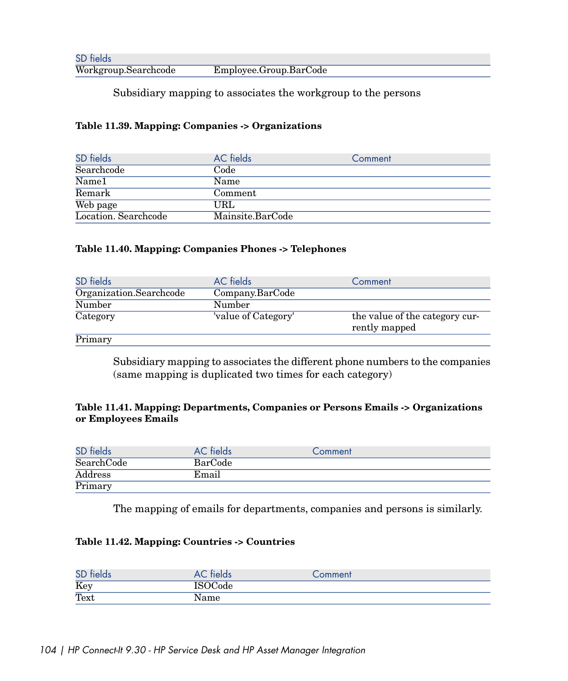#### Subsidiary mapping to associates the workgroup to the persons

#### **Table 11.39. Mapping: Companies -> Organizations**

| SD fields            | AC fields        | Comment |
|----------------------|------------------|---------|
| Searchcode           | Code             |         |
| Name1                | Name             |         |
| Remark               | Comment          |         |
| Web page             | URL              |         |
| Location. Searchcode | Mainsite.BarCode |         |

#### **Table 11.40. Mapping: Companies Phones -> Telephones**

| SD fields               | AC fields           | Comment                                         |
|-------------------------|---------------------|-------------------------------------------------|
| Organization.Searchcode | Company.BarCode     |                                                 |
| Number                  | Number              |                                                 |
| Category                | 'value of Category' | the value of the category cur-<br>rently mapped |
| Primary                 |                     |                                                 |

Subsidiary mapping to associates the different phone numbers to the companies (same mapping is duplicated two times for each category)

#### **Table 11.41. Mapping: Departments, Companies or Persons Emails -> Organizations or Employees Emails**

| SD fields  | AC fields      | Comment |
|------------|----------------|---------|
| SearchCode | <b>BarCode</b> |         |
| Address    | Email          |         |
| Primary    |                |         |

The mapping of emails for departments, companies and persons is similarly.

#### **Table 11.42. Mapping: Countries -> Countries**

| <b>SD</b> fields | tields<br>ЭF   | .omment |
|------------------|----------------|---------|
| Key              | <b>ISOCode</b> |         |
| Text             | Name           |         |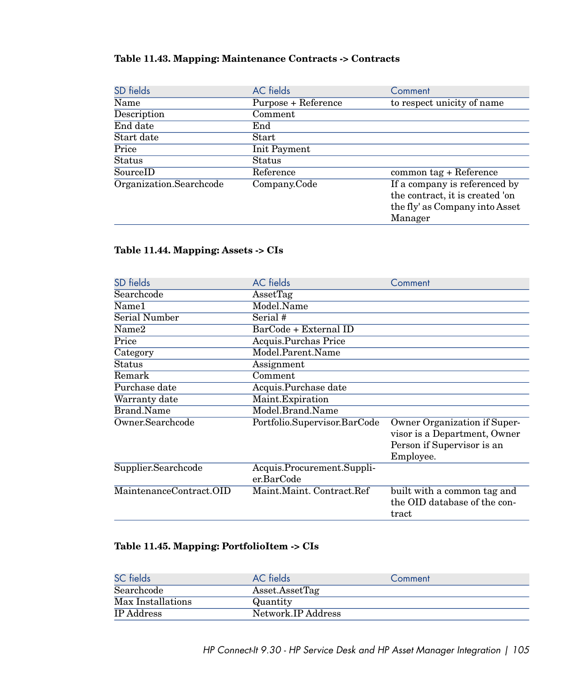# **Table 11.43. Mapping: Maintenance Contracts -> Contracts**

| SD fields               | <b>AC</b> fields         | Comment                         |
|-------------------------|--------------------------|---------------------------------|
| Name                    | Purpose + Reference      | to respect unicity of name      |
| Description             | $\operatorname{Comment}$ |                                 |
| End date                | End                      |                                 |
| Start date              | Start                    |                                 |
| Price                   | <b>Init Payment</b>      |                                 |
| <b>Status</b>           | Status                   |                                 |
| SourceID                | Reference                | common tag + Reference          |
| Organization.Searchcode | Company.Code             | If a company is referenced by   |
|                         |                          | the contract, it is created 'on |
|                         |                          | the fly' as Company into Asset  |
|                         |                          | Manager                         |

# **Table 11.44. Mapping: Assets -> CIs**

| SD fields               | <b>AC</b> fields                         | Comment                                                                                                 |
|-------------------------|------------------------------------------|---------------------------------------------------------------------------------------------------------|
| Searchcode              | AssetTag                                 |                                                                                                         |
| Name1                   | Model.Name                               |                                                                                                         |
| Serial Number           | Serial #                                 |                                                                                                         |
| Name2                   | BarCode + External ID                    |                                                                                                         |
| Price                   | Acquis.Purchas Price                     |                                                                                                         |
| Category                | Model.Parent.Name                        |                                                                                                         |
| Status                  | Assignment                               |                                                                                                         |
| Remark                  | Comment                                  |                                                                                                         |
| Purchase date           | Acquis.Purchase date                     |                                                                                                         |
| Warranty date           | Maint.Expiration                         |                                                                                                         |
| Brand.Name              | Model.Brand.Name                         |                                                                                                         |
| Owner.Searchcode        | Portfolio.Supervisor.BarCode             | Owner Organization if Super-<br>visor is a Department, Owner<br>Person if Supervisor is an<br>Employee. |
| Supplier.Searchcode     | Acquis.Procurement.Suppli-<br>er.BarCode |                                                                                                         |
| MaintenanceContract.OID | Maint.Maint. Contract.Ref                | built with a common tag and<br>the OID database of the con-<br>tract                                    |

# **Table 11.45. Mapping: PortfolioItem -> CIs**

| <b>SC</b> fields  | AC fields          | Comment |
|-------------------|--------------------|---------|
| Searchcode        | Asset.AssetTag     |         |
| Max Installations | Quantity           |         |
| IP Address        | Network.IP Address |         |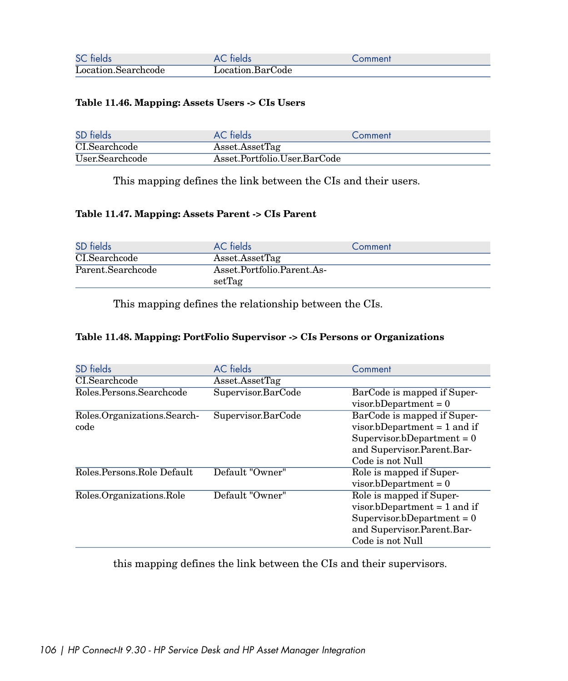| <b>SC</b> fields    |                                                          | .omment |
|---------------------|----------------------------------------------------------|---------|
| Location.Searchcode | $\operatorname{\sf Location}.\operatorname{\sf BarCode}$ |         |

#### **Table 11.46. Mapping: Assets Users -> CIs Users**

| SD fields       | <b>AC</b> fields             | Comment |
|-----------------|------------------------------|---------|
| CI.Searchcode   | Asset.AssetTag               |         |
| User.Searchcode | Asset.Portfolio.User.BarCode |         |

This mapping defines the link between the CIs and their users.

#### **Table 11.47. Mapping: Assets Parent -> CIs Parent**

| SD fields         | AC fields                            | Comment |
|-------------------|--------------------------------------|---------|
| CI.Searchcode     | Asset.AssetTag                       |         |
| Parent.Searchcode | Asset.Portfolio.Parent.As-<br>setTag |         |

This mapping defines the relationship between the CIs.

#### **Table 11.48. Mapping: PortFolio Supervisor -> CIs Persons or Organizations**

| SD fields                    | <b>AC</b> fields   | Comment                        |
|------------------------------|--------------------|--------------------------------|
| CI.Searchcode                | Asset.AssetTag     |                                |
| Roles. Persons. Searchcode   | Supervisor.BarCode | BarCode is mapped if Super-    |
|                              |                    | $visor.bDepartment = 0$        |
| Roles.Organizations.Search-  | Supervisor.BarCode | BarCode is mapped if Super-    |
| code                         |                    | visor.bDepartment $= 1$ and if |
|                              |                    | $Supervisor.bDepartment = 0$   |
|                              |                    | and Supervisor.Parent.Bar-     |
|                              |                    | Code is not Null               |
| Roles, Persons, Role Default | Default "Owner"    | Role is mapped if Super-       |
|                              |                    | $visor.bDepartment = 0$        |
| Roles.Organizations.Role     | Default "Owner"    | Role is mapped if Super-       |
|                              |                    | visor.bDepartment $= 1$ and if |
|                              |                    | Supervisor.bDepartment = $0$   |
|                              |                    | and Supervisor.Parent.Bar-     |
|                              |                    | Code is not Null               |

this mapping defines the link between the CIs and their supervisors.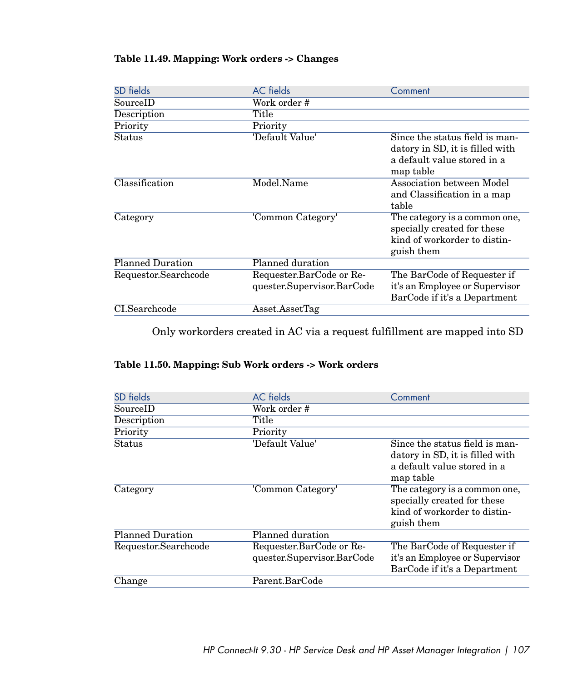# **Table 11.49. Mapping: Work orders -> Changes**

| SD fields               | <b>AC</b> fields                                       | Comment                                                                                                       |
|-------------------------|--------------------------------------------------------|---------------------------------------------------------------------------------------------------------------|
| SourceID                | Work order #                                           |                                                                                                               |
| Description             | Title                                                  |                                                                                                               |
| Priority                | Priority                                               |                                                                                                               |
| Status                  | 'Default Value'                                        | Since the status field is man-<br>datory in SD, it is filled with<br>a default value stored in a<br>map table |
| Classification          | Model.Name                                             | Association between Model<br>and Classification in a map<br>table                                             |
| Category                | 'Common Category'                                      | The category is a common one,<br>specially created for these<br>kind of workorder to distin-<br>guish them    |
| <b>Planned Duration</b> | Planned duration                                       |                                                                                                               |
| Requestor.Searchcode    | Requester.BarCode or Re-<br>quester.Supervisor.BarCode | The BarCode of Requester if<br>it's an Employee or Supervisor<br>BarCode if it's a Department                 |
| CI.Searchcode           | Asset.AssetTag                                         |                                                                                                               |

Only workorders created in AC via a request fulfillment are mapped into SD

# **Table 11.50. Mapping: Sub Work orders -> Work orders**

| SD fields               | <b>AC</b> fields                                       | Comment                                                                                                       |
|-------------------------|--------------------------------------------------------|---------------------------------------------------------------------------------------------------------------|
| SourceID                | Work order #                                           |                                                                                                               |
| Description             | Title                                                  |                                                                                                               |
| Priority                | Priority                                               |                                                                                                               |
| <b>Status</b>           | 'Default Value'                                        | Since the status field is man-<br>datory in SD, it is filled with<br>a default value stored in a<br>map table |
| Category                | 'Common Category'                                      | The category is a common one,<br>specially created for these<br>kind of workorder to distin-<br>guish them    |
| <b>Planned Duration</b> | Planned duration                                       |                                                                                                               |
| Requestor.Searchcode    | Requester.BarCode or Re-<br>quester.Supervisor.BarCode | The BarCode of Requester if<br>it's an Employee or Supervisor<br>BarCode if it's a Department                 |
| Change                  | Parent.BarCode                                         |                                                                                                               |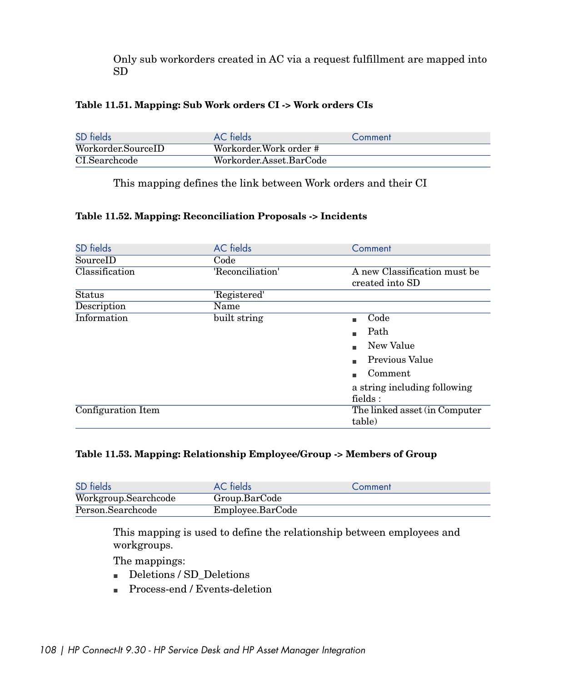Only sub workorders created in AC via a request fulfillment are mapped into SD

#### **Table 11.51. Mapping: Sub Work orders CI -> Work orders CIs**

| SD fields          | AC fields               | Comment |
|--------------------|-------------------------|---------|
| Workorder.SourceID | Workorder.Work order #  |         |
| CI.Searchcode      | Workorder.Asset.BarCode |         |

This mapping defines the link between Work orders and their CI

#### **Table 11.52. Mapping: Reconciliation Proposals -> Incidents**

| SD fields          | <b>AC</b> fields | Comment                       |
|--------------------|------------------|-------------------------------|
| SourceID           | Code             |                               |
| Classification     | 'Reconciliation' | A new Classification must be  |
|                    |                  | created into SD               |
| <b>Status</b>      | 'Registered'     |                               |
| Description        | Name             |                               |
| Information        | built string     | Code<br>٠                     |
|                    |                  | Path<br>m.                    |
|                    |                  | New Value<br>٠                |
|                    |                  | Previous Value                |
|                    |                  | Comment<br>٠                  |
|                    |                  | a string including following  |
|                    |                  | fields:                       |
| Configuration Item |                  | The linked asset (in Computer |
|                    |                  | table)                        |

#### **Table 11.53. Mapping: Relationship Employee/Group -> Members of Group**

| SD fields            | AC fields        | Comment |
|----------------------|------------------|---------|
| Workgroup.Searchcode | Group.BarCode    |         |
| Person.Searchcode    | Employee.BarCode |         |

This mapping is used to define the relationship between employees and workgroups.

The mappings:

- <sup>n</sup> Deletions / SD\_Deletions
- Process-end / Events-deletion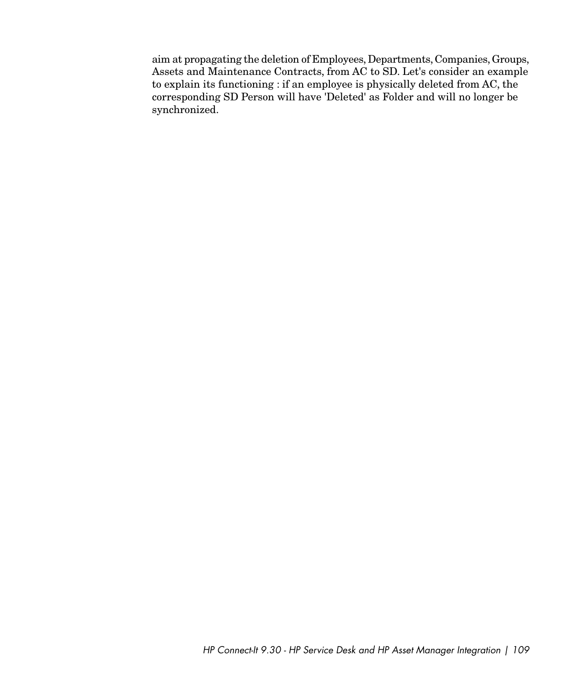aim at propagating the deletion of Employees, Departments, Companies, Groups, Assets and Maintenance Contracts, from AC to SD. Let's consider an example to explain its functioning : if an employee is physically deleted from AC, the corresponding SD Person will have 'Deleted' as Folder and will no longer be synchronized.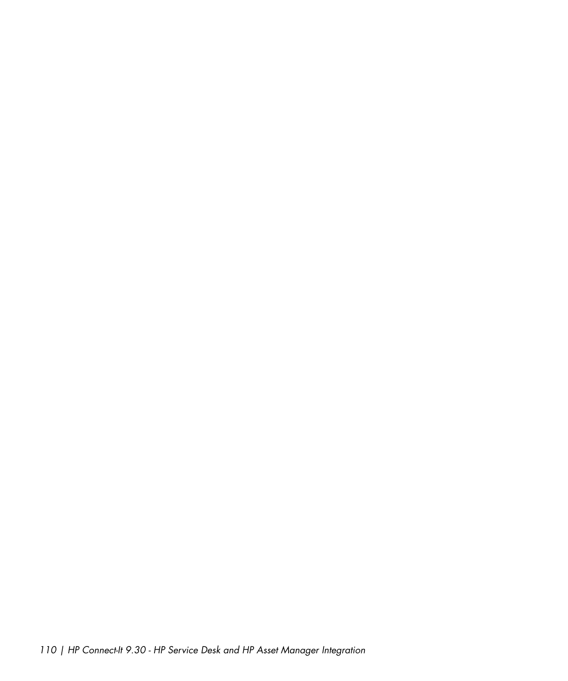*110 | HP Connect-It 9.30 - HP Service Desk and HP Asset Manager Integration*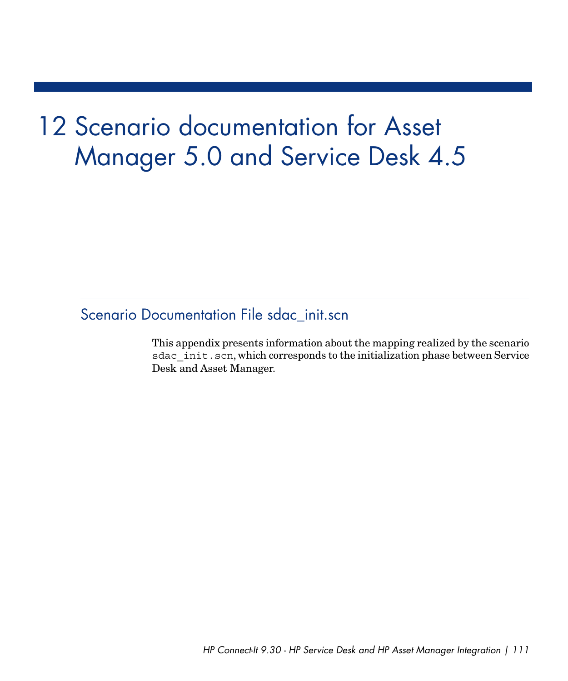# 12 Scenario documentation for Asset Manager 5.0 and Service Desk 4.5

# Scenario Documentation File sdac\_init.scn

This appendix presents information about the mapping realized by the scenario sdac init.scn, which corresponds to the initialization phase between Service Desk and Asset Manager.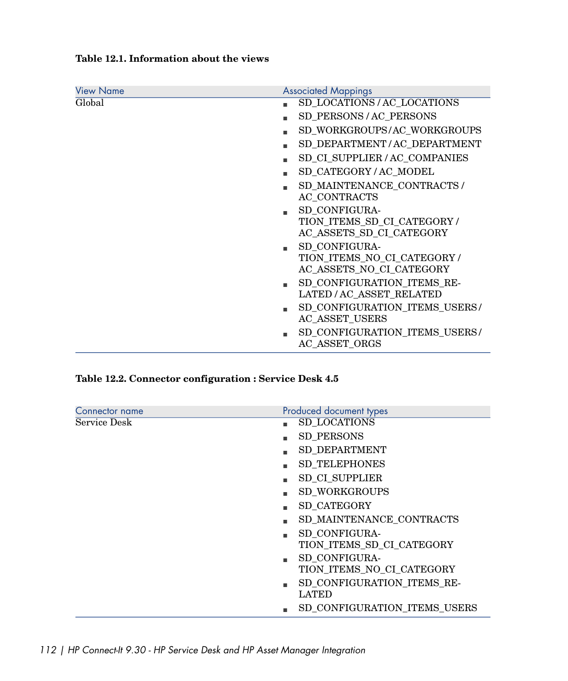| <b>View Name</b> | <b>Associated Mappings</b>                            |
|------------------|-------------------------------------------------------|
| Global           | SD LOCATIONS / AC LOCATIONS                           |
|                  | SD PERSONS/AC PERSONS                                 |
|                  | SD WORKGROUPS/AC WORKGROUPS                           |
|                  | SD DEPARTMENT/AC DEPARTMENT                           |
|                  | SD CI SUPPLIER/AC COMPANIES                           |
|                  | SD CATEGORY/AC MODEL                                  |
|                  | SD MAINTENANCE CONTRACTS/<br>AC CONTRACTS             |
|                  | SD CONFIGURA-                                         |
|                  | TION ITEMS SD CI CATEGORY/                            |
|                  | AC ASSETS SD CI CATEGORY                              |
|                  | SD CONFIGURA-                                         |
|                  | TION ITEMS NO CI CATEGORY/                            |
|                  | AC ASSETS NO CI CATEGORY                              |
|                  | SD_CONFIGURATION_ITEMS_RE-                            |
|                  | LATED/AC ASSET RELATED                                |
|                  | SD CONFIGURATION ITEMS USERS/                         |
|                  | AC ASSET USERS                                        |
|                  | SD CONFIGURATION ITEMS USERS/<br><b>AC ASSET ORGS</b> |

#### **Table 12.1. Information about the views**

#### **Table 12.2. Connector configuration : Service Desk 4.5**

| Connector name | Produced document types       |
|----------------|-------------------------------|
| Service Desk   | SD LOCATIONS                  |
|                | <b>SD PERSONS</b>             |
|                | <b>SD DEPARTMENT</b>          |
|                | <b>SD TELEPHONES</b>          |
|                | SD_CI_SUPPLIER                |
|                | <b>SD WORKGROUPS</b>          |
|                | SD CATEGORY<br>٠              |
|                | SD MAINTENANCE CONTRACTS<br>٠ |
|                | SD CONFIGURA-<br>٠            |
|                | TION ITEMS SD CI CATEGORY     |
|                | SD CONFIGURA-<br>m.           |
|                | TION ITEMS NO CI CATEGORY     |
|                | SD CONFIGURATION ITEMS RE-    |
|                | <b>LATED</b>                  |
|                | SD CONFIGURATION ITEMS USERS  |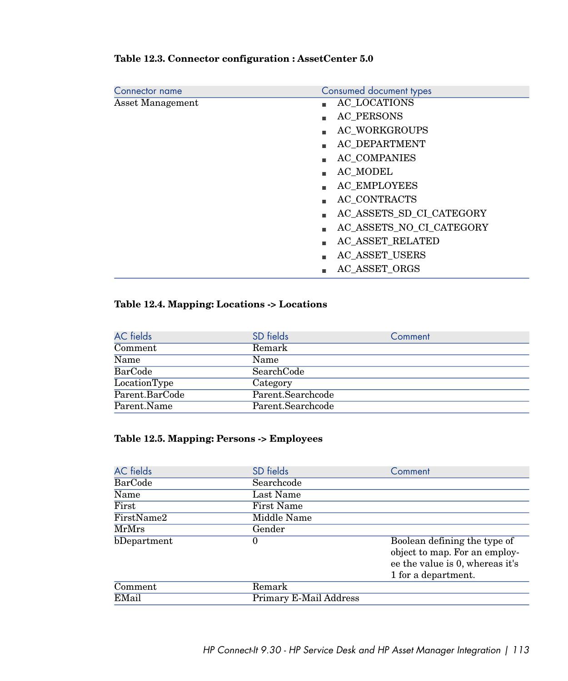| Connector name          | Consumed document types  |
|-------------------------|--------------------------|
| <b>Asset Management</b> | AC LOCATIONS             |
|                         | <b>AC_PERSONS</b>        |
|                         | AC WORKGROUPS            |
|                         | AC DEPARTMENT            |
|                         | <b>AC COMPANIES</b>      |
|                         | AC MODEL                 |
|                         | AC EMPLOYEES             |
|                         | AC CONTRACTS             |
|                         | AC ASSETS SD CI CATEGORY |
|                         | AC ASSETS NO CI CATEGORY |
|                         | AC ASSET RELATED         |
|                         | AC ASSET USERS           |
|                         | AC ASSET ORGS            |

#### **Table 12.3. Connector configuration : AssetCenter 5.0**

#### **Table 12.4. Mapping: Locations -> Locations**

| <b>AC</b> fields            | SD fields         | Comment |
|-----------------------------|-------------------|---------|
| $\overline{\text{Comment}}$ | Remark            |         |
| Name                        | Name              |         |
| BarCode                     | SearchCode        |         |
| LocationType                | Category          |         |
| Parent.BarCode              | Parent.Searchcode |         |
| Parent.Name                 | Parent.Searchcode |         |

#### **Table 12.5. Mapping: Persons -> Employees**

| <b>AC</b> fields | SD fields              | Comment                                                                                                                 |
|------------------|------------------------|-------------------------------------------------------------------------------------------------------------------------|
| <b>BarCode</b>   | Searchcode             |                                                                                                                         |
| Name             | Last Name              |                                                                                                                         |
| First            | First Name             |                                                                                                                         |
| FirstName2       | Middle Name            |                                                                                                                         |
| MrMrs            | Gender                 |                                                                                                                         |
| bDepartment      |                        | Boolean defining the type of<br>object to map. For an employ-<br>ee the value is 0, whereas it's<br>1 for a department. |
| Comment          | Remark                 |                                                                                                                         |
| EMail            | Primary E-Mail Address |                                                                                                                         |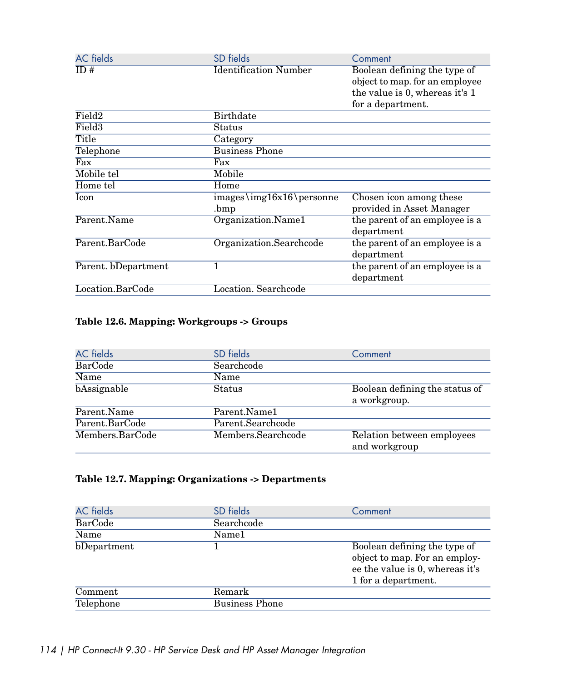| <b>AC</b> fields    | SD fields                    | Comment                                                                                          |
|---------------------|------------------------------|--------------------------------------------------------------------------------------------------|
| ID#                 | <b>Identification Number</b> | Boolean defining the type of<br>object to map. for an employee<br>the value is 0, whereas it's 1 |
|                     |                              | for a department.                                                                                |
| Field <sub>2</sub>  | <b>Birthdate</b>             |                                                                                                  |
| Field <sub>3</sub>  | Status                       |                                                                                                  |
| Title               | Category                     |                                                                                                  |
| Telephone           | Business Phone               |                                                                                                  |
| Fax                 | Fax                          |                                                                                                  |
| Mobile tel          | Mobile                       |                                                                                                  |
| Home tel            | Home                         |                                                                                                  |
| <b>Icon</b>         | $images\img16x16\perp$       | Chosen icon among these                                                                          |
|                     | .bmp                         | provided in Asset Manager                                                                        |
| Parent.Name         | Organization.Name1           | the parent of an employee is a                                                                   |
|                     |                              | department                                                                                       |
| Parent.BarCode      | Organization.Searchcode      | the parent of an employee is a                                                                   |
|                     |                              | department                                                                                       |
| Parent. bDepartment | 1                            | the parent of an employee is a                                                                   |
|                     |                              | department                                                                                       |
| Location.BarCode    | Location. Searchcode         |                                                                                                  |

#### **Table 12.6. Mapping: Workgroups -> Groups**

| <b>AC</b> fields | SD fields          | Comment                                        |
|------------------|--------------------|------------------------------------------------|
| BarCode          | Searchcode         |                                                |
| Name             | Name               |                                                |
| bAssignable      | Status             | Boolean defining the status of<br>a workgroup. |
| Parent.Name      | Parent.Name1       |                                                |
| Parent.BarCode   | Parent.Searchcode  |                                                |
| Members.BarCode  | Members.Searchcode | Relation between employees<br>and workgroup    |

#### **Table 12.7. Mapping: Organizations -> Departments**

| AC fields   | SD fields             | Comment                                                                                                                 |
|-------------|-----------------------|-------------------------------------------------------------------------------------------------------------------------|
| BarCode     | Searchcode            |                                                                                                                         |
| Name        | Name1                 |                                                                                                                         |
| bDepartment |                       | Boolean defining the type of<br>object to map. For an employ-<br>ee the value is 0, whereas it's<br>1 for a department. |
| Comment     | Remark                |                                                                                                                         |
| Telephone   | <b>Business Phone</b> |                                                                                                                         |
|             |                       |                                                                                                                         |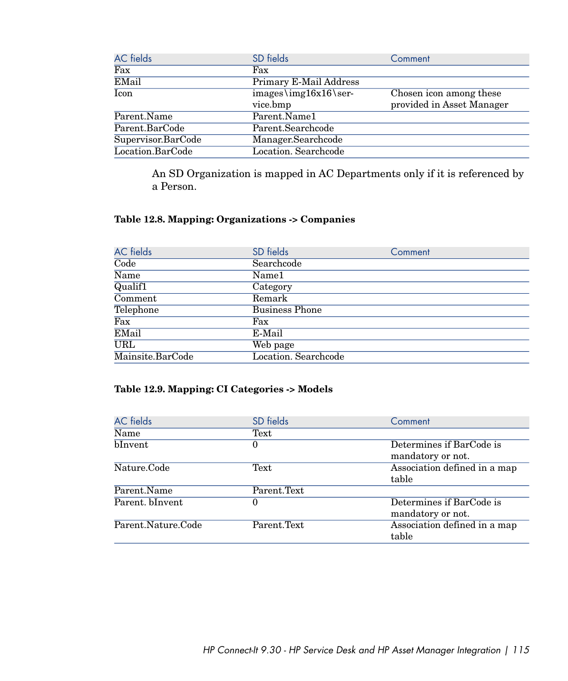| <b>AC</b> fields   | SD fields              | Comment                   |
|--------------------|------------------------|---------------------------|
| Fax                | Fax                    |                           |
| EMail              | Primary E-Mail Address |                           |
| Icon               | $images\img16x16\ser-$ | Chosen icon among these   |
|                    | vice.bmp               | provided in Asset Manager |
| Parent.Name        | Parent.Name1           |                           |
| Parent.BarCode     | Parent.Searchcode      |                           |
| Supervisor.BarCode | Manager.Searchcode     |                           |
| Location.BarCode   | Location. Searchcode   |                           |

An SD Organization is mapped in AC Departments only if it is referenced by a Person.

#### **Table 12.8. Mapping: Organizations -> Companies**

| <b>AC</b> fields | SD fields             | Comment |
|------------------|-----------------------|---------|
| Code             | Searchcode            |         |
| Name             | Name1                 |         |
| <b>Qualif1</b>   | Category              |         |
| Comment          | Remark                |         |
| Telephone        | <b>Business Phone</b> |         |
| Fax              | Fax                   |         |
| EMail            | E-Mail                |         |
| URL              | Web page              |         |
| Mainsite.BarCode | Location. Searchcode  |         |

#### **Table 12.9. Mapping: CI Categories -> Models**

| <b>AC</b> fields   | SD fields   | Comment                                       |
|--------------------|-------------|-----------------------------------------------|
| Name               | Text        |                                               |
| bInvent            | 0           | Determines if BarCode is<br>mandatory or not. |
| Nature.Code        | Text        | Association defined in a map<br>table         |
| Parent.Name        | Parent.Text |                                               |
| Parent, bInvent    | 0           | Determines if BarCode is<br>mandatory or not. |
| Parent.Nature.Code | Parent.Text | Association defined in a map<br>table         |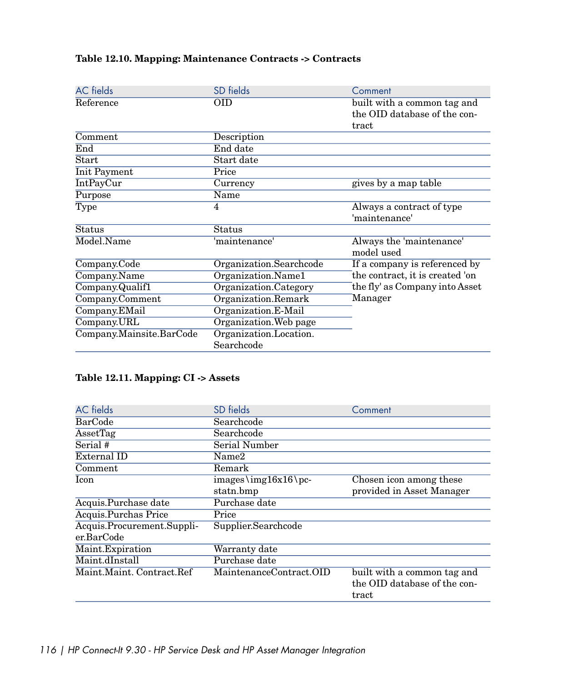| <b>AC</b> fields         | SD fields               | Comment                         |
|--------------------------|-------------------------|---------------------------------|
| Reference                | OID                     | built with a common tag and     |
|                          |                         | the OID database of the con-    |
|                          |                         | tract                           |
| Comment                  | Description             |                                 |
| $\operatorname{End}$     | End date                |                                 |
| Start                    | Start date              |                                 |
| Init Payment             | Price                   |                                 |
| <b>IntPayCur</b>         | Currency                | gives by a map table            |
| Purpose                  | Name                    |                                 |
| Type                     | 4                       | Always a contract of type       |
|                          |                         | 'maintenance'                   |
| <b>Status</b>            | Status                  |                                 |
| Model.Name               | 'maintenance'           | Always the 'maintenance'        |
|                          |                         | model used                      |
| Company.Code             | Organization.Searchcode | If a company is referenced by   |
| Company.Name             | Organization.Name1      | the contract, it is created 'on |
| Company.Qualif1          | Organization.Category   | the fly' as Company into Asset  |
| Company.Comment          | Organization.Remark     | Manager                         |
| Company.EMail            | Organization.E-Mail     |                                 |
| Company.URL              | Organization. Web page  |                                 |
| Company.Mainsite.BarCode | Organization.Location.  |                                 |
|                          | Searchcode              |                                 |

### **Table 12.10. Mapping: Maintenance Contracts -> Contracts**

#### **Table 12.11. Mapping: CI -> Assets**

| <b>AC</b> fields             | SD fields<br>Comment    |                                                                      |
|------------------------------|-------------------------|----------------------------------------------------------------------|
| <b>BarCode</b>               | Searchcode              |                                                                      |
| AssetTag                     | Searchcode              |                                                                      |
| $\overline{\text{Serial}\#}$ | Serial Number           |                                                                      |
| External ID                  | Name2                   |                                                                      |
| Comment                      | Remark                  |                                                                      |
| Icon                         | images\img16x16\pc-     | Chosen icon among these                                              |
|                              | statn.bmp               | provided in Asset Manager                                            |
| Acquis.Purchase date         | Purchase date           |                                                                      |
| Acquis.Purchas Price         | Price                   |                                                                      |
| Acquis.Procurement.Suppli-   | Supplier.Searchcode     |                                                                      |
| er.BarCode                   |                         |                                                                      |
| Maint.Expiration             | Warranty date           |                                                                      |
| Maint.dInstall               | Purchase date           |                                                                      |
| Maint.Maint. Contract.Ref    | MaintenanceContract.OID | built with a common tag and<br>the OID database of the con-<br>tract |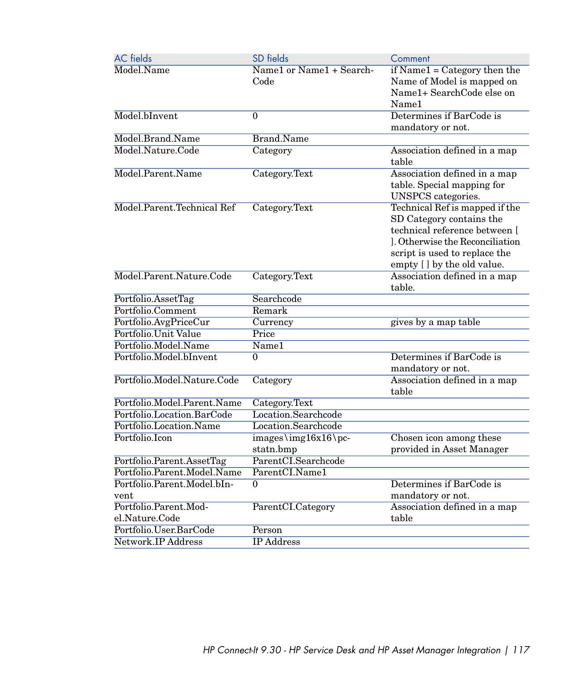| <b>AC</b> fields            | SD fields                                                         | Comment                                                    |
|-----------------------------|-------------------------------------------------------------------|------------------------------------------------------------|
| Model.Name                  | Name1 or Name1 + Search-<br>$if Name1 = \text{Category}$ then the |                                                            |
|                             | Code                                                              | Name of Model is mapped on                                 |
|                             |                                                                   | Name1+ SearchCode else on                                  |
|                             |                                                                   | Name1                                                      |
| Model.bInvent               | $\theta$                                                          | Determines if BarCode is                                   |
|                             |                                                                   | mandatory or not.                                          |
| Model.Brand.Name            | <b>Brand.Name</b>                                                 |                                                            |
| Model.Nature.Code           | Category                                                          | Association defined in a map                               |
|                             |                                                                   | table                                                      |
| Model.Parent.Name           | Category.Text                                                     | Association defined in a map                               |
|                             |                                                                   | table. Special mapping for                                 |
|                             |                                                                   | UNSPCS categories.                                         |
| Model.Parent.Technical Ref  | Category.Text                                                     | Technical Ref is mapped if the                             |
|                             |                                                                   | SD Category contains the                                   |
|                             |                                                                   | technical reference between [                              |
|                             |                                                                   | l. Otherwise the Reconciliation                            |
|                             |                                                                   | script is used to replace the                              |
| Model.Parent.Nature.Code    | Category.Text                                                     | empty [] by the old value.<br>Association defined in a map |
|                             |                                                                   | table.                                                     |
| Portfolio.AssetTag          | Searchcode                                                        |                                                            |
| Portfolio.Comment           | Remark                                                            |                                                            |
| Portfolio.AvgPriceCur       | Currency                                                          | gives by a map table                                       |
| Portfolio.Unit Value        | Price                                                             |                                                            |
| Portfolio.Model.Name        | $\overline{\text{Name1}}$                                         |                                                            |
| Portfolio.Model.bInvent     | $\theta$                                                          | Determines if BarCode is                                   |
|                             |                                                                   | mandatory or not.                                          |
| Portfolio.Model.Nature.Code | Category                                                          | Association defined in a map                               |
|                             |                                                                   | table                                                      |
| Portfolio.Model.Parent.Name | Category.Text                                                     |                                                            |
| Portfolio.Location.BarCode  | Location.Searchcode                                               |                                                            |
| Portfolio.Location.Name     | Location.Searchcode                                               |                                                            |
| Portfolio.Icon              | images\img16x16\pc-                                               | Chosen icon among these                                    |
|                             | statn.bmp                                                         | provided in Asset Manager                                  |
| Portfolio.Parent.AssetTag   | ParentCI.Searchcode                                               |                                                            |
| Portfolio.Parent.Model.Name | ParentCI.Name1                                                    |                                                            |
| Portfolio.Parent.Model.bIn- | $\Omega$                                                          | Determines if BarCode is                                   |
| vent.                       |                                                                   | mandatory or not.                                          |
| Portfolio.Parent.Mod-       | ParentCI.Category                                                 | Association defined in a map                               |
| el.Nature.Code              |                                                                   | table                                                      |
| Portfolio.User.BarCode      | Person                                                            |                                                            |
| Network.IP Address          | <b>IP</b> Address                                                 |                                                            |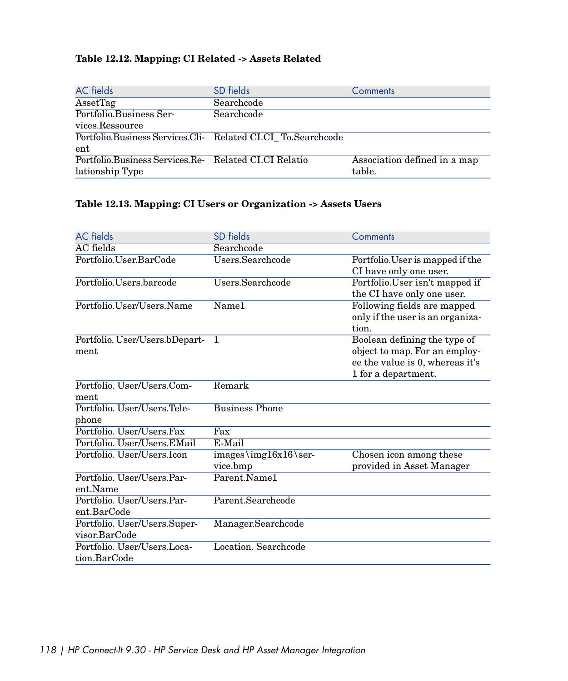#### **Table 12.12. Mapping: CI Related -> Assets Related**

| AC fields                                                  | SD fields<br>Comments |                              |
|------------------------------------------------------------|-----------------------|------------------------------|
| AssetTag                                                   | Searchcode            |                              |
| Portfolio.Business Ser-                                    | Searchcode            |                              |
| vices.Ressource                                            |                       |                              |
| Portfolio.Business Services.Cli-Related CLCL_To.Searchcode |                       |                              |
| ent                                                        |                       |                              |
| Portfolio. Business Services. Re- Related CLCI Relatio     |                       | Association defined in a map |
| lationship Type                                            |                       | table.                       |

#### **Table 12.13. Mapping: CI Users or Organization -> Assets Users**

| <b>AC</b> fields                              | SD fields                        | Comments                                                                                                                |
|-----------------------------------------------|----------------------------------|-------------------------------------------------------------------------------------------------------------------------|
| AC fields                                     | Searchcode                       |                                                                                                                         |
| Portfolio.User.BarCode                        | Users Searchcode                 | Portfolio. User is mapped if the<br>CI have only one user.                                                              |
| Portfolio.Users.barcode                       | Users.Searchcode                 | Portfolio.User isn't mapped if<br>the CI have only one user.                                                            |
| Portfolio.User/Users.Name                     | Name1                            | Following fields are mapped<br>only if the user is an organiza-<br>tion.                                                |
| Portfolio. User/Users.bDepart-<br>ment        | $\mathbf{1}$                     | Boolean defining the type of<br>object to map. For an employ-<br>ee the value is 0, whereas it's<br>1 for a department. |
| Portfolio. User/Users.Com-<br>ment            | Remark                           |                                                                                                                         |
| Portfolio. User/Users. Tele-<br>phone         | <b>Business Phone</b>            |                                                                                                                         |
| Portfolio. User/Users.Fax                     | $\overline{\text{Fax}}$          |                                                                                                                         |
| Portfolio. User/Users.EMail                   | E-Mail                           |                                                                                                                         |
| Portfolio. User/Users.Icon                    | images\img16x16\ser-<br>vice.bmp | Chosen icon among these<br>provided in Asset Manager                                                                    |
| Portfolio User/Users Par-<br>ent.Name         | Parent Name1                     |                                                                                                                         |
| Portfolio. User/Users.Par-<br>ent.BarCode     | Parent.Searchcode                |                                                                                                                         |
| Portfolio. User/Users.Super-<br>visor.BarCode | Manager.Searchcode               |                                                                                                                         |
| Portfolio. User/Users.Loca-<br>tion.BarCode   | Location. Searchcode             |                                                                                                                         |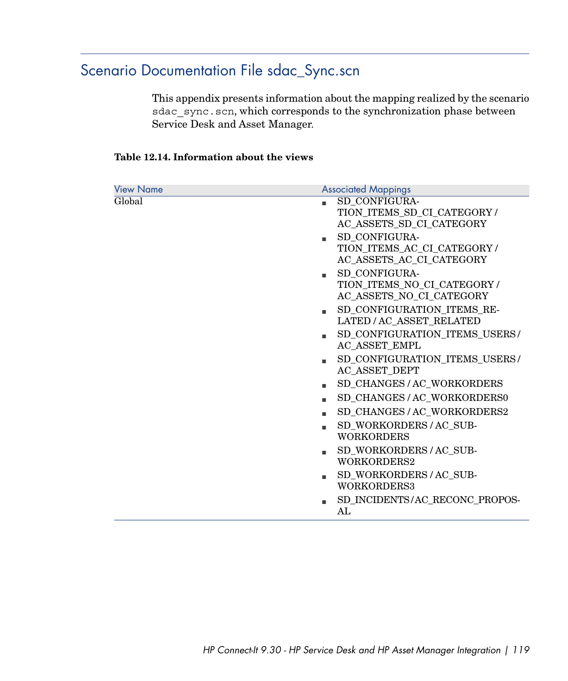# Scenario Documentation File sdac\_Sync.scn

This appendix presents information about the mapping realized by the scenario sdac\_sync.scn, which corresponds to the synchronization phase between Service Desk and Asset Manager.

#### **Table 12.14. Information about the views**

| <b>View Name</b> | <b>Associated Mappings</b>                              |
|------------------|---------------------------------------------------------|
| Global           | SD CONFIGURA-<br>×.                                     |
|                  | TION_ITEMS_SD_CI_CATEGORY /<br>AC ASSETS SD CI CATEGORY |
|                  | SD CONFIGURA-                                           |
|                  | TION_ITEMS_AC_CI_CATEGORY /                             |
|                  | AC ASSETS AC CI CATEGORY                                |
|                  | SD CONFIGURA-                                           |
|                  | TION_ITEMS_NO_CI_CATEGORY /<br>AC ASSETS NO CI CATEGORY |
|                  | SD CONFIGURATION ITEMS RE-<br>۰.                        |
|                  | LATED / AC_ASSET_RELATED                                |
|                  | SD_CONFIGURATION_ITEMS_USERS/                           |
|                  | AC ASSET EMPL                                           |
|                  | SD_CONFIGURATION_ITEMS_USERS/<br>AC ASSET DEPT          |
|                  | SD_CHANGES / AC_WORKORDERS                              |
|                  | SD_CHANGES / AC_WORKORDERS0                             |
|                  | SD CHANGES/AC WORKORDERS2                               |
|                  | SD_WORKORDERS / AC_SUB-<br>٠                            |
|                  | <b>WORKORDERS</b>                                       |
|                  | SD_WORKORDERS / AC_SUB-                                 |
|                  | WORKORDERS2                                             |
|                  | SD_WORKORDERS / AC_SUB-                                 |
|                  | WORKORDERS3                                             |
|                  | SD_INCIDENTS/AC_RECONC_PROPOS-<br>AL                    |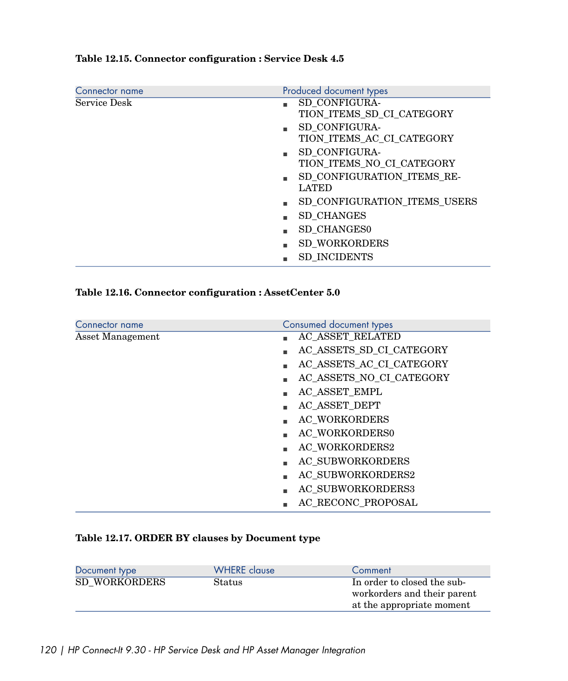|  |  | Table 12.15. Connector configuration : Service Desk 4.5 |  |  |  |  |
|--|--|---------------------------------------------------------|--|--|--|--|
|--|--|---------------------------------------------------------|--|--|--|--|

| Connector name | Produced document types                    |
|----------------|--------------------------------------------|
| Service Desk   | SD CONFIGURA-<br>TION ITEMS SD CI CATEGORY |
|                | SD CONFIGURA-<br>TION ITEMS AC CI CATEGORY |
|                | SD CONFIGURA-<br>TION ITEMS NO CI CATEGORY |
|                | SD CONFIGURATION ITEMS RE-<br><b>LATED</b> |
|                | SD CONFIGURATION ITEMS USERS               |
|                | <b>SD CHANGES</b>                          |
|                | SD CHANGES0                                |
|                | <b>SD WORKORDERS</b>                       |
|                | <b>SD INCIDENTS</b>                        |

## **Table 12.16. Connector configuration : AssetCenter 5.0**

| Connector name          | Consumed document types  |
|-------------------------|--------------------------|
| <b>Asset Management</b> | AC ASSET RELATED         |
|                         | AC ASSETS SD CI CATEGORY |
|                         | AC ASSETS AC CI CATEGORY |
|                         | AC ASSETS NO CI CATEGORY |
|                         | AC ASSET EMPL            |
|                         | AC ASSET DEPT            |
|                         | AC WORKORDERS            |
|                         | AC WORKORDERS0           |
|                         | AC WORKORDERS2           |
|                         | <b>AC SUBWORKORDERS</b>  |
|                         | AC SUBWORKORDERS2        |
|                         | <b>AC SUBWORKORDERS3</b> |
|                         | AC_RECONC_PROPOSAL       |

# **Table 12.17. ORDER BY clauses by Document type**

| Document type | <b>WHERE</b> clause | Comment                     |
|---------------|---------------------|-----------------------------|
| SD WORKORDERS | Status              | In order to closed the sub- |
|               |                     | workorders and their parent |
|               |                     | at the appropriate moment   |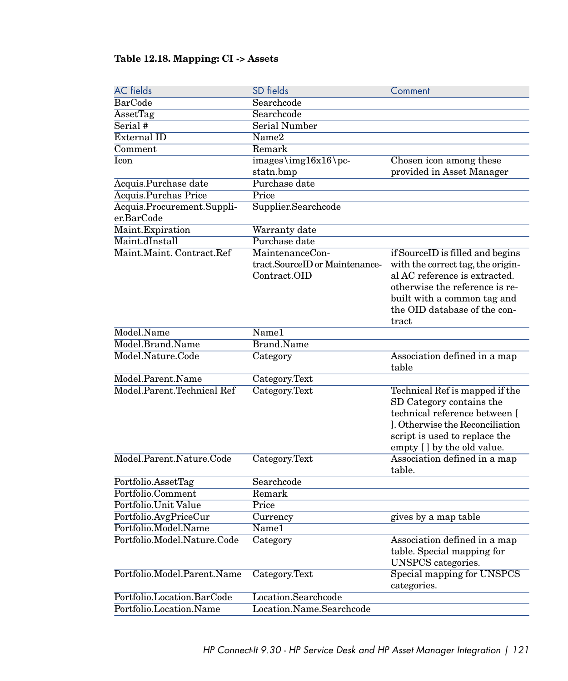## **Table 12.18. Mapping: CI -> Assets**

| <b>AC</b> fields                         | SD fields                                                         | Comment                                                                                                                                                                                                          |
|------------------------------------------|-------------------------------------------------------------------|------------------------------------------------------------------------------------------------------------------------------------------------------------------------------------------------------------------|
| BarCode                                  | Searchcode                                                        |                                                                                                                                                                                                                  |
| <b>AssetTag</b>                          | Searchcode                                                        |                                                                                                                                                                                                                  |
| Serial #                                 | <b>Serial Number</b>                                              |                                                                                                                                                                                                                  |
| External ID                              | $\overline{\text{Name2}}$                                         |                                                                                                                                                                                                                  |
| Comment                                  | Remark                                                            |                                                                                                                                                                                                                  |
| <b>Icon</b>                              | images\img16x16\pc-                                               | Chosen icon among these                                                                                                                                                                                          |
|                                          | statn.bmp                                                         | provided in Asset Manager                                                                                                                                                                                        |
| Acquis.Purchase date                     | Purchase date                                                     |                                                                                                                                                                                                                  |
| Acquis.Purchas Price                     | Price                                                             |                                                                                                                                                                                                                  |
| Acquis.Procurement.Suppli-<br>er.BarCode | Supplier.Searchcode                                               |                                                                                                                                                                                                                  |
| Maint.Expiration                         | Warranty date                                                     |                                                                                                                                                                                                                  |
| Maint.dInstall                           | Purchase date                                                     |                                                                                                                                                                                                                  |
| Maint.Maint. Contract.Ref                | MaintenanceCon-<br>tract.SourceID or Maintenance-<br>Contract.OID | if SourceID is filled and begins<br>with the correct tag, the origin-<br>al AC reference is extracted.<br>otherwise the reference is re-<br>built with a common tag and<br>the OID database of the con-<br>tract |
| Model.Name                               | Name1                                                             |                                                                                                                                                                                                                  |
| Model.Brand.Name                         | <b>Brand.Name</b>                                                 |                                                                                                                                                                                                                  |
| Model.Nature.Code                        | Category                                                          | Association defined in a map<br>table                                                                                                                                                                            |
| Model.Parent.Name                        | Category.Text                                                     |                                                                                                                                                                                                                  |
| Model.Parent.Technical Ref               | Category.Text                                                     | Technical Ref is mapped if the<br>SD Category contains the<br>technical reference between [<br>. Otherwise the Reconciliation<br>script is used to replace the<br>empty [] by the old value.                     |
| Model.Parent.Nature.Code                 | Category.Text                                                     | Association defined in a map<br>table.                                                                                                                                                                           |
| Portfolio.AssetTag                       | Searchcode                                                        |                                                                                                                                                                                                                  |
| Portfolio.Comment                        | Remark                                                            |                                                                                                                                                                                                                  |
| Portfolio.Unit Value                     | Price                                                             |                                                                                                                                                                                                                  |
| Portfolio.AvgPriceCur                    | Currency                                                          | gives by a map table                                                                                                                                                                                             |
| Portfolio.Model.Name                     | Name1                                                             |                                                                                                                                                                                                                  |
| Portfolio.Model.Nature.Code              | Category                                                          | Association defined in a map<br>table. Special mapping for<br>UNSPCS categories.                                                                                                                                 |
| Portfolio.Model.Parent.Name              | Category.Text                                                     | Special mapping for UNSPCS<br>categories.                                                                                                                                                                        |
| Portfolio.Location.BarCode               | Location.Searchcode                                               |                                                                                                                                                                                                                  |
| Portfolio.Location.Name                  | Location.Name.Searchcode                                          |                                                                                                                                                                                                                  |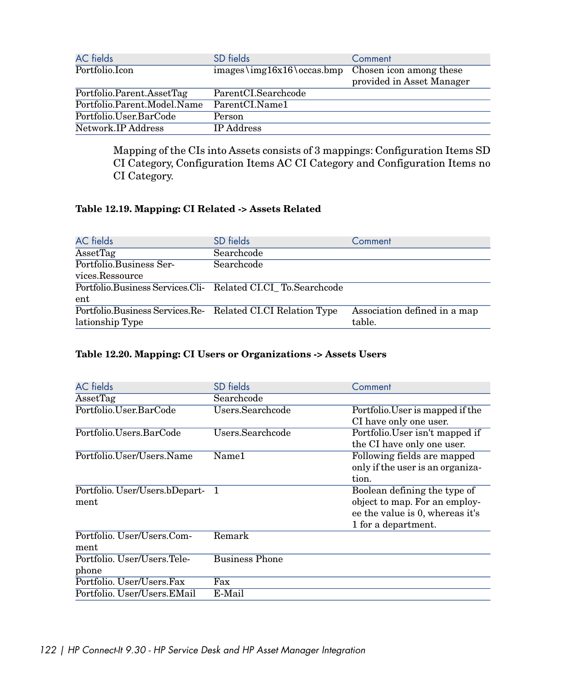| AC fields                   | SD fields                   | Comment                   |
|-----------------------------|-----------------------------|---------------------------|
| Portfolio.Icon              | $images\img16x16\locas.bmp$ | Chosen icon among these   |
|                             |                             | provided in Asset Manager |
| Portfolio.Parent.AssetTag   | ParentCI.Searchcode         |                           |
| Portfolio.Parent.Model.Name | ParentCI.Name1              |                           |
| Portfolio.User.BarCode      | Person                      |                           |
| Network.IP Address          | <b>IP</b> Address           |                           |

Mapping of the CIs into Assets consists of 3 mappings: Configuration Items SD CI Category, Configuration Items AC CI Category and Configuration Items no CI Category.

#### **Table 12.19. Mapping: CI Related -> Assets Related**

| AC fields                                                     | SD fields  | Comment                      |
|---------------------------------------------------------------|------------|------------------------------|
| AssetTag                                                      | Searchcode |                              |
| Portfolio.Business Ser-                                       | Searchcode |                              |
| vices.Ressource                                               |            |                              |
| Portfolio.Business Services.Cli-Related CLCL_To.Searchcode    |            |                              |
| ent                                                           |            |                              |
| Portfolio. Business Services. Re- Related CI.CI Relation Type |            | Association defined in a map |
| lationship Type                                               |            | table.                       |

#### **Table 12.20. Mapping: CI Users or Organizations -> Assets Users**

| <b>AC</b> fields               | SD fields             | Comment                          |
|--------------------------------|-----------------------|----------------------------------|
| AssetTag                       | Searchcode            |                                  |
| Portfolio.User.BarCode         | Users.Searchcode      | Portfolio. User is mapped if the |
|                                |                       | CI have only one user.           |
| Portfolio.Users.BarCode        | Users.Searchcode      | Portfolio.User isn't mapped if   |
|                                |                       | the CI have only one user.       |
| Portfolio.User/Users.Name      | Name1                 | Following fields are mapped      |
|                                |                       | only if the user is an organiza- |
|                                |                       | tion.                            |
| Portfolio. User/Users.bDepart- | -1                    | Boolean defining the type of     |
| ment                           |                       | object to map. For an employ-    |
|                                |                       | ee the value is 0, whereas it's  |
|                                |                       | 1 for a department.              |
| Portfolio. User/Users.Com-     | Remark                |                                  |
| ment                           |                       |                                  |
| Portfolio. User/Users.Tele-    | <b>Business Phone</b> |                                  |
| phone                          |                       |                                  |
| Portfolio. User/Users.Fax      | Fax                   |                                  |
| Portfolio. User/Users.EMail    | E-Mail                |                                  |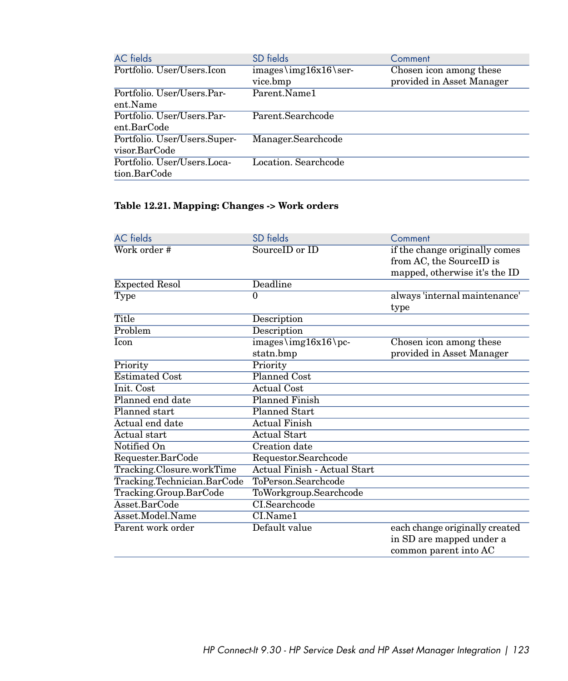| AC fields                    | SD fields              | Comment                   |
|------------------------------|------------------------|---------------------------|
| Portfolio. User/Users.Icon   | $images\img16x16\ser-$ | Chosen icon among these   |
|                              | vice.bmp               | provided in Asset Manager |
| Portfolio. User/Users.Par-   | Parent.Name1           |                           |
| ent.Name                     |                        |                           |
| Portfolio. User/Users.Par-   | Parent.Searchcode      |                           |
| ent.BarCode                  |                        |                           |
| Portfolio. User/Users.Super- | Manager.Searchcode     |                           |
| visor.BarCode                |                        |                           |
| Portfolio. User/Users.Loca-  | Location, Searchcode   |                           |
| tion.BarCode                 |                        |                           |

# **Table 12.21. Mapping: Changes -> Work orders**

| <b>AC</b> fields            | SD fields                    | Comment                        |
|-----------------------------|------------------------------|--------------------------------|
|                             |                              |                                |
| Work order #                | SourceID or ID               | if the change originally comes |
|                             |                              | from AC, the SourceID is       |
|                             |                              | mapped, otherwise it's the ID  |
| <b>Expected Resol</b>       | Deadline                     |                                |
| $\overline{T}$ ype          | 0                            | always 'internal maintenance'  |
|                             |                              | type                           |
| <b>Title</b>                | Description                  |                                |
| Problem                     | Description                  |                                |
| <b>Icon</b>                 | images\img16x16\pc-          | Chosen icon among these        |
|                             | statn.bmp                    | provided in Asset Manager      |
| Priority                    | Priority                     |                                |
| <b>Estimated Cost</b>       | Planned Cost                 |                                |
| Init. Cost                  | <b>Actual Cost</b>           |                                |
| Planned end date            | <b>Planned Finish</b>        |                                |
| Planned start               | <b>Planned Start</b>         |                                |
| Actual end date             | <b>Actual Finish</b>         |                                |
| Actual start                | <b>Actual Start</b>          |                                |
| Notified On                 | Creation date                |                                |
| Requester.BarCode           | Requestor.Searchcode         |                                |
| Tracking.Closure.workTime   | Actual Finish - Actual Start |                                |
| Tracking.Technician.BarCode | ToPerson.Searchcode          |                                |
| Tracking.Group.BarCode      | ToWorkgroup.Searchcode       |                                |
| Asset.BarCode               | CLSearchcode                 |                                |
| Asset.Model.Name            | CLName1                      |                                |
| Parent work order           | Default value                | each change originally created |
|                             |                              | in SD are mapped under a       |
|                             |                              | common parent into AC          |
|                             |                              |                                |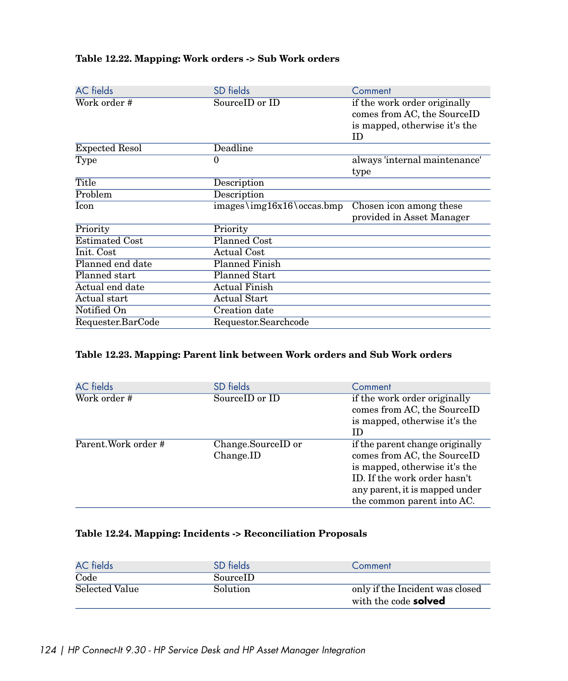| <b>AC</b> fields      | SD fields                   | Comment                                                                                            |
|-----------------------|-----------------------------|----------------------------------------------------------------------------------------------------|
| Work order #          | SourceID or ID              | if the work order originally<br>comes from AC, the SourceID<br>is mapped, otherwise it's the<br>ID |
| <b>Expected Resol</b> | Deadline                    |                                                                                                    |
| <b>Type</b>           | 0                           | always 'internal maintenance'<br>type                                                              |
| Title                 | Description                 |                                                                                                    |
| Problem               | Description                 |                                                                                                    |
| Icon                  | $images\img16x16\occas.bmp$ | Chosen icon among these<br>provided in Asset Manager                                               |
| Priority              | Priority                    |                                                                                                    |
| <b>Estimated Cost</b> | Planned Cost                |                                                                                                    |
| Init. Cost            | Actual Cost                 |                                                                                                    |
| Planned end date      | Planned Finish              |                                                                                                    |
| Planned start         | <b>Planned Start</b>        |                                                                                                    |
| Actual end date       | <b>Actual Finish</b>        |                                                                                                    |
| Actual start          | Actual Start                |                                                                                                    |
| Notified On           | Creation date               |                                                                                                    |
| Requester.BarCode     | Requestor.Searchcode        |                                                                                                    |

#### **Table 12.23. Mapping: Parent link between Work orders and Sub Work orders**

| <b>AC</b> fields     | SD fields          | Comment                         |
|----------------------|--------------------|---------------------------------|
| Work order #         | SourceID or ID     | if the work order originally    |
|                      |                    | comes from AC, the SourceID     |
|                      |                    | is mapped, otherwise it's the   |
|                      |                    | ΙD                              |
| Parent. Work order # | Change.SourceID or | if the parent change originally |
|                      | Change.ID          | comes from AC, the SourceID     |
|                      |                    | is mapped, otherwise it's the   |
|                      |                    | ID. If the work order hasn't    |
|                      |                    | any parent, it is mapped under  |
|                      |                    | the common parent into AC.      |

#### **Table 12.24. Mapping: Incidents -> Reconciliation Proposals**

| <b>AC</b> fields | SD fields | Comment                                                        |
|------------------|-----------|----------------------------------------------------------------|
| Code             | SourceID  |                                                                |
| Selected Value   | Solution  | only if the Incident was closed<br>with the code <b>solved</b> |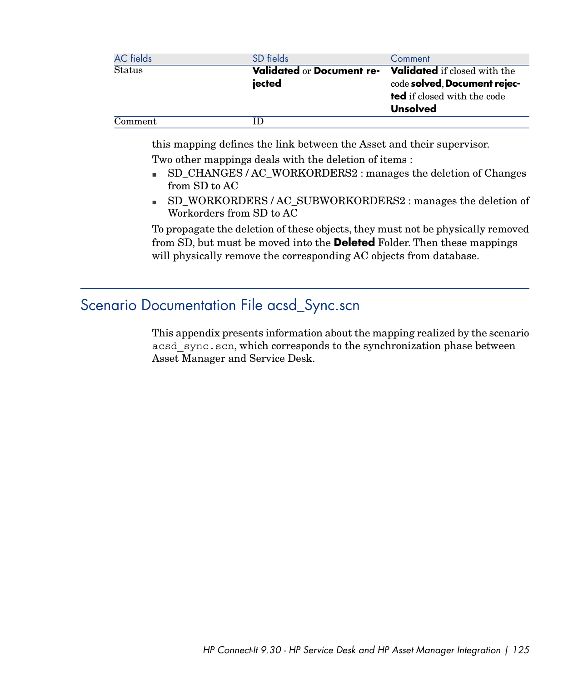| <b>AC</b> fields | SD fields                                                        | Comment                                                                               |
|------------------|------------------------------------------------------------------|---------------------------------------------------------------------------------------|
| <b>Status</b>    | Validated or Document re- Validated if closed with the<br>jected | code solved, Document rejec-<br><b>ted</b> if closed with the code<br><b>Unsolved</b> |
| Comment          | m                                                                |                                                                                       |

this mapping defines the link between the Asset and their supervisor.

Two other mappings deals with the deletion of items :

- <sup>n</sup> SD\_CHANGES / AC\_WORKORDERS2 : manages the deletion of Changes from SD to AC
- <sup>n</sup> SD\_WORKORDERS / AC\_SUBWORKORDERS2 : manages the deletion of Workorders from SD to AC

To propagate the deletion of these objects, they must not be physically removed from SD, but must be moved into the **Deleted** Folder. Then these mappings will physically remove the corresponding AC objects from database.

# Scenario Documentation File acsd\_Sync.scn

This appendix presents information about the mapping realized by the scenario acsd\_sync.scn, which corresponds to the synchronization phase between Asset Manager and Service Desk.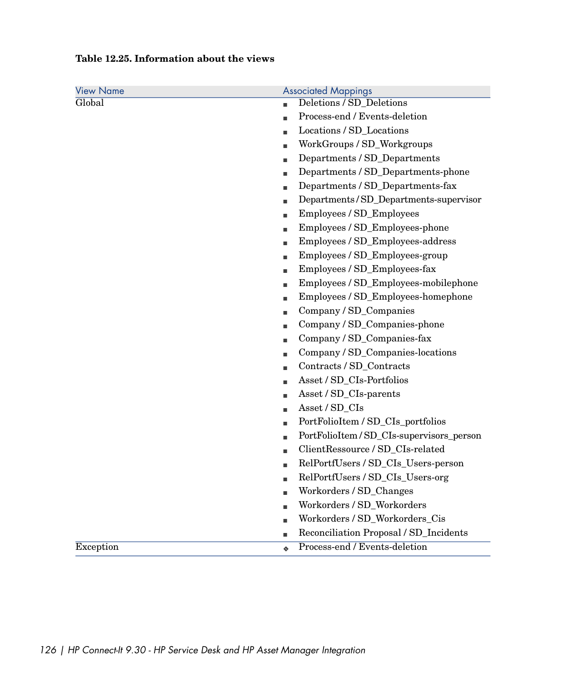| <b>View Name</b> |   | <b>Associated Mappings</b>              |
|------------------|---|-----------------------------------------|
| Global           |   | Deletions / SD Deletions                |
|                  |   | Process-end / Events-deletion           |
|                  |   | Locations / SD_Locations                |
|                  | ٠ | WorkGroups / SD_Workgroups              |
|                  |   | Departments / SD_Departments            |
|                  |   | Departments / SD_Departments-phone      |
|                  |   | Departments / SD_Departments-fax        |
|                  | ٠ | Departments/SD_Departments-supervisor   |
|                  | ٠ | Employees / SD_Employees                |
|                  |   | Employees / SD_Employees-phone          |
|                  |   | Employees / SD_Employees-address        |
|                  |   | Employees / SD_Employees-group          |
|                  |   | Employees / SD_Employees-fax            |
|                  | ٠ | Employees / SD_Employees-mobilephone    |
|                  |   | Employees / SD_Employees-homephone      |
|                  |   | Company / SD_Companies                  |
|                  |   | Company / SD_Companies-phone            |
|                  |   | Company / SD_Companies-fax              |
|                  |   | Company / SD_Companies-locations        |
|                  |   | Contracts / SD_Contracts                |
|                  |   | Asset / SD_CIs-Portfolios               |
|                  |   | Asset / SD_CIs-parents                  |
|                  |   | Asset / SD_CIs                          |
|                  |   | PortFolioItem / SD_CIs_portfolios       |
|                  |   | PortFolioItem/SD_CIs-supervisors_person |
|                  |   | ClientRessource / SD_CIs-related        |
|                  |   | RelPortfUsers / SD_CIs_Users-person     |
|                  |   | RelPortfUsers / SD_CIs_Users-org        |
|                  |   | Workorders / SD_Changes                 |
|                  |   | Workorders / SD_Workorders              |
|                  |   | Workorders / SD_Workorders_Cis          |
|                  |   | Reconciliation Proposal / SD_Incidents  |
| Exception        | ò | Process-end / Events-deletion           |

#### **Table 12.25. Information about the views**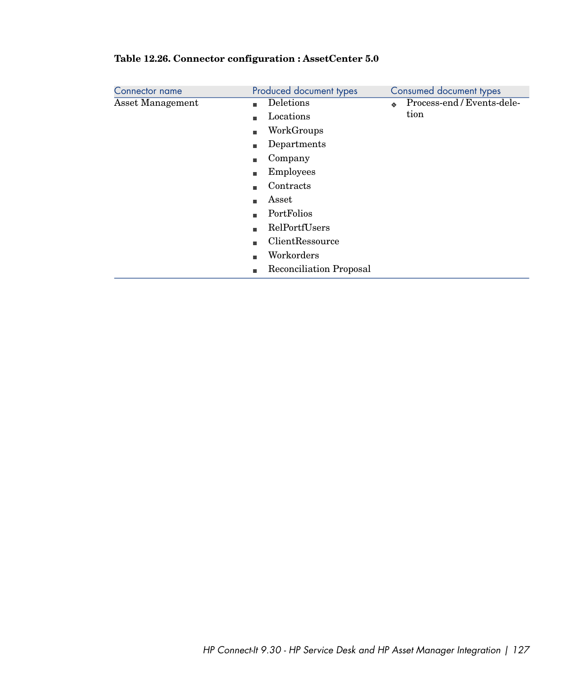| Connector name          | Produced document types      |   | Consumed document types    |
|-------------------------|------------------------------|---|----------------------------|
| <b>Asset Management</b> | Deletions<br>٠               | ٠ | Process-end / Events-dele- |
|                         | Locations<br>٠               |   | tion                       |
|                         | WorkGroups<br>٠              |   |                            |
|                         | Departments<br>٠             |   |                            |
|                         | Company<br>٠                 |   |                            |
|                         | Employees<br>٠               |   |                            |
|                         | Contracts<br>٠               |   |                            |
|                         | Asset<br>٠                   |   |                            |
|                         | PortFolios<br>٠              |   |                            |
|                         | RelPortfUsers<br>٠           |   |                            |
|                         | ClientRessource<br>٠         |   |                            |
|                         | Workorders<br>٠              |   |                            |
|                         | Reconciliation Proposal<br>٠ |   |                            |

## **Table 12.26. Connector configuration : AssetCenter 5.0**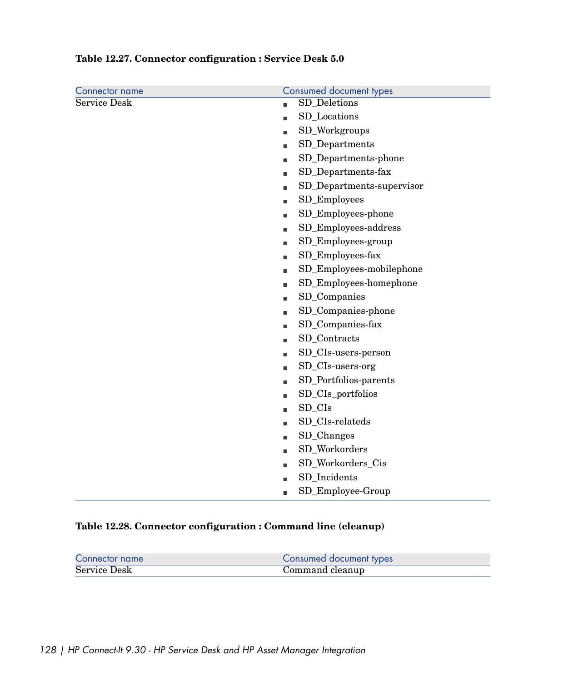| Connector name      | Consumed document types        |
|---------------------|--------------------------------|
| <b>Service Desk</b> | <b>SD_Deletions</b>            |
|                     | SD_Locations                   |
|                     | SD_Workgroups                  |
|                     | SD_Departments                 |
|                     | SD_Departments-phone           |
|                     | SD_Departments-fax             |
|                     | SD_Departments-supervisor<br>٠ |
|                     | SD_Employees                   |
|                     | SD_Employees-phone             |
|                     | SD_Employees-address           |
|                     | SD_Employees-group             |
|                     | SD_Employees-fax               |
|                     | SD_Employees-mobilephone<br>٠  |
|                     | SD_Employees-homephone         |
|                     | SD_Companies                   |
|                     | SD_Companies-phone             |
|                     | SD_Companies-fax<br>٠          |
|                     | SD_Contracts<br>٠              |
|                     | SD_CIs-users-person            |
|                     | SD_CIs-users-org               |
|                     | SD_Portfolios-parents<br>٠     |
|                     | SD_CIs_portfolios              |
|                     | SD_CIs                         |
|                     | SD_CIs-relateds                |
|                     | SD_Changes                     |
|                     | SD_Workorders                  |
|                     | SD_Workorders_Cis              |
|                     | SD_Incidents                   |
|                     | SD_Employee-Group              |

### **Table 12.27. Connector configuration : Service Desk 5.0**

#### **Table 12.28. Connector configuration : Command line (cleanup)**

| Connector name      | Consumed document types |
|---------------------|-------------------------|
| <b>Service Desk</b> | Command cleanup         |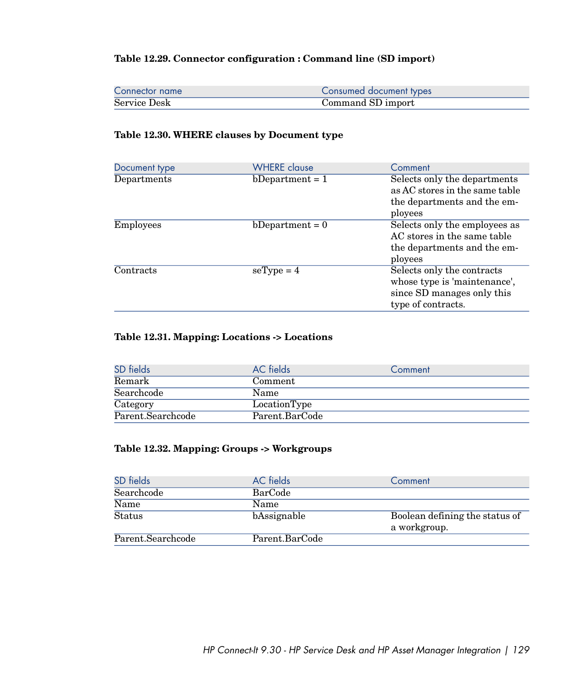# **Table 12.29. Connector configuration : Command line (SD import)**

| Connector name      | Consumed document types |
|---------------------|-------------------------|
| <b>Service Desk</b> | Command SD import       |

#### **Table 12.30. WHERE clauses by Document type**

| Document type | <b>WHERE</b> clause | Comment                                                                                                        |
|---------------|---------------------|----------------------------------------------------------------------------------------------------------------|
| Departments   | $b$ Department = 1  | Selects only the departments<br>as AC stores in the same table<br>the departments and the em-<br>ployees       |
| Employees     | $b$ Department = 0  | Selects only the employees as<br>AC stores in the same table<br>the departments and the em-<br>ployees         |
| Contracts     | $seType = 4$        | Selects only the contracts<br>whose type is 'maintenance',<br>since SD manages only this<br>type of contracts. |

#### **Table 12.31. Mapping: Locations -> Locations**

| SD fields         | AC fields      | Comment |
|-------------------|----------------|---------|
| Remark            | Comment        |         |
| Searchcode        | Name           |         |
| Category          | LocationType   |         |
| Parent.Searchcode | Parent.BarCode |         |

#### **Table 12.32. Mapping: Groups -> Workgroups**

| SD fields         | AC fields      | Comment                                        |
|-------------------|----------------|------------------------------------------------|
| Searchcode        | <b>BarCode</b> |                                                |
| Name              | Name           |                                                |
| Status            | bAssignable    | Boolean defining the status of<br>a workgroup. |
| Parent.Searchcode | Parent.BarCode |                                                |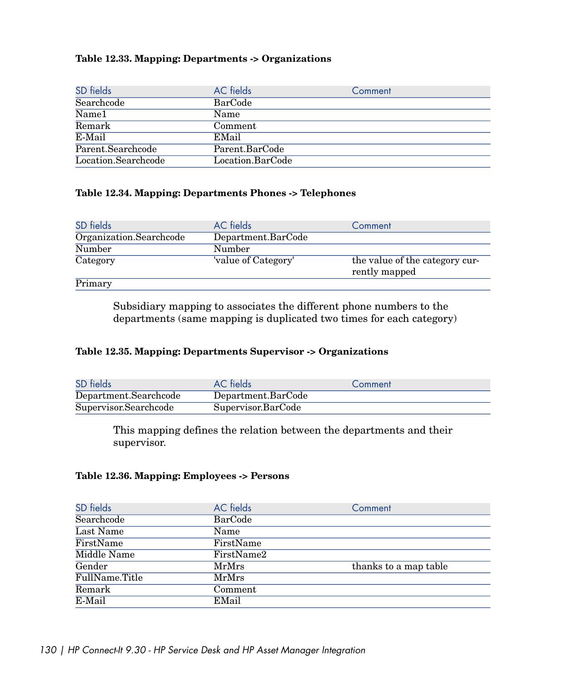#### **Table 12.33. Mapping: Departments -> Organizations**

| SD fields           | AC fields        | Comment |
|---------------------|------------------|---------|
| Searchcode          | <b>BarCode</b>   |         |
| Name1               | Name             |         |
| Remark              | Comment          |         |
| E-Mail              | EMail            |         |
| Parent.Searchcode   | Parent.BarCode   |         |
| Location.Searchcode | Location.BarCode |         |

#### **Table 12.34. Mapping: Departments Phones -> Telephones**

| SD fields               | AC fields           | Comment                                         |
|-------------------------|---------------------|-------------------------------------------------|
| Organization.Searchcode | Department.BarCode  |                                                 |
| Number                  | Number              |                                                 |
| Category                | 'value of Category' | the value of the category cur-<br>rently mapped |
| Primary                 |                     |                                                 |

Subsidiary mapping to associates the different phone numbers to the departments (same mapping is duplicated two times for each category)

#### **Table 12.35. Mapping: Departments Supervisor -> Organizations**

| SD fields             | AC fields          | Comment |
|-----------------------|--------------------|---------|
| Department.Searchcode | Department.BarCode |         |
| Supervisor.Searchcode | Supervisor.BarCode |         |

This mapping defines the relation between the departments and their supervisor.

#### **Table 12.36. Mapping: Employees -> Persons**

| SD fields      | <b>AC</b> fields | Comment               |
|----------------|------------------|-----------------------|
| Searchcode     | BarCode          |                       |
| Last Name      | Name             |                       |
| FirstName      | FirstName        |                       |
| Middle Name    | FirstName2       |                       |
| Gender         | MrMrs            | thanks to a map table |
| FullName.Title | MrMrs            |                       |
| Remark         | Comment          |                       |
| E-Mail         | EMail            |                       |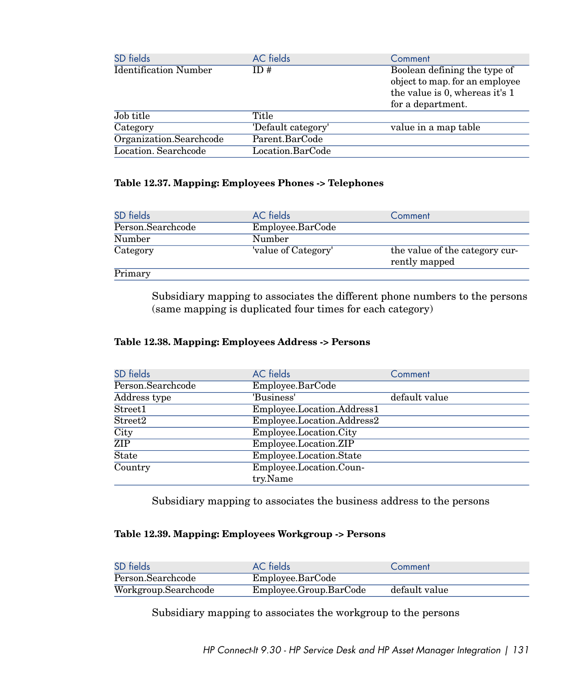| SD fields                    | <b>AC</b> fields   | Comment                        |
|------------------------------|--------------------|--------------------------------|
| <b>Identification Number</b> | ID#                | Boolean defining the type of   |
|                              |                    | object to map. for an employee |
|                              |                    | the value is 0, whereas it's 1 |
|                              |                    | for a department.              |
| Job title                    | Title              |                                |
| Category                     | 'Default category' | value in a map table           |
| Organization.Searchcode      | Parent.BarCode     |                                |
| Location. Searchcode         | Location.BarCode   |                                |

#### **Table 12.37. Mapping: Employees Phones -> Telephones**

| SD fields         | AC fields           | Comment                                         |
|-------------------|---------------------|-------------------------------------------------|
| Person.Searchcode | Employee.BarCode    |                                                 |
| Number            | Number              |                                                 |
| Category          | 'value of Category' | the value of the category cur-<br>rently mapped |
| Primary           |                     |                                                 |

Subsidiary mapping to associates the different phone numbers to the persons (same mapping is duplicated four times for each category)

#### **Table 12.38. Mapping: Employees Address -> Persons**

| SD fields           | <b>AC</b> fields           | Comment       |
|---------------------|----------------------------|---------------|
| Person.Searchcode   | Employee.BarCode           |               |
| Address type        | 'Business'                 | default value |
| Street1             | Employee.Location.Address1 |               |
| Street <sub>2</sub> | Employee.Location.Address2 |               |
| City                | Employee.Location.City     |               |
| ZIP                 | Employee.Location.ZIP      |               |
| State               | Employee.Location.State    |               |
| Country             | Employee.Location.Coun-    |               |
|                     | try.Name                   |               |

Subsidiary mapping to associates the business address to the persons

#### **Table 12.39. Mapping: Employees Workgroup -> Persons**

| SD fields            | AC fields              | Comment       |
|----------------------|------------------------|---------------|
| Person.Searchcode    | Employee.BarCode       |               |
| Workgroup.Searchcode | Employee.Group.BarCode | default value |

Subsidiary mapping to associates the workgroup to the persons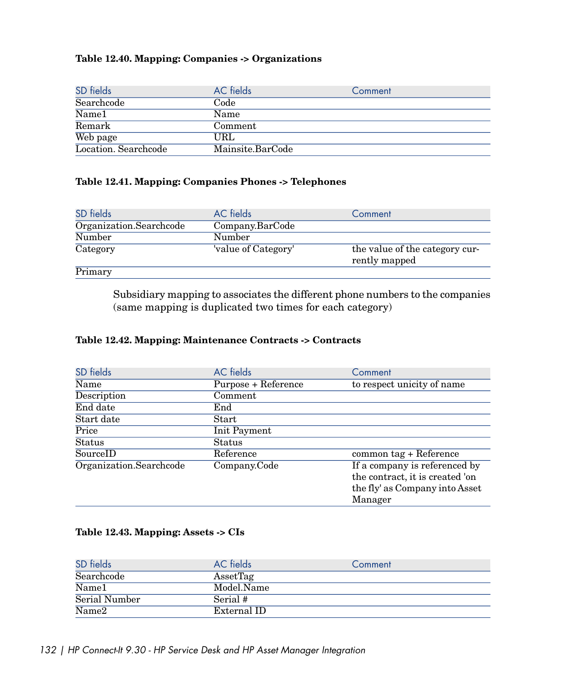#### **Table 12.40. Mapping: Companies -> Organizations**

| SD fields            | AC fields        | Comment |
|----------------------|------------------|---------|
| Searchcode           | Code             |         |
| Name1                | Name             |         |
| Remark               | Comment          |         |
| Web page             | URL              |         |
| Location. Searchcode | Mainsite.BarCode |         |

#### **Table 12.41. Mapping: Companies Phones -> Telephones**

| SD fields               | AC fields           | Comment                                         |
|-------------------------|---------------------|-------------------------------------------------|
| Organization.Searchcode | Company.BarCode     |                                                 |
| Number                  | Number              |                                                 |
| Category                | 'value of Category' | the value of the category cur-<br>rently mapped |
| Primary                 |                     |                                                 |

Subsidiary mapping to associates the different phone numbers to the companies (same mapping is duplicated two times for each category)

#### **Table 12.42. Mapping: Maintenance Contracts -> Contracts**

| SD fields               | <b>AC</b> fields         | Comment                         |
|-------------------------|--------------------------|---------------------------------|
| Name                    | Purpose + Reference      | to respect unicity of name      |
| Description             | $\operatorname{Comment}$ |                                 |
| End date                | End                      |                                 |
| Start date              | Start                    |                                 |
| Price                   | Init Payment             |                                 |
| <b>Status</b>           | <b>Status</b>            |                                 |
| SourceID                | Reference                | common tag + Reference          |
| Organization.Searchcode | Company.Code             | If a company is referenced by   |
|                         |                          | the contract, it is created 'on |
|                         |                          | the fly' as Company into Asset  |
|                         |                          | Manager                         |

#### **Table 12.43. Mapping: Assets -> CIs**

| SD fields     | AC fields   | Comment |
|---------------|-------------|---------|
| Searchcode    | AssetTag    |         |
| Name1         | Model.Name  |         |
| Serial Number | Serial #    |         |
| Name2         | External ID |         |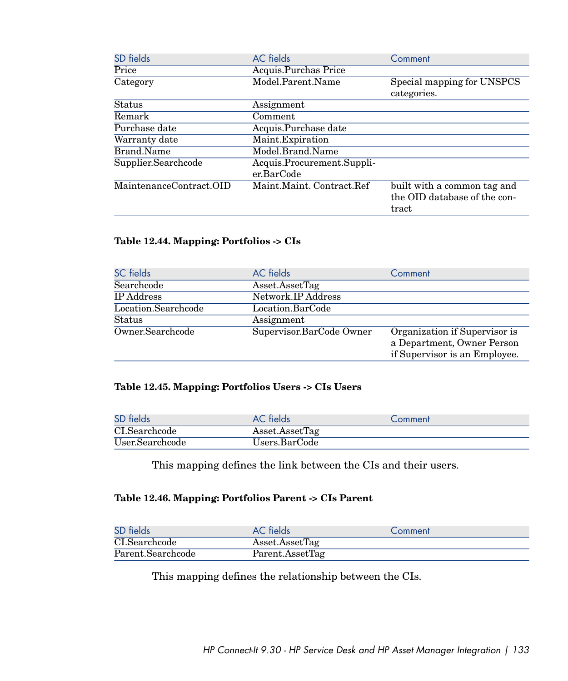| SD fields                     | <b>AC</b> fields                         | Comment                                                              |
|-------------------------------|------------------------------------------|----------------------------------------------------------------------|
| Price                         | Acquis.Purchas Price                     |                                                                      |
| $\overline{\text{C}}$ ategory | Model.Parent.Name                        | Special mapping for UNSPCS<br>categories.                            |
| <b>Status</b>                 | Assignment                               |                                                                      |
| Remark                        | Comment                                  |                                                                      |
| Purchase date                 | Acquis.Purchase date                     |                                                                      |
| Warranty date                 | Maint.Expiration                         |                                                                      |
| Brand.Name                    | Model.Brand.Name                         |                                                                      |
| Supplier.Searchcode           | Acquis.Procurement.Suppli-<br>er.BarCode |                                                                      |
| MaintenanceContract.OID       | Maint.Maint. Contract.Ref                | built with a common tag and<br>the OID database of the con-<br>tract |

#### **Table 12.44. Mapping: Portfolios -> CIs**

| <b>SC</b> fields    | AC fields                | Comment                                                                                      |
|---------------------|--------------------------|----------------------------------------------------------------------------------------------|
| Searchcode          | Asset.AssetTag           |                                                                                              |
| <b>IP</b> Address   | Network.IP Address       |                                                                                              |
| Location.Searchcode | Location.BarCode         |                                                                                              |
| Status              | Assignment               |                                                                                              |
| Owner.Searchcode    | Supervisor.BarCode Owner | Organization if Supervisor is<br>a Department, Owner Person<br>if Supervisor is an Employee. |

#### **Table 12.45. Mapping: Portfolios Users -> CIs Users**

| SD fields       | <b>AC</b> fields | Comment |
|-----------------|------------------|---------|
| CI.Searchcode   | Asset.AssetTag   |         |
| User.Searchcode | Users.BarCode    |         |

This mapping defines the link between the CIs and their users.

#### **Table 12.46. Mapping: Portfolios Parent -> CIs Parent**

| SD fields         | <b>AC</b> fields | Comment |
|-------------------|------------------|---------|
| CI.Searchcode     | Asset.AssetTag   |         |
| Parent.Searchcode | Parent.AssetTag  |         |

This mapping defines the relationship between the CIs.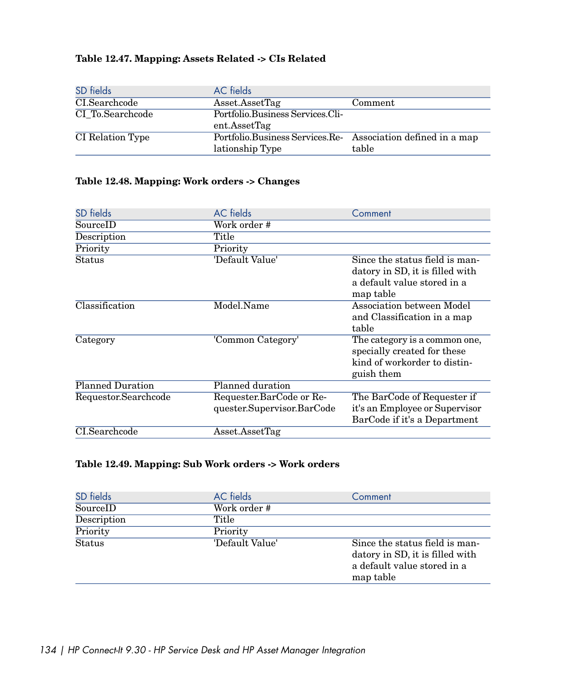#### **Table 12.47. Mapping: Assets Related -> CIs Related**

| SD fields        | AC fields                                                         |         |
|------------------|-------------------------------------------------------------------|---------|
| CI.Searchcode    | Asset.AssetTag                                                    | Comment |
| CI To.Searchcode | Portfolio.Business Services.Cli-                                  |         |
|                  | ent.AssetTag                                                      |         |
| CI Relation Type | Portfolio. Business Services. Re-<br>Association defined in a map |         |
|                  | lationship Type                                                   | table   |

#### **Table 12.48. Mapping: Work orders -> Changes**

| SD fields               | <b>AC</b> fields                                       | Comment                                                                                                       |
|-------------------------|--------------------------------------------------------|---------------------------------------------------------------------------------------------------------------|
| SourceID                | Work order #                                           |                                                                                                               |
| Description             | Title                                                  |                                                                                                               |
| Priority                | Priority                                               |                                                                                                               |
| <b>Status</b>           | 'Default Value'                                        | Since the status field is man-<br>datory in SD, it is filled with<br>a default value stored in a<br>map table |
| Classification          | Model.Name                                             | Association between Model<br>and Classification in a map<br>table                                             |
| Category                | 'Common Category'                                      | The category is a common one,<br>specially created for these<br>kind of workorder to distin-<br>guish them    |
| <b>Planned Duration</b> | Planned duration                                       |                                                                                                               |
| Requestor.Searchcode    | Requester.BarCode or Re-<br>quester.Supervisor.BarCode | The BarCode of Requester if<br>it's an Employee or Supervisor<br>BarCode if it's a Department                 |
| CI.Searchcode           | Asset.AssetTag                                         |                                                                                                               |

#### **Table 12.49. Mapping: Sub Work orders -> Work orders**

| SD fields     | <b>AC</b> fields | Comment                                                                                                       |
|---------------|------------------|---------------------------------------------------------------------------------------------------------------|
| SourceID      | Work order #     |                                                                                                               |
| Description   | Title            |                                                                                                               |
| Priority      | Priority         |                                                                                                               |
| <b>Status</b> | 'Default Value'  | Since the status field is man-<br>datory in SD, it is filled with<br>a default value stored in a<br>map table |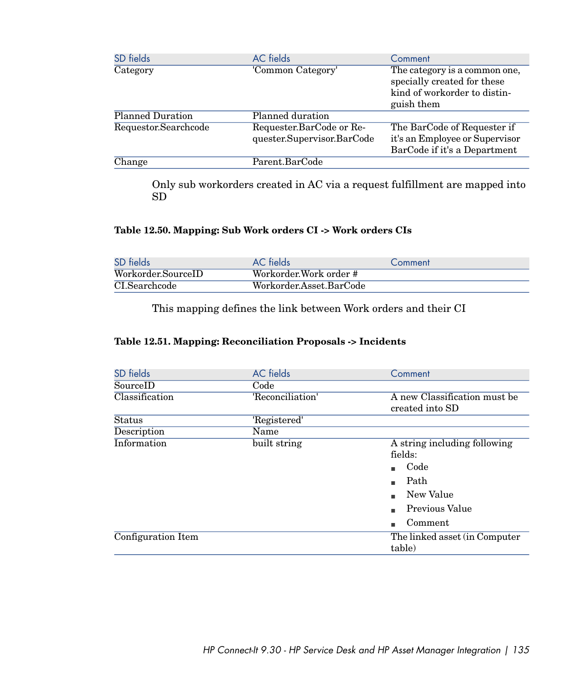| SD fields               | <b>AC</b> fields                                        | Comment                                                                                                    |
|-------------------------|---------------------------------------------------------|------------------------------------------------------------------------------------------------------------|
| Category                | 'Common Category'                                       | The category is a common one,<br>specially created for these<br>kind of workorder to distin-<br>guish them |
| <b>Planned Duration</b> | Planned duration                                        |                                                                                                            |
| Requestor.Searchcode    | Requester, BarCode or Re-<br>quester.Supervisor.BarCode | The BarCode of Requester if<br>it's an Employee or Supervisor<br>BarCode if it's a Department              |
| Change                  | Parent.BarCode                                          |                                                                                                            |

Only sub workorders created in AC via a request fulfillment are mapped into SD

#### **Table 12.50. Mapping: Sub Work orders CI -> Work orders CIs**

| SD fields          | AC fields               | Comment |
|--------------------|-------------------------|---------|
| Workorder.SourceID | Workorder.Work order #  |         |
| CI.Searchcode      | Workorder.Asset.BarCode |         |

This mapping defines the link between Work orders and their CI

#### **Table 12.51. Mapping: Reconciliation Proposals -> Incidents**

| SD fields          | <b>AC</b> fields | Comment                                                                                                             |
|--------------------|------------------|---------------------------------------------------------------------------------------------------------------------|
| SourceID           | Code             |                                                                                                                     |
| Classification     | 'Reconciliation' | A new Classification must be<br>created into SD                                                                     |
| <b>Status</b>      | 'Registered'     |                                                                                                                     |
| Description        | Name             |                                                                                                                     |
| Information        | built string     | A string including following<br>fields:<br>Code<br>Path<br>$\blacksquare$<br>New Value<br>Previous Value<br>Comment |
| Configuration Item |                  | The linked asset (in Computer<br>table)                                                                             |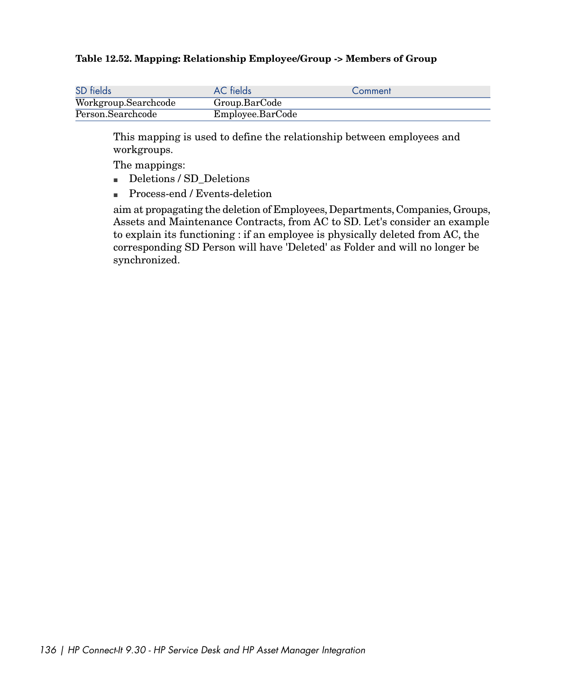#### **Table 12.52. Mapping: Relationship Employee/Group -> Members of Group**

| SD fields            | <b>AC</b> fields | Comment |
|----------------------|------------------|---------|
| Workgroup.Searchcode | Group.BarCode    |         |
| Person.Searchcode    | Employee.BarCode |         |

This mapping is used to define the relationship between employees and workgroups.

The mappings:

- <sup>n</sup> Deletions / SD\_Deletions
- Process-end / Events-deletion

aim at propagating the deletion of Employees, Departments, Companies, Groups, Assets and Maintenance Contracts, from AC to SD. Let's consider an example to explain its functioning : if an employee is physically deleted from AC, the corresponding SD Person will have 'Deleted' as Folder and will no longer be synchronized.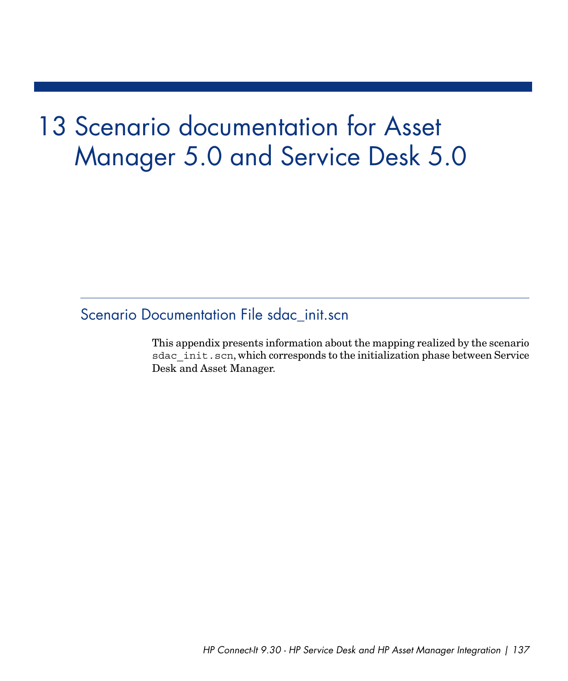# 13 Scenario documentation for Asset Manager 5.0 and Service Desk 5.0

# Scenario Documentation File sdac\_init.scn

This appendix presents information about the mapping realized by the scenario sdac init.scn, which corresponds to the initialization phase between Service Desk and Asset Manager.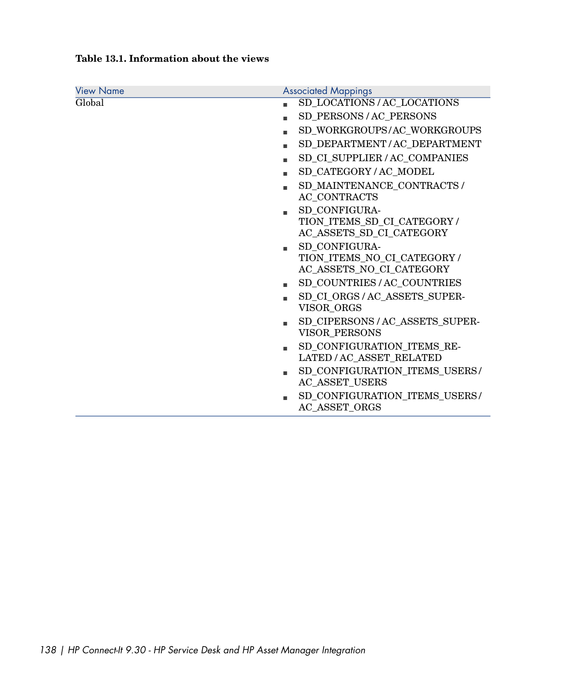| <b>View Name</b> | <b>Associated Mappings</b>                                  |
|------------------|-------------------------------------------------------------|
| Global           | SD LOCATIONS / AC LOCATIONS                                 |
|                  | SD PERSONS/AC PERSONS                                       |
|                  | SD_WORKGROUPS/AC_WORKGROUPS                                 |
|                  | SD DEPARTMENT/AC DEPARTMENT                                 |
|                  | SD CI SUPPLIER/AC COMPANIES                                 |
|                  | SD_CATEGORY / AC_MODEL                                      |
|                  | SD MAINTENANCE CONTRACTS/<br>AC CONTRACTS                   |
|                  | SD_CONFIGURA-                                               |
|                  | TION ITEMS SD CI CATEGORY/                                  |
|                  | AC_ASSETS_SD_CI_CATEGORY                                    |
|                  | SD CONFIGURA-<br>TION ITEMS NO CI CATEGORY/                 |
|                  | AC ASSETS NO CI CATEGORY                                    |
|                  | SD_COUNTRIES / AC_COUNTRIES                                 |
|                  | SD_CI_ORGS / AC_ASSETS_SUPER-<br>VISOR ORGS                 |
|                  | SD_CIPERSONS / AC_ASSETS_SUPER-<br><b>VISOR PERSONS</b>     |
|                  | SD CONFIGURATION ITEMS RE-<br><b>LATED/AC ASSET RELATED</b> |
|                  | SD_CONFIGURATION_ITEMS_USERS/<br><b>AC_ASSET_USERS</b>      |
|                  | SD CONFIGURATION ITEMS USERS/<br><b>AC ASSET ORGS</b>       |

#### **Table 13.1. Information about the views**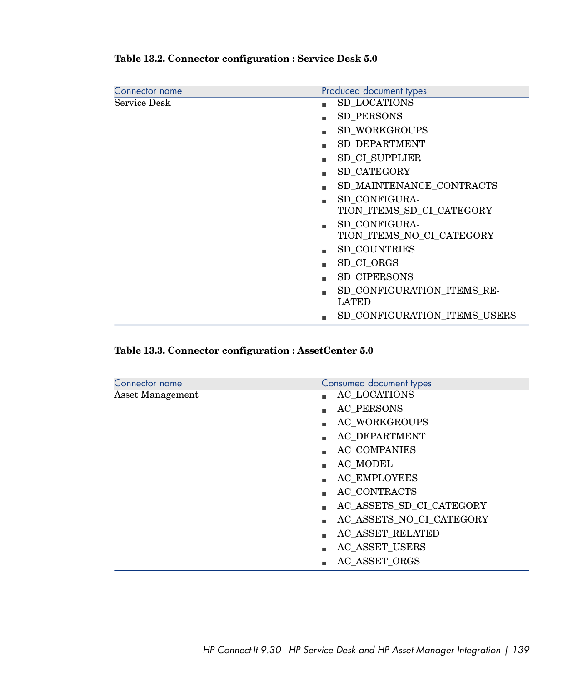| Connector name | Produced document types      |
|----------------|------------------------------|
| Service Desk   | SD LOCATIONS                 |
|                | <b>SD_PERSONS</b>            |
|                | <b>SD WORKGROUPS</b>         |
|                | <b>SD DEPARTMENT</b>         |
|                | <b>SD CI SUPPLIER</b>        |
|                | <b>SD CATEGORY</b>           |
|                | SD MAINTENANCE CONTRACTS     |
|                | SD CONFIGURA-                |
|                | TION ITEMS SD CI CATEGORY    |
|                | SD CONFIGURA-                |
|                | TION_ITEMS_NO_CI_CATEGORY    |
|                | <b>SD COUNTRIES</b>          |
|                | SD CI ORGS                   |
|                | <b>SD CIPERSONS</b>          |
|                | SD CONFIGURATION ITEMS RE-   |
|                | <b>LATED</b>                 |
|                | SD CONFIGURATION ITEMS USERS |

### **Table 13.2. Connector configuration : Service Desk 5.0**

#### **Table 13.3. Connector configuration : AssetCenter 5.0**

| Connector name          | Consumed document types  |  |
|-------------------------|--------------------------|--|
| <b>Asset Management</b> | <b>AC_LOCATIONS</b>      |  |
|                         | AC PERSONS               |  |
|                         | <b>AC_WORKGROUPS</b>     |  |
|                         | <b>AC DEPARTMENT</b>     |  |
|                         | <b>AC COMPANIES</b>      |  |
|                         | AC MODEL                 |  |
|                         | <b>AC_EMPLOYEES</b>      |  |
|                         | AC CONTRACTS             |  |
|                         | AC ASSETS SD CI CATEGORY |  |
|                         | AC ASSETS NO CI CATEGORY |  |
|                         | AC ASSET RELATED         |  |
|                         | AC ASSET USERS           |  |
|                         | AC ASSET ORGS            |  |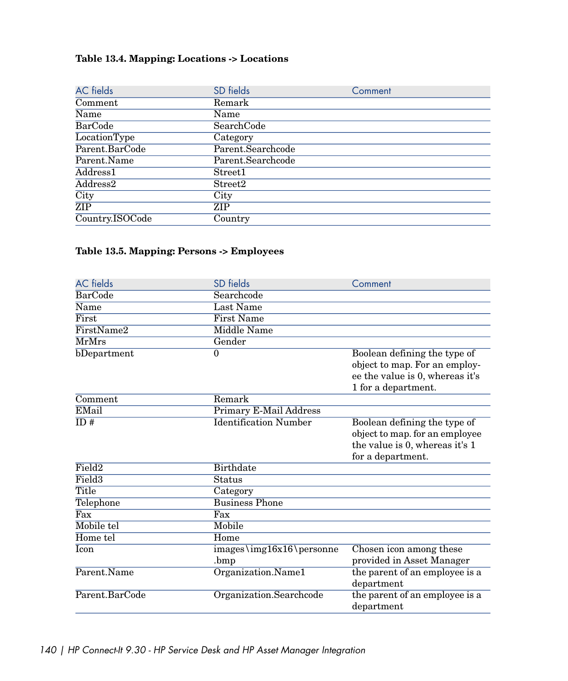#### **Table 13.4. Mapping: Locations -> Locations**

| <b>AC</b> fields             | SD fields         | Comment |
|------------------------------|-------------------|---------|
| Comment                      | Remark            |         |
| Name                         | Name              |         |
| <b>BarCode</b>               | SearchCode        |         |
| LocationType                 | Category          |         |
| Parent.BarCode               | Parent.Searchcode |         |
| Parent.Name                  | Parent.Searchcode |         |
| Address1                     | Street1           |         |
| $\overline{\text{Address}}2$ | Street2           |         |
| $\overline{\mathrm{City}}$   | City              |         |
| ZIP                          | ZIP               |         |
| Country.ISOCode              | Country           |         |

#### **Table 13.5. Mapping: Persons -> Employees**

| <b>AC</b> fields           | SD fields                      | Comment                                                                                                                 |
|----------------------------|--------------------------------|-------------------------------------------------------------------------------------------------------------------------|
| BarCode                    | Searchcode                     |                                                                                                                         |
| Name                       | Last Name                      |                                                                                                                         |
| First                      | <b>First Name</b>              |                                                                                                                         |
| FirstName2                 | <b>Middle Name</b>             |                                                                                                                         |
| MrMrs                      | Gender                         |                                                                                                                         |
| bDepartment                | $\Omega$                       | Boolean defining the type of<br>object to map. For an employ-<br>ee the value is 0, whereas it's<br>1 for a department. |
| Comment                    | Remark                         |                                                                                                                         |
| EMail                      | <b>Primary E-Mail Address</b>  |                                                                                                                         |
| ID#                        | <b>Identification Number</b>   | Boolean defining the type of<br>object to map. for an employee<br>the value is 0, whereas it's 1<br>for a department.   |
| $\overline{\text{Field2}}$ | <b>Birthdate</b>               |                                                                                                                         |
| Field <sub>3</sub>         | <b>Status</b>                  |                                                                                                                         |
| <b>Title</b>               | Category                       |                                                                                                                         |
| Telephone                  | <b>Business Phone</b>          |                                                                                                                         |
| Fax                        | Fax                            |                                                                                                                         |
| Mobile tel                 | Mobile                         |                                                                                                                         |
| Home tel                   | Home                           |                                                                                                                         |
| Icon                       | $images\img16x16\perp$<br>.bmp | Chosen icon among these<br>provided in Asset Manager                                                                    |
| Parent Name                | Organization.Name1             | the parent of an employee is a<br>department                                                                            |
| Parent.BarCode             | Organization.Searchcode        | the parent of an employee is a<br>department                                                                            |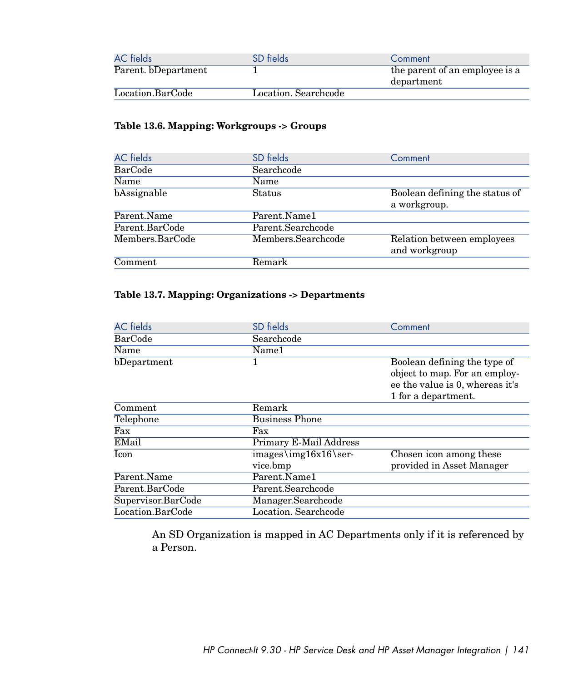| AC fields           | SD fields            | Comment                                      |
|---------------------|----------------------|----------------------------------------------|
| Parent. bDepartment |                      | the parent of an employee is a<br>department |
| Location.BarCode    | Location. Searchcode |                                              |

#### **Table 13.6. Mapping: Workgroups -> Groups**

| SD fields          | Comment                        |
|--------------------|--------------------------------|
| Searchcode         |                                |
| Name               |                                |
| Status             | Boolean defining the status of |
|                    | a workgroup.                   |
| Parent.Name1       |                                |
| Parent.Searchcode  |                                |
| Members.Searchcode | Relation between employees     |
|                    | and workgroup                  |
| Remark             |                                |
|                    |                                |

#### **Table 13.7. Mapping: Organizations -> Departments**

| <b>AC</b> fields   | SD fields                          | Comment                                                                                                                 |
|--------------------|------------------------------------|-------------------------------------------------------------------------------------------------------------------------|
| BarCode            | Searchcode                         |                                                                                                                         |
| Name               | Name1                              |                                                                                                                         |
| bDepartment        |                                    | Boolean defining the type of<br>object to map. For an employ-<br>ee the value is 0, whereas it's<br>1 for a department. |
| Comment            | Remark                             |                                                                                                                         |
| Telephone          | <b>Business Phone</b>              |                                                                                                                         |
| Fax                | Fax                                |                                                                                                                         |
| EMail              | Primary E-Mail Address             |                                                                                                                         |
| Icon               | $images\img16x16\ser-$<br>vice.bmp | Chosen icon among these<br>provided in Asset Manager                                                                    |
| Parent.Name        | Parent.Name1                       |                                                                                                                         |
| Parent.BarCode     | Parent.Searchcode                  |                                                                                                                         |
| Supervisor.BarCode | Manager.Searchcode                 |                                                                                                                         |
| Location.BarCode   | Location, Searchcode               |                                                                                                                         |

An SD Organization is mapped in AC Departments only if it is referenced by a Person.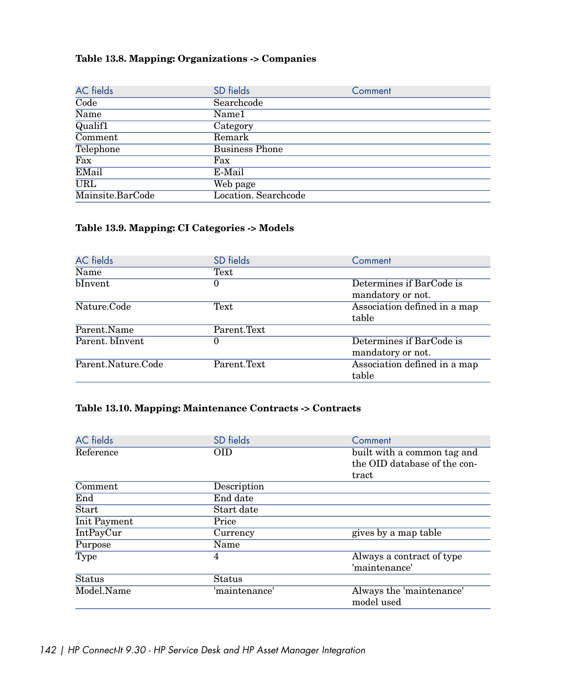#### **Table 13.8. Mapping: Organizations -> Companies**

| <b>AC</b> fields         | SD fields             | Comment |
|--------------------------|-----------------------|---------|
| $\overline{\text{Code}}$ | Searchcode            |         |
| Name                     | Name1                 |         |
| <b>Qualif1</b>           | Category              |         |
| Comment                  | Remark                |         |
| Telephone                | <b>Business Phone</b> |         |
| Fax                      | Fax                   |         |
| EMail                    | E-Mail                |         |
| URL                      | Web page              |         |
| Mainsite.BarCode         | Location. Searchcode  |         |

#### **Table 13.9. Mapping: CI Categories -> Models**

| <b>AC</b> fields   | SD fields   | Comment                      |
|--------------------|-------------|------------------------------|
| Name               | Text        |                              |
| bInvent            | 0           | Determines if BarCode is     |
|                    |             | mandatory or not.            |
| Nature.Code        | Text        | Association defined in a map |
|                    |             | table                        |
| Parent.Name        | Parent.Text |                              |
| Parent. bInvent    | $_{0}$      | Determines if BarCode is     |
|                    |             | mandatory or not.            |
| Parent.Nature.Code | Parent.Text | Association defined in a map |
|                    |             | table                        |

#### **Table 13.10. Mapping: Maintenance Contracts -> Contracts**

| <b>AC</b> fields     | SD fields     | Comment                                                     |
|----------------------|---------------|-------------------------------------------------------------|
| Reference            | OID           | built with a common tag and<br>the OID database of the con- |
|                      |               | tract                                                       |
| Comment              | Description   |                                                             |
| $\operatorname{End}$ | End date      |                                                             |
| Start                | Start date    |                                                             |
| Init Payment         | Price         |                                                             |
| <b>IntPayCur</b>     | Currency      | gives by a map table                                        |
| Purpose              | Name          |                                                             |
| Type                 | 4             | Always a contract of type                                   |
|                      |               | 'maintenance'                                               |
| Status               | Status        |                                                             |
| Model.Name           | 'maintenance' | Always the 'maintenance'<br>model used                      |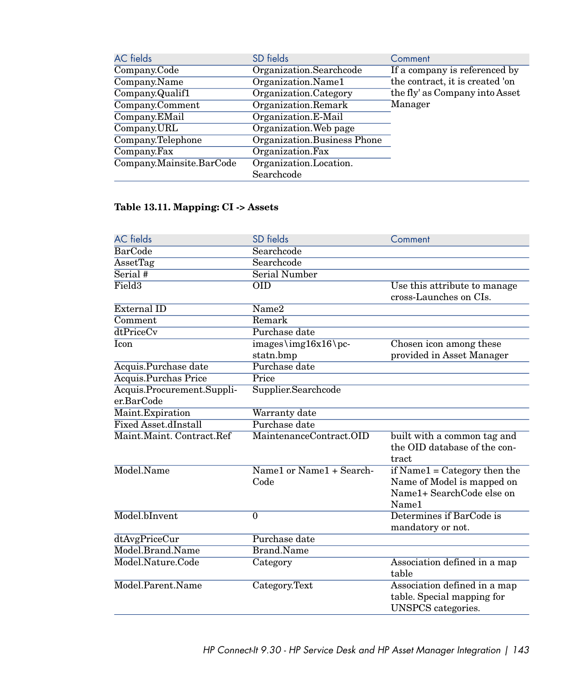| <b>AC</b> fields         | SD fields                   | Comment                         |
|--------------------------|-----------------------------|---------------------------------|
| Company.Code             | Organization.Searchcode     | If a company is referenced by   |
| Company.Name             | Organization.Name1          | the contract, it is created 'on |
| Company.Qualif1          | Organization.Category       | the fly' as Company into Asset  |
| Company.Comment          | Organization.Remark         | Manager                         |
| Company.EMail            | Organization.E-Mail         |                                 |
| Company.URL              | Organization. Web page      |                                 |
| Company.Telephone        | Organization.Business Phone |                                 |
| Company.Fax              | Organization.Fax            |                                 |
| Company.Mainsite.BarCode | Organization.Location.      |                                 |
|                          | Searchcode                  |                                 |

## **Table 13.11. Mapping: CI -> Assets**

| <b>AC</b> fields                         | SD fields                        | Comment                                                                                             |
|------------------------------------------|----------------------------------|-----------------------------------------------------------------------------------------------------|
| <b>BarCode</b>                           | Searchcode                       |                                                                                                     |
| <b>AssetTag</b>                          | Searchcode                       |                                                                                                     |
| Serial #                                 | <b>Serial Number</b>             |                                                                                                     |
| Field <sub>3</sub>                       | <b>OID</b>                       | Use this attribute to manage.<br>cross-Launches on CIs.                                             |
| External ID                              | Name2                            |                                                                                                     |
| Comment                                  | Remark                           |                                                                                                     |
| dtPriceCv                                | Purchase date                    |                                                                                                     |
| Icon                                     | images\img16x16\pc-<br>statn.bmp | Chosen icon among these<br>provided in Asset Manager                                                |
| Acquis.Purchase date                     | Purchase date                    |                                                                                                     |
| Acquis.Purchas Price                     | Price                            |                                                                                                     |
| Acquis.Procurement.Suppli-<br>er.BarCode | Supplier.Searchcode              |                                                                                                     |
| Maint.Expiration                         | Warranty date                    |                                                                                                     |
| Fixed Asset.dInstall                     | Purchase date                    |                                                                                                     |
| Maint Maint, Contract Ref                | MaintenanceContract.OID          | built with a common tag and<br>the OID database of the con-<br>tract                                |
| Model.Name                               | Name1 or Name1 + Search-<br>Code | if Name $1 =$ Category then the<br>Name of Model is mapped on<br>Name1+ SearchCode else on<br>Name1 |
| Model.bInvent                            | $\Omega$                         | Determines if BarCode is<br>mandatory or not.                                                       |
| dtAvgPriceCur                            | Purchase date                    |                                                                                                     |
| Model.Brand.Name                         | <b>Brand.Name</b>                |                                                                                                     |
| Model.Nature.Code                        | Category                         | Association defined in a map<br>table                                                               |
| Model.Parent.Name                        | Category.Text                    | Association defined in a map<br>table. Special mapping for<br>UNSPCS categories.                    |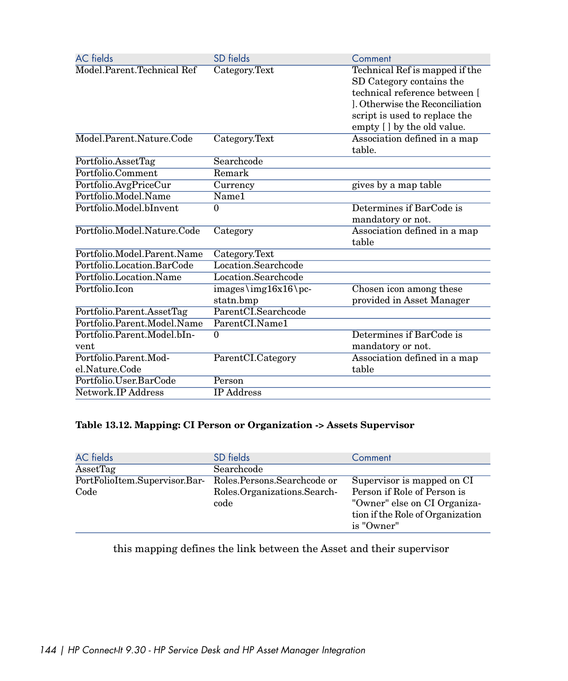| <b>AC</b> fields            | SD fields                 | Comment                         |
|-----------------------------|---------------------------|---------------------------------|
| Model.Parent.Technical Ref  | Category.Text             | Technical Ref is mapped if the  |
|                             |                           | SD Category contains the        |
|                             |                           | technical reference between [   |
|                             |                           | l. Otherwise the Reconciliation |
|                             |                           | script is used to replace the   |
|                             |                           | empty [] by the old value.      |
| Model.Parent.Nature.Code    | Category.Text             | Association defined in a map    |
|                             |                           | table.                          |
| Portfolio.AssetTag          | Searchcode                |                                 |
| Portfolio.Comment           | Remark                    |                                 |
| Portfolio.AvgPriceCur       | Currency                  | gives by a map table            |
| Portfolio.Model.Name        | Name1                     |                                 |
| Portfolio.Model.bInvent     | $\Omega$                  | Determines if BarCode is        |
|                             |                           | mandatory or not.               |
| Portfolio.Model.Nature.Code | Category                  | Association defined in a map    |
|                             |                           | table                           |
| Portfolio.Model.Parent.Name | Category.Text             |                                 |
| Portfolio.Location.BarCode  | Location.Searchcode       |                                 |
| Portfolio.Location.Name     | Location.Searchcode       |                                 |
| Portfolio.Icon              | $images\img16x16\cdot pc$ | Chosen icon among these         |
|                             | statn.bmp                 | provided in Asset Manager       |
| Portfolio.Parent.AssetTag   | ParentCLSearchcode        |                                 |
| Portfolio.Parent.Model.Name | ParentCI.Name1            |                                 |
| Portfolio.Parent.Model.bIn- | $\Omega$                  | Determines if BarCode is        |
| vent                        |                           | mandatory or not.               |
| Portfolio.Parent.Mod-       | ParentCI.Category         | Association defined in a map    |
| el.Nature.Code              |                           | table                           |
| Portfolio.User.BarCode      | Person                    |                                 |
| Network.IP Address          | <b>IP</b> Address         |                                 |

#### **Table 13.12. Mapping: CI Person or Organization -> Assets Supervisor**

| <b>AC</b> fields              | SD fields                   | Comment                          |
|-------------------------------|-----------------------------|----------------------------------|
| AssetTag                      | Searchcode                  |                                  |
| PortFolioItem.Supervisor.Bar- | Roles.Persons.Searchcode or | Supervisor is mapped on CI       |
| Code                          | Roles.Organizations.Search- | Person if Role of Person is      |
|                               | code                        | "Owner" else on CI Organiza-     |
|                               |                             | tion if the Role of Organization |
|                               |                             | is "Owner"                       |

this mapping defines the link between the Asset and their supervisor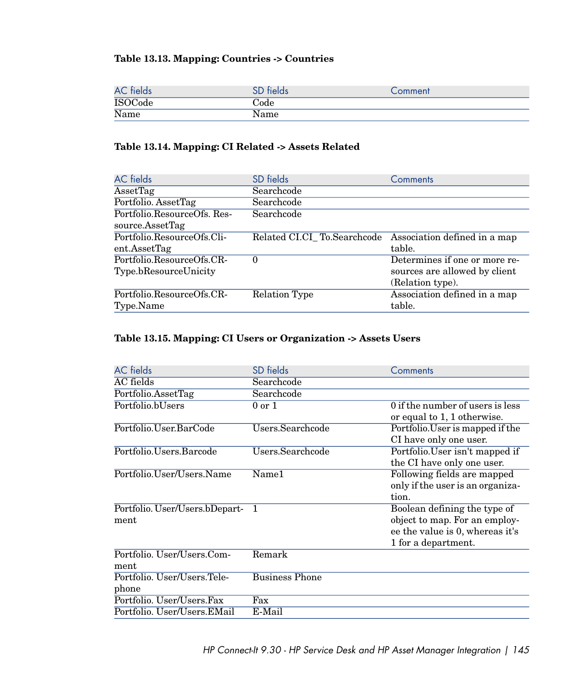## **Table 13.13. Mapping: Countries -> Countries**

| <b>AC</b> fields | tields<br>ישנ | comment |
|------------------|---------------|---------|
| <b>ISOCode</b>   | $\rm{Code}$   |         |
| Name             | Name          |         |

#### **Table 13.14. Mapping: CI Related -> Assets Related**

| <b>AC</b> fields           | SD fields                   | Comments                      |
|----------------------------|-----------------------------|-------------------------------|
| AssetTag                   | Searchcode                  |                               |
| Portfolio. AssetTag        | Searchcode                  |                               |
| Portfolio.ResourceOfs.Res- | Searchcode                  |                               |
| source.AssetTag            |                             |                               |
| Portfolio.ResourceOfs.Cli- | Related CI.CI_To.Searchcode | Association defined in a map  |
| ent.AssetTag               |                             | table.                        |
| Portfolio.ResourceOfs.CR-  | 0                           | Determines if one or more re- |
| Type.bResourceUnicity      |                             | sources are allowed by client |
|                            |                             | (Relation type).              |
| Portfolio.ResourceOfs.CR-  | Relation Type               | Association defined in a map  |
| Type.Name                  |                             | table.                        |

## **Table 13.15. Mapping: CI Users or Organization -> Assets Users**

| <b>AC</b> fields               | SD fields             | Comments                           |
|--------------------------------|-----------------------|------------------------------------|
| AC fields                      | Searchcode            |                                    |
| Portfolio.AssetTag             | Searchcode            |                                    |
| Portfolio.bUsers               | $0$ or $1$            | $0$ if the number of users is less |
|                                |                       | or equal to 1, 1 otherwise.        |
| Portfolio.User.BarCode         | Users.Searchcode      | Portfolio. User is mapped if the   |
|                                |                       | CI have only one user.             |
| Portfolio.Users.Barcode        | Users Searchcode      | Portfolio. User isn't mapped if    |
|                                |                       | the CI have only one user.         |
| Portfolio.User/Users.Name      | Name1                 | Following fields are mapped        |
|                                |                       | only if the user is an organiza-   |
|                                |                       | tion.                              |
| Portfolio. User/Users.bDepart- | $\mathbf{1}$          | Boolean defining the type of       |
| ment                           |                       | object to map. For an employ-      |
|                                |                       | ee the value is 0, whereas it's    |
|                                |                       | 1 for a department.                |
| Portfolio. User/Users.Com-     | Remark                |                                    |
| ment                           |                       |                                    |
| Portfolio. User/Users.Tele-    | <b>Business Phone</b> |                                    |
| phone                          |                       |                                    |
| Portfolio. User/Users.Fax      | Fax                   |                                    |
| Portfolio. User/Users.EMail    | E-Mail                |                                    |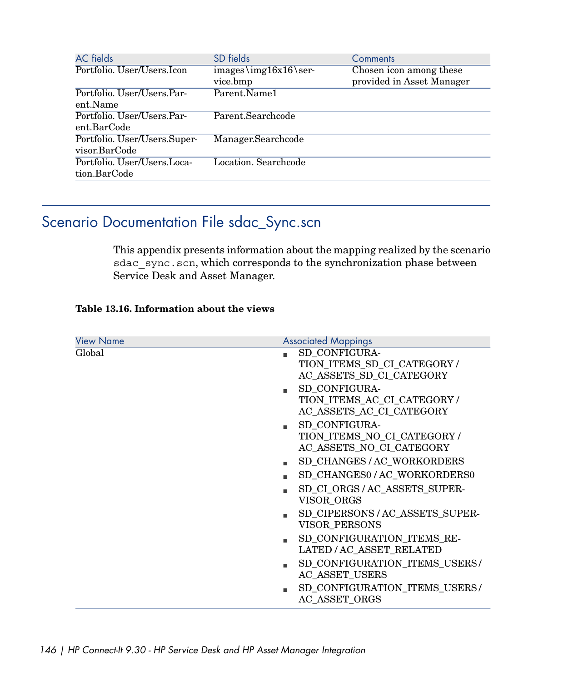| <b>AC</b> fields             | SD fields              | Comments                  |
|------------------------------|------------------------|---------------------------|
| Portfolio. User/Users.Icon   | $images\img16x16\ser-$ | Chosen icon among these   |
|                              | vice.bmp               | provided in Asset Manager |
| Portfolio. User/Users.Par-   | Parent.Name1           |                           |
| ent.Name                     |                        |                           |
| Portfolio. User/Users.Par-   | Parent.Searchcode      |                           |
| ent.BarCode                  |                        |                           |
| Portfolio. User/Users.Super- | Manager.Searchcode     |                           |
| visor.BarCode                |                        |                           |
| Portfolio. User/Users.Loca-  | Location. Searchcode   |                           |
| tion.BarCode                 |                        |                           |
|                              |                        |                           |

# Scenario Documentation File sdac\_Sync.scn

This appendix presents information about the mapping realized by the scenario sdac\_sync.scn, which corresponds to the synchronization phase between Service Desk and Asset Manager.

#### **Table 13.16. Information about the views**

| <b>View Name</b> | <b>Associated Mappings</b>                                                      |
|------------------|---------------------------------------------------------------------------------|
| Global           | SD CONFIGURA-<br>×.<br>TION_ITEMS_SD_CI_CATEGORY /<br>AC ASSETS SD CI CATEGORY  |
|                  | SD CONFIGURA-<br>TION ITEMS AC CI CATEGORY/<br>AC ASSETS AC CI CATEGORY         |
|                  | SD_CONFIGURA-<br>a li<br>TION ITEMS NO CI CATEGORY/<br>AC ASSETS NO CI CATEGORY |
|                  | SD CHANGES/AC WORKORDERS<br>۰.                                                  |
|                  | SD_CHANGES0 / AC_WORKORDERS0<br>٠                                               |
|                  | SD_CI_ORGS/AC_ASSETS_SUPER-<br>٠<br>VISOR ORGS                                  |
|                  | SD CIPERSONS/AC ASSETS SUPER-<br><b>VISOR PERSONS</b>                           |
|                  | SD CONFIGURATION ITEMS RE-<br>×.<br>LATED/AC ASSET RELATED                      |
|                  | SD CONFIGURATION ITEMS USERS/<br>٠<br>AC ASSET USERS                            |
|                  | SD_CONFIGURATION_ITEMS_USERS/<br>٠<br>AC ASSET ORGS                             |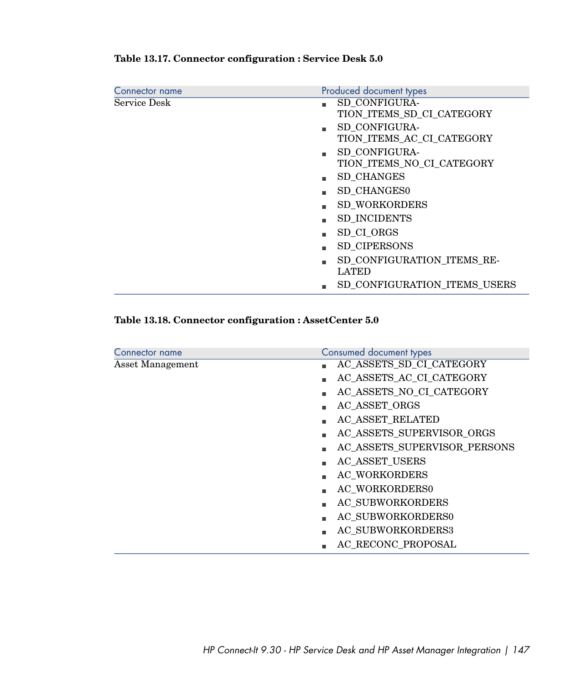| Connector name | Produced document types                                                                                                                                                    |
|----------------|----------------------------------------------------------------------------------------------------------------------------------------------------------------------------|
| Service Desk   | SD CONFIGURA-<br>TION ITEMS SD CI CATEGORY<br>SD CONFIGURA-<br>TION ITEMS AC CI CATEGORY<br>SD CONFIGURA-<br>TION ITEMS NO CI CATEGORY<br><b>SD CHANGES</b><br>SD CHANGES0 |
|                | <b>SD WORKORDERS</b><br><b>SD INCIDENTS</b><br>SD CI ORGS<br><b>SD CIPERSONS</b><br>SD CONFIGURATION ITEMS RE-<br><b>LATED</b><br>SD CONFIGURATION ITEMS USERS             |

## **Table 13.17. Connector configuration : Service Desk 5.0**

## **Table 13.18. Connector configuration : AssetCenter 5.0**

| Connector name   | Consumed document types      |
|------------------|------------------------------|
| Asset Management | AC ASSETS SD CI CATEGORY     |
|                  | AC ASSETS AC CI CATEGORY     |
|                  | AC ASSETS NO CI CATEGORY     |
|                  | AC ASSET ORGS                |
|                  | AC ASSET RELATED             |
|                  | AC ASSETS SUPERVISOR ORGS    |
|                  | AC ASSETS SUPERVISOR PERSONS |
|                  | AC ASSET USERS               |
|                  | <b>AC WORKORDERS</b>         |
|                  | AC_WORKORDERS0               |
|                  | <b>AC SUBWORKORDERS</b>      |
|                  | AC SUBWORKORDERS0            |
|                  | AC SUBWORKORDERS3            |
|                  | AC RECONC PROPOSAL           |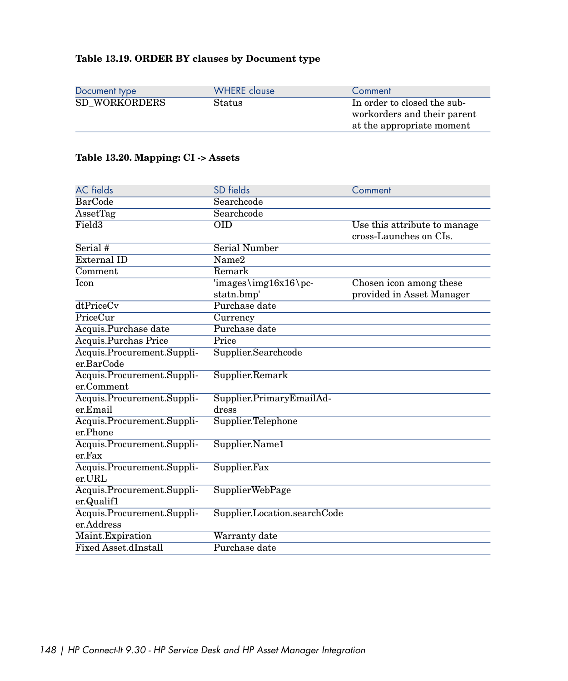## **Table 13.19. ORDER BY clauses by Document type**

| Document type        | <b>WHERE</b> clause | Comment                     |
|----------------------|---------------------|-----------------------------|
| <b>SD WORKORDERS</b> | Status              | In order to closed the sub- |
|                      |                     | workorders and their parent |
|                      |                     | at the appropriate moment   |

## **Table 13.20. Mapping: CI -> Assets**

| <b>AC</b> fields                         | SD fields                          | Comment                                                 |
|------------------------------------------|------------------------------------|---------------------------------------------------------|
| BarCode                                  | Searchcode                         |                                                         |
| AssetTag                                 | Searchcode                         |                                                         |
| Field <sub>3</sub>                       | $\overline{\mathrm{OD}}$           | Use this attribute to manage.<br>cross-Launches on CIs. |
| Serial $#$                               | <b>Serial Number</b>               |                                                         |
| External ID                              | Name2                              |                                                         |
| Comment                                  | Remark                             |                                                         |
| Icon                                     | 'images\img16x16\pc-<br>statn.bmp' | Chosen icon among these<br>provided in Asset Manager    |
| dtPriceCv                                | Purchase date                      |                                                         |
| PriceCur                                 | Currency                           |                                                         |
| Acquis.Purchase date                     | Purchase date                      |                                                         |
| Acquis.Purchas Price                     | Price                              |                                                         |
| Acquis.Procurement.Suppli-               | Supplier.Searchcode                |                                                         |
| er.BarCode                               |                                    |                                                         |
| Acquis.Procurement.Suppli-               | Supplier.Remark                    |                                                         |
| er.Comment                               |                                    |                                                         |
| Acquis.Procurement.Suppli-               | Supplier.PrimaryEmailAd-           |                                                         |
| er Email                                 | dress                              |                                                         |
| Acquis.Procurement.Suppli-               | Supplier.Telephone                 |                                                         |
| er.Phone                                 |                                    |                                                         |
| Acquis.Procurement.Suppli-<br>er.Fax     | Supplier.Name1                     |                                                         |
| Acquis.Procurement.Suppli-<br>er IIRL    | Supplier.Fax                       |                                                         |
| Acquis.Procurement.Suppli-<br>er.Qualif1 | SupplierWebPage                    |                                                         |
| Acquis.Procurement.Suppli-               | Supplier.Location.searchCode       |                                                         |
| er.Address                               |                                    |                                                         |
| Maint.Expiration                         | Warranty date                      |                                                         |
| <b>Fixed Asset.dInstall</b>              | Purchase date                      |                                                         |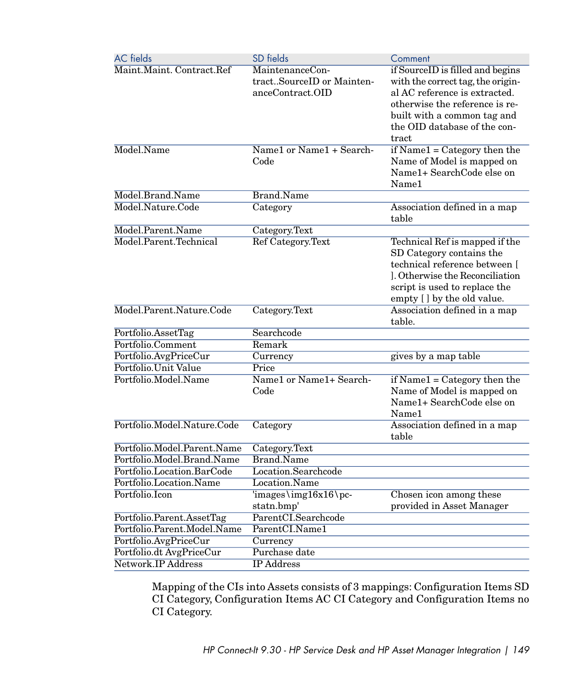| <b>AC</b> fields                             | SD fields                        | Comment                                                 |
|----------------------------------------------|----------------------------------|---------------------------------------------------------|
| Maint.Maint.Contract.Ref                     | MaintenanceCon-                  | if SourceID is filled and begins                        |
|                                              | tractSourceID or Mainten-        | with the correct tag, the origin-                       |
|                                              | anceContract.OID                 | al AC reference is extracted.                           |
|                                              |                                  | otherwise the reference is re-                          |
|                                              |                                  | built with a common tag and                             |
|                                              |                                  | the OID database of the con-                            |
|                                              |                                  | tract                                                   |
| Model.Name                                   | Name1 or Name1 + Search-         | if Name1 = Category then the                            |
|                                              | Code                             | Name of Model is mapped on                              |
|                                              |                                  | Name1+ SearchCode else on<br>Name1                      |
| Model.Brand.Name                             | Brand.Name                       |                                                         |
| Model.Nature.Code                            | Category                         | Association defined in a map                            |
|                                              |                                  | table                                                   |
| Model.Parent.Name                            | Category.Text                    |                                                         |
| Model.Parent.Technical                       | <b>Ref Category.Text</b>         | Technical Ref is mapped if the                          |
|                                              |                                  | SD Category contains the                                |
|                                              |                                  | technical reference between [                           |
|                                              |                                  | l. Otherwise the Reconciliation                         |
|                                              |                                  | script is used to replace the                           |
|                                              |                                  | empty [] by the old value.                              |
| Model.Parent.Nature.Code                     | Category.Text                    | Association defined in a map                            |
|                                              |                                  | table.                                                  |
| Portfolio.AssetTag                           | Searchcode                       |                                                         |
| Portfolio.Comment                            | Remark                           |                                                         |
| Portfolio.AvgPriceCur                        | Currency                         | gives by a map table                                    |
| Portfolio.Unit Value<br>Portfolio.Model.Name | Price<br>Name1 or Name1+ Search- |                                                         |
|                                              | Code                             | if Name $1 =$ Category then the                         |
|                                              |                                  | Name of Model is mapped on<br>Name1+ SearchCode else on |
|                                              |                                  | Name1                                                   |
| Portfolio.Model.Nature.Code                  | Category                         | Association defined in a map                            |
|                                              |                                  | table                                                   |
| Portfolio.Model.Parent.Name                  | Category.Text                    |                                                         |
| Portfolio.Model.Brand.Name                   | Brand.Name                       |                                                         |
| Portfolio.Location.BarCode                   | Location.Searchcode              |                                                         |
| Portfolio.Location.Name                      | Location.Name                    |                                                         |
| Portfolio.Icon                               | 'images\img16x16\pc-             | Chosen icon among these                                 |
|                                              | statn.bmp'                       | provided in Asset Manager                               |
| Portfolio.Parent.AssetTag                    | ParentCI.Searchcode              |                                                         |
| Portfolio.Parent.Model.Name                  | ParentCI.Name1                   |                                                         |
| Portfolio.AvgPriceCur                        | Currency                         |                                                         |
| Portfolio.dt AvgPriceCur                     | Purchase date                    |                                                         |
| Network.IP Address                           | <b>IP</b> Address                |                                                         |

Mapping of the CIs into Assets consists of 3 mappings: Configuration Items SD CI Category, Configuration Items AC CI Category and Configuration Items no CI Category.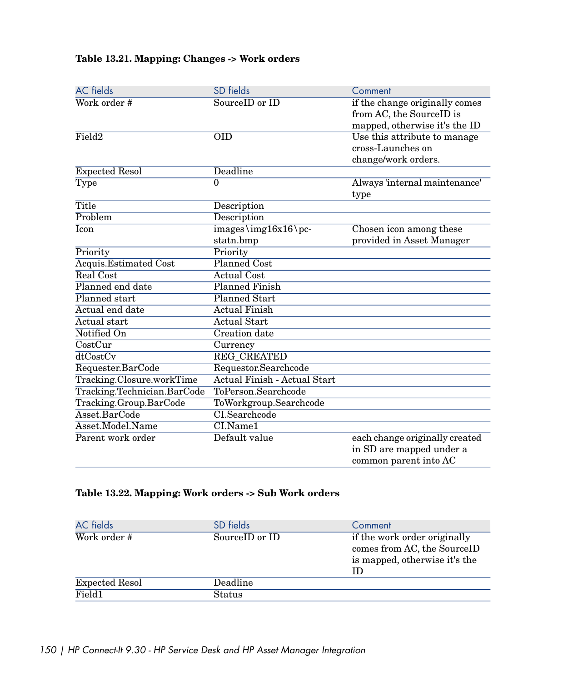## **Table 13.21. Mapping: Changes -> Work orders**

| <b>AC</b> fields            | SD fields                           | Comment                                                    |
|-----------------------------|-------------------------------------|------------------------------------------------------------|
| Work order #                | SourceID or ID                      | if the change originally comes<br>from AC, the SourceID is |
|                             |                                     | mapped, otherwise it's the ID                              |
| Field2                      | $\overline{OD}$                     | Use this attribute to manage                               |
|                             |                                     | cross-Launches on                                          |
|                             |                                     | change/work orders.                                        |
| <b>Expected Resol</b>       | Deadline                            |                                                            |
| Type                        | $\Omega$                            | Always 'internal maintenance'<br>type                      |
| <b>Title</b>                | Description                         |                                                            |
| Problem                     | Description                         |                                                            |
| Icon                        | images\img16x16\pc-                 | Chosen icon among these                                    |
|                             | statn.bmp                           | provided in Asset Manager                                  |
| Priority                    | Priority                            |                                                            |
| Acquis.Estimated Cost       | <b>Planned Cost</b>                 |                                                            |
| Real Cost                   | <b>Actual Cost</b>                  |                                                            |
| Planned end date            | <b>Planned Finish</b>               |                                                            |
| Planned start               | <b>Planned Start</b>                |                                                            |
| Actual end date             | <b>Actual Finish</b>                |                                                            |
| Actual start                | <b>Actual Start</b>                 |                                                            |
| Notified On                 | Creation date                       |                                                            |
| $\overline{\text{CostCur}}$ | Currency                            |                                                            |
| dtCostCv                    | <b>REG CREATED</b>                  |                                                            |
| Requester.BarCode           | Requestor.Searchcode                |                                                            |
| Tracking.Closure.workTime   | <b>Actual Finish - Actual Start</b> |                                                            |
| Tracking.Technician.BarCode | ToPerson.Searchcode                 |                                                            |
| Tracking.Group.BarCode      | ToWorkgroup.Searchcode              |                                                            |
| Asset.BarCode               | CLSearchcode                        |                                                            |
| Asset.Model.Name            | CI(Name1)                           |                                                            |
| Parent work order           | Default value                       | each change originally created                             |
|                             |                                     | in SD are mapped under a                                   |
|                             |                                     | common parent into AC                                      |

#### **Table 13.22. Mapping: Work orders -> Sub Work orders**

| AC fields             | SD fields      | Comment                                                                                      |
|-----------------------|----------------|----------------------------------------------------------------------------------------------|
| Work order #          | SourceID or ID | if the work order originally<br>comes from AC, the SourceID<br>is mapped, otherwise it's the |
| <b>Expected Resol</b> | Deadline       |                                                                                              |
| Field1                | Status         |                                                                                              |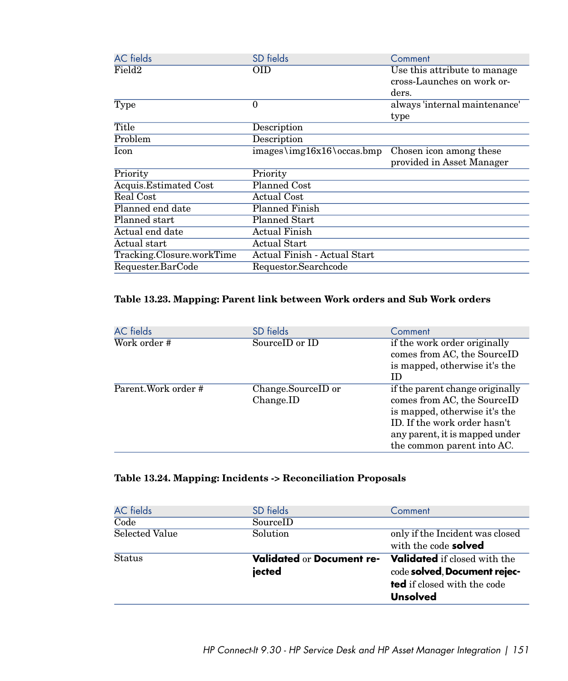| <b>AC</b> fields          | SD fields                    | Comment                       |
|---------------------------|------------------------------|-------------------------------|
| Field <sub>2</sub>        | <b>OID</b>                   | Use this attribute to manage  |
|                           |                              | cross-Launches on work or-    |
|                           |                              | ders.                         |
| Type                      | $\theta$                     | always 'internal maintenance' |
|                           |                              | type                          |
| <b>Title</b>              | Description                  |                               |
| Problem                   | Description                  |                               |
| Icon                      | $images\img16x16\locas.bmp$  | Chosen icon among these       |
|                           |                              | provided in Asset Manager     |
| Priority                  | Priority                     |                               |
| Acquis. Estimated Cost    | Planned Cost                 |                               |
| Real Cost                 | Actual Cost                  |                               |
| Planned end date          | Planned Finish               |                               |
| Planned start             | <b>Planned Start</b>         |                               |
| Actual end date           | Actual Finish                |                               |
| Actual start              | Actual Start                 |                               |
| Tracking.Closure.workTime | Actual Finish - Actual Start |                               |
| Requester.BarCode         | Requestor.Searchcode         |                               |

## **Table 13.23. Mapping: Parent link between Work orders and Sub Work orders**

| <b>AC</b> fields     | SD fields                       | Comment                                                                                                                                                                                         |
|----------------------|---------------------------------|-------------------------------------------------------------------------------------------------------------------------------------------------------------------------------------------------|
| Work order #         | SourceID or ID                  | if the work order originally<br>comes from AC, the SourceID<br>is mapped, otherwise it's the<br>ΙD                                                                                              |
| Parent. Work order # | Change.SourceID or<br>Change.ID | if the parent change originally<br>comes from AC, the SourceID<br>is mapped, otherwise it's the<br>ID. If the work order hasn't<br>any parent, it is mapped under<br>the common parent into AC. |

## **Table 13.24. Mapping: Incidents -> Reconciliation Proposals**

| <b>AC</b> fields | SD fields                                  | Comment                                                                                                                      |
|------------------|--------------------------------------------|------------------------------------------------------------------------------------------------------------------------------|
| Code             | SourceID                                   |                                                                                                                              |
| Selected Value   | Solution                                   | only if the Incident was closed<br>with the code solved                                                                      |
| <b>Status</b>    | <b>Validated or Document re-</b><br>jected | <b>Validated</b> if closed with the<br>code solved, Document rejec-<br><b>ted</b> if closed with the code<br><b>Unsolved</b> |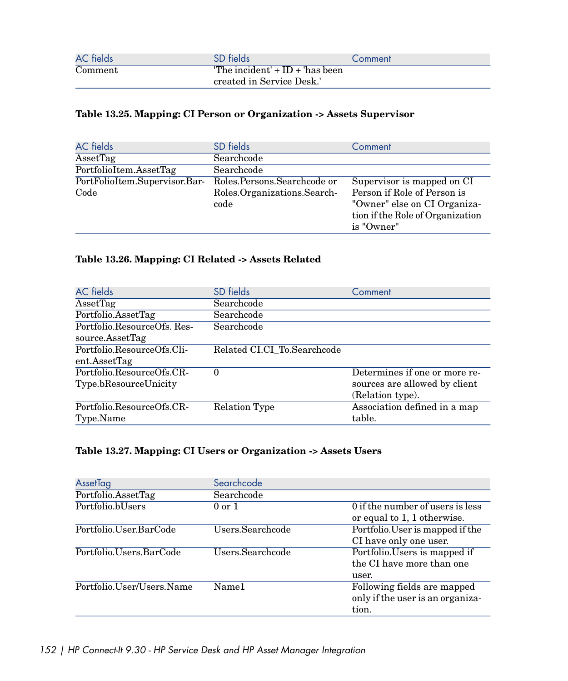| <b>AC</b> fields | SD fields                           | Comment |
|------------------|-------------------------------------|---------|
| Comment          | $'$ The incident' + ID + 'has been' |         |
|                  | created in Service Desk.'           |         |

#### **Table 13.25. Mapping: CI Person or Organization -> Assets Supervisor**

| <b>AC</b> fields              | SD fields                   | Comment                          |
|-------------------------------|-----------------------------|----------------------------------|
| AssetTag                      | Searchcode                  |                                  |
| PortfolioItem.AssetTag        | Searchcode                  |                                  |
| PortFolioItem.Supervisor.Bar- | Roles.Persons.Searchcode or | Supervisor is mapped on CI       |
| Code                          | Roles.Organizations.Search- | Person if Role of Person is      |
|                               | code                        | "Owner" else on CI Organiza-     |
|                               |                             | tion if the Role of Organization |
|                               |                             | is "Owner"                       |

## **Table 13.26. Mapping: CI Related -> Assets Related**

| <b>AC</b> fields           | SD fields                   | Comment                       |
|----------------------------|-----------------------------|-------------------------------|
| AssetTag                   | Searchcode                  |                               |
| Portfolio.AssetTag         | Searchcode                  |                               |
| Portfolio.ResourceOfs.Res- | Searchcode                  |                               |
| source.AssetTag            |                             |                               |
| Portfolio.ResourceOfs.Cli- | Related CI.CI_To.Searchcode |                               |
| ent.AssetTag               |                             |                               |
| Portfolio.ResourceOfs.CR-  | $\Omega$                    | Determines if one or more re- |
| Type.bResourceUnicity      |                             | sources are allowed by client |
|                            |                             | (Relation type).              |
| Portfolio.ResourceOfs.CR-  | Relation Type               | Association defined in a map  |
| Type.Name                  |                             | table.                        |

# **Table 13.27. Mapping: CI Users or Organization -> Assets Users**

| AssetTag                  | Searchcode       |                                  |
|---------------------------|------------------|----------------------------------|
| Portfolio.AssetTag        | Searchcode       |                                  |
| Portfolio.bUsers          | 0 or 1           | 0 if the number of users is less |
|                           |                  | or equal to 1, 1 otherwise.      |
| Portfolio.User.BarCode    | Users.Searchcode | Portfolio. User is mapped if the |
|                           |                  | CI have only one user.           |
| Portfolio.Users.BarCode   | Users.Searchcode | Portfolio. Users is mapped if    |
|                           |                  | the CI have more than one        |
|                           |                  | user.                            |
| Portfolio.User/Users.Name | Name1            | Following fields are mapped      |
|                           |                  | only if the user is an organiza- |
|                           |                  | tion.                            |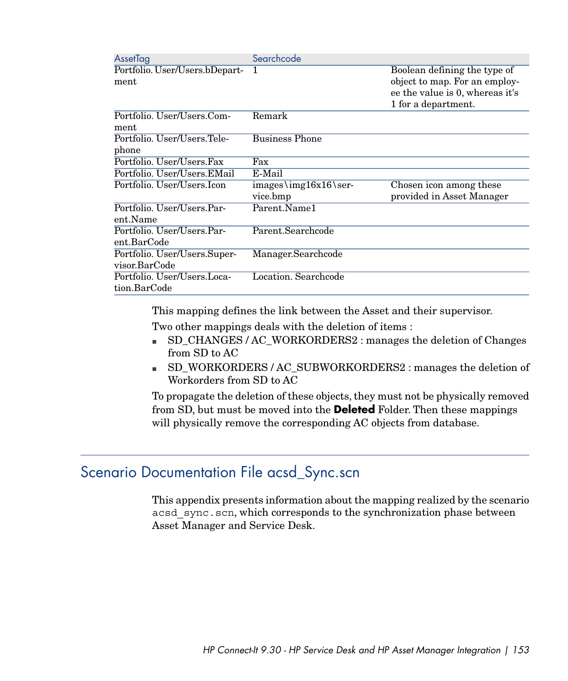| AssetTag                               | Searchcode            |                                                                                                                         |
|----------------------------------------|-----------------------|-------------------------------------------------------------------------------------------------------------------------|
| Portfolio. User/Users.bDepart-<br>ment | -1                    | Boolean defining the type of<br>object to map. For an employ-<br>ee the value is 0, whereas it's<br>1 for a department. |
| Portfolio. User/Users.Com-             | Remark                |                                                                                                                         |
| ment                                   |                       |                                                                                                                         |
| Portfolio User/Users Tele-             | <b>Business Phone</b> |                                                                                                                         |
| phone                                  |                       |                                                                                                                         |
| Portfolio. User/Users.Fax              | Fax                   |                                                                                                                         |
| Portfolio. User/Users.EMail            | E-Mail                |                                                                                                                         |
| Portfolio. User/Users.Icon             | images\img16x16\ser-  | Chosen icon among these                                                                                                 |
|                                        | vice.bmp              | provided in Asset Manager                                                                                               |
| Portfolio. User/Users.Par-             | Parent Name1          |                                                                                                                         |
| ent.Name                               |                       |                                                                                                                         |
| Portfolio. User/Users.Par-             | Parent.Searchcode     |                                                                                                                         |
| ent.BarCode                            |                       |                                                                                                                         |
| Portfolio. User/Users.Super-           | Manager.Searchcode    |                                                                                                                         |
| visor.BarCode                          |                       |                                                                                                                         |
| Portfolio. User/Users.Loca-            | Location. Searchcode  |                                                                                                                         |
| tion.BarCode                           |                       |                                                                                                                         |

This mapping defines the link between the Asset and their supervisor.

Two other mappings deals with the deletion of items :

- n SD\_CHANGES / AC\_WORKORDERS2 : manages the deletion of Changes from SD to AC
- <sup>n</sup> SD\_WORKORDERS / AC\_SUBWORKORDERS2 : manages the deletion of Workorders from SD to AC

To propagate the deletion of these objects, they must not be physically removed from SD, but must be moved into the **Deleted** Folder. Then these mappings will physically remove the corresponding AC objects from database.

# Scenario Documentation File acsd\_Sync.scn

This appendix presents information about the mapping realized by the scenario acsd\_sync.scn, which corresponds to the synchronization phase between Asset Manager and Service Desk.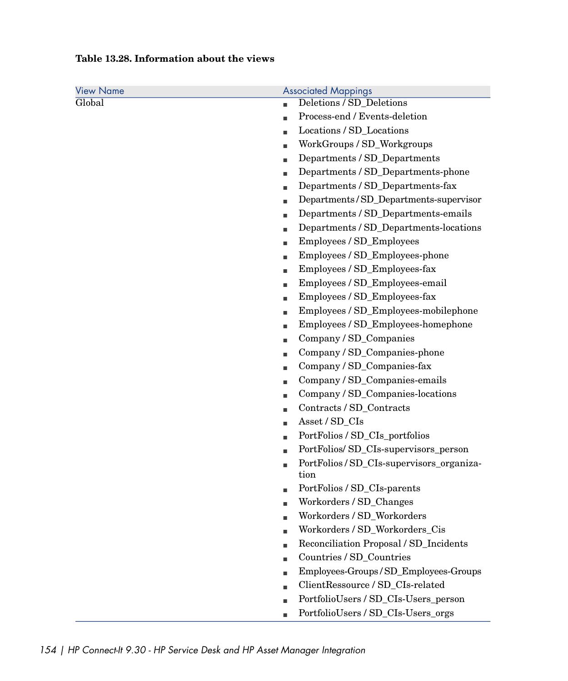| <b>View Name</b> | <b>Associated Mappings</b>                      |  |
|------------------|-------------------------------------------------|--|
| Global           | Deletions / SD_Deletions                        |  |
| ×.               | Process-end / Events-deletion                   |  |
| ٠                | Locations / SD_Locations                        |  |
| ٠                | WorkGroups / SD_Workgroups                      |  |
| ٠                | Departments / SD_Departments                    |  |
| ٠                | Departments / SD_Departments-phone              |  |
| ٠                | Departments / SD_Departments-fax                |  |
| ٠                | Departments/SD_Departments-supervisor           |  |
| ٠                | Departments / SD_Departments-emails             |  |
| ٠                | Departments / SD_Departments-locations          |  |
| ٠                | Employees / SD_Employees                        |  |
| ٠                | Employees / SD_Employees-phone                  |  |
| ٠                | Employees / SD_Employees-fax                    |  |
| ٠                | Employees / SD_Employees-email                  |  |
| ٠                | Employees / SD_Employees-fax                    |  |
| ٠                | Employees / SD_Employees-mobilephone            |  |
| ٠                | Employees / SD_Employees-homephone              |  |
| ٠                | Company / SD_Companies                          |  |
| ٠                | Company / SD_Companies-phone                    |  |
| ш                | Company / SD_Companies-fax                      |  |
|                  | Company / SD_Companies-emails                   |  |
| ٠                | Company / SD_Companies-locations                |  |
| ٠                | Contracts / SD_Contracts                        |  |
| ٠                | Asset / SD_CIs                                  |  |
|                  | PortFolios / SD_CIs_portfolios                  |  |
| ٠                | PortFolios/SD_CIs-supervisors_person            |  |
| ٠                | PortFolios/SD_CIs-supervisors_organiza-<br>tion |  |
| ٠                | PortFolios / SD_CIs-parents                     |  |
| ٠                | Workorders / SD_Changes                         |  |
| ٠                | Workorders / SD_Workorders                      |  |
| ٠                | Workorders / SD_Workorders_Cis                  |  |
| ٠                | Reconciliation Proposal / SD_Incidents          |  |
| ×.               | Countries / SD_Countries                        |  |
| ٠                | Employees-Groups/SD_Employees-Groups            |  |
| ٠                | ClientRessource / SD_CIs-related                |  |
|                  | PortfolioUsers / SD_CIs-Users_person            |  |
| ٠                | PortfolioUsers / SD_CIs-Users_orgs              |  |

## **Table 13.28. Information about the views**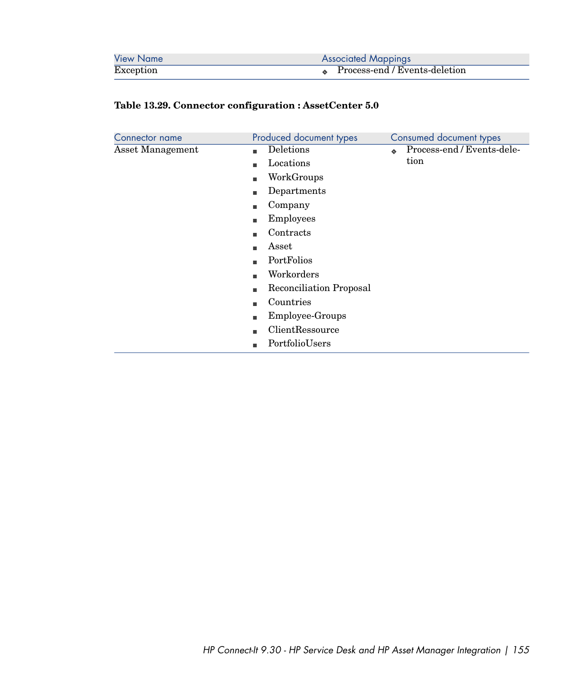| <b>View Name</b> | <b>Associated Mappings</b>    |
|------------------|-------------------------------|
| Exception        | Process-end / Events-deletion |

## **Table 13.29. Connector configuration : AssetCenter 5.0**

| Connector name   | Produced document types      | Consumed document types         |
|------------------|------------------------------|---------------------------------|
| Asset Management | Deletions<br>٠               | Process-end / Events-dele-<br>۰ |
|                  | Locations<br>٠               | tion                            |
|                  | WorkGroups<br>٠              |                                 |
|                  | Departments<br>٠             |                                 |
|                  | Company<br>٠                 |                                 |
|                  | Employees<br>٠               |                                 |
|                  | Contracts<br>٠               |                                 |
|                  | Asset<br>٠                   |                                 |
|                  | PortFolios<br>٠              |                                 |
|                  | Workorders<br>٠              |                                 |
|                  | Reconciliation Proposal<br>٠ |                                 |
|                  | Countries<br>٠               |                                 |
|                  | Employee-Groups<br>٠         |                                 |
|                  | ClientRessource<br>٠         |                                 |
|                  | PortfolioUsers<br>٠          |                                 |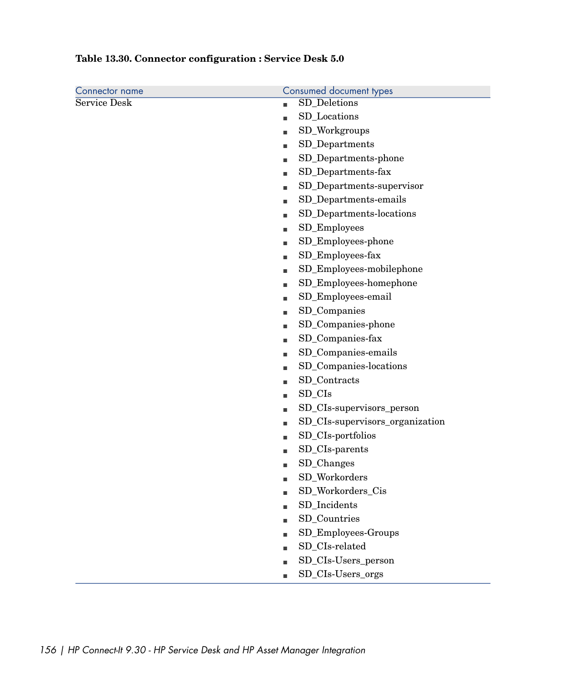| Connector name | Consumed document types              |
|----------------|--------------------------------------|
| Service Desk   | <b>SD_Deletions</b>                  |
|                | SD_Locations<br>٠                    |
|                | SD_Workgroups<br>٠                   |
|                | SD_Departments<br>٠                  |
|                | SD_Departments-phone<br>٠            |
|                | SD_Departments-fax<br>٠              |
|                | SD_Departments-supervisor<br>٠       |
|                | SD_Departments-emails<br>٠           |
|                | SD_Departments-locations<br>ш        |
|                | SD_Employees<br>٠                    |
|                | SD_Employees-phone<br>٠              |
|                | SD_Employees-fax<br>٠                |
|                | SD_Employees-mobilephone<br>٠        |
|                | SD_Employees-homephone<br>٠          |
|                | SD_Employees-email<br>٠              |
|                | SD_Companies<br>٠                    |
|                | SD_Companies-phone<br>٠              |
|                | SD_Companies-fax<br>٠                |
|                | SD_Companies-emails<br>٠             |
|                | SD_Companies-locations<br>٠          |
|                | SD_Contracts<br>٠                    |
|                | SD_CIs<br>٠                          |
|                | SD_CIs-supervisors_person<br>٠       |
|                | SD_CIs-supervisors_organization<br>٠ |
|                | SD_CIs-portfolios<br>٠               |
|                | SD_CIs-parents<br>٠                  |
|                | SD_Changes<br>٠                      |
|                | SD_Workorders<br>٠                   |
|                | SD_Workorders_Cis<br>٠               |
|                | SD_Incidents<br>٠                    |
|                | SD_Countries<br>٠                    |
|                | SD_Employees-Groups<br>٠             |
|                | SD_CIs-related<br>٠                  |
|                | SD_CIs-Users_person<br>Ű.            |
|                | SD_CIs-Users_orgs<br>٠               |
|                |                                      |

# **Table 13.30. Connector configuration : Service Desk 5.0**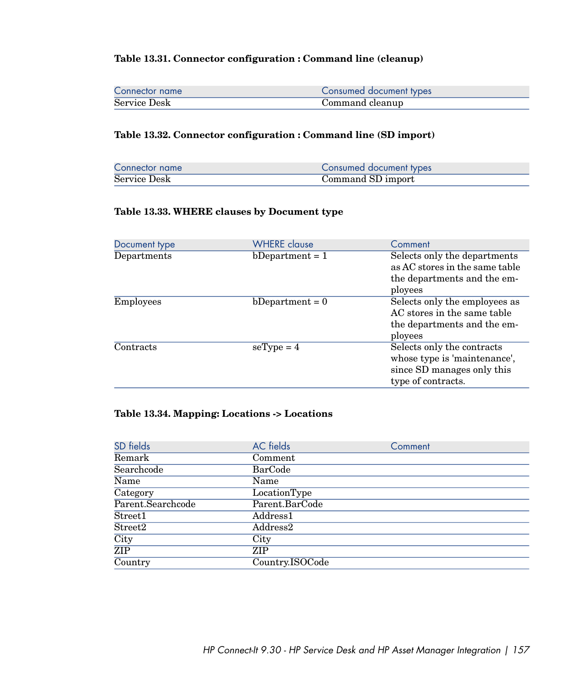#### **Table 13.31. Connector configuration : Command line (cleanup)**

| Connector name      | Consumed document types |
|---------------------|-------------------------|
| <b>Service Desk</b> | Command cleanup         |

#### **Table 13.32. Connector configuration : Command line (SD import)**

| Connector name | Consumed document types |
|----------------|-------------------------|
| Service Desk   | Command SD import       |

#### **Table 13.33. WHERE clauses by Document type**

| <b>WHERE</b> clause | Comment                        |
|---------------------|--------------------------------|
| $b$ Department = 1  | Selects only the departments   |
|                     | as AC stores in the same table |
|                     | the departments and the em-    |
|                     | ployees                        |
| $b$ Department = 0  | Selects only the employees as  |
|                     | AC stores in the same table    |
|                     | the departments and the em-    |
|                     | ployees                        |
| $seType = 4$        | Selects only the contracts     |
|                     | whose type is 'maintenance',   |
|                     | since SD manages only this     |
|                     | type of contracts.             |
|                     |                                |

## **Table 13.34. Mapping: Locations -> Locations**

| <b>SD</b> fields           | <b>AC</b> fields | Comment |
|----------------------------|------------------|---------|
| Remark                     | Comment          |         |
| Searchcode                 | BarCode          |         |
| Name                       | Name             |         |
| Category                   | LocationType     |         |
| Parent.Searchcode          | Parent.BarCode   |         |
| Street1                    | Address1         |         |
| Street <sub>2</sub>        | Address2         |         |
| $\overline{\mathrm{City}}$ | City             |         |
| <b>ZIP</b>                 | ZIP              |         |
| Country                    | Country.ISOCode  |         |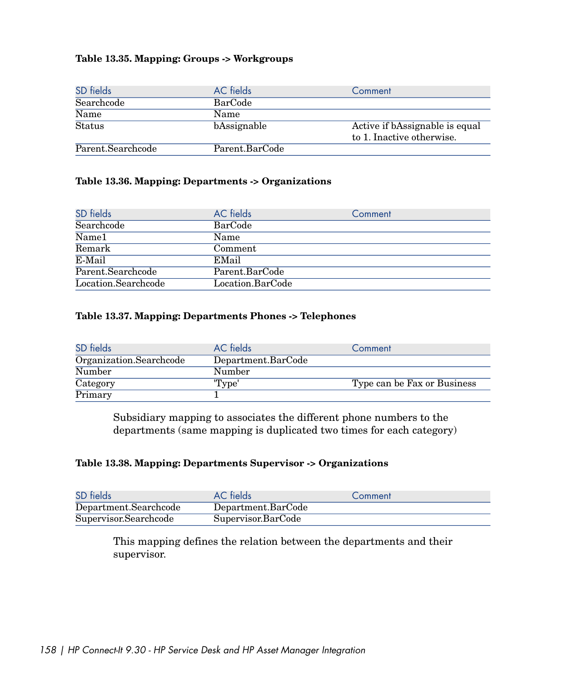## **Table 13.35. Mapping: Groups -> Workgroups**

| SD fields         | AC fields      | Comment                                                     |
|-------------------|----------------|-------------------------------------------------------------|
| Searchcode        | BarCode        |                                                             |
| Name              | Name           |                                                             |
| <b>Status</b>     | bAssignable    | Active if bAssignable is equal<br>to 1. Inactive otherwise. |
| Parent.Searchcode | Parent.BarCode |                                                             |

#### **Table 13.36. Mapping: Departments -> Organizations**

| SD fields           | AC fields        | Comment |
|---------------------|------------------|---------|
| Searchcode          | <b>BarCode</b>   |         |
| Name1               | Name             |         |
| Remark              | Comment          |         |
| E-Mail              | EMail            |         |
| Parent.Searchcode   | Parent.BarCode   |         |
| Location.Searchcode | Location.BarCode |         |

#### **Table 13.37. Mapping: Departments Phones -> Telephones**

| SD fields               | AC fields          | Comment                     |
|-------------------------|--------------------|-----------------------------|
| Organization.Searchcode | Department.BarCode |                             |
| Number                  | Number             |                             |
| Category                | "Type"             | Type can be Fax or Business |
| Primary                 |                    |                             |

Subsidiary mapping to associates the different phone numbers to the departments (same mapping is duplicated two times for each category)

#### **Table 13.38. Mapping: Departments Supervisor -> Organizations**

| SD fields             | AC fields          | Comment |
|-----------------------|--------------------|---------|
| Department.Searchcode | Department.BarCode |         |
| Supervisor.Searchcode | Supervisor.BarCode |         |

This mapping defines the relation between the departments and their supervisor.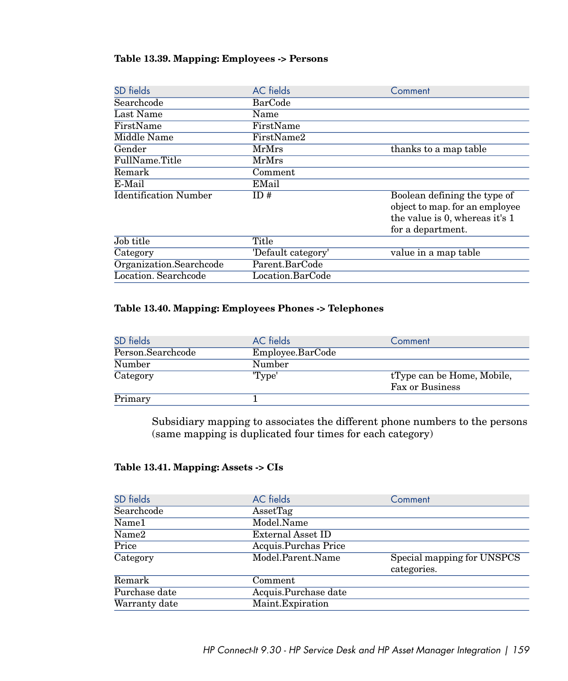#### **Table 13.39. Mapping: Employees -> Persons**

| SD fields                    | <b>AC</b> fields   | Comment                        |
|------------------------------|--------------------|--------------------------------|
| Searchcode                   | BarCode            |                                |
| Last Name                    | Name               |                                |
| FirstName                    | FirstName          |                                |
| Middle Name                  | FirstName2         |                                |
| Gender                       | MrMrs              | thanks to a map table          |
| FullName.Title               | MrMrs              |                                |
| Remark                       | Comment            |                                |
| E-Mail                       | EMail              |                                |
| <b>Identification Number</b> | ID#                | Boolean defining the type of   |
|                              |                    | object to map. for an employee |
|                              |                    | the value is 0, whereas it's 1 |
|                              |                    | for a department.              |
| Job title                    | Title              |                                |
| Category                     | 'Default category' | value in a map table           |
| Organization.Searchcode      | Parent.BarCode     |                                |
| Location. Searchcode         | Location.BarCode   |                                |

#### **Table 13.40. Mapping: Employees Phones -> Telephones**

| SD fields         | AC fields         | Comment                                              |
|-------------------|-------------------|------------------------------------------------------|
| Person.Searchcode | Emplogee, BarCode |                                                      |
| Number            | Number            |                                                      |
| Category          | "Type"            | tType can be Home, Mobile,<br><b>Fax or Business</b> |
| Primary           |                   |                                                      |

Subsidiary mapping to associates the different phone numbers to the persons (same mapping is duplicated four times for each category)

## **Table 13.41. Mapping: Assets -> CIs**

| SD fields     | <b>AC</b> fields     | Comment                    |
|---------------|----------------------|----------------------------|
| Searchcode    | AssetTag             |                            |
| Name1         | Model.Name           |                            |
| Name2         | External Asset ID    |                            |
| Price         | Acquis.Purchas Price |                            |
| Category      | Model.Parent.Name    | Special mapping for UNSPCS |
|               |                      | categories.                |
| Remark        | Comment              |                            |
| Purchase date | Acquis.Purchase date |                            |
| Warranty date | Maint.Expiration     |                            |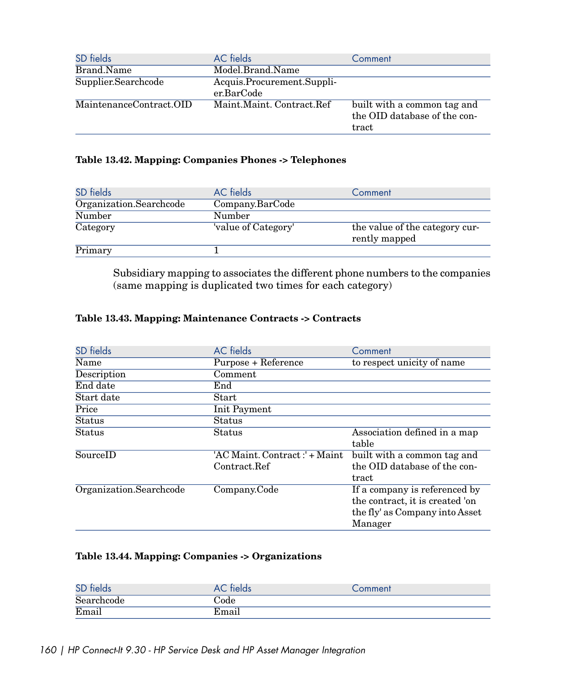| SD fields               | AC fields                                | Comment                                                              |
|-------------------------|------------------------------------------|----------------------------------------------------------------------|
| Brand.Name              | Model.Brand.Name                         |                                                                      |
| Supplier.Searchcode     | Acquis.Procurement.Suppli-<br>er.BarCode |                                                                      |
| MaintenanceContract.OID | Maint.Maint.Contract.Ref                 | built with a common tag and<br>the OID database of the con-<br>tract |

## **Table 13.42. Mapping: Companies Phones -> Telephones**

| SD fields               | AC fields           | Comment                                         |
|-------------------------|---------------------|-------------------------------------------------|
| Organization.Searchcode | Company.BarCode     |                                                 |
| Number                  | Number              |                                                 |
| Category                | 'value of Category' | the value of the category cur-<br>rently mapped |
| Primary                 |                     |                                                 |

Subsidiary mapping to associates the different phone numbers to the companies (same mapping is duplicated two times for each category)

#### **Table 13.43. Mapping: Maintenance Contracts -> Contracts**

| SD fields               | <b>AC</b> fields               | Comment                         |
|-------------------------|--------------------------------|---------------------------------|
| Name                    | Purpose + Reference            | to respect unicity of name      |
| Description             | Comment                        |                                 |
| End date                | End                            |                                 |
| Start date              | Start                          |                                 |
| Price                   | Init Payment                   |                                 |
| <b>Status</b>           | <b>Status</b>                  |                                 |
| <b>Status</b>           | Status                         | Association defined in a map    |
|                         |                                | table                           |
| SourceID                | 'AC Maint. Contract :' + Maint | built with a common tag and     |
|                         | Contract.Ref                   | the OID database of the con-    |
|                         |                                | tract                           |
| Organization.Searchcode | Company.Code                   | If a company is referenced by   |
|                         |                                | the contract, it is created 'on |
|                         |                                | the fly' as Company into Asset  |
|                         |                                | Manager                         |

#### **Table 13.44. Mapping: Companies -> Organizations**

| <b>SD</b> fields | tields | Comment |
|------------------|--------|---------|
| Searchcode       | Code   |         |
| Email            | Email  |         |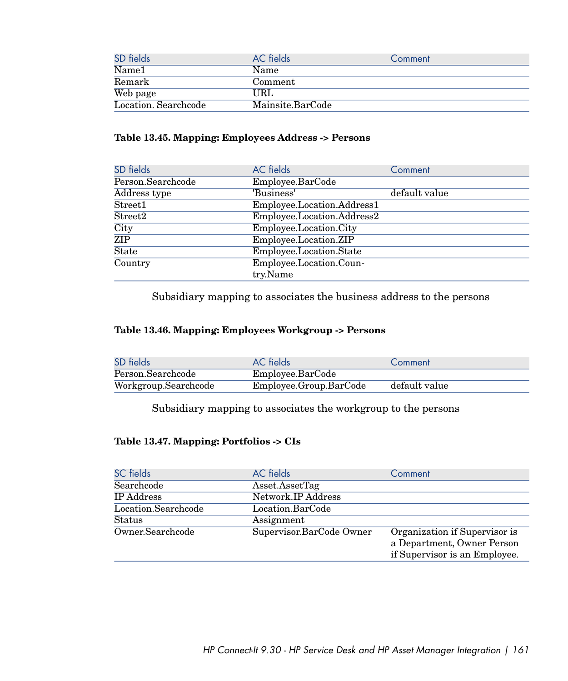| SD fields            | AC fields        | Comment |
|----------------------|------------------|---------|
| Name1                | Name             |         |
| Remark               | Comment          |         |
| Web page             | URL              |         |
| Location. Searchcode | Mainsite.BarCode |         |

## **Table 13.45. Mapping: Employees Address -> Persons**

| SD fields                   | AC fields                  | Comment       |
|-----------------------------|----------------------------|---------------|
| Person.Searchcode           | Employee.BarCode           |               |
| Address type                | 'Business'                 | default value |
| Street1                     | Employee.Location.Address1 |               |
| Street <sub>2</sub>         | Employee.Location.Address2 |               |
| $\overline{\mathrm{City}}$  | Employee.Location.City     |               |
| <b>ZIP</b>                  | Employee.Location.ZIP      |               |
| <b>State</b>                | Employee.Location.State    |               |
| $\overline{\text{Country}}$ | Employee.Location.Coun-    |               |
|                             | try.Name                   |               |

Subsidiary mapping to associates the business address to the persons

## **Table 13.46. Mapping: Employees Workgroup -> Persons**

| SD fields            | <b>AC</b> fields       | Comment       |
|----------------------|------------------------|---------------|
| Person.Searchcode    | Employee.BarCode       |               |
| Workgroup.Searchcode | Employee.Group.BarCode | default value |

Subsidiary mapping to associates the workgroup to the persons

#### **Table 13.47. Mapping: Portfolios -> CIs**

| <b>SC</b> fields    | AC fields                | Comment                                                                                      |
|---------------------|--------------------------|----------------------------------------------------------------------------------------------|
| Searchcode          | Asset.AssetTag           |                                                                                              |
| <b>IP</b> Address   | Network.IP Address       |                                                                                              |
| Location.Searchcode | Location.BarCode         |                                                                                              |
| <b>Status</b>       | Assignment               |                                                                                              |
| Owner.Searchcode    | Supervisor.BarCode Owner | Organization if Supervisor is<br>a Department, Owner Person<br>if Supervisor is an Employee. |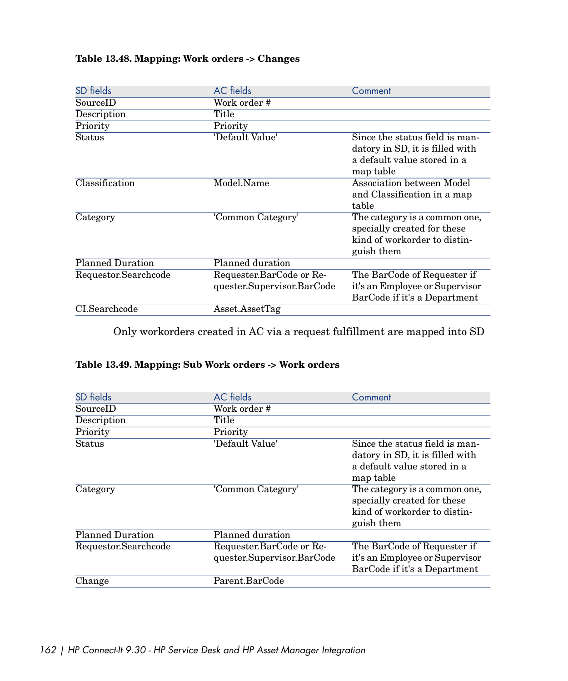## **Table 13.48. Mapping: Work orders -> Changes**

| SD fields               | <b>AC</b> fields           | Comment                                                                                                       |
|-------------------------|----------------------------|---------------------------------------------------------------------------------------------------------------|
| SourceID                | Work order #               |                                                                                                               |
| Description             | Title                      |                                                                                                               |
| Priority                | Priority                   |                                                                                                               |
| <b>Status</b>           | 'Default Value'            | Since the status field is man-<br>datory in SD, it is filled with<br>a default value stored in a<br>map table |
| Classification          | Model.Name                 | Association between Model<br>and Classification in a map<br>table                                             |
| Category                | 'Common Category'          | The category is a common one,<br>specially created for these<br>kind of workorder to distin-<br>guish them    |
| <b>Planned Duration</b> | Planned duration           |                                                                                                               |
| Requestor.Searchcode    | Requester.BarCode or Re-   | The BarCode of Requester if                                                                                   |
|                         | quester.Supervisor.BarCode | it's an Employee or Supervisor                                                                                |
|                         |                            | BarCode if it's a Department                                                                                  |
| CI.Searchcode           | Asset.AssetTag             |                                                                                                               |

Only workorders created in AC via a request fulfillment are mapped into SD

## **Table 13.49. Mapping: Sub Work orders -> Work orders**

| SD fields               | <b>AC</b> fields                                       | Comment                                                                                                       |
|-------------------------|--------------------------------------------------------|---------------------------------------------------------------------------------------------------------------|
| SourceID                | Work order #                                           |                                                                                                               |
| Description             | Title                                                  |                                                                                                               |
| Priority                | Priority                                               |                                                                                                               |
| <b>Status</b>           | 'Default Value'                                        | Since the status field is man-<br>datory in SD, it is filled with<br>a default value stored in a<br>map table |
| Category                | 'Common Category'                                      | The category is a common one,<br>specially created for these<br>kind of workorder to distin-<br>guish them    |
| <b>Planned Duration</b> | Planned duration                                       |                                                                                                               |
| Requestor.Searchcode    | Requester.BarCode or Re-<br>quester.Supervisor.BarCode | The BarCode of Requester if<br>it's an Employee or Supervisor<br>BarCode if it's a Department                 |
| Change                  | Parent.BarCode                                         |                                                                                                               |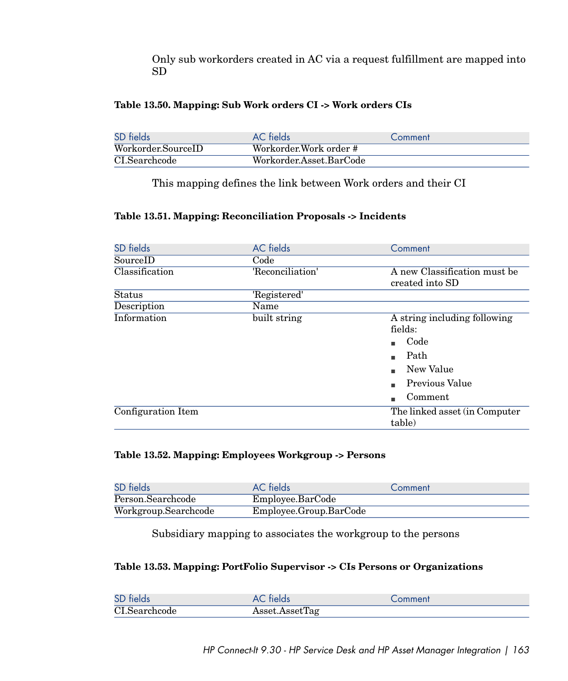Only sub workorders created in AC via a request fulfillment are mapped into SD

#### **Table 13.50. Mapping: Sub Work orders CI -> Work orders CIs**

| SD fields          | AC fields               | Comment |
|--------------------|-------------------------|---------|
| Workorder.SourceID | Workorder.Work order #  |         |
| CI.Searchcode      | Workorder.Asset.BarCode |         |

This mapping defines the link between Work orders and their CI

#### **Table 13.51. Mapping: Reconciliation Proposals -> Incidents**

| SD fields          | <b>AC</b> fields | Comment                                                                                                |
|--------------------|------------------|--------------------------------------------------------------------------------------------------------|
| SourceID           | Code             |                                                                                                        |
| Classification     | 'Reconciliation' | A new Classification must be<br>created into SD                                                        |
| Status             | 'Registered'     |                                                                                                        |
| Description        | Name             |                                                                                                        |
| Information        | built string     | A string including following<br>fields:<br>Code<br>Path<br>٠<br>New Value<br>Previous Value<br>Comment |
| Configuration Item |                  | The linked asset (in Computer<br>table)                                                                |

#### **Table 13.52. Mapping: Employees Workgroup -> Persons**

| SD fields            | AC fields              | Comment |
|----------------------|------------------------|---------|
| Person.Searchcode    | Employee.BarCode       |         |
| Workgroup.Searchcode | Employee.Group.BarCode |         |

Subsidiary mapping to associates the workgroup to the persons

#### **Table 13.53. Mapping: PortFolio Supervisor -> CIs Persons or Organizations**

| SD fields     | tields         | omment |
|---------------|----------------|--------|
| CI.Searchcode | Asset.AssetTag |        |

*HP Connect-It 9.30 - HP Service Desk and HP Asset Manager Integration | 163*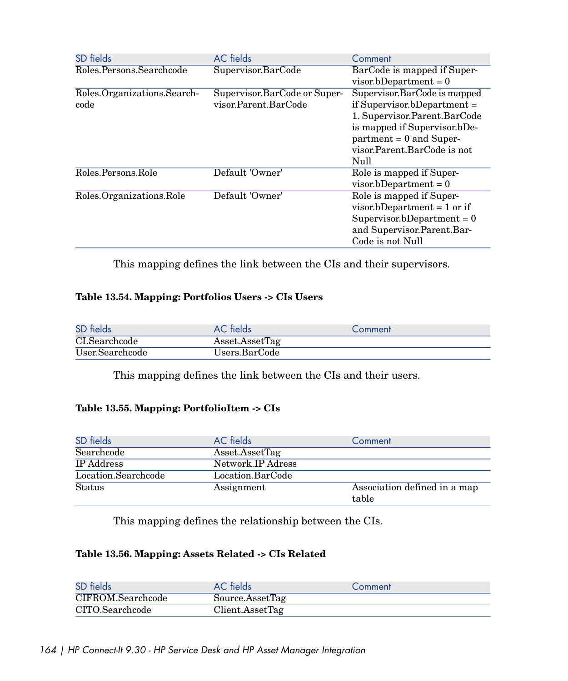| SD fields                           | <b>AC</b> fields                                     | Comment                                                                                                                                                                                           |
|-------------------------------------|------------------------------------------------------|---------------------------------------------------------------------------------------------------------------------------------------------------------------------------------------------------|
| Roles.Persons.Searchcode            | Supervisor.BarCode                                   | BarCode is mapped if Super-<br>$visor.bDepartment = 0$                                                                                                                                            |
| Roles.Organizations.Search-<br>code | Supervisor.BarCode or Super-<br>visor.Parent.BarCode | Supervisor.BarCode is mapped<br>if Supervisor.bDepartment =<br>1. Supervisor. Parent. BarCode<br>is mapped if Supervisor.bDe-<br>$partment = 0$ and Super-<br>visor.Parent.BarCode is not<br>Null |
| Roles. Persons. Role                | Default 'Owner'                                      | Role is mapped if Super-<br>$visor.bDepartment = 0$                                                                                                                                               |
| Roles.Organizations.Role            | Default 'Owner'                                      | Role is mapped if Super-<br>visor.bDepartment = $1$ or if<br>$Supervisor.bDepartment = 0$<br>and Supervisor. Parent. Bar-<br>Code is not Null                                                     |

This mapping defines the link between the CIs and their supervisors.

#### **Table 13.54. Mapping: Portfolios Users -> CIs Users**

| SD fields       | <b>AC</b> fields | Comment |
|-----------------|------------------|---------|
| CI.Searchcode   | Asset.AssetTag   |         |
| User.Searchcode | Users.BarCode    |         |

This mapping defines the link between the CIs and their users.

#### **Table 13.55. Mapping: PortfolioItem -> CIs**

| SD fields           | AC fields         | Comment                      |
|---------------------|-------------------|------------------------------|
| Searchcode          | Asset.AssetTag    |                              |
| <b>IP</b> Address   | Network.IP Adress |                              |
| Location.Searchcode | Location.BarCode  |                              |
| Status              | Assignment        | Association defined in a map |
|                     |                   | table                        |

This mapping defines the relationship between the CIs.

#### **Table 13.56. Mapping: Assets Related -> CIs Related**

| SD fields         | AC fields       | Comment |
|-------------------|-----------------|---------|
| CIFROM.Searchcode | Source.AssetTag |         |
| CITO.Searchcode   | Client.AssetTag |         |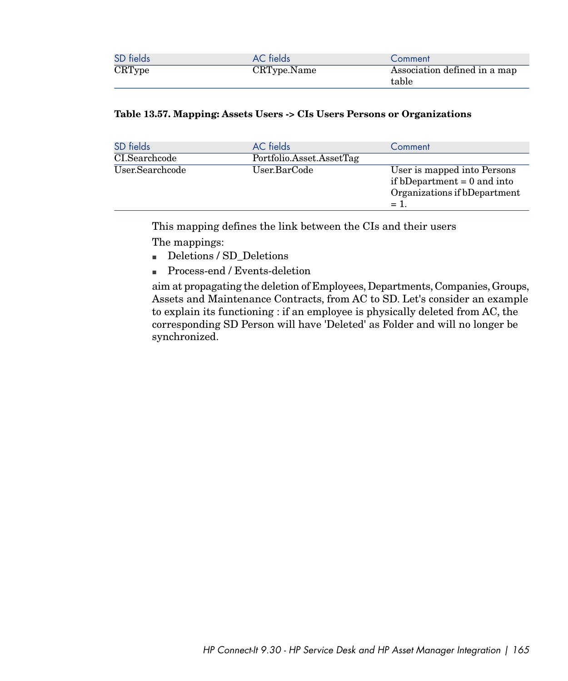| SD fields     | AC fields   | Comment                               |
|---------------|-------------|---------------------------------------|
| <b>CRType</b> | CRType.Name | Association defined in a map<br>table |

#### **Table 13.57. Mapping: Assets Users -> CIs Users Persons or Organizations**

| SD fields       | AC fields                | Comment                                                                                                |
|-----------------|--------------------------|--------------------------------------------------------------------------------------------------------|
| CI.Searchcode   | Portfolio.Asset.AssetTag |                                                                                                        |
| User.Searchcode | User.BarCode             | User is mapped into Persons<br>if bDepartment $= 0$ and into<br>Organizations if bDepartment<br>$= 1.$ |

This mapping defines the link between the CIs and their users

The mappings:

- Deletions / SD\_Deletions
- Process-end / Events-deletion

aim at propagating the deletion of Employees, Departments, Companies, Groups, Assets and Maintenance Contracts, from AC to SD. Let's consider an example to explain its functioning : if an employee is physically deleted from AC, the corresponding SD Person will have 'Deleted' as Folder and will no longer be synchronized.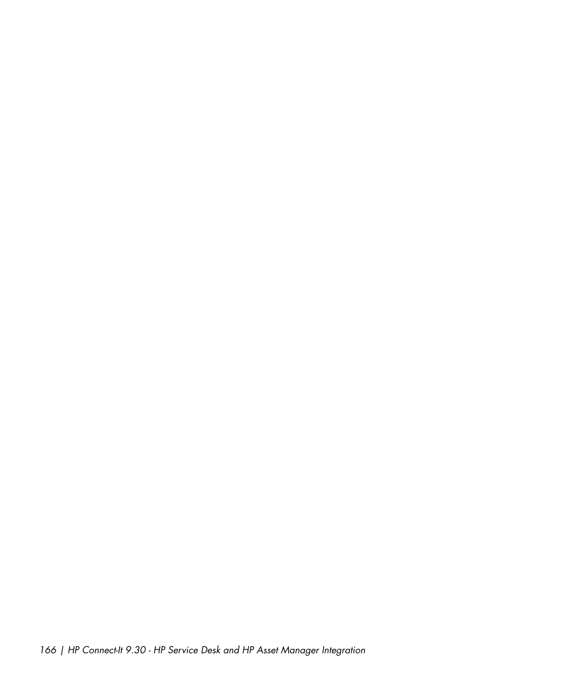*166 | HP Connect-It 9.30 - HP Service Desk and HP Asset Manager Integration*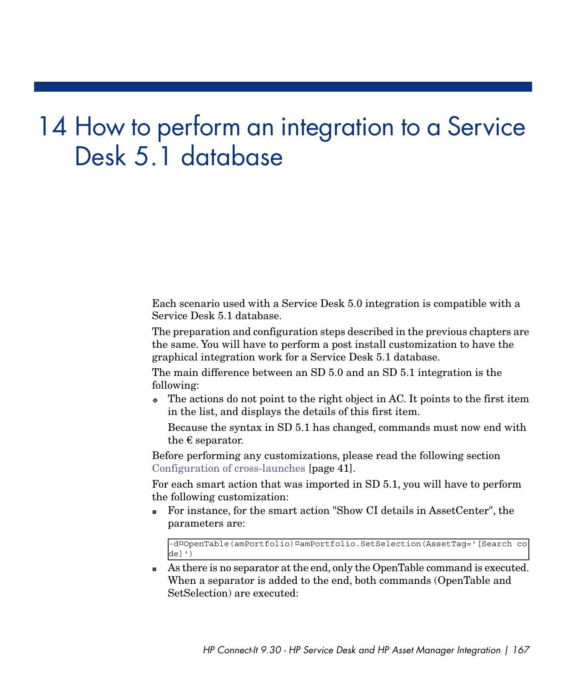# 14 How to perform an integration to a Service Desk 5.1 database

Each scenario used with a Service Desk 5.0 integration is compatible with a Service Desk 5.1 database.

The preparation and configuration steps described in the previous chapters are the same. You will have to perform a post install customization to have the graphical integration work for a Service Desk 5.1 database.

The main difference between an SD 5.0 and an SD 5.1 integration is the following:

 $\bullet$  The actions do not point to the right object in AC. It points to the first item in the list, and displays the details of this first item.

Because the syntax in SD 5.1 has changed, commands must now end with the  $\epsilon$  separator.

Before performing any customizations, please read the following section [Configuration of cross-launches](#page-40-0) [page 41].

For each smart action that was imported in SD 5.1, you will have to perform the following customization:

<sup>n</sup> For instance, for the smart action "Show CI details in AssetCenter", the parameters are:

-d¤OpenTable(amPortfolio)¤amPortfolio.SetSelection(AssetTag='[Search co de]')

 $\blacksquare$  As there is no separator at the end, only the OpenTable command is executed. When a separator is added to the end, both commands (OpenTable and SetSelection) are executed: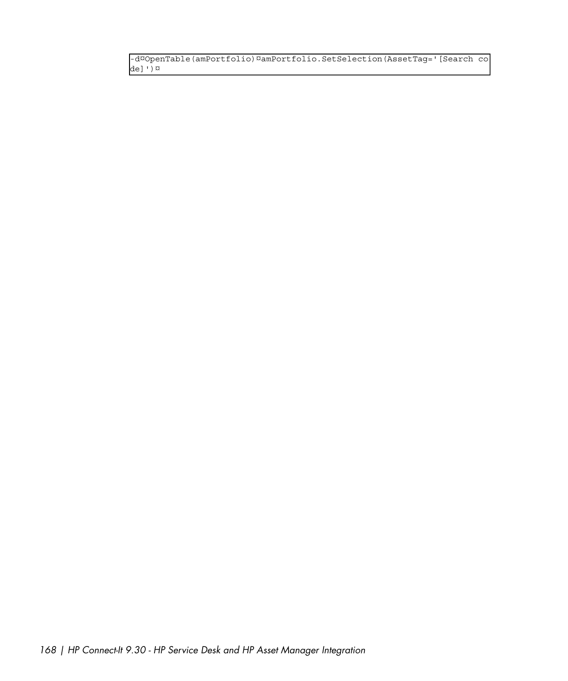-d¤OpenTable(amPortfolio)¤amPortfolio.SetSelection(AssetTag='[Search co de]')¤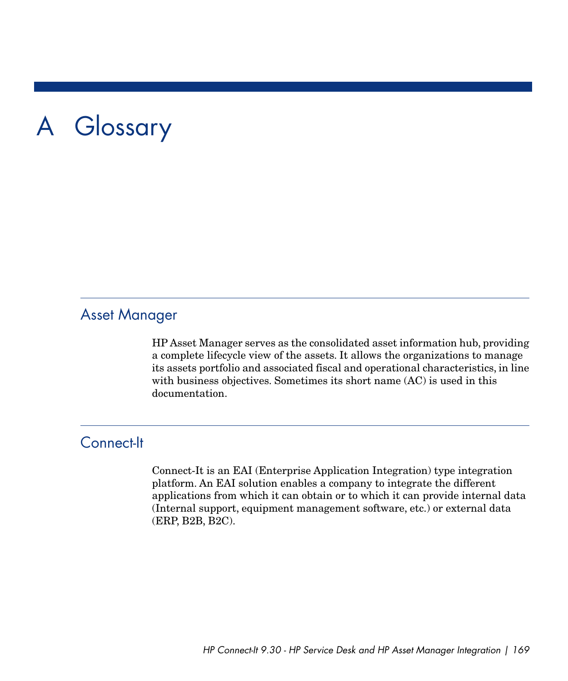# A Glossary

# Asset Manager

HP Asset Manager serves as the consolidated asset information hub, providing a complete lifecycle view of the assets. It allows the organizations to manage its assets portfolio and associated fiscal and operational characteristics, in line with business objectives. Sometimes its short name (AC) is used in this documentation.

# Connect-It

Connect-It is an EAI (Enterprise Application Integration) type integration platform. An EAI solution enables a company to integrate the different applications from which it can obtain or to which it can provide internal data (Internal support, equipment management software, etc.) or external data (ERP, B2B, B2C).